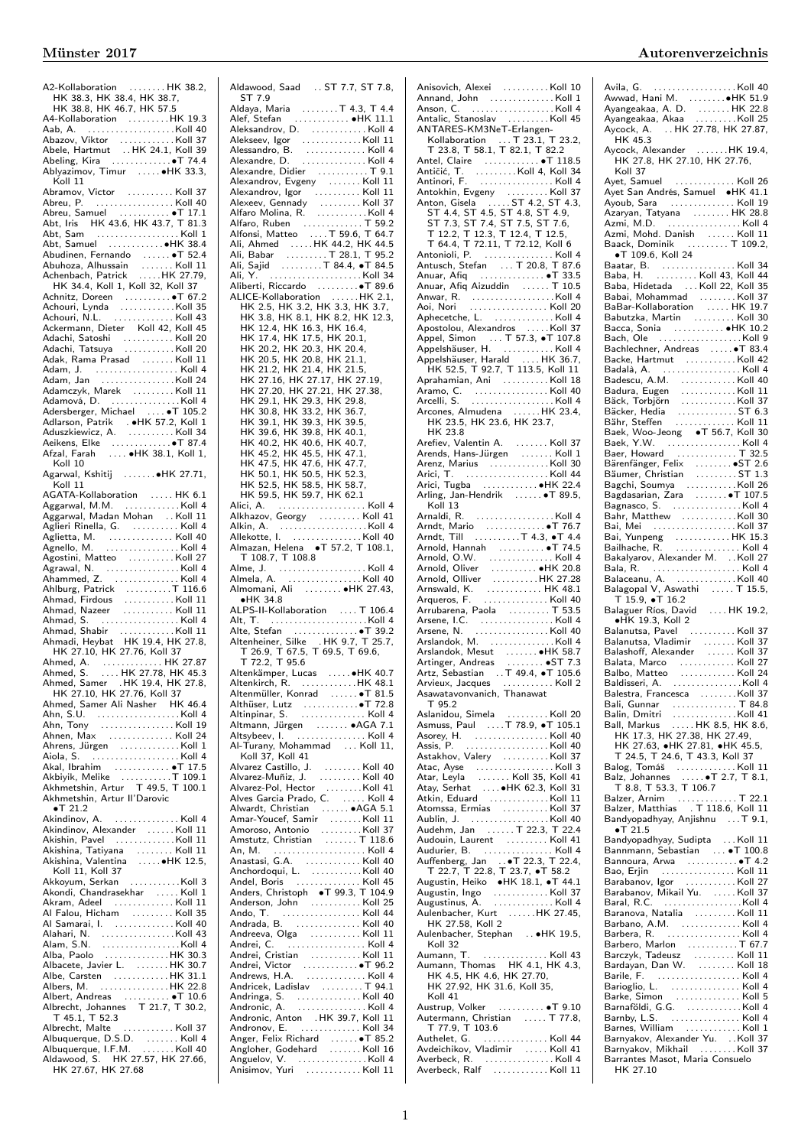| A2-Kollaboration HK 38.2,<br>HK 38.3, HK 38.4, HK 38.7,                                                                                                                                          |  |
|--------------------------------------------------------------------------------------------------------------------------------------------------------------------------------------------------|--|
| HK 38.8, HK 46.7, HK 57.5                                                                                                                                                                        |  |
| A4-Kollaboration<br>A4-Kollaboration<br>Abazov, Viktor<br>Abazov, Viktor<br>Abele, Hartmut HK 24.1, Koll 39<br>Abeling, Kira<br>Abeling, Kira<br>Abeling, Kira<br>Abeling, Kira<br>Abeling, Kira |  |
|                                                                                                                                                                                                  |  |
|                                                                                                                                                                                                  |  |
|                                                                                                                                                                                                  |  |
|                                                                                                                                                                                                  |  |
| Ablyazimov, Timur  HK 33.3,                                                                                                                                                                      |  |
| Koll 11                                                                                                                                                                                          |  |
| Abramov, Victor  Koll 37                                                                                                                                                                         |  |
| Abreu, P. Koll 40                                                                                                                                                                                |  |
| Abreu, Samuel  • T 17.1<br>Abt, Iris    HK 43.6, HK 43.7, T 81.3                                                                                                                                 |  |
|                                                                                                                                                                                                  |  |
| Abt, Sam Koll 1                                                                                                                                                                                  |  |
|                                                                                                                                                                                                  |  |
|                                                                                                                                                                                                  |  |
| Abudinen, Fernando<br>Abudinen, Fernando<br>Abuhoza, Alhussain<br>Achenbach, Patrick<br>Achenbach, Patrick<br>Achenbach, Patrick                                                                 |  |
|                                                                                                                                                                                                  |  |
| HK 34.4, Koll 1, Koll 32, Koll 37                                                                                                                                                                |  |
| Achnitz, Doreen<br>Achouri, Lynda<br>Achouri, Lynda<br>Achouri, N.L.<br>Achouri, N.L.                                                                                                            |  |
|                                                                                                                                                                                                  |  |
| Ackermann, Dieter Koll 42, Koll 45                                                                                                                                                               |  |
|                                                                                                                                                                                                  |  |
| Adachi, Satoshi<br>Adachi, Tatsuya   Koll 20                                                                                                                                                     |  |
| Adak, Rama Prasad Koll 11                                                                                                                                                                        |  |
| Adam, J.  Koll 4                                                                                                                                                                                 |  |
| Adam, Jan Koll 24                                                                                                                                                                                |  |
|                                                                                                                                                                                                  |  |
|                                                                                                                                                                                                  |  |
| Adersberger, Michael  T 105.2                                                                                                                                                                    |  |
|                                                                                                                                                                                                  |  |
|                                                                                                                                                                                                  |  |
|                                                                                                                                                                                                  |  |
|                                                                                                                                                                                                  |  |
| Koll 10                                                                                                                                                                                          |  |
| Agarwal, Kshitij  HK 27.71,                                                                                                                                                                      |  |
| Koll 11                                                                                                                                                                                          |  |
| AGATA-Kollaboration      HK  6.1<br>Aggarwal,  M.M.     Koll  4                                                                                                                                  |  |
|                                                                                                                                                                                                  |  |
| Aggarwal, Madan Mohan  Koll 11                                                                                                                                                                   |  |
|                                                                                                                                                                                                  |  |
|                                                                                                                                                                                                  |  |
|                                                                                                                                                                                                  |  |
|                                                                                                                                                                                                  |  |
|                                                                                                                                                                                                  |  |
|                                                                                                                                                                                                  |  |
|                                                                                                                                                                                                  |  |
| Agostini, Matteo<br>Agostini, Matteo<br>Agrawal, N. (1998).<br>Ahammed, Z. (1999). Moll 4.                                                                                                       |  |
|                                                                                                                                                                                                  |  |
|                                                                                                                                                                                                  |  |
|                                                                                                                                                                                                  |  |
|                                                                                                                                                                                                  |  |
|                                                                                                                                                                                                  |  |
|                                                                                                                                                                                                  |  |
|                                                                                                                                                                                                  |  |
| Ahmed, A. (27.87)<br>Ahmed, S. (27.78, HK 45.3)                                                                                                                                                  |  |
| ,<br>Ahmed,                                                                                                                                                                                      |  |
| nmed, Samer   .HK 19.4, HK 27.8,<br>HK 27.10, HK 27.76, Koll 37                                                                                                                                  |  |
|                                                                                                                                                                                                  |  |
|                                                                                                                                                                                                  |  |
|                                                                                                                                                                                                  |  |
| Ahnen, Max  Koll 24                                                                                                                                                                              |  |
|                                                                                                                                                                                                  |  |
|                                                                                                                                                                                                  |  |
| Akal, Ibrahim  . T 17.5                                                                                                                                                                          |  |
|                                                                                                                                                                                                  |  |
| Akbiyik, Melike T 109.1<br>Akhmetshin, Artur T 49.5, T 100.1                                                                                                                                     |  |
| Akhmetshin, Artur II'Darovic<br>$\bullet$ T 21.2                                                                                                                                                 |  |
| Akindinov, A.  Koll 4                                                                                                                                                                            |  |
|                                                                                                                                                                                                  |  |
| Akindinov, Alexander Koll 11<br>Akishin, Pavel Koll 11                                                                                                                                           |  |
|                                                                                                                                                                                                  |  |
| Akishina, Tatiyana   Koll 11<br>Akishina, Valentina   ●HK 12.5,                                                                                                                                  |  |
| Koll 11, Koll 37                                                                                                                                                                                 |  |
| Akkoyum, Serkan Koll 3                                                                                                                                                                           |  |
| Akondi, Chandrasekhar  Koll 1                                                                                                                                                                    |  |
| Akram, Adeel Koll 11                                                                                                                                                                             |  |
| Al Falou, Hicham  Koll 35                                                                                                                                                                        |  |
| Al Samarai, I. Koll 40                                                                                                                                                                           |  |
|                                                                                                                                                                                                  |  |
|                                                                                                                                                                                                  |  |
|                                                                                                                                                                                                  |  |
| Albacete, Javier L.  HK 30.7                                                                                                                                                                     |  |
|                                                                                                                                                                                                  |  |
|                                                                                                                                                                                                  |  |
|                                                                                                                                                                                                  |  |
| Albrecht, Johannes T 21.7, T 30.2,                                                                                                                                                               |  |
| T 45.1, T 52.3                                                                                                                                                                                   |  |
| Albrecht, Malte  Koll 37                                                                                                                                                                         |  |
|                                                                                                                                                                                                  |  |
| Albuquerque, D.S.D.  Koll 4<br>Albuquerque, I.F.M. Koll 40<br>Aldawood, S. HK 27.57, HK 27.66,                                                                                                   |  |

 $\overline{\phantom{a}}$ 

| Aldawood, Saad  ST 7.7, ST 7.8,                                                                                                                                                                                                                                                                                                         |
|-----------------------------------------------------------------------------------------------------------------------------------------------------------------------------------------------------------------------------------------------------------------------------------------------------------------------------------------|
| ST 7.9<br>Aldaya, Maria T 4.3, T 4.4                                                                                                                                                                                                                                                                                                    |
| Alef, Stefan<br>Alef, Stefan<br>Aleksandrov, D.<br>Aleksandrov, D.<br>Alexandro, B.<br>Alexandro, B.<br>Alexandro, D.<br>Alexandro, D.<br>Alexandro, D.<br>Alexandro, D.                                                                                                                                                                |
|                                                                                                                                                                                                                                                                                                                                         |
|                                                                                                                                                                                                                                                                                                                                         |
| Alexandre, Didier  T 9.1                                                                                                                                                                                                                                                                                                                |
|                                                                                                                                                                                                                                                                                                                                         |
|                                                                                                                                                                                                                                                                                                                                         |
|                                                                                                                                                                                                                                                                                                                                         |
|                                                                                                                                                                                                                                                                                                                                         |
|                                                                                                                                                                                                                                                                                                                                         |
|                                                                                                                                                                                                                                                                                                                                         |
|                                                                                                                                                                                                                                                                                                                                         |
|                                                                                                                                                                                                                                                                                                                                         |
| ALICE-Kollaboration  HK 2.1,<br>HK 2.5, HK 3.2, HK 3.3, HK 3.7,                                                                                                                                                                                                                                                                         |
| HK 3.8, HK 8.1, HK 8.2, HK 12.3,                                                                                                                                                                                                                                                                                                        |
| HK 12.4, HK 16.3, HK 16.4,<br>HK 17.4, HK 17.5, HK 20.1,                                                                                                                                                                                                                                                                                |
| HK 20.2, HK 20.3, HK 20.4,                                                                                                                                                                                                                                                                                                              |
| HK 20.5, HK 20.8, HK 21.1,                                                                                                                                                                                                                                                                                                              |
| HK 21.2, HK 21.4, HK 21.5,                                                                                                                                                                                                                                                                                                              |
| HK 27.16, HK 27.17, HK 27.19,<br>HK 27.20, HK 27.21, HK 27.38,                                                                                                                                                                                                                                                                          |
| HK 29.1, HK 29.3, HK 29.8,<br>HK 30.8, HK 33.2, HK 36.7,                                                                                                                                                                                                                                                                                |
| HK 39.1, HK 39.3, HK 39.5,                                                                                                                                                                                                                                                                                                              |
| HK 39.6, HK 39.8, HK 40.1,                                                                                                                                                                                                                                                                                                              |
| HK 40.2, HK 40.6, HK 40.7,<br>HK 45.2, HK 45.5, HK 47.1,                                                                                                                                                                                                                                                                                |
| HK 47.5, HK 47.6, HK 47.7,                                                                                                                                                                                                                                                                                                              |
| HK 50.1, HK 50.5, HK 52.3,<br>HK 52.5, HK 58.5, HK 58.7,                                                                                                                                                                                                                                                                                |
| HK 59.5, HK 59.7, HK 62.1                                                                                                                                                                                                                                                                                                               |
|                                                                                                                                                                                                                                                                                                                                         |
|                                                                                                                                                                                                                                                                                                                                         |
|                                                                                                                                                                                                                                                                                                                                         |
| T 108.7, T 108.8                                                                                                                                                                                                                                                                                                                        |
| Alme, J. $\ldots$ . $\ldots$ . $\ldots$ $\ldots$ $\ldots$ $\ldots$ $\ldots$ $\ldots$ $\ldots$ $\ldots$ $\ldots$ $\ldots$ $\ldots$ $\ldots$ $\ldots$ $\ldots$ $\ldots$ $\ldots$ $\ldots$ $\ldots$ $\ldots$ $\ldots$ $\ldots$ $\ldots$ $\ldots$ $\ldots$ $\ldots$ $\ldots$ $\ldots$ $\ldots$ $\ldots$ $\ldots$ $\ldots$ $\ldots$ $\ldots$ |
| Almela, A.  Koll 40                                                                                                                                                                                                                                                                                                                     |
|                                                                                                                                                                                                                                                                                                                                         |
| Almomani, Ali  . HK 27.43,<br>$\bullet$ HK 34.8                                                                                                                                                                                                                                                                                         |
| ALPS-II-Kollaboration  T 106.4                                                                                                                                                                                                                                                                                                          |
|                                                                                                                                                                                                                                                                                                                                         |
|                                                                                                                                                                                                                                                                                                                                         |
|                                                                                                                                                                                                                                                                                                                                         |
| Altenkämper, Lucas  HK 40.7                                                                                                                                                                                                                                                                                                             |
|                                                                                                                                                                                                                                                                                                                                         |
|                                                                                                                                                                                                                                                                                                                                         |
|                                                                                                                                                                                                                                                                                                                                         |
|                                                                                                                                                                                                                                                                                                                                         |
| Altmann, Jürgen<br>Altsybeev, I. (1999). Koll 4<br>Al-Turany, Mohammad  Koll 11,                                                                                                                                                                                                                                                        |
| Koll 37, Koll 41                                                                                                                                                                                                                                                                                                                        |
|                                                                                                                                                                                                                                                                                                                                         |
|                                                                                                                                                                                                                                                                                                                                         |
|                                                                                                                                                                                                                                                                                                                                         |
|                                                                                                                                                                                                                                                                                                                                         |
|                                                                                                                                                                                                                                                                                                                                         |
| An, M.  Koll 4                                                                                                                                                                                                                                                                                                                          |
|                                                                                                                                                                                                                                                                                                                                         |
|                                                                                                                                                                                                                                                                                                                                         |
| Anders, Christoph ·T 99.3, T 104.9                                                                                                                                                                                                                                                                                                      |
| Anderson, John  Koll 25                                                                                                                                                                                                                                                                                                                 |
| Andrada, B.  Koll 40                                                                                                                                                                                                                                                                                                                    |
| Andreeva, Olga<br>Andrei, C. (1994). Koll 4                                                                                                                                                                                                                                                                                             |
|                                                                                                                                                                                                                                                                                                                                         |
|                                                                                                                                                                                                                                                                                                                                         |
|                                                                                                                                                                                                                                                                                                                                         |
|                                                                                                                                                                                                                                                                                                                                         |
|                                                                                                                                                                                                                                                                                                                                         |
|                                                                                                                                                                                                                                                                                                                                         |
|                                                                                                                                                                                                                                                                                                                                         |

| Anisovich, Alexei Koll 10                                                                                                                                                                                                             |  |
|---------------------------------------------------------------------------------------------------------------------------------------------------------------------------------------------------------------------------------------|--|
|                                                                                                                                                                                                                                       |  |
| Annand, John Koll 1<br>Anson, C. Koll 4                                                                                                                                                                                               |  |
|                                                                                                                                                                                                                                       |  |
| Ansen;<br>Antalic, Stanoslav   Koll 45<br>ANTARES-KM3NeT-Erlangen-                                                                                                                                                                    |  |
| Kollaboration  T 23.1, T 23.2,<br>T 23.8, T 58.1, T 82.1, T 82.2                                                                                                                                                                      |  |
|                                                                                                                                                                                                                                       |  |
|                                                                                                                                                                                                                                       |  |
|                                                                                                                                                                                                                                       |  |
|                                                                                                                                                                                                                                       |  |
|                                                                                                                                                                                                                                       |  |
|                                                                                                                                                                                                                                       |  |
| Antokhin, Evgeny<br>Antokhin, Evgeny<br>Anton, Gisela<br>3. ST 4.2, ST 4.3, ST 4.4, ST 4.5, ST 4.8, ST 4.9,<br>ST 7.3, ST 7.4, ST 7.5, ST 7.6,<br>T 12.2, T 12.3, T 12.4, T 12.5,<br>T 64.4, T 72.11, T 72.12, Koll 6<br>Antoniolis P |  |
|                                                                                                                                                                                                                                       |  |
|                                                                                                                                                                                                                                       |  |
|                                                                                                                                                                                                                                       |  |
|                                                                                                                                                                                                                                       |  |
|                                                                                                                                                                                                                                       |  |
|                                                                                                                                                                                                                                       |  |
|                                                                                                                                                                                                                                       |  |
| Anuar, Afiq Aizuddin  T 10.5                                                                                                                                                                                                          |  |
|                                                                                                                                                                                                                                       |  |
|                                                                                                                                                                                                                                       |  |
|                                                                                                                                                                                                                                       |  |
| Aphecetche, L.  Koll 4                                                                                                                                                                                                                |  |
|                                                                                                                                                                                                                                       |  |
| Apostolou, Alexandros Koll 37<br>Appel, Simon T 57.3, •T 107.8                                                                                                                                                                        |  |
| Appelshäuser, H. (1998)<br>Appelshäuser, H. (1998)<br>H. S. (1997)<br>H. S. (1997)<br>T. (1997)<br>T. (1997)<br>Also Koll 11                                                                                                          |  |
|                                                                                                                                                                                                                                       |  |
|                                                                                                                                                                                                                                       |  |
|                                                                                                                                                                                                                                       |  |
|                                                                                                                                                                                                                                       |  |
|                                                                                                                                                                                                                                       |  |
|                                                                                                                                                                                                                                       |  |
| Arcones, Almudena HK 23.4,<br>HK 23.5, HK 23.6, HK 23.7,                                                                                                                                                                              |  |
|                                                                                                                                                                                                                                       |  |
| HK 23.8                                                                                                                                                                                                                               |  |
| Arefiev, Valentin A.  Koll 37                                                                                                                                                                                                         |  |
| Arends, Hans-Jürgen<br>Arenz, Marius<br>Arenz, Marius<br>Arenz, Marius                                                                                                                                                                |  |
|                                                                                                                                                                                                                                       |  |
|                                                                                                                                                                                                                                       |  |
|                                                                                                                                                                                                                                       |  |
|                                                                                                                                                                                                                                       |  |
| Arling, Jan-Hendrik  T 89.5,<br>Koll 13                                                                                                                                                                                               |  |
|                                                                                                                                                                                                                                       |  |
| Arnaldi, R.<br>Arndt, Mario   6T 76.7<br>Arndt, Till   T 4.3, et 4.4                                                                                                                                                                  |  |
|                                                                                                                                                                                                                                       |  |
|                                                                                                                                                                                                                                       |  |
| Arnold, Hannah  T 74.5                                                                                                                                                                                                                |  |
|                                                                                                                                                                                                                                       |  |
|                                                                                                                                                                                                                                       |  |
|                                                                                                                                                                                                                                       |  |
|                                                                                                                                                                                                                                       |  |
|                                                                                                                                                                                                                                       |  |
|                                                                                                                                                                                                                                       |  |
|                                                                                                                                                                                                                                       |  |
| Arrubarena, Paola T 53.5                                                                                                                                                                                                              |  |
|                                                                                                                                                                                                                                       |  |
|                                                                                                                                                                                                                                       |  |
| Arslandok, M. Koll 4                                                                                                                                                                                                                  |  |
|                                                                                                                                                                                                                                       |  |
|                                                                                                                                                                                                                                       |  |
|                                                                                                                                                                                                                                       |  |
|                                                                                                                                                                                                                                       |  |
|                                                                                                                                                                                                                                       |  |
| Arslandok, Mesut<br>Arslandok, Mesut<br>Artinger, Andreas<br>Artinger, Andreas<br>Articux, Jacques<br>Asawatayonvanich, Thanawat<br>Asawatayonvanich, Thanawat                                                                        |  |
| T 95.2                                                                                                                                                                                                                                |  |
|                                                                                                                                                                                                                                       |  |
|                                                                                                                                                                                                                                       |  |
|                                                                                                                                                                                                                                       |  |
|                                                                                                                                                                                                                                       |  |
|                                                                                                                                                                                                                                       |  |
|                                                                                                                                                                                                                                       |  |
|                                                                                                                                                                                                                                       |  |
|                                                                                                                                                                                                                                       |  |
| Astakhov, Valery<br>Atac, Ayse (Atac, Ayse (Atac, Ayse (Atac, Ayse (Atac, Ayse (Atac, Ayse (Atac, Ayse (Atac, Ayse (Atac, Ayse (Atac)<br>Atay, Serhat (Atay, Serhat (Atay, Serhat (Atay, Serhat (Atay, Serhat (Ata), Atac, Ayse (A    |  |
|                                                                                                                                                                                                                                       |  |
| Atomssa, Ermias Koll 37                                                                                                                                                                                                               |  |
|                                                                                                                                                                                                                                       |  |
|                                                                                                                                                                                                                                       |  |
| Audehm, Jan T 22.3, T 22.4<br>Audouin, Laurent Koll 41                                                                                                                                                                                |  |
|                                                                                                                                                                                                                                       |  |
|                                                                                                                                                                                                                                       |  |
|                                                                                                                                                                                                                                       |  |
|                                                                                                                                                                                                                                       |  |
|                                                                                                                                                                                                                                       |  |
|                                                                                                                                                                                                                                       |  |
| Aulenbacher, Kurt HK 27.45,                                                                                                                                                                                                           |  |
| HK 27.58, Koll 2                                                                                                                                                                                                                      |  |
|                                                                                                                                                                                                                                       |  |
| Koll 32                                                                                                                                                                                                                               |  |
|                                                                                                                                                                                                                                       |  |
| T.  Koll 43                                                                                                                                                                                                                           |  |
|                                                                                                                                                                                                                                       |  |
|                                                                                                                                                                                                                                       |  |
| HK 27.92, HK 31.6, Koll 35,                                                                                                                                                                                                           |  |
| Koll 41                                                                                                                                                                                                                               |  |
|                                                                                                                                                                                                                                       |  |
|                                                                                                                                                                                                                                       |  |
| T 77.9, T 103.6                                                                                                                                                                                                                       |  |
|                                                                                                                                                                                                                                       |  |
| Aulenbacher, Stephan  HK 19.5,<br>Austrup, Volker  . T 9.10<br>Autermann, Christian  T 77.8,<br>Authelet, G. Koll 44<br>Avdeichikov, Vladimir Koll 41                                                                                 |  |
|                                                                                                                                                                                                                                       |  |
|                                                                                                                                                                                                                                       |  |

| Aycock, A. HK 27.78, HK 27.87,                                                                                                                                                                                                                                 |  |
|----------------------------------------------------------------------------------------------------------------------------------------------------------------------------------------------------------------------------------------------------------------|--|
| Aycock, Alexander HK 19.4,<br>HK 27.8, HK 27.10, HK 27.76,                                                                                                                                                                                                     |  |
|                                                                                                                                                                                                                                                                |  |
| Koll 37                                                                                                                                                                                                                                                        |  |
| Ayet, Samuel<br>Ayet San Andrés, Samuel • HK 41.1<br>Ayoub, Sara<br>Azərvəs, Tətimov                                                                                                                                                                           |  |
|                                                                                                                                                                                                                                                                |  |
|                                                                                                                                                                                                                                                                |  |
|                                                                                                                                                                                                                                                                |  |
|                                                                                                                                                                                                                                                                |  |
| Baack, Dominik  T 109.2,                                                                                                                                                                                                                                       |  |
| <b>Example 199.6, Koll 24</b><br>Baatar, B. (199.6, Koll 24)<br>Baba, H. (199.6, Koll 24)<br>Baba, H. (199.6, Koll 43), Koll 44                                                                                                                                |  |
|                                                                                                                                                                                                                                                                |  |
|                                                                                                                                                                                                                                                                |  |
|                                                                                                                                                                                                                                                                |  |
|                                                                                                                                                                                                                                                                |  |
|                                                                                                                                                                                                                                                                |  |
|                                                                                                                                                                                                                                                                |  |
|                                                                                                                                                                                                                                                                |  |
| Bachlechner, Andreas  T 83.4                                                                                                                                                                                                                                   |  |
| Backe, Hartmut<br>Badalà, A. (1999). Koll 42 - Andrew Badalà, A. (1999).                                                                                                                                                                                       |  |
|                                                                                                                                                                                                                                                                |  |
|                                                                                                                                                                                                                                                                |  |
|                                                                                                                                                                                                                                                                |  |
| Badescu, A. M.<br>Badescu, A. M.<br>Badescu, A. M.<br>Badura, Eugen<br>Badura, Eugen<br>Moli 13<br>Back, Torbijörn<br>Back, Steffeld<br>Back, Woo-Jeong<br>The S. T. Koll 13<br>Back, Y. W.<br>Moli 13<br>Back, Y. W.<br>Moli 13<br>Back, Howard<br>T. 73.<br> |  |
|                                                                                                                                                                                                                                                                |  |
|                                                                                                                                                                                                                                                                |  |
|                                                                                                                                                                                                                                                                |  |
|                                                                                                                                                                                                                                                                |  |
| Bärenfänger, Felix<br>Bärenfänger, Felix<br>Bäumer, Christian<br>Bagchi, Soumya<br>Bagdasarian, Zara<br>Bagdasarian, Zara<br>Telix Toronton Christian Tara                                                                                                     |  |
|                                                                                                                                                                                                                                                                |  |
|                                                                                                                                                                                                                                                                |  |
|                                                                                                                                                                                                                                                                |  |
|                                                                                                                                                                                                                                                                |  |
|                                                                                                                                                                                                                                                                |  |
| Bai, Yunpeng HK 15.3<br>Bailhache, R.  Koll 4                                                                                                                                                                                                                  |  |
|                                                                                                                                                                                                                                                                |  |
|                                                                                                                                                                                                                                                                |  |
|                                                                                                                                                                                                                                                                |  |
|                                                                                                                                                                                                                                                                |  |
|                                                                                                                                                                                                                                                                |  |
|                                                                                                                                                                                                                                                                |  |
|                                                                                                                                                                                                                                                                |  |
| Ballnache, R. (1997)<br>Bala, R. (1997). Alexander M. (1908).<br>Bala, R. (1997). 1998. (1998). 1998. (1998).<br>Balagopal V, Aswathi (1998). The Balagopal V, Aswathi (1999). The Balagopal (1999). 1999. (1999). 1999. (1999). 1999.<br>·HK 19.3, Koll 2     |  |
| ●HK 19.3, Koll 2<br>Balanutsa, Pavel …………Koll 37                                                                                                                                                                                                               |  |
|                                                                                                                                                                                                                                                                |  |
|                                                                                                                                                                                                                                                                |  |
|                                                                                                                                                                                                                                                                |  |
|                                                                                                                                                                                                                                                                |  |
|                                                                                                                                                                                                                                                                |  |
|                                                                                                                                                                                                                                                                |  |
|                                                                                                                                                                                                                                                                |  |
| Balestra, Francesca<br>Balestra, Francesca<br>Balestra, Francesca<br>Bali, Gunnar<br>Bali, Markus<br>M. H. S. S., H. R. S. 6, H. R. S. 6, H. R. S. 6, H.                                                                                                       |  |
|                                                                                                                                                                                                                                                                |  |
|                                                                                                                                                                                                                                                                |  |
| HK 17.3, HK 27.38, HK 27.49,<br>HK 27.63, $\bullet$ HK 27.81, $\bullet$ HK 45.5,<br>T 24.5, T 24.6, T 43.3, Koll 37                                                                                                                                            |  |
|                                                                                                                                                                                                                                                                |  |
|                                                                                                                                                                                                                                                                |  |
|                                                                                                                                                                                                                                                                |  |
| Balog, Tomáš<br>Balz, Johannes<br>T. 8.8, T. 53.3, T. 106.7<br>R. 1. 8, T. 106.7<br>R. 1. 2011<br>Balzer, Arnim<br>Balzer, Matthias T 118.6, Koll 11                                                                                                           |  |
| Bandyopadhyay, Anjishnu  T 9.1,                                                                                                                                                                                                                                |  |
| $\bullet$ T 21.5                                                                                                                                                                                                                                               |  |
|                                                                                                                                                                                                                                                                |  |
|                                                                                                                                                                                                                                                                |  |
|                                                                                                                                                                                                                                                                |  |
|                                                                                                                                                                                                                                                                |  |
|                                                                                                                                                                                                                                                                |  |
|                                                                                                                                                                                                                                                                |  |
|                                                                                                                                                                                                                                                                |  |
|                                                                                                                                                                                                                                                                |  |
| Barbera, R. (1999)  Koll 4                                                                                                                                                                                                                                     |  |
|                                                                                                                                                                                                                                                                |  |
|                                                                                                                                                                                                                                                                |  |
|                                                                                                                                                                                                                                                                |  |
|                                                                                                                                                                                                                                                                |  |
|                                                                                                                                                                                                                                                                |  |
|                                                                                                                                                                                                                                                                |  |
|                                                                                                                                                                                                                                                                |  |
| Barioglio, L.<br>Barioglio, L.<br>Barnaföldi, G.G.<br>Barnaföldi, G.G.<br>Kall 4<br>Barnby, L.S.  Koll 4                                                                                                                                                       |  |
|                                                                                                                                                                                                                                                                |  |
| Barnes, William<br>Barnyakov, Alexander Yu. Koll 37<br>Barnyakov, Alexander Yu. Koll 37<br>Barnyakov, Mikhail Koll 37<br>Barrantes Masot, Maria Consuelo<br>HK 27.10                                                                                           |  |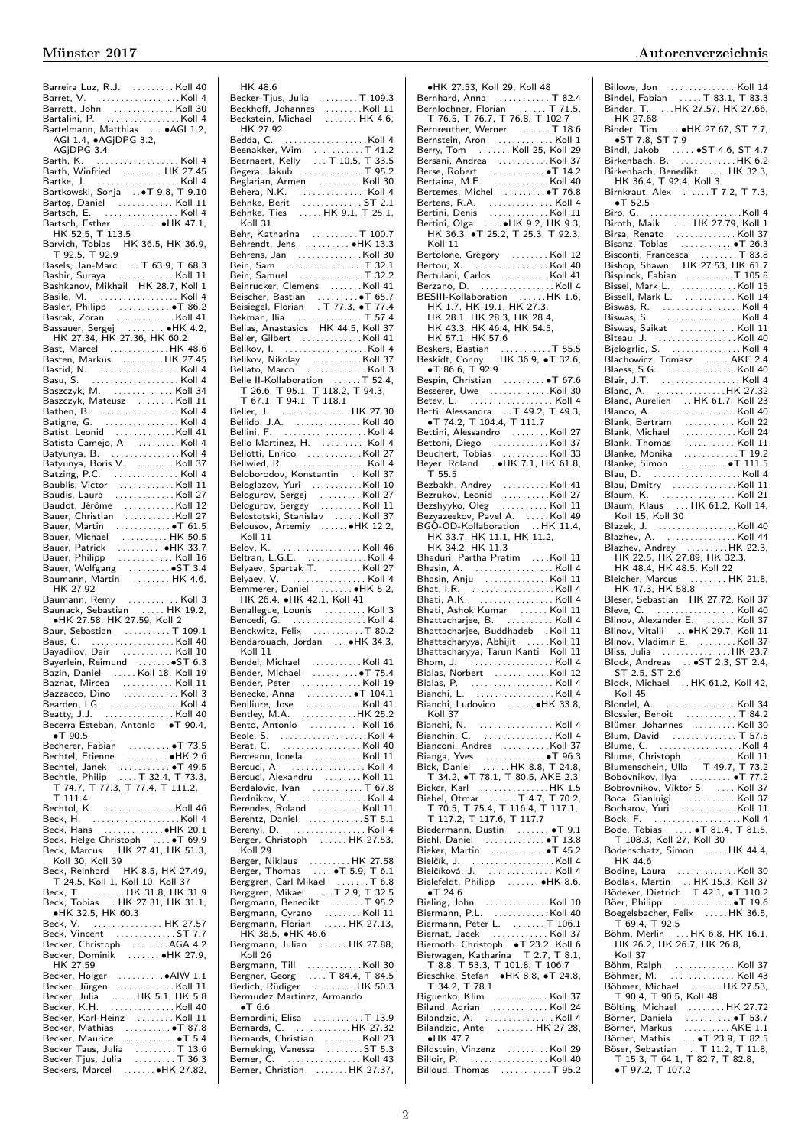| Bartelmann, Matthias  . AGI 1.2,                                                                                                                                     |
|----------------------------------------------------------------------------------------------------------------------------------------------------------------------|
| AGI 1.4, .AGjDPG 3.2,                                                                                                                                                |
| AGiDPG 3.4                                                                                                                                                           |
|                                                                                                                                                                      |
| Barth, K.                                                                                                                                                            |
| Barth, Winfried HK 27.45                                                                                                                                             |
|                                                                                                                                                                      |
|                                                                                                                                                                      |
|                                                                                                                                                                      |
|                                                                                                                                                                      |
|                                                                                                                                                                      |
| Bartsch, Esther  HK 47.1,                                                                                                                                            |
| HK 52.5, T 113.5                                                                                                                                                     |
|                                                                                                                                                                      |
| Barvich, Tobias HK 36.5, HK 36.9,                                                                                                                                    |
| T 92.5, T 92.9                                                                                                                                                       |
| Basels, Jan-Marc  T 63.9, T 68.3<br>Bashir, Suraya  Koll 11                                                                                                          |
|                                                                                                                                                                      |
|                                                                                                                                                                      |
| Bashkanov, Mikhail HK 28.7, Koll 1                                                                                                                                   |
| Basile, M.  Koll 4                                                                                                                                                   |
|                                                                                                                                                                      |
|                                                                                                                                                                      |
| Basler, Philipp<br>Basler, Philipp<br>Basrak, Zoran<br>Bassauer, Sergej<br>HK 4.2,<br>HK 27.34, HK 27.36, HK 60.2                                                    |
|                                                                                                                                                                      |
|                                                                                                                                                                      |
| Bast, Marcel HK 48.6                                                                                                                                                 |
|                                                                                                                                                                      |
|                                                                                                                                                                      |
|                                                                                                                                                                      |
|                                                                                                                                                                      |
| Basu, S. (1999)<br>Basu, S. (1999)<br>Baszczyk, M. (1999)                                                                                                            |
| Baszczyk, Mateusz Koll 11                                                                                                                                            |
|                                                                                                                                                                      |
|                                                                                                                                                                      |
|                                                                                                                                                                      |
|                                                                                                                                                                      |
|                                                                                                                                                                      |
|                                                                                                                                                                      |
|                                                                                                                                                                      |
|                                                                                                                                                                      |
|                                                                                                                                                                      |
|                                                                                                                                                                      |
|                                                                                                                                                                      |
|                                                                                                                                                                      |
|                                                                                                                                                                      |
|                                                                                                                                                                      |
|                                                                                                                                                                      |
| Baudot, Jérôme<br>Baudot, Jérôme<br>Bauer, Christian (1998).<br>Bauer, Michael (1998).<br>Bauer, Patrick (1998).<br>Bauer, Patrick (1998).<br>Bauer, Patrick (1998). |
|                                                                                                                                                                      |
|                                                                                                                                                                      |
| Bauer, Philipp  Koll 16                                                                                                                                              |
|                                                                                                                                                                      |
|                                                                                                                                                                      |
|                                                                                                                                                                      |
| Bauer, Wolfgang<br>Bauer, Wolfgang<br>Baumann, Martin  HK 4.6,                                                                                                       |
| HK 27.92                                                                                                                                                             |
|                                                                                                                                                                      |
| Baumann, Remy   Koll 3<br>Baunack, Sebastian   HK 19.2,                                                                                                              |
|                                                                                                                                                                      |
| ●HK 27.58, HK 27.59, Koll 2                                                                                                                                          |
|                                                                                                                                                                      |
|                                                                                                                                                                      |
| Baur, Sebastian<br>Baus, C. (1991).<br>Bayadilov, Dair (1991).<br>Koll 10 (1992).                                                                                    |
|                                                                                                                                                                      |
|                                                                                                                                                                      |
| Bayerlein, Reimund<br>Bazin, Daniel III Koll 18, Koll 19                                                                                                             |
| Baznat, Mircea<br>$\ldots$ . Koll $11$                                                                                                                               |
| Bazzacco, Dino  Koll 3                                                                                                                                               |
|                                                                                                                                                                      |
|                                                                                                                                                                      |
|                                                                                                                                                                      |
| Becerra Esteban, Antonio · T 90.4,<br>$\bullet$ T 90.5                                                                                                               |
|                                                                                                                                                                      |
|                                                                                                                                                                      |
|                                                                                                                                                                      |
|                                                                                                                                                                      |
|                                                                                                                                                                      |
|                                                                                                                                                                      |
|                                                                                                                                                                      |
| $T$ 111.4                                                                                                                                                            |
| Bechtol, K. Koll 46                                                                                                                                                  |
|                                                                                                                                                                      |
|                                                                                                                                                                      |
|                                                                                                                                                                      |
|                                                                                                                                                                      |
| Beck, Marcus . HK 27.41, HK 51.3,                                                                                                                                    |
| Koll 30, Koll 39                                                                                                                                                     |
|                                                                                                                                                                      |
|                                                                                                                                                                      |
|                                                                                                                                                                      |
|                                                                                                                                                                      |
| North Beck, Reinhard HK 8.5, HK 27.49,<br>T 24.5, Koll 1, Koll 10, Koll 37<br>Beck, T.  HK 31.8, HK 31.9<br>Beck, Tobias  HK 27.31, HK 31.1,                         |
| • HK 32.5, HK 60.3                                                                                                                                                   |
|                                                                                                                                                                      |
|                                                                                                                                                                      |
|                                                                                                                                                                      |
|                                                                                                                                                                      |
| Becker, Christoph AGA 4.2<br>Becker, Dominik  HK 27.9,                                                                                                               |
| HK 27.59                                                                                                                                                             |
|                                                                                                                                                                      |
|                                                                                                                                                                      |
|                                                                                                                                                                      |
|                                                                                                                                                                      |
|                                                                                                                                                                      |
|                                                                                                                                                                      |
|                                                                                                                                                                      |
|                                                                                                                                                                      |
|                                                                                                                                                                      |
|                                                                                                                                                                      |

| HK 48.6                                                                                                                                                                                                                                                                                                                                                                                                                        |  |
|--------------------------------------------------------------------------------------------------------------------------------------------------------------------------------------------------------------------------------------------------------------------------------------------------------------------------------------------------------------------------------------------------------------------------------|--|
| Becker-Tjus, Julia T 109.3                                                                                                                                                                                                                                                                                                                                                                                                     |  |
| Beckhoff, Johannes<br>Beckstein, Michael<br>$\ldots \ldots$ Koll 11                                                                                                                                                                                                                                                                                                                                                            |  |
| $\ldots$ HK 4.6,                                                                                                                                                                                                                                                                                                                                                                                                               |  |
| HK 27.92                                                                                                                                                                                                                                                                                                                                                                                                                       |  |
|                                                                                                                                                                                                                                                                                                                                                                                                                                |  |
|                                                                                                                                                                                                                                                                                                                                                                                                                                |  |
|                                                                                                                                                                                                                                                                                                                                                                                                                                |  |
|                                                                                                                                                                                                                                                                                                                                                                                                                                |  |
|                                                                                                                                                                                                                                                                                                                                                                                                                                |  |
|                                                                                                                                                                                                                                                                                                                                                                                                                                |  |
|                                                                                                                                                                                                                                                                                                                                                                                                                                |  |
|                                                                                                                                                                                                                                                                                                                                                                                                                                |  |
|                                                                                                                                                                                                                                                                                                                                                                                                                                |  |
| Koll 31                                                                                                                                                                                                                                                                                                                                                                                                                        |  |
|                                                                                                                                                                                                                                                                                                                                                                                                                                |  |
|                                                                                                                                                                                                                                                                                                                                                                                                                                |  |
|                                                                                                                                                                                                                                                                                                                                                                                                                                |  |
|                                                                                                                                                                                                                                                                                                                                                                                                                                |  |
|                                                                                                                                                                                                                                                                                                                                                                                                                                |  |
|                                                                                                                                                                                                                                                                                                                                                                                                                                |  |
|                                                                                                                                                                                                                                                                                                                                                                                                                                |  |
|                                                                                                                                                                                                                                                                                                                                                                                                                                |  |
|                                                                                                                                                                                                                                                                                                                                                                                                                                |  |
|                                                                                                                                                                                                                                                                                                                                                                                                                                |  |
|                                                                                                                                                                                                                                                                                                                                                                                                                                |  |
|                                                                                                                                                                                                                                                                                                                                                                                                                                |  |
|                                                                                                                                                                                                                                                                                                                                                                                                                                |  |
|                                                                                                                                                                                                                                                                                                                                                                                                                                |  |
|                                                                                                                                                                                                                                                                                                                                                                                                                                |  |
|                                                                                                                                                                                                                                                                                                                                                                                                                                |  |
| Belle II-Kollaboration T 52.4,                                                                                                                                                                                                                                                                                                                                                                                                 |  |
|                                                                                                                                                                                                                                                                                                                                                                                                                                |  |
| $T$ 26.6, T 95.1, T 118.2, T 94.3,<br>T 67.1, T 94.1, T 118.1<br>Beller, J.                                                                                                                                                                                                                                                                                                                                                    |  |
|                                                                                                                                                                                                                                                                                                                                                                                                                                |  |
|                                                                                                                                                                                                                                                                                                                                                                                                                                |  |
|                                                                                                                                                                                                                                                                                                                                                                                                                                |  |
|                                                                                                                                                                                                                                                                                                                                                                                                                                |  |
|                                                                                                                                                                                                                                                                                                                                                                                                                                |  |
|                                                                                                                                                                                                                                                                                                                                                                                                                                |  |
|                                                                                                                                                                                                                                                                                                                                                                                                                                |  |
|                                                                                                                                                                                                                                                                                                                                                                                                                                |  |
|                                                                                                                                                                                                                                                                                                                                                                                                                                |  |
| Bellini, F. (1999)<br>Bello Martinez, H. (1990)<br>Bellotti, Enrico (1990)<br>Bellotti, Enrico (1990)<br>Bellotti, Enrico (1990)<br>Beloglazov, Youri (1990)<br>Beloglazov, Sergej (1990)<br>Belogurov, Sergej (1990)<br>Belogurov, Sergej (1990)<br>Belo                                                                                                                                                                      |  |
|                                                                                                                                                                                                                                                                                                                                                                                                                                |  |
|                                                                                                                                                                                                                                                                                                                                                                                                                                |  |
|                                                                                                                                                                                                                                                                                                                                                                                                                                |  |
| Koll 11                                                                                                                                                                                                                                                                                                                                                                                                                        |  |
| $\ldots \ldots \ldots \ldots \ldots$ . Koll 46<br>Belov, K.                                                                                                                                                                                                                                                                                                                                                                    |  |
|                                                                                                                                                                                                                                                                                                                                                                                                                                |  |
|                                                                                                                                                                                                                                                                                                                                                                                                                                |  |
|                                                                                                                                                                                                                                                                                                                                                                                                                                |  |
|                                                                                                                                                                                                                                                                                                                                                                                                                                |  |
|                                                                                                                                                                                                                                                                                                                                                                                                                                |  |
|                                                                                                                                                                                                                                                                                                                                                                                                                                |  |
|                                                                                                                                                                                                                                                                                                                                                                                                                                |  |
|                                                                                                                                                                                                                                                                                                                                                                                                                                |  |
|                                                                                                                                                                                                                                                                                                                                                                                                                                |  |
|                                                                                                                                                                                                                                                                                                                                                                                                                                |  |
|                                                                                                                                                                                                                                                                                                                                                                                                                                |  |
| Koll 11                                                                                                                                                                                                                                                                                                                                                                                                                        |  |
|                                                                                                                                                                                                                                                                                                                                                                                                                                |  |
|                                                                                                                                                                                                                                                                                                                                                                                                                                |  |
|                                                                                                                                                                                                                                                                                                                                                                                                                                |  |
|                                                                                                                                                                                                                                                                                                                                                                                                                                |  |
|                                                                                                                                                                                                                                                                                                                                                                                                                                |  |
|                                                                                                                                                                                                                                                                                                                                                                                                                                |  |
| Below, N. (1998)<br>Belyaev, Spartak T. (1998) - 1991<br>Belyaev, Spartak T. (1998) - 1991<br>Belyaev, V. (1998) - 1991<br>H. 26.4, H. (1994) - 1992<br>N. H. 26.4, H. (1998) - 1992<br>N. (1998) - 1992<br>N. (1998) - 1992<br>Benallegue, Lounis  Koll 3<br>Bencedi, G.  Koll 4<br>Benckwitz, Felix T 80.2<br>Bendarouach, Jordan  . HK 34.3,<br>Bendel, Michael Koll 41<br>Bender, Michael •T 75.4<br>Bender, Peter Koll 19 |  |
|                                                                                                                                                                                                                                                                                                                                                                                                                                |  |
|                                                                                                                                                                                                                                                                                                                                                                                                                                |  |
|                                                                                                                                                                                                                                                                                                                                                                                                                                |  |
|                                                                                                                                                                                                                                                                                                                                                                                                                                |  |
|                                                                                                                                                                                                                                                                                                                                                                                                                                |  |
|                                                                                                                                                                                                                                                                                                                                                                                                                                |  |
|                                                                                                                                                                                                                                                                                                                                                                                                                                |  |
|                                                                                                                                                                                                                                                                                                                                                                                                                                |  |
|                                                                                                                                                                                                                                                                                                                                                                                                                                |  |
|                                                                                                                                                                                                                                                                                                                                                                                                                                |  |
| Bercuci, Alexandru (1998)<br>Berdalovic, Ivan (1998)<br>Berdalovic, Ivan (1998)<br>Berdalovic, Ivan (1998)<br>Berendes, Roland (1998)<br>Berenzi, D. (1998)<br>Berenzi, D. (1998)<br>State (1998)<br>State (1998)<br>State (1998)<br>State (1998)                                                                                                                                                                              |  |
| Berger, Christoph  HK 27.53,                                                                                                                                                                                                                                                                                                                                                                                                   |  |
| Koll 29                                                                                                                                                                                                                                                                                                                                                                                                                        |  |
|                                                                                                                                                                                                                                                                                                                                                                                                                                |  |
|                                                                                                                                                                                                                                                                                                                                                                                                                                |  |
|                                                                                                                                                                                                                                                                                                                                                                                                                                |  |
|                                                                                                                                                                                                                                                                                                                                                                                                                                |  |
|                                                                                                                                                                                                                                                                                                                                                                                                                                |  |
|                                                                                                                                                                                                                                                                                                                                                                                                                                |  |
|                                                                                                                                                                                                                                                                                                                                                                                                                                |  |
|                                                                                                                                                                                                                                                                                                                                                                                                                                |  |
| HK 38.5, $\bullet$ HK 46.6                                                                                                                                                                                                                                                                                                                                                                                                     |  |
|                                                                                                                                                                                                                                                                                                                                                                                                                                |  |
| Koll 26                                                                                                                                                                                                                                                                                                                                                                                                                        |  |
|                                                                                                                                                                                                                                                                                                                                                                                                                                |  |
|                                                                                                                                                                                                                                                                                                                                                                                                                                |  |
|                                                                                                                                                                                                                                                                                                                                                                                                                                |  |
|                                                                                                                                                                                                                                                                                                                                                                                                                                |  |
|                                                                                                                                                                                                                                                                                                                                                                                                                                |  |
| None 29<br>Reger, Thomas (1997). HK 27.58<br>Berggren, Carl Mikael (1997). The 6.8<br>Berggren, Mikael (1997). The 1997<br>Bergmann, Benedikt (1997). The 1997<br>Bergmann, Florian (1997). The 1997<br>Bergmann, Florian (1997). The 1997<br>Bergmann, Julian  HK 27.88,<br>Bermudez Martinez, Armando<br>$\bullet$ T 6.6<br>Bernardini, Elisa T 13.9                                                                         |  |
|                                                                                                                                                                                                                                                                                                                                                                                                                                |  |
|                                                                                                                                                                                                                                                                                                                                                                                                                                |  |
|                                                                                                                                                                                                                                                                                                                                                                                                                                |  |
| Bernards, C.<br>Bernards, C.<br>Bernards, Christian (E. 1995).<br>Serner, C.<br>Experience C.<br>Serner, C.<br>Serner, C.<br>Serner, C.<br>Serner, C.<br>Serner, C.<br>Serner, C.<br>Serner, C.<br>Berner, Christian  HK 27.37,                                                                                                                                                                                                |  |

| ·HK 27.53, Koll 29, Koll 48                                                                                                                                                                                                                                                  |  |
|------------------------------------------------------------------------------------------------------------------------------------------------------------------------------------------------------------------------------------------------------------------------------|--|
| Bernhard, Anna<br>Bernlochner, Florian<br>T 76.5, T 76.7, T 76.8, T 102.7                                                                                                                                                                                                    |  |
|                                                                                                                                                                                                                                                                              |  |
|                                                                                                                                                                                                                                                                              |  |
|                                                                                                                                                                                                                                                                              |  |
|                                                                                                                                                                                                                                                                              |  |
| Bersani, Andrea Koll 37                                                                                                                                                                                                                                                      |  |
|                                                                                                                                                                                                                                                                              |  |
|                                                                                                                                                                                                                                                                              |  |
|                                                                                                                                                                                                                                                                              |  |
|                                                                                                                                                                                                                                                                              |  |
|                                                                                                                                                                                                                                                                              |  |
|                                                                                                                                                                                                                                                                              |  |
| Koll 11                                                                                                                                                                                                                                                                      |  |
| Bertolone, Grégory Koll 12<br>Bertou, X. Koll 40                                                                                                                                                                                                                             |  |
|                                                                                                                                                                                                                                                                              |  |
| Bertulani, Carlos Koll 41                                                                                                                                                                                                                                                    |  |
| Berzano, D. Koll 4                                                                                                                                                                                                                                                           |  |
| BESIII-Kollaboration  HK 1.6,<br>HK 1.7, HK 19.1, HK 27.3,                                                                                                                                                                                                                   |  |
| HK 28.1, HK 28.3, HK 28.4,                                                                                                                                                                                                                                                   |  |
| HK 43.3, HK 46.4, HK 54.5,                                                                                                                                                                                                                                                   |  |
|                                                                                                                                                                                                                                                                              |  |
|                                                                                                                                                                                                                                                                              |  |
|                                                                                                                                                                                                                                                                              |  |
| $\bullet$ T 86.6, T 92.9                                                                                                                                                                                                                                                     |  |
|                                                                                                                                                                                                                                                                              |  |
|                                                                                                                                                                                                                                                                              |  |
|                                                                                                                                                                                                                                                                              |  |
|                                                                                                                                                                                                                                                                              |  |
|                                                                                                                                                                                                                                                                              |  |
|                                                                                                                                                                                                                                                                              |  |
| Bettini, Alessandro<br>Bettini, Alessandro<br>Bettoni, Diego<br>Beuchert, Tobias<br>Beyer, Roland<br><b>CHERENA BEACE (1998)</b><br>Beyer, Roland<br><b>CHERENA BEACE (1998)</b>                                                                                             |  |
| T55.5                                                                                                                                                                                                                                                                        |  |
|                                                                                                                                                                                                                                                                              |  |
|                                                                                                                                                                                                                                                                              |  |
| Bezbakh, Andrey<br>Bezrukov, Leonid   Koll 27<br>Bezshyyko, Oleg   Koll 11                                                                                                                                                                                                   |  |
|                                                                                                                                                                                                                                                                              |  |
|                                                                                                                                                                                                                                                                              |  |
|                                                                                                                                                                                                                                                                              |  |
|                                                                                                                                                                                                                                                                              |  |
|                                                                                                                                                                                                                                                                              |  |
| Bhasin, Anju Koll 11                                                                                                                                                                                                                                                         |  |
| Bhat, I.R.<br>Bhat, I.R.<br>Bhati, A.K.<br>Bhati, Ashok Kumar<br>Bhattacharjee, B.                                                                                                                                                                                           |  |
|                                                                                                                                                                                                                                                                              |  |
|                                                                                                                                                                                                                                                                              |  |
|                                                                                                                                                                                                                                                                              |  |
| Bhattacharjee, Buddhadeb   . Koll 11<br>Bhattacharyya, Abhijit   Koll 11                                                                                                                                                                                                     |  |
|                                                                                                                                                                                                                                                                              |  |
|                                                                                                                                                                                                                                                                              |  |
|                                                                                                                                                                                                                                                                              |  |
|                                                                                                                                                                                                                                                                              |  |
| Bialas, Norbert Koll 12                                                                                                                                                                                                                                                      |  |
| Bialas, P.  Koll 4                                                                                                                                                                                                                                                           |  |
| Bianchi, L.<br>Bianchi, Ludovico  HK 33.8,                                                                                                                                                                                                                                   |  |
| Koll 37                                                                                                                                                                                                                                                                      |  |
|                                                                                                                                                                                                                                                                              |  |
|                                                                                                                                                                                                                                                                              |  |
| Bianconi, Andrea Koll 37                                                                                                                                                                                                                                                     |  |
|                                                                                                                                                                                                                                                                              |  |
| Bianga, Yves<br>Bick, Daniel HK 8.8, T 24.8,                                                                                                                                                                                                                                 |  |
|                                                                                                                                                                                                                                                                              |  |
|                                                                                                                                                                                                                                                                              |  |
|                                                                                                                                                                                                                                                                              |  |
|                                                                                                                                                                                                                                                                              |  |
|                                                                                                                                                                                                                                                                              |  |
| Bick, Daniel<br>T 34.2, ●T 78.1, T 80.5, AKE 2.3<br>Bicker, Karl<br>Biebel, Otmar<br>T 4.7, T 70.2,<br>T 70.5, T 75.4, T 116.4, T 117.1,<br>T 117.2, T 117.6, T 117.7<br>Biedermann, Dustin<br>Diakl Daniel<br>Piakl Daniel<br>C 13.8<br>Biedermann<br>Biehl, Daniel  T 13.8 |  |
|                                                                                                                                                                                                                                                                              |  |
|                                                                                                                                                                                                                                                                              |  |
|                                                                                                                                                                                                                                                                              |  |
| $\bullet$ T 24.6                                                                                                                                                                                                                                                             |  |
|                                                                                                                                                                                                                                                                              |  |
|                                                                                                                                                                                                                                                                              |  |
| Bieling, John Koll 10<br>Biermann, P.L. Koll 40<br>Biermann, Peter L. T 106.1                                                                                                                                                                                                |  |
|                                                                                                                                                                                                                                                                              |  |
|                                                                                                                                                                                                                                                                              |  |
|                                                                                                                                                                                                                                                                              |  |
|                                                                                                                                                                                                                                                                              |  |
|                                                                                                                                                                                                                                                                              |  |
|                                                                                                                                                                                                                                                                              |  |
|                                                                                                                                                                                                                                                                              |  |
|                                                                                                                                                                                                                                                                              |  |
|                                                                                                                                                                                                                                                                              |  |
| Bilandzic, Ante  HK 27.28,<br>$\bullet$ HK 47.7<br>Bildstein, Vinzenz Koll 29                                                                                                                                                                                                |  |
| Billoir, P.  Koll 40<br>Billoud, Thomas T 95.2                                                                                                                                                                                                                               |  |

Billowe, Jon . . . . . . . . . . . . . . Koll 14 Bindel, Fabian . . . . . T 83.1, T 83.3 Binder, T. . . . HK 27.57, HK 27.66, HK 27.68 Binder, Tim . . ∙HK 27.67, ST 7.7, ∙ST 7.8, ST 7.9 Bindl, Jakob . . . . . ∙ST 4.6, ST 4.7 Birkenbach, B. . . . . . . . . . . . . HK 6.2 Birkenbach, Benedikt . . . . HK 32.3, HK 36.4, T 92.4, Koll 3 Birnkraut, Alex . . . . . . T 7.2, T 7.3, ∙T 52.5 Biro, G. . . . . . . . . . . . . . . . . . . . .Koll 4 Biroth, Maik . . . . HK 27.79, Koll 1 Birsa, Renato . . . . . . . . . . . . . Koll 37 Bisanz, Tobias . . . . . . . . . . . ∙T 26.3 Bisconti, Francesca . . . . . . . . T 83.8 Bishop, Shawn HK 27.53, HK 61.7 Bispinck, Fabian . . . . . . . . . .T 105.8 Bissel, Mark L. . . . . . . . . . . . .Koll 15 Bissell, Mark L. . . . . . . . . . . . Koll 14 Biswas, R. . . . . . . . . . . . . . . . . . Koll 4 Biswas, S. . . . . . . . . . . . . . . . . . Koll 4 Biswas, Saikat . . . . . . . . . . . . Koll 11 Biteau, J. . . . . . . . . . . . . . . . . . Koll 40 Bjelogrlic, S. . . . . . . . . . . . . . . . Koll 4 Blachowicz, Tomasz . . . . . AKE 2.4 Blaess, S.G. . . . . . . . . . . . . . . .Koll 40 Blair, J.T. . . . . . . . . . . . . . . . . . Koll 4 Blanc, A. . . . . . . . . . . . . . . . HK 27.32 Blanc, Aurelien . . HK 61.7, Koll 23 Blanco, A. . . . . . . . . . . . . . . . . Koll 40 Blank, Bertram . . . . . . . . . . . Koll 22 Blank, Michael . . . . . . . . . . . . Koll 24 Blank, Thomas . . . . . . . . . . . Koll 11 Blanke, Monika . . . . . . . . . . . .T 19.2 Blanke, Simon . . . . . . . . . . ∙T 111.5 Blau, D. . . . . . . . . . . . . . . . . . . . Koll 4 Blau, Dmitry .................Koll 11 Blaum, K. . . . . . . . . . . . . . . . . Koll 21 Blaum, Klaus . . . HK 61.2, Koll 14, Koll 15, Koll 30 Blazek, J. . . . . . . . . . . . . . . . . .Koll 40 Blazhev, A. . . . . . . . . . . . . . . . Koll 44 Blazhev, Andrey . . . . . . . . .HK 22.3, HK 22.5, HK 27.89, HK 32.3, HK 48.4, HK 48.5, Koll 22 Bleicher, Marcus . . . . . . . . HK 21.8, HK 47.3, HK 58.8 Bleser, Sebastian HK 27.72, Koll 37 Bleve, C. . . . . . . . . . . . . . . . . . Koll 40 Blinov, Alexander E. . . . . . . Koll 37 Blinov, Vitalii . . ∙HK 29.7, Koll 11 Blinov, Vladimir E. . . . . . . . . Koll 37 Bliss, Julia . . . . . . . . . . . . . . .HK 23.7 Block, Andreas . . ∙ST 2.3, ST 2.4, ST 2.5, ST 2.6 Block, Michael . . HK 61.2, Koll 42, Koll 45<br>Blondel, A. Blondel, A. . . . . . . . . . . . . . . . Koll 34 Blossier, Benoit . . . . . . . . . . . T 84.2 Blümer, Johannes . . . . . . . . . Koll 30 Blum, David . . . . . . . . . . . . . . T 57.5 Blume, C. . . . . . . . . . . . . . . . . . .Koll 4 Blume, Christoph . . . . . . . . . Koll 11 Blumenschein, Ulla T 49.7, T 73.2 Bobovnikov, Ilya . . . . . . . . . ∙T 77.2 Bobrovnikov, Viktor S. . . . . Koll 37 Boca, Gianluigi . . . . . . . . . . . Koll 37 Bocharov, Yuri . . . . . . . . . . . . Koll 11 Bock, F. . . . . . . . . . . . . . . . . . . . Koll 4 Bode, Tobias . . . . ∙T 81.4, T 81.5, T 108.3, Koll 27, Koll 30 Bodenschatz, Simon ...... HK 44.4, HK 44.6 Bodine, Laura . . . . . . . . . . . . .Koll 30 Bodlak, Martin . . HK 15.3, Koll 37 Bödeker, Dietrich T 42.1, ∙T 110.2 Böer, Philipp . . . . . . . . . . . . .∙T 19.6 Boegelsbacher, Felix . . . . . HK 36.5, T 69.4, T 92.5 Böhm, Merlin . . . HK 6.8, HK 16.1, HK 26.2, HK 26.7, HK 26.8, Koll 37 Böhm, Ralph . . . . . . . . . . . . . Koll 37 Böhmer, M. . . . . . . . . . . . . . . Koll 43 Böhmer, Michael . . . . . . . HK 27.53, T 90.4, T 90.5, Koll 48 Bölting, Michael . . . . . . . . HK 27.72 Börner, Daniela . . . . . . . . . . ∙T 53.7 Börner, Markus . . . . . . . . . AKE 1.1<br>Börner, Mathis . . . ● T 23.9, T 82.5<br>Böser, Sebastian . . T 11.2, T 11.8,<br>T 15.3, T 64.1, T 82.7, T 82.8, ∙T 97.2, T 107.2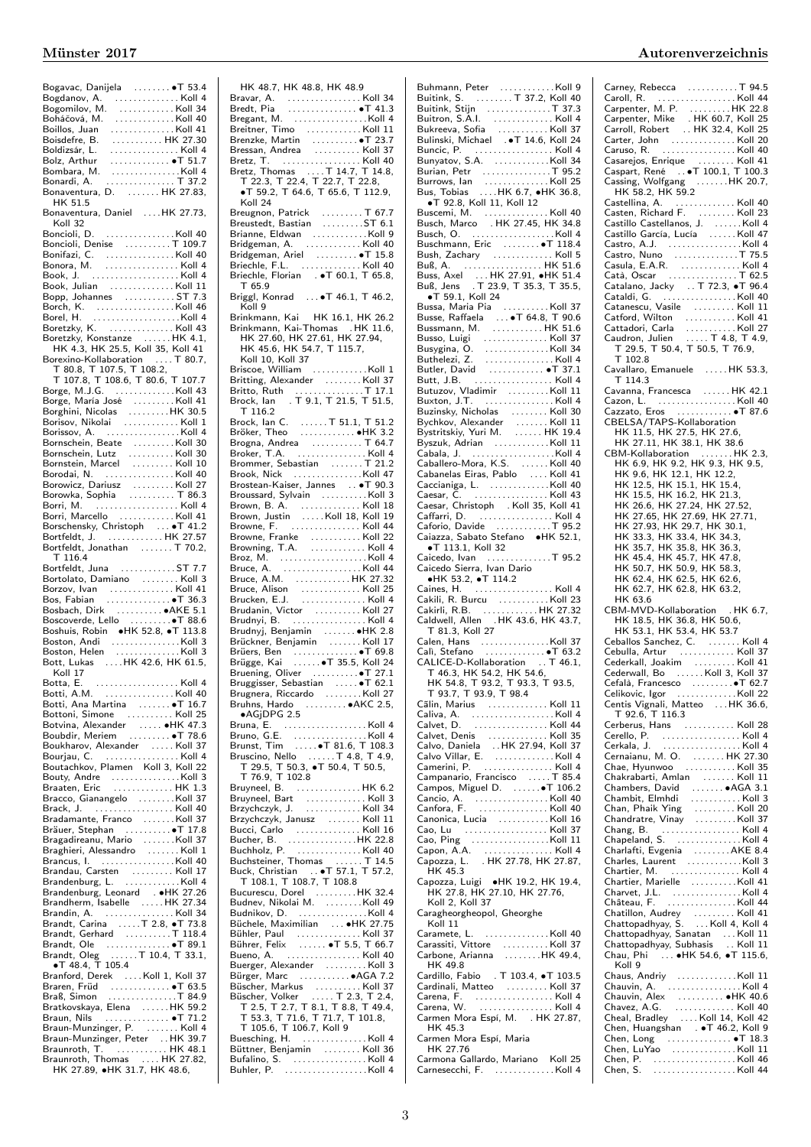| Bogavac, Danijela  T 53.4                                                                                                          |  |
|------------------------------------------------------------------------------------------------------------------------------------|--|
|                                                                                                                                    |  |
| Bogdanov, A. (Champson, Charles Bogdanov, A. (Champson, Charles Bogdan)<br>Bogomilov, M. (Champson, Charles Bogdan)                |  |
| Boháčová, M.<br>. Koll 40                                                                                                          |  |
|                                                                                                                                    |  |
| Boillos, Juan<br>Boisdefre, B.<br>. Koll 41                                                                                        |  |
| HK 27.30                                                                                                                           |  |
| Boldizsár, L.<br>Bolz, Arthur<br>Bombara, M.<br>. Koll 4                                                                           |  |
| $\ldots \ldots \ldots \ldots \bullet T$ 51.7                                                                                       |  |
| . Koll 4                                                                                                                           |  |
| Bonardi, A.<br>. T 37.2                                                                                                            |  |
| Bonaventura, D.  HK 27.83,                                                                                                         |  |
| HK 51.5                                                                                                                            |  |
|                                                                                                                                    |  |
| Bonaventura, Daniel HK 27.73,                                                                                                      |  |
| Koll 32                                                                                                                            |  |
|                                                                                                                                    |  |
| Boncioli, Denise T 109.7                                                                                                           |  |
|                                                                                                                                    |  |
| Bonifazi, C.     Koll 40<br>Bonora, M.     Koll 4                                                                                  |  |
|                                                                                                                                    |  |
|                                                                                                                                    |  |
| Book, Julian Koll 11                                                                                                               |  |
| Bopp, Johannes ST 7.3                                                                                                              |  |
|                                                                                                                                    |  |
|                                                                                                                                    |  |
| Boretzky, K. Koll 43                                                                                                               |  |
| Boretzky, Konstanze HK 4.1,                                                                                                        |  |
| HK 4.3, HK 25.5, Koll 35, Koll 41                                                                                                  |  |
| Borexino-Kollaboration  T 80.7,                                                                                                    |  |
|                                                                                                                                    |  |
| T 80.8, T 107.5, T 108.2,                                                                                                          |  |
| T 107.8, T 108.6, T 80.6, T 107.7                                                                                                  |  |
| Borge, M.J.G. Koll 43                                                                                                              |  |
|                                                                                                                                    |  |
|                                                                                                                                    |  |
|                                                                                                                                    |  |
| Borissov, A. Koll 4                                                                                                                |  |
|                                                                                                                                    |  |
| Bornschein, Beate Koll 30                                                                                                          |  |
| Bornschein, Lutz Koll 30                                                                                                           |  |
| Bornstein, Marcel Koll 10                                                                                                          |  |
| Borodai, N. Koll 40                                                                                                                |  |
|                                                                                                                                    |  |
| Borowicz, Dariusz Koll 27<br>Borowka, Sophia T 86.3                                                                                |  |
| Borri, M.  Koll 4                                                                                                                  |  |
| Borri, Marcello Koll 41                                                                                                            |  |
|                                                                                                                                    |  |
| Borschensky, Christoph  T 41.2                                                                                                     |  |
| Bortfeldt, J. HK 27.57                                                                                                             |  |
| Bortfeldt, Jonathan  T 70.2,                                                                                                       |  |
| T 116.4                                                                                                                            |  |
| Bortfeldt, Juna ST 7.7                                                                                                             |  |
| Bortolato, Damiano  Koll 3                                                                                                         |  |
|                                                                                                                                    |  |
|                                                                                                                                    |  |
|                                                                                                                                    |  |
| Borzov, Ivan     Koll 41<br>Bos, Fabian     ●T 36.3                                                                                |  |
| Bosbach, Dirk  • AKE 5.1                                                                                                           |  |
| Boscoverde, Lello  T 88.6                                                                                                          |  |
|                                                                                                                                    |  |
| Boshuis, Robin •HK 52.8, •T 113.8                                                                                                  |  |
| Boston, Andi Koll 3                                                                                                                |  |
|                                                                                                                                    |  |
|                                                                                                                                    |  |
| Koll 17                                                                                                                            |  |
| Koll 4<br>Botta. E.                                                                                                                |  |
| Botti, A.M.  Koll 40                                                                                                               |  |
|                                                                                                                                    |  |
| Botti, Ana Martina  T 16.7                                                                                                         |  |
| Bottoni, Simone  Koll 25                                                                                                           |  |
|                                                                                                                                    |  |
| Botvina, Alexander<br>Boubdir, Meriem<br>Notified Common Care Canada Common                                                        |  |
| Boukharov, Alexander  Koll 37                                                                                                      |  |
|                                                                                                                                    |  |
| Bourjau, C.     Koll 4<br>Boutachkov, Plamen    Koll 3, Koll 22                                                                    |  |
|                                                                                                                                    |  |
| Bouty, Andre Koll 3<br>Braaten, Eric HK 1.3                                                                                        |  |
| Bracco, Gianangelo Koll 37                                                                                                         |  |
|                                                                                                                                    |  |
| Brack, J.  Koll 40                                                                                                                 |  |
| Bradamante, Franco Koll 37                                                                                                         |  |
| Bräuer, Stephan  T 17.8                                                                                                            |  |
| Bragadireanu, Mario Koll 37                                                                                                        |  |
|                                                                                                                                    |  |
| Braghieri, Alessandro   Koll 1<br>Brancus, I.   Koll 40                                                                            |  |
|                                                                                                                                    |  |
| Brandau, Carsten  Koll 17<br>Brandenburg, L. Koll 4                                                                                |  |
|                                                                                                                                    |  |
|                                                                                                                                    |  |
|                                                                                                                                    |  |
|                                                                                                                                    |  |
|                                                                                                                                    |  |
|                                                                                                                                    |  |
|                                                                                                                                    |  |
| Brandt, Ole ●T 89.1<br>Brandt, Oleg T 10.4, T 33.1,                                                                                |  |
| $\bullet$ T 48.4, T 105.4                                                                                                          |  |
|                                                                                                                                    |  |
| Branford, Derek Koll 1, Koll 37                                                                                                    |  |
|                                                                                                                                    |  |
| Braren, Früd     ● T 63.5<br>Braß, Simon   T 84.9                                                                                  |  |
| Bratkovskaya, Elena HK 59.2                                                                                                        |  |
| Braun, Nils  . T 71.2                                                                                                              |  |
| Braun-Munzinger, P.  Koll 4                                                                                                        |  |
|                                                                                                                                    |  |
|                                                                                                                                    |  |
|                                                                                                                                    |  |
| Braun-Munzinger, Peter  HK 39.7<br>Braunroth, T.  HK 48.1<br>Braunroth, Thomas  HK 27.82,<br>HK 27.89, $\bullet$ HK 31.7, HK 48.6, |  |

| HK 48.7, HK 48.8, HK 48.9                                                                                                                                                                                             |  |
|-----------------------------------------------------------------------------------------------------------------------------------------------------------------------------------------------------------------------|--|
|                                                                                                                                                                                                                       |  |
|                                                                                                                                                                                                                       |  |
|                                                                                                                                                                                                                       |  |
| Breitner, Timo<br>Brenzke, Martin<br>Brensan, Andrea<br>Rressan, Andrea<br>Rretz T                                                                                                                                    |  |
|                                                                                                                                                                                                                       |  |
|                                                                                                                                                                                                                       |  |
|                                                                                                                                                                                                                       |  |
|                                                                                                                                                                                                                       |  |
|                                                                                                                                                                                                                       |  |
| $\bullet$ T 59.2, T 64.6, T 65.6, T 112.9,                                                                                                                                                                            |  |
| Koll 24                                                                                                                                                                                                               |  |
| Breugnon, Patrick<br>Breugnon, Patrick<br>Breustedt, Bastian                                                                                                                                                          |  |
|                                                                                                                                                                                                                       |  |
|                                                                                                                                                                                                                       |  |
|                                                                                                                                                                                                                       |  |
|                                                                                                                                                                                                                       |  |
| Brianne, Eldwan<br>Brianne, Eldwan<br>Brianne, Eldwan<br>Bridgeman, A.<br>Briechle, F.L.<br>Briechle, Florian<br>T. E. Florian<br>T. T. F. B. Briechle, Florian<br>T. T. B. Briechle, Florian<br>T. T. 60.1, T. 65.8, |  |
|                                                                                                                                                                                                                       |  |
| T 65.9                                                                                                                                                                                                                |  |
| Briggl, Konrad  • T 46.1, T 46.2,                                                                                                                                                                                     |  |
| Koll 9                                                                                                                                                                                                                |  |
| Brinkmann, Kai HK 16.1, HK 26.2                                                                                                                                                                                       |  |
| Brinkmann, Kai-Thomas . HK 11.6,                                                                                                                                                                                      |  |
|                                                                                                                                                                                                                       |  |
|                                                                                                                                                                                                                       |  |
| Koll 10, Koll 37                                                                                                                                                                                                      |  |
|                                                                                                                                                                                                                       |  |
|                                                                                                                                                                                                                       |  |
|                                                                                                                                                                                                                       |  |
|                                                                                                                                                                                                                       |  |
| Priscoe, William<br>Briscoe, William<br>Britting, Alexander<br>Britto, Ruth<br>Brock, Ian T. 7.1, T. 21.5, T. 51.5,<br>T. 116.2                                                                                       |  |
| Brock, Ian C. T 51.1, T 51.2<br>Bröker, Theo ●HK 3.2                                                                                                                                                                  |  |
|                                                                                                                                                                                                                       |  |
|                                                                                                                                                                                                                       |  |
|                                                                                                                                                                                                                       |  |
|                                                                                                                                                                                                                       |  |
| Brommer, Sebastian<br>Brook, Nick Koll 47                                                                                                                                                                             |  |
| Brostean-Kaiser, Jannes T 90.3                                                                                                                                                                                        |  |
| Broussard, Sylvain Koll 3                                                                                                                                                                                             |  |
|                                                                                                                                                                                                                       |  |
| Brown, B. A.<br>Brown, Justin Koll 18<br>Brown, Justin Koll 18, Koll 19<br>Browne, F. Koll 44                                                                                                                         |  |
|                                                                                                                                                                                                                       |  |
|                                                                                                                                                                                                                       |  |
|                                                                                                                                                                                                                       |  |
|                                                                                                                                                                                                                       |  |
|                                                                                                                                                                                                                       |  |
|                                                                                                                                                                                                                       |  |
|                                                                                                                                                                                                                       |  |
|                                                                                                                                                                                                                       |  |
|                                                                                                                                                                                                                       |  |
|                                                                                                                                                                                                                       |  |
|                                                                                                                                                                                                                       |  |
| Brudnyj, Benjamin<br>Brückner, Benjamin    •HK 2.8<br>Brückner, Benjamin    Koll 17                                                                                                                                   |  |
|                                                                                                                                                                                                                       |  |
|                                                                                                                                                                                                                       |  |
|                                                                                                                                                                                                                       |  |
| Bruening, Oliver ●T 27.1<br>Bruggisser, Sebastian ●T 62.1                                                                                                                                                             |  |
|                                                                                                                                                                                                                       |  |
|                                                                                                                                                                                                                       |  |
| Brugnera, Riccardo<br>Bruhns, Hardo<br><b>Carlo Bruhns, Hardo ARC 2.5,</b><br>Carlo PAGJDPG 2.5                                                                                                                       |  |
|                                                                                                                                                                                                                       |  |
|                                                                                                                                                                                                                       |  |
| Bruna, E.<br>Bruno, G.E.<br>Brunst, Tim●T 81.6, T 108.3                                                                                                                                                               |  |
|                                                                                                                                                                                                                       |  |
| Bruscino, Nello<br>T 29.5, T 50.3, of 50.4, T 50.5,<br>T 76.9, T 102.8                                                                                                                                                |  |
| Bruyneel, $B.$ HK 6.2                                                                                                                                                                                                 |  |
|                                                                                                                                                                                                                       |  |
| Bruyneel, Bart<br>Brzychczyk, J. (1998)<br>Glass Brzychczyk, J. (1998)                                                                                                                                                |  |
| Brzychczyk, Janusz  Koll 11                                                                                                                                                                                           |  |
|                                                                                                                                                                                                                       |  |
|                                                                                                                                                                                                                       |  |
|                                                                                                                                                                                                                       |  |
|                                                                                                                                                                                                                       |  |
| Bucci, Carlo<br>Bucci, Carlo<br>Buchholz, P.<br>Buchholz, P.<br>Buchsteiner, Thomas<br>Buck, Christian<br>D. T. T. T. T. T. Speck, Christian<br>$\overline{557.1}$ , T. 57.2,                                         |  |
| T 108.1, T 108.7, T 108.8                                                                                                                                                                                             |  |
|                                                                                                                                                                                                                       |  |
| Bucurescu, Dorel<br>Budnev, Nikolai M. Koll 49<br>P<br>Budnikov, D. Koll 4                                                                                                                                            |  |
|                                                                                                                                                                                                                       |  |
| Büchele, Maximilian  HK 27.75                                                                                                                                                                                         |  |
|                                                                                                                                                                                                                       |  |
|                                                                                                                                                                                                                       |  |
|                                                                                                                                                                                                                       |  |
|                                                                                                                                                                                                                       |  |
|                                                                                                                                                                                                                       |  |
|                                                                                                                                                                                                                       |  |
| Buerger, Alexander<br>Bürger, Marc<br><b>Bürger, Marc</b>                                                                                                                                                             |  |
| Büscher, Markus<br>Büscher, Volker<br>T. 2.5, T. 2.7, T. 8.1, T. 8.8, T. 49.4,<br>T. 53.3, T. 71.6, T. 71.7, T. 101.8,<br>T. 105. A. T. 106. 7. Koll 9.                                                               |  |
|                                                                                                                                                                                                                       |  |
|                                                                                                                                                                                                                       |  |
|                                                                                                                                                                                                                       |  |

| Buhmann, Peter<br>Buitink, S. (1997). T. 37.2, Koll 40<br>Buitink, Stijn (1997). T. 37.3<br>Buitron, S.A.I. (1998). T. 1998<br>Bukreeva, Sofia (1997). Koll 37<br>Bulinski, Nichael (1997). T. 46, Koll 24<br>Bulinski, Nichael (1997). T.                                  |  |
|-----------------------------------------------------------------------------------------------------------------------------------------------------------------------------------------------------------------------------------------------------------------------------|--|
|                                                                                                                                                                                                                                                                             |  |
|                                                                                                                                                                                                                                                                             |  |
| Buncic, P.<br>Buncic, P.<br>Bunyatov, S.A.<br>Bunyatov, S.A.<br>Bunyatov, S.A.<br>Busing Petr<br>Busing Petr<br>Busing S.A.<br>Michael 25, S.A.<br>Michael 25, S.A.<br>Michael 25, S.Busing S.Busing S.B.                                                                   |  |
|                                                                                                                                                                                                                                                                             |  |
|                                                                                                                                                                                                                                                                             |  |
|                                                                                                                                                                                                                                                                             |  |
|                                                                                                                                                                                                                                                                             |  |
| ●T 92.8, Koll 11, Koll 12                                                                                                                                                                                                                                                   |  |
|                                                                                                                                                                                                                                                                             |  |
|                                                                                                                                                                                                                                                                             |  |
|                                                                                                                                                                                                                                                                             |  |
|                                                                                                                                                                                                                                                                             |  |
|                                                                                                                                                                                                                                                                             |  |
|                                                                                                                                                                                                                                                                             |  |
|                                                                                                                                                                                                                                                                             |  |
|                                                                                                                                                                                                                                                                             |  |
|                                                                                                                                                                                                                                                                             |  |
|                                                                                                                                                                                                                                                                             |  |
| <b>Bussa, Maria Pia<br/> Bussa, Maria Pia<br/> Bussa, Maria Pia<br/> Bussa, Raffaela (1990)<br/> Bussanan, M. (1990)<br/> Bussa, Luigi (1990)<br/> Ruthelezi, Z. (1990)<br/> Buthelezi, Z. (1990)<br/> Buthelezi, Z. (1990)<br/> Buthelezi, J. (1990)<br/> Buthelezi, M</b> |  |
|                                                                                                                                                                                                                                                                             |  |
|                                                                                                                                                                                                                                                                             |  |
|                                                                                                                                                                                                                                                                             |  |
|                                                                                                                                                                                                                                                                             |  |
|                                                                                                                                                                                                                                                                             |  |
|                                                                                                                                                                                                                                                                             |  |
|                                                                                                                                                                                                                                                                             |  |
|                                                                                                                                                                                                                                                                             |  |
| Butuzov, Vladimir Koll 11                                                                                                                                                                                                                                                   |  |
|                                                                                                                                                                                                                                                                             |  |
|                                                                                                                                                                                                                                                                             |  |
| Buzinsky, Nicholas<br>Buzinsky, Nicholas<br>Bychkov, Alexander<br>Bystritskiy, Yuri M. Alexander<br>Byszuk, Adrian<br>Cabala, J. Alexander Micholas (Koll 4                                                                                                                 |  |
|                                                                                                                                                                                                                                                                             |  |
|                                                                                                                                                                                                                                                                             |  |
|                                                                                                                                                                                                                                                                             |  |
|                                                                                                                                                                                                                                                                             |  |
| Caballero-Mora, K.S.     Koll 40<br>Cabanelas Eiras, Pablo     Koll 41                                                                                                                                                                                                      |  |
|                                                                                                                                                                                                                                                                             |  |
| Caccianiga, L. Koll 40                                                                                                                                                                                                                                                      |  |
|                                                                                                                                                                                                                                                                             |  |
|                                                                                                                                                                                                                                                                             |  |
|                                                                                                                                                                                                                                                                             |  |
|                                                                                                                                                                                                                                                                             |  |
| Caforio, Davide  T 95.2                                                                                                                                                                                                                                                     |  |
| Caiazza, Sabato Stefano · HK 52.1,                                                                                                                                                                                                                                          |  |
|                                                                                                                                                                                                                                                                             |  |
|                                                                                                                                                                                                                                                                             |  |
|                                                                                                                                                                                                                                                                             |  |
| $\bullet$ HK 53.2, $\bullet$ T 114.2                                                                                                                                                                                                                                        |  |
|                                                                                                                                                                                                                                                                             |  |
|                                                                                                                                                                                                                                                                             |  |
|                                                                                                                                                                                                                                                                             |  |
|                                                                                                                                                                                                                                                                             |  |
|                                                                                                                                                                                                                                                                             |  |
|                                                                                                                                                                                                                                                                             |  |
|                                                                                                                                                                                                                                                                             |  |
| T 81.3, Koll 27                                                                                                                                                                                                                                                             |  |
| Calen, Hans Koll 37                                                                                                                                                                                                                                                         |  |
| Calì, Stefano  T 63.2                                                                                                                                                                                                                                                       |  |
| CALICE-D-Kollaboration  T 46.1,                                                                                                                                                                                                                                             |  |
|                                                                                                                                                                                                                                                                             |  |
|                                                                                                                                                                                                                                                                             |  |
| T 46.3, HK 54.2, HK 54.6,<br>HK 54.8, T 93.2, T 93.3, T 93.5,<br>T 93.7, T 93.9, T 98.4                                                                                                                                                                                     |  |
| Cãlin, Marius  Koll 11                                                                                                                                                                                                                                                      |  |
|                                                                                                                                                                                                                                                                             |  |
|                                                                                                                                                                                                                                                                             |  |
|                                                                                                                                                                                                                                                                             |  |
|                                                                                                                                                                                                                                                                             |  |
| Calvet, Denis<br>Calvo, Daniela  HK 27.94, Koll 37                                                                                                                                                                                                                          |  |
|                                                                                                                                                                                                                                                                             |  |
|                                                                                                                                                                                                                                                                             |  |
| Campanario, Francisco T 85.4                                                                                                                                                                                                                                                |  |
| Campos, Miguel D.  T 106.2                                                                                                                                                                                                                                                  |  |
|                                                                                                                                                                                                                                                                             |  |
|                                                                                                                                                                                                                                                                             |  |
| Canonica, Lucia Koll 16                                                                                                                                                                                                                                                     |  |
|                                                                                                                                                                                                                                                                             |  |
|                                                                                                                                                                                                                                                                             |  |
|                                                                                                                                                                                                                                                                             |  |
|                                                                                                                                                                                                                                                                             |  |
| Cao, Lu<br>Cao, Ping<br>Cao, Ping<br>Capon, A.A.<br>Capozza, L.     . HK 27.78, HK 27.87,                                                                                                                                                                                   |  |
| HK 45.3                                                                                                                                                                                                                                                                     |  |
| Capozza, Luigi ·HK 19.2, HK 19.4,                                                                                                                                                                                                                                           |  |
| HK 27.8, HK 27.10, HK 27.76,                                                                                                                                                                                                                                                |  |
| Koll 2, Koll 37                                                                                                                                                                                                                                                             |  |
| Caragheorgheopol, Gheorghe                                                                                                                                                                                                                                                  |  |
| Koll 11                                                                                                                                                                                                                                                                     |  |
|                                                                                                                                                                                                                                                                             |  |
|                                                                                                                                                                                                                                                                             |  |
|                                                                                                                                                                                                                                                                             |  |
| HK 49.8                                                                                                                                                                                                                                                                     |  |
|                                                                                                                                                                                                                                                                             |  |
|                                                                                                                                                                                                                                                                             |  |
|                                                                                                                                                                                                                                                                             |  |
|                                                                                                                                                                                                                                                                             |  |
| Cardillo, Fabio . T 103.4, .T 103.5                                                                                                                                                                                                                                         |  |
| Cardinali, Matteo<br>Cardinali, Matteo<br>Carena, F. (1999)<br>Carena, W. (1999)<br>Carmen Mora Espí, M. (1998)<br>HK 27.87,                                                                                                                                                |  |
| HK 45.3                                                                                                                                                                                                                                                                     |  |
| Carmen Mora Espí, Maria                                                                                                                                                                                                                                                     |  |
|                                                                                                                                                                                                                                                                             |  |
| HK 27.76<br>Carmona Gallardo, Mariano Koll 25<br>Carnesecchi, F. Koll 4                                                                                                                                                                                                     |  |

| Carney, Rebecca<br>Caroll, R. (2007).<br>Carpenter, M. P. (2008). HK 22.8<br>Carpenter, M. P. (2007). HK 22.8<br>Carpenter, Mike (2007). HK 32.4, Koll 25<br>Caruso, R. (2008). Carlos (2008).<br>Carsarejos, R. (2008). Carlos (2008).<br>C                 |  |
|--------------------------------------------------------------------------------------------------------------------------------------------------------------------------------------------------------------------------------------------------------------|--|
|                                                                                                                                                                                                                                                              |  |
|                                                                                                                                                                                                                                                              |  |
|                                                                                                                                                                                                                                                              |  |
|                                                                                                                                                                                                                                                              |  |
|                                                                                                                                                                                                                                                              |  |
|                                                                                                                                                                                                                                                              |  |
|                                                                                                                                                                                                                                                              |  |
|                                                                                                                                                                                                                                                              |  |
|                                                                                                                                                                                                                                                              |  |
|                                                                                                                                                                                                                                                              |  |
| Castellina, A.<br>Castellina, A.<br>Castello Castellanos, J.<br>Castillo García, Lucía<br>Castillo García, Lucía<br>Castillo García, Lucía<br>Castillo García, Lucía                                                                                         |  |
|                                                                                                                                                                                                                                                              |  |
|                                                                                                                                                                                                                                                              |  |
|                                                                                                                                                                                                                                                              |  |
|                                                                                                                                                                                                                                                              |  |
| Castro, A.J.<br>Castro, A.J.<br>Castro, Nuno<br>Castro, Nuno<br>Catala, E.A.R.<br>Catalano, Jacky  T 72.3, • T 96.4<br>Catalano, Jacky  T 72.3, • T 96.4<br>Catalano, Jacky  T 72.3, • T 96.4<br>Catalano, Vacila                                            |  |
|                                                                                                                                                                                                                                                              |  |
|                                                                                                                                                                                                                                                              |  |
|                                                                                                                                                                                                                                                              |  |
| Catanascu, Vasile<br>Catanascu, Vasile<br>Catford, Wilton<br>Catadori, Carla<br>Catadori, Carla<br>Caudron, Julien<br>Catanascu, T. 4.8, T. 4.9,<br>T. 29.5, T. 50.4, T. 50.5, T. 76.9,                                                                      |  |
|                                                                                                                                                                                                                                                              |  |
|                                                                                                                                                                                                                                                              |  |
|                                                                                                                                                                                                                                                              |  |
|                                                                                                                                                                                                                                                              |  |
| T 102.8                                                                                                                                                                                                                                                      |  |
| Cavallaro, Emanuele  HK 53.3,                                                                                                                                                                                                                                |  |
| T 114.3                                                                                                                                                                                                                                                      |  |
| Cavanna, Francesca HK 42.1                                                                                                                                                                                                                                   |  |
| Cazon, L. Koll 40                                                                                                                                                                                                                                            |  |
| Cazzato, Eros  T 87.6<br>CBELSA/TAPS-Kollaboration                                                                                                                                                                                                           |  |
| HK 11.5, HK 27.5, HK 27.6,                                                                                                                                                                                                                                   |  |
| HK 27.11, HK 38.1, HK 38.6                                                                                                                                                                                                                                   |  |
|                                                                                                                                                                                                                                                              |  |
| CBM-Kollaboration<br>HK 2.3,<br>HK 6.9, HK 9.2, HK 9.3, HK 9.5,<br>HK 9.6, HK 12.1, HK 12.2,                                                                                                                                                                 |  |
|                                                                                                                                                                                                                                                              |  |
| HK 12.5, HK 15.1, HK 15.4,<br>HK 15.5, HK 16.2, HK 21.3,<br>HK 26.6, HK 27.24, HK 27.52,<br>HK 27.65, HK 27.69, HK 27.71,                                                                                                                                    |  |
|                                                                                                                                                                                                                                                              |  |
|                                                                                                                                                                                                                                                              |  |
|                                                                                                                                                                                                                                                              |  |
| HK 27.93, HK 29.7, HK 30.1,                                                                                                                                                                                                                                  |  |
| HK 33.3, HK 33.4, HK 34.3,<br>HK 35.7, HK 35.8, HK 36.3,<br>HK 45.4, HK 45.7, HK 47.8,<br>HK 50.7, HK 50.9, HK 58.3,                                                                                                                                         |  |
|                                                                                                                                                                                                                                                              |  |
|                                                                                                                                                                                                                                                              |  |
|                                                                                                                                                                                                                                                              |  |
|                                                                                                                                                                                                                                                              |  |
|                                                                                                                                                                                                                                                              |  |
| HK 62.4, HK 62.5, HK 62.6,<br>HK 62.7, HK 62.8, HK 63.2,                                                                                                                                                                                                     |  |
| HK 63.6                                                                                                                                                                                                                                                      |  |
| CBM-MVD-Kollaboration . HK 6.7,                                                                                                                                                                                                                              |  |
| HK 18.5, HK 36.8, HK 50.6,                                                                                                                                                                                                                                   |  |
| HK 53.1, HK 53.4, HK 53.7                                                                                                                                                                                                                                    |  |
|                                                                                                                                                                                                                                                              |  |
|                                                                                                                                                                                                                                                              |  |
|                                                                                                                                                                                                                                                              |  |
| Ceballos Sanchez, C.  Koll 4<br>Ceballos Sanchez, C.  Koll 37<br>Cederkall, Joakim  Koll 41<br>Cederwall, Bo Koll 3, Koll 37                                                                                                                                 |  |
|                                                                                                                                                                                                                                                              |  |
|                                                                                                                                                                                                                                                              |  |
|                                                                                                                                                                                                                                                              |  |
|                                                                                                                                                                                                                                                              |  |
| T 92.6, T 116.3<br>Cerberus, Hans  Koll 28                                                                                                                                                                                                                   |  |
|                                                                                                                                                                                                                                                              |  |
|                                                                                                                                                                                                                                                              |  |
|                                                                                                                                                                                                                                                              |  |
| Cerello, P.<br>Cerello, P.<br>Cerela, J.<br>Cerela, Hyunwoo<br>Chae, Hyunwoo<br>Chae, Hyunwoo<br>Chae, Hyunwoo<br>Chae, Hyunwoo<br>Chae, Hyunwoo<br>Chae, Hyunwoo<br>Chae, Hyunwoo<br>Chae, Hyunwoo<br>Chae, Hyunwoo<br>Chae, Hyunwoo<br>Chae, Hyunwoo<br>Ch |  |
|                                                                                                                                                                                                                                                              |  |
|                                                                                                                                                                                                                                                              |  |
|                                                                                                                                                                                                                                                              |  |
|                                                                                                                                                                                                                                                              |  |
|                                                                                                                                                                                                                                                              |  |
|                                                                                                                                                                                                                                                              |  |
|                                                                                                                                                                                                                                                              |  |
|                                                                                                                                                                                                                                                              |  |
| Chakrabarti, Amlan (1996)<br>Chakrabarti, Amlan (1996)<br>Chambers, David (1996)<br>Chambit, Elmhdi (1996)<br>Chambit, Elmhdi (1996)<br>Chang, Phaik Ying (1998)<br>Chang, B. (1998)<br>Charlafti, Evgenia (1998)<br>Charlafti, Evgenia (1998)<br>Charlaf    |  |
|                                                                                                                                                                                                                                                              |  |
|                                                                                                                                                                                                                                                              |  |
| Chartier, M. (1994)<br>Chartier, M. (1994)<br>Chartier, Marielle (1994)<br>Charvet, J.L. (1994)<br>Château, F. (1994)<br>Château, F. (1994)                                                                                                                  |  |
|                                                                                                                                                                                                                                                              |  |
| Chatillon, Audrey<br>Chatillon, Audrey<br>Chattopadhyay, S.  Koll 4, Koll 4                                                                                                                                                                                  |  |
|                                                                                                                                                                                                                                                              |  |
|                                                                                                                                                                                                                                                              |  |
| Chattopadhyay, Sanatan  Koll 11<br>Chattopadhyay, Subhasis  Koll 11<br>Chau, Phi  •HK 54.6, •T 115.6,<br>Koll 9<br>Koll 9                                                                                                                                    |  |
|                                                                                                                                                                                                                                                              |  |
| Chaus, Andriy Koll 11                                                                                                                                                                                                                                        |  |
|                                                                                                                                                                                                                                                              |  |
|                                                                                                                                                                                                                                                              |  |
|                                                                                                                                                                                                                                                              |  |
| Chauvin, A.<br>Chauvin, Alex<br>Chauvin, Alex<br>Chavez, A.G.<br>Cheal, Bradley<br>Cheal, Bradley<br>Cheal, Bradley<br>Cheal, Bradley<br>Cheal, Bradley<br>Cheal, Bradley<br>Cheal, Bradley<br>Cheal, Bradley<br>Cheal, Bradley<br>Cheal, Bradley<br>Cheal   |  |
|                                                                                                                                                                                                                                                              |  |
|                                                                                                                                                                                                                                                              |  |
|                                                                                                                                                                                                                                                              |  |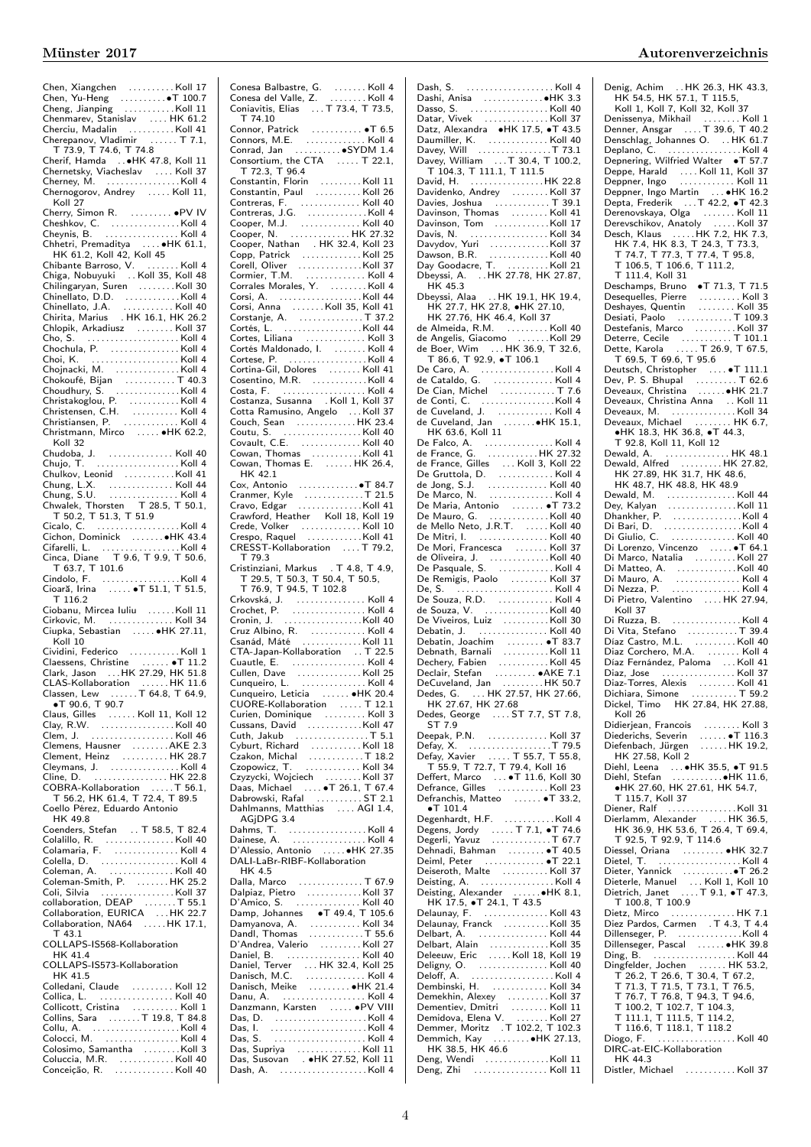| Chenmarev, Stanislav  HK 61.2                                                                                                                                            |  |
|--------------------------------------------------------------------------------------------------------------------------------------------------------------------------|--|
| Cherciu, Madalin Koll 41                                                                                                                                                 |  |
| Cherepanov, Vladimir<br>T 73.9, T 74.6, T 74.8<br>Charif United States                                                                                                   |  |
|                                                                                                                                                                          |  |
|                                                                                                                                                                          |  |
|                                                                                                                                                                          |  |
|                                                                                                                                                                          |  |
| Koll 27                                                                                                                                                                  |  |
| Cherry, Simon R.  . PV IV                                                                                                                                                |  |
| Cheynis, B.  Koll 4                                                                                                                                                      |  |
|                                                                                                                                                                          |  |
| Chhetri, Premaditya  • HK 61.1,<br>HK 61.2, Koll 42, Koll 45                                                                                                             |  |
| Chibante Barroso, V.<br>Chiga, Nobuyuki     . Koll 35, Koll 48                                                                                                           |  |
|                                                                                                                                                                          |  |
| Chilingaryan, Suren<br>Chilingaryan, Suren<br>Chinellato, D.D.<br>Chinellato, J.A.<br>Chirita, Marius  HK 16.1, HK 26.2                                                  |  |
|                                                                                                                                                                          |  |
|                                                                                                                                                                          |  |
| Chlopik, Arkadiusz  Koll 37                                                                                                                                              |  |
|                                                                                                                                                                          |  |
| Chochula, P.<br>Chochula, P.<br>Choi, K.<br>Choi, K. (1994).<br>Choi, Kolla, M.                                                                                          |  |
|                                                                                                                                                                          |  |
|                                                                                                                                                                          |  |
|                                                                                                                                                                          |  |
|                                                                                                                                                                          |  |
|                                                                                                                                                                          |  |
| Chokoufé, Bijan<br>Chokoufé, Bijan<br>Choudhury, S.<br>Choudhury, S.<br>Christiansen, P.<br>Christiansen, P.<br>Christiansen, P.<br>Christiansen, P.<br>Christiansen, P. |  |
| Christmann, Mirco  HK 62.2,                                                                                                                                              |  |
| Koll 32                                                                                                                                                                  |  |
| Chudoba, J.  Koll 40                                                                                                                                                     |  |
| Chujo, T. Koll 4<br>Chulkov, Leonid Koll 41                                                                                                                              |  |
|                                                                                                                                                                          |  |
| Chung, L.X.<br>Chung, S.U.<br>Chwalek, Thorstein T. 28.5, T. 50.1, T. 28.5, T. 50.1,                                                                                     |  |
|                                                                                                                                                                          |  |
| T 50.2, T 51.3, T 51.9                                                                                                                                                   |  |
|                                                                                                                                                                          |  |
| Cicalo, C. (2007)<br>Cichon, Dominick (2008)<br>Cifarelli, L. (2008)<br>Cinca, Diane (2006)<br>The T 9.6, T 9.9, T 50.6,                                                 |  |
|                                                                                                                                                                          |  |
| T 63.7, T 101.6                                                                                                                                                          |  |
| $\ldots$ Koll 4                                                                                                                                                          |  |
| Cindolo, F. $\ldots$ . $\ldots$ . $\ldots$ . Koll 4<br>Cioară, Irina $\ldots$ . $\bullet$ T 51.1, T 51.5,                                                                |  |
|                                                                                                                                                                          |  |
| T 116.2                                                                                                                                                                  |  |
| Ciobanu, Mircea Iuliu Koll 11                                                                                                                                            |  |
| Cirkovic, M.  Koll 34                                                                                                                                                    |  |
| Ciupka, Sebastian  HK 27.11,                                                                                                                                             |  |
| Koll 10                                                                                                                                                                  |  |
|                                                                                                                                                                          |  |
| Cividini, Federico<br>Claessens, Christine<br>Claessens, Christine                                                                                                       |  |
| Clark, Jason  HK 27.29, HK 51.8<br>CLAS-Kollaboration  HK 11.6                                                                                                           |  |
| Classen, Lew T 64.8, T 64.9,                                                                                                                                             |  |
| $\bullet$ T 90.6, T 90.7                                                                                                                                                 |  |
| Claus, Gilles  Koll 11, Koll 12                                                                                                                                          |  |
| Clay, R.W. Koll 40                                                                                                                                                       |  |
| Clem, J.                                                                                                                                                                 |  |
| Clemens, Hausner AKE 2.3<br>Clement, Heinz  HK 28.7                                                                                                                      |  |
| Cleymans, J.                                                                                                                                                             |  |
| Cleymans, J. Koll 4<br>Cline, D. HK 22.8                                                                                                                                 |  |
|                                                                                                                                                                          |  |
| COBRA-Kollaboration  T 56.1,<br>T 56.2, HK 61.4, T 72.4, T 89.5                                                                                                          |  |
| Coello Pérez, Eduardo Antonio<br>HK 49.8                                                                                                                                 |  |
| Coenders, Stefan  T 58.5, T 82.4                                                                                                                                         |  |
|                                                                                                                                                                          |  |
| Colalillo, R. Koll 40<br>Colamaria, F. Koll 4                                                                                                                            |  |
| Colella, D. $\ldots$ . $\ldots$ . $\ldots$ $\ldots$ $\ldots$ $\ldots$ $\ldots$ $\ldots$ $\ldots$ $\ldots$ $\ldots$ $\ldots$ $\ldots$ $\ldots$                            |  |
| Coleman, A.<br>. Koll 40                                                                                                                                                 |  |
| Coleman-Smith, P. HK 25.2                                                                                                                                                |  |
| Coli, Silvia Koll 37                                                                                                                                                     |  |
| collaboration, DEAP T 55.1                                                                                                                                               |  |
|                                                                                                                                                                          |  |
| $T$ 43.1                                                                                                                                                                 |  |
| COLLAPS-IS568-Kollaboration                                                                                                                                              |  |
| HK 41.4                                                                                                                                                                  |  |
| COLLAPS-IS573-Kollaboration                                                                                                                                              |  |
| HK 41.5<br>Colledani, Claude  Koll 12                                                                                                                                    |  |
| Collica, L.<br>. Koll 40                                                                                                                                                 |  |
|                                                                                                                                                                          |  |
| Collicott, Cristina  Koll 1<br>Collins, Sara T 19.8, T 84.8                                                                                                              |  |
|                                                                                                                                                                          |  |
|                                                                                                                                                                          |  |
| Colosimo, Samantha Koll 3<br>Coluccia, M.R. Koll 40<br>Conceição, R. Koll 40                                                                                             |  |

| Conesa Balbastre, G. Koll 4<br>Conesa del Valle, Z. Koll 4<br>Coniavitis, Elias  T 73.4, T 73.5,                                                                                                                                                                                                                                                                                   |  |
|------------------------------------------------------------------------------------------------------------------------------------------------------------------------------------------------------------------------------------------------------------------------------------------------------------------------------------------------------------------------------------|--|
|                                                                                                                                                                                                                                                                                                                                                                                    |  |
| T 74.10<br>Connor, Patrick<br>Connors, M.E.<br>Conrad, Jan<br>Consortium, the CTA (1901)<br>Consortium, the CTA (1904)<br>T 72.3, T 96.4<br>Constant of CTA (1905)                                                                                                                                                                                                                 |  |
|                                                                                                                                                                                                                                                                                                                                                                                    |  |
|                                                                                                                                                                                                                                                                                                                                                                                    |  |
|                                                                                                                                                                                                                                                                                                                                                                                    |  |
|                                                                                                                                                                                                                                                                                                                                                                                    |  |
| Constantin, Florin<br>Constantin, Paul<br>Constantin, Paul                                                                                                                                                                                                                                                                                                                         |  |
|                                                                                                                                                                                                                                                                                                                                                                                    |  |
|                                                                                                                                                                                                                                                                                                                                                                                    |  |
|                                                                                                                                                                                                                                                                                                                                                                                    |  |
| Contreras, F.<br>Contreras, J.G.<br>Contreras, J.G.<br>Cooper, M.J.<br>Cooper, N.<br>Cooper, N.<br>Cooper, N.<br>Cooper, N.<br>Cooper, N.<br>Cooper, N.<br>Cooper, N.<br>Cooper, N.<br>Cooper, N.<br>Cooper, N.<br>Cooper, N.<br>Cooper, N.<br>Cooper, N.<br>Coo                                                                                                                   |  |
|                                                                                                                                                                                                                                                                                                                                                                                    |  |
|                                                                                                                                                                                                                                                                                                                                                                                    |  |
| Copp, Patrick<br>Copp, Patrick<br>Corell, Oliver<br>Corell, Oliver<br>Corrales Morales, Y.<br>Corrales Morales, Y.<br>Corsi, A.<br>Corsi, A.                                                                                                                                                                                                                                       |  |
|                                                                                                                                                                                                                                                                                                                                                                                    |  |
|                                                                                                                                                                                                                                                                                                                                                                                    |  |
|                                                                                                                                                                                                                                                                                                                                                                                    |  |
|                                                                                                                                                                                                                                                                                                                                                                                    |  |
|                                                                                                                                                                                                                                                                                                                                                                                    |  |
|                                                                                                                                                                                                                                                                                                                                                                                    |  |
| Cortés Maldonado, I.  Koll 4                                                                                                                                                                                                                                                                                                                                                       |  |
| Cortese, P.<br>Cortese, P.<br>Cortina-Gil, Dolores<br>Cosentino, M.R.<br>Costa, F.<br>Costa, F.                                                                                                                                                                                                                                                                                    |  |
|                                                                                                                                                                                                                                                                                                                                                                                    |  |
|                                                                                                                                                                                                                                                                                                                                                                                    |  |
| Costanza, Susanna Koll 1, Koll 37                                                                                                                                                                                                                                                                                                                                                  |  |
|                                                                                                                                                                                                                                                                                                                                                                                    |  |
| Cotta Ramusino, Angelo<br>Couch, Sean HK 23.4                                                                                                                                                                                                                                                                                                                                      |  |
| Coutu, S. Koll 40                                                                                                                                                                                                                                                                                                                                                                  |  |
| Covault, C.E.<br>Covault, C.E.<br>Cowan, Thomas   Koll 41<br>Cowan, Thomas E.   HK 26.4,                                                                                                                                                                                                                                                                                           |  |
|                                                                                                                                                                                                                                                                                                                                                                                    |  |
|                                                                                                                                                                                                                                                                                                                                                                                    |  |
| HK 42.1                                                                                                                                                                                                                                                                                                                                                                            |  |
|                                                                                                                                                                                                                                                                                                                                                                                    |  |
|                                                                                                                                                                                                                                                                                                                                                                                    |  |
|                                                                                                                                                                                                                                                                                                                                                                                    |  |
|                                                                                                                                                                                                                                                                                                                                                                                    |  |
|                                                                                                                                                                                                                                                                                                                                                                                    |  |
| CRESST-Kollaboration  T 79.2,                                                                                                                                                                                                                                                                                                                                                      |  |
| T 79.3                                                                                                                                                                                                                                                                                                                                                                             |  |
|                                                                                                                                                                                                                                                                                                                                                                                    |  |
|                                                                                                                                                                                                                                                                                                                                                                                    |  |
|                                                                                                                                                                                                                                                                                                                                                                                    |  |
|                                                                                                                                                                                                                                                                                                                                                                                    |  |
|                                                                                                                                                                                                                                                                                                                                                                                    |  |
|                                                                                                                                                                                                                                                                                                                                                                                    |  |
|                                                                                                                                                                                                                                                                                                                                                                                    |  |
|                                                                                                                                                                                                                                                                                                                                                                                    |  |
| CTA-Japan-Kollaboration . T 22.5                                                                                                                                                                                                                                                                                                                                                   |  |
|                                                                                                                                                                                                                                                                                                                                                                                    |  |
|                                                                                                                                                                                                                                                                                                                                                                                    |  |
|                                                                                                                                                                                                                                                                                                                                                                                    |  |
| Cunqueiro, Leticia  HK 20.4                                                                                                                                                                                                                                                                                                                                                        |  |
|                                                                                                                                                                                                                                                                                                                                                                                    |  |
| CUORE-Kollaboration<br>Curien, Dominique<br>Curien, Dominique                                                                                                                                                                                                                                                                                                                      |  |
|                                                                                                                                                                                                                                                                                                                                                                                    |  |
|                                                                                                                                                                                                                                                                                                                                                                                    |  |
|                                                                                                                                                                                                                                                                                                                                                                                    |  |
| Cussans, David<br>Cussans, David<br>Cuth, Jakub<br>Cuth, Jakub<br>Czakon, Michal<br>Czopowicz, T.<br>Czopowicz, T.<br>Czopowicz, T.<br>Czopowicz, T.                                                                                                                                                                                                                               |  |
|                                                                                                                                                                                                                                                                                                                                                                                    |  |
|                                                                                                                                                                                                                                                                                                                                                                                    |  |
|                                                                                                                                                                                                                                                                                                                                                                                    |  |
| Dahlmanns, Matthias  AGI 1.4,<br>AGjDPG 3.4                                                                                                                                                                                                                                                                                                                                        |  |
|                                                                                                                                                                                                                                                                                                                                                                                    |  |
|                                                                                                                                                                                                                                                                                                                                                                                    |  |
|                                                                                                                                                                                                                                                                                                                                                                                    |  |
| D'Alessio, Antonio   ●HK 27.35<br>DALI-LaBr-RIBF-Kollaboration                                                                                                                                                                                                                                                                                                                     |  |
| HK 4.5                                                                                                                                                                                                                                                                                                                                                                             |  |
| Dalla, Marco  T 67.9                                                                                                                                                                                                                                                                                                                                                               |  |
| Dalpiaz, Pietro $\ldots \ldots \ldots$ Koll 37                                                                                                                                                                                                                                                                                                                                     |  |
| D'Amico, S.  Koll 40                                                                                                                                                                                                                                                                                                                                                               |  |
| Damp, Johannes $\bullet$ T 49.4, T 105.6                                                                                                                                                                                                                                                                                                                                           |  |
|                                                                                                                                                                                                                                                                                                                                                                                    |  |
|                                                                                                                                                                                                                                                                                                                                                                                    |  |
|                                                                                                                                                                                                                                                                                                                                                                                    |  |
|                                                                                                                                                                                                                                                                                                                                                                                    |  |
|                                                                                                                                                                                                                                                                                                                                                                                    |  |
|                                                                                                                                                                                                                                                                                                                                                                                    |  |
|                                                                                                                                                                                                                                                                                                                                                                                    |  |
|                                                                                                                                                                                                                                                                                                                                                                                    |  |
|                                                                                                                                                                                                                                                                                                                                                                                    |  |
| Damyanova, A. (1993)<br>Damyanova, A. (1993)<br>Damyanova, A. (1994)<br>Daniel, B. (1996)<br>Daniel, B. (1996)<br>Daniel, Terver (1996)<br>Daniel, Terver (1997)<br>Daniel, Melke (1998)<br>Daniel, Melke (1998)<br>Daniel, Melke (1998)<br>Daniel, Melke (1<br>Danu, A.  Koll 4<br>Danzmann, Karsten  .PV VIII<br>Das, D. Koll 4<br>Das, I.<br>Das, S. (1999).<br>Das, S. (1999). |  |
|                                                                                                                                                                                                                                                                                                                                                                                    |  |

| Dash, S.  Koll 4<br>Dashi, Anisa  HK 3.3                                                                                                                                                                                                            |  |
|-----------------------------------------------------------------------------------------------------------------------------------------------------------------------------------------------------------------------------------------------------|--|
|                                                                                                                                                                                                                                                     |  |
|                                                                                                                                                                                                                                                     |  |
| Dasso, S. Koll 40                                                                                                                                                                                                                                   |  |
| Datar, Vivek Koll 37                                                                                                                                                                                                                                |  |
| Datz, Alexandra •HK 17.5, •T 43.5                                                                                                                                                                                                                   |  |
| Daumiller, K.<br>Daumiller, K.<br>Davey, Will<br>Davey, William  T 30.4, T 100.2,<br>T 104.3, T 111.1, T 111.5                                                                                                                                      |  |
|                                                                                                                                                                                                                                                     |  |
|                                                                                                                                                                                                                                                     |  |
|                                                                                                                                                                                                                                                     |  |
|                                                                                                                                                                                                                                                     |  |
|                                                                                                                                                                                                                                                     |  |
| David, H. (1999)<br>Davidenko, Andrey (1999)<br>Davies, Joshua (1999)<br>Davies, Joshua (1999)                                                                                                                                                      |  |
| Davinson, Thomas  Koll 41                                                                                                                                                                                                                           |  |
|                                                                                                                                                                                                                                                     |  |
|                                                                                                                                                                                                                                                     |  |
|                                                                                                                                                                                                                                                     |  |
|                                                                                                                                                                                                                                                     |  |
| Davinson, Thomas<br>Davinson, Tom<br>Davis, N.<br>Davis, N.<br>Davison, B.R.<br>Davison, B.R.<br>Davison, B.R.<br>Davison, B.R.<br>Davison, B.R.<br>Debeyssi, A.<br>HK 127.78, HK 27.87,<br>HK 45.3<br>Debeyssi, A.<br>HK 19.1, HK 19.4,<br>UK 27.7 |  |
|                                                                                                                                                                                                                                                     |  |
|                                                                                                                                                                                                                                                     |  |
|                                                                                                                                                                                                                                                     |  |
| HK 27.7, HK 27.8, HK 27.10,<br>HK 27.7, HK 27.8, HK 27.10,<br>HK 27.76, HK 46.4, Koll 37                                                                                                                                                            |  |
|                                                                                                                                                                                                                                                     |  |
|                                                                                                                                                                                                                                                     |  |
| de Almeida, R.M.<br>de Angelis, Giacomo   Koll 29                                                                                                                                                                                                   |  |
| de Boer, Wim  HK 36.9, T 32.6,                                                                                                                                                                                                                      |  |
|                                                                                                                                                                                                                                                     |  |
|                                                                                                                                                                                                                                                     |  |
| The Sole of The Control Control Control Control Control Control Control Control Control Control Control Control Control Control Control Control Control Control Control Control Control Control Control Control Control Contro                      |  |
|                                                                                                                                                                                                                                                     |  |
|                                                                                                                                                                                                                                                     |  |
|                                                                                                                                                                                                                                                     |  |
|                                                                                                                                                                                                                                                     |  |
|                                                                                                                                                                                                                                                     |  |
|                                                                                                                                                                                                                                                     |  |
|                                                                                                                                                                                                                                                     |  |
|                                                                                                                                                                                                                                                     |  |
|                                                                                                                                                                                                                                                     |  |
|                                                                                                                                                                                                                                                     |  |
|                                                                                                                                                                                                                                                     |  |
|                                                                                                                                                                                                                                                     |  |
|                                                                                                                                                                                                                                                     |  |
| De Maria, Antonio<br>De Mauro, G.<br>De Mauro, G.<br>de Mello Neto, J.R.T.<br>Moll 40<br>De Mitri, I.<br>Moll 40<br>De Mitri, I.<br>Moll 40                                                                                                         |  |
|                                                                                                                                                                                                                                                     |  |
|                                                                                                                                                                                                                                                     |  |
| De Mori, Francesca  Koll 37                                                                                                                                                                                                                         |  |
| de Oliveira, J.<br>De Pasquale, S.<br>De Pasquale, S.<br>De Remigis, Paolo<br>De Remigis, Paolo<br>Al Moll 37                                                                                                                                       |  |
|                                                                                                                                                                                                                                                     |  |
|                                                                                                                                                                                                                                                     |  |
|                                                                                                                                                                                                                                                     |  |
| De Souza, R.D.     Koll 4<br>de Souza, V.     Koll 40                                                                                                                                                                                               |  |
|                                                                                                                                                                                                                                                     |  |
|                                                                                                                                                                                                                                                     |  |
|                                                                                                                                                                                                                                                     |  |
| De Viveiros, Luiz<br>Debatin, J. Koll 40                                                                                                                                                                                                            |  |
|                                                                                                                                                                                                                                                     |  |
|                                                                                                                                                                                                                                                     |  |
|                                                                                                                                                                                                                                                     |  |
| Debatin, Joachim<br>Debatin, Joachim<br>Dechery, Fabien<br>Declair, Stefan<br>Declair, Stefan<br>Declair, Stefan<br>AKE 7.1                                                                                                                         |  |
|                                                                                                                                                                                                                                                     |  |
|                                                                                                                                                                                                                                                     |  |
|                                                                                                                                                                                                                                                     |  |
|                                                                                                                                                                                                                                                     |  |
| Dedes, George  ST 7.7, ST 7.8,<br>ST 7.9                                                                                                                                                                                                            |  |
| Deepak, P.N.  Koll 37                                                                                                                                                                                                                               |  |
|                                                                                                                                                                                                                                                     |  |
|                                                                                                                                                                                                                                                     |  |
|                                                                                                                                                                                                                                                     |  |
|                                                                                                                                                                                                                                                     |  |
|                                                                                                                                                                                                                                                     |  |
| Defranchis, Matteo  T 33.2,                                                                                                                                                                                                                         |  |
|                                                                                                                                                                                                                                                     |  |
|                                                                                                                                                                                                                                                     |  |
|                                                                                                                                                                                                                                                     |  |
|                                                                                                                                                                                                                                                     |  |
|                                                                                                                                                                                                                                                     |  |
|                                                                                                                                                                                                                                                     |  |
|                                                                                                                                                                                                                                                     |  |
|                                                                                                                                                                                                                                                     |  |
|                                                                                                                                                                                                                                                     |  |
|                                                                                                                                                                                                                                                     |  |
| Deisting, Alexander ●HK 8.1,<br>HK 17.5, ●T 24.1, T 43.5<br>Delaunay, F. Koll 43                                                                                                                                                                    |  |
| Delaunay, Franck Koll 35                                                                                                                                                                                                                            |  |
|                                                                                                                                                                                                                                                     |  |
| Delbart, A. $\ldots$ . $\ldots$ . $\ldots$ . Koll 44                                                                                                                                                                                                |  |
|                                                                                                                                                                                                                                                     |  |
|                                                                                                                                                                                                                                                     |  |
|                                                                                                                                                                                                                                                     |  |
|                                                                                                                                                                                                                                                     |  |
|                                                                                                                                                                                                                                                     |  |
|                                                                                                                                                                                                                                                     |  |
|                                                                                                                                                                                                                                                     |  |
|                                                                                                                                                                                                                                                     |  |
| Delbart, Alain<br>Deleeuw, Eric   Koll 18, Koll 19<br>Dembinski, H.  Koll 34                                                                                                                                                                        |  |
| HK 38.5, HK 46.6                                                                                                                                                                                                                                    |  |
| Deng, Wendi Koll 11<br>Deng, Zhi  Koll 11                                                                                                                                                                                                           |  |

Denig, Achim . . HK 26.3, HK 43.3, HK 54.5, HK 57.1, T 115.5, Koll 1, Koll 7, Koll 32, Koll 37 Denissenya, Mikhail . . . . . . . . Koll 1 Denner, Ansgar . . . . T 39.6, T 40.2 Denschlag, Johannes O. . . HK 61.7 Deplano, C. . . . . . . . . . . . . . . . . Koll 4 Depnering, Wilfried Walter ∙T 57.7 Deppe, Harald .... Koll 11, Koll 37<br>Deppner, Ingo ..............Koll 11<br>Deppner, Ingo Martin ... ●HK 16.2<br>Depta, Frederik ...T 42.2, ●T 42.3 Derenovskaya, Olga . . . . . . . Koll 11 Derevschikov, Anatoly . . . . . Koll 37 Desch, Klaus . . . . .HK 7.2, HK 7.3, HK 7.4, HK 8.3, T 24.3, T 73.3, T 74.7, T 77.3, T 77.4, T 95.8, T 106.5, T 106.6, T 111.2, T 111.4, Koll 31 Deschamps, Bruno ∙T 71.3, T 71.5 Desequelles, Pierre . . . . . . . . . Koll 3 Deshayes, Quentin . . . . . . . . Koll 35 Desiati, Paolo . . . . . . . . . . . . T 109.3 Destefanis, Marco . . . . . . . . . Koll 37 Deterre, Cecile . . . . . . . . . . . T 101.1 Dette, Karola . . . . . T 26.9, T 67.5, T 69.5, T 69.6, T 95.6 Deutsch, Christopher . . . . ∙T 111.1 Dev, P. S. Bhupal . . . . . . . . . T 62.6 Deveaux, Christina . . . . . .∙HK 21.7 Deveaux, Christina Anna .. Koll 11 Deveaux, M. . . . . . . . . . . . . . . Koll 34 Deveaux, Michael . . . . . . . . HK 6.7, ∙HK 18.3, HK 36.8, ∙T 44.3, T 92.8, Koll 11, Koll 12 Dewald, A. . . . . . . . . . . . . . . HK 48.1 Dewald, Alfred . . . . . . . . . HK 27.82, HK 27.89, HK 31.7, HK 48.6, HK 48.7, HK 48.8, HK 48.9 Dewald, M. . . . . . . . . . . . . . . . Koll 44 Dey, Kalyan . . . . . . . . . . . . . . .Koll 11 Dhankher, P. . . . . . . . . . . . . . . .Koll 4 Di Bari, D. . . . . . . . . . . . . . . . . .Koll 4 Di Giulio, C. . . . . . . . . . . . . . . Koll 40 Di Lorenzo, Vincenzo . . . . . ∙T 64.1 Di Marco, Natalia . . . . . . . . . Koll 27 Di Matteo, A. . . . . . . . . . . . . .Koll 40 Di Mauro, A. . . . . . . . . . . . . . . Koll 4 Di Nezza, P. . . . . . . . . . . . . . . . Koll 4 Di Pietro, Valentino .... HK 27.94, Koll 37 Di Ruzza, B. . . . . . . . . . . . . . . . Koll 4 Di Vita, Stefano . . . . . . . . . . . T 39.4 Díaz Castro, M.L. . . . . . . . . . Koll 40 Diaz Corchero, M.A. . . . . . . . Koll 4 Díaz Fernández, Paloma ... Koll 41 Diaz, Jose . . . . . . . . . . . . . . . . Koll 37 Diaz-Torres, Alexis . . . . . . . . Koll 41 Dichiara, Simone . . . . . . . . . . T 59.2 Dickel, Timo HK 27.84, HK 27.88, Koll 26 Didierjean, Francois ........ Koll 3 Diederichs, Severin ....... •T 116.3<br>Diefenbach, Jürgen ......HK 19.2, HK 27.58, Koll 2 Diehl, Leena . . . ∙HK 35.5, ∙T 91.5 Diehl, Stefan . . . . . . . . . . .∙HK 11.6, ∙HK 27.60, HK 27.61, HK 54.7, T 115.7, Koll 37 Diener, Ralf . . . . . . . . . . . . . . .Koll 31 Dierlamm, Alexander . . . . HK 36.5, HK 36.9, HK 53.6, T 26.4, T 69.4, T 92.5, T 92.9, T 114.6 Diessel, Oriana . . . . . . . . . ∙HK 32.7 Dietel, T. . . . . . . . . . . . . . . . . . . Koll 4 Dieter, Yannick . . . . . . . . . . .∙T 26.2 Dieterle, Manuel . . . Koll 1, Koll 10 Dietrich, Janet . . . . T 9.1, ∙T 47.3, T 100.8, T 100.9 Dietz, Mirco . . . . . . . . . . . . . . HK 7.1 Diez Pardos, Carmen . T 4.3, T 4.4 Dillenseger, P. . . . . . . . . . . . . . .Koll 4 Dillenseger, Pascal . . . . . . ∙HK 39.8 Ding, B. . . . . . . . . . . . . . . . . . . Koll 44 Dingfelder, Jochen . . . . . . HK 53.2, T 26.2, T 26.6, T 30.4, T 67.2, T 71.3, T 71.5, T 73.1, T 76.5, T 76.7, T 76.8, T 94.3, T 94.6, T 100.2, T 102.7, T 104.3, T 111.1, T 111.5, T 114.2, T 116.6, T 118.1, T 118.2 Diogo, F. . . . . . . . . . . . . . . . . . Koll 40 Diogo, F. (1999). The Collection Collection Collection Collection Collection Collection Collection Collection Collection Collection Collection Collection Collection Collection Collection Collection Collection Collection Co HK 44.3 Distler, Michael ...........Koll 37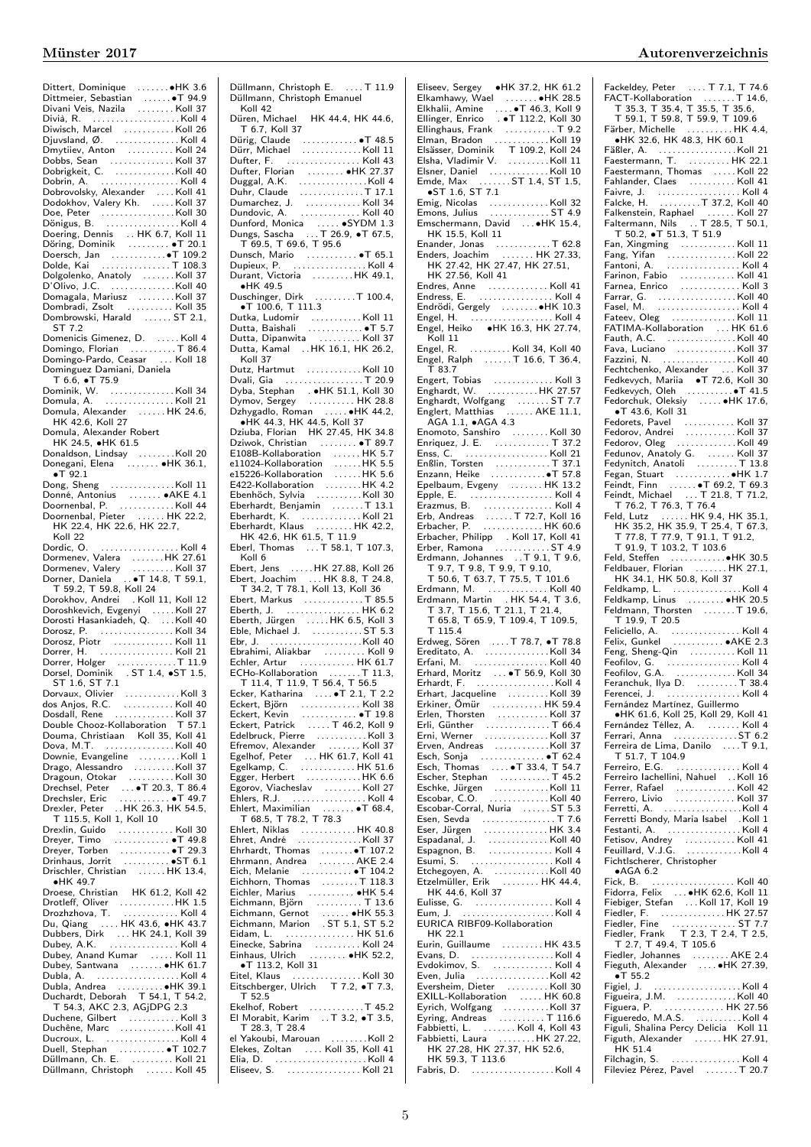| Dittert, Dominique ●HK 3.6<br>Dittmeier, Sebastian ●T 94.9                                                                                                                                                                                                                                         |  |
|----------------------------------------------------------------------------------------------------------------------------------------------------------------------------------------------------------------------------------------------------------------------------------------------------|--|
|                                                                                                                                                                                                                                                                                                    |  |
| Divani Veis, Nazila Koll 37                                                                                                                                                                                                                                                                        |  |
|                                                                                                                                                                                                                                                                                                    |  |
|                                                                                                                                                                                                                                                                                                    |  |
| Diwisch, Marcel Koll 26<br>Djuvsland, Ø. Koll 4                                                                                                                                                                                                                                                    |  |
|                                                                                                                                                                                                                                                                                                    |  |
|                                                                                                                                                                                                                                                                                                    |  |
| Dmytilev, Anton  Koll 24                                                                                                                                                                                                                                                                           |  |
| Dobbs, Sean Koll 37<br>Dobrigkeit, C. Koll 40                                                                                                                                                                                                                                                      |  |
|                                                                                                                                                                                                                                                                                                    |  |
|                                                                                                                                                                                                                                                                                                    |  |
|                                                                                                                                                                                                                                                                                                    |  |
|                                                                                                                                                                                                                                                                                                    |  |
|                                                                                                                                                                                                                                                                                                    |  |
|                                                                                                                                                                                                                                                                                                    |  |
|                                                                                                                                                                                                                                                                                                    |  |
| Dobrig.r., C. (2007)<br>Dobrovolsky, Alexander (2008)<br>Dobrovolsky, Alexander (2008)<br>Dobrovolsky, Alexander (2008)<br>Dobrigus, B. (2008)<br>C. (2009)<br>C. (2009)<br>C. (2009)<br>H. 6.7, Koll 11                                                                                           |  |
|                                                                                                                                                                                                                                                                                                    |  |
|                                                                                                                                                                                                                                                                                                    |  |
|                                                                                                                                                                                                                                                                                                    |  |
| Doering, Dennis  HK 6.7, Koll 11<br>Döring, Dominik  • T 20.1                                                                                                                                                                                                                                      |  |
|                                                                                                                                                                                                                                                                                                    |  |
|                                                                                                                                                                                                                                                                                                    |  |
|                                                                                                                                                                                                                                                                                                    |  |
|                                                                                                                                                                                                                                                                                                    |  |
|                                                                                                                                                                                                                                                                                                    |  |
| Doersch, Jan<br>Doersch, Jan<br>Doersch, Jan<br>Dolde, Kai<br>Dolgolenko, Anatoly<br>D'Olivo, J.C.<br>Molland 40<br>D'Olivo, J.C.<br>Molland 40<br>Molland 40<br>Molland 40<br>Molland 40<br>Molland 40<br>Molland 40<br>Molland 40<br>Molland 40<br>Molland 4                                     |  |
| Domagala, Mariusz Alektronia Xoll 37                                                                                                                                                                                                                                                               |  |
|                                                                                                                                                                                                                                                                                                    |  |
| Dombradi, Zsolt  Koll 35                                                                                                                                                                                                                                                                           |  |
| Dombrowski, Harald  ST 2.1,                                                                                                                                                                                                                                                                        |  |
| ST 7.2                                                                                                                                                                                                                                                                                             |  |
|                                                                                                                                                                                                                                                                                                    |  |
| Domenicis Gimenez, D. Koll 4                                                                                                                                                                                                                                                                       |  |
| Domingo, Florian T 86.4                                                                                                                                                                                                                                                                            |  |
|                                                                                                                                                                                                                                                                                                    |  |
| Domingo-Pardo, Ceasar  Koll 18                                                                                                                                                                                                                                                                     |  |
| Dominguez Damiani, Daniela                                                                                                                                                                                                                                                                         |  |
| T 6.6, •T 75.9                                                                                                                                                                                                                                                                                     |  |
|                                                                                                                                                                                                                                                                                                    |  |
| Dominik, W. Koll 34<br>Domula, A. Koll 21                                                                                                                                                                                                                                                          |  |
|                                                                                                                                                                                                                                                                                                    |  |
|                                                                                                                                                                                                                                                                                                    |  |
|                                                                                                                                                                                                                                                                                                    |  |
| Domula, Alexander HK 24.6,<br>HK 42.6, Koll 27                                                                                                                                                                                                                                                     |  |
|                                                                                                                                                                                                                                                                                                    |  |
| Domula, Alexander Robert                                                                                                                                                                                                                                                                           |  |
| HK 24.5, HK 61.5                                                                                                                                                                                                                                                                                   |  |
| Donaldson, Lindsay Koll 20                                                                                                                                                                                                                                                                         |  |
|                                                                                                                                                                                                                                                                                                    |  |
| Donegani, Elena  HK 36.1,                                                                                                                                                                                                                                                                          |  |
| $\bullet$ T 92.1                                                                                                                                                                                                                                                                                   |  |
| Dong, Sheng Koll 11                                                                                                                                                                                                                                                                                |  |
|                                                                                                                                                                                                                                                                                                    |  |
| Donné, Antonius<br>Doornenbal, P. (1999). Koll 44                                                                                                                                                                                                                                                  |  |
|                                                                                                                                                                                                                                                                                                    |  |
|                                                                                                                                                                                                                                                                                                    |  |
|                                                                                                                                                                                                                                                                                                    |  |
| Doornenbal, Pieter  HK 22.2,<br>HK 22.4, HK 22.6, HK 22.7,                                                                                                                                                                                                                                         |  |
|                                                                                                                                                                                                                                                                                                    |  |
| Koll 22                                                                                                                                                                                                                                                                                            |  |
|                                                                                                                                                                                                                                                                                                    |  |
|                                                                                                                                                                                                                                                                                                    |  |
|                                                                                                                                                                                                                                                                                                    |  |
|                                                                                                                                                                                                                                                                                                    |  |
|                                                                                                                                                                                                                                                                                                    |  |
|                                                                                                                                                                                                                                                                                                    |  |
|                                                                                                                                                                                                                                                                                                    |  |
|                                                                                                                                                                                                                                                                                                    |  |
|                                                                                                                                                                                                                                                                                                    |  |
| Pordic, O.<br>Nordic, O.<br>Dormenev, Valera<br>Dormenev, Valera<br>Dormer, Daniela<br>Normer, Daniela<br>Normer, Daniela<br>Normer, Daniela<br>Normer, The S. S. Normer<br>Call 11 Koll 12<br>Koll 11 Koll 12<br>Normer<br>Normer S. Normer<br>Dorokhov, Andrei . Koll 11, Koll 12                |  |
| Doroshkevich, Evgenyi Koll 27                                                                                                                                                                                                                                                                      |  |
|                                                                                                                                                                                                                                                                                                    |  |
| Dorosti Hasankiadeh, Q.  Koll 40                                                                                                                                                                                                                                                                   |  |
| Dorosz, P.  Koll 34                                                                                                                                                                                                                                                                                |  |
|                                                                                                                                                                                                                                                                                                    |  |
| Dorosz, Piotr  Koll 11                                                                                                                                                                                                                                                                             |  |
|                                                                                                                                                                                                                                                                                                    |  |
|                                                                                                                                                                                                                                                                                                    |  |
|                                                                                                                                                                                                                                                                                                    |  |
| Dorrer, H. (1994)<br>11.9 Dorrer, Holger (1994)<br>11.9 Dorsel, Dominik (1995)<br>15, ST 1.4, ST 1.5,                                                                                                                                                                                              |  |
| ST 1.6, ST 7.1                                                                                                                                                                                                                                                                                     |  |
|                                                                                                                                                                                                                                                                                                    |  |
| Dorvaux, Olivier Koll 3                                                                                                                                                                                                                                                                            |  |
|                                                                                                                                                                                                                                                                                                    |  |
|                                                                                                                                                                                                                                                                                                    |  |
|                                                                                                                                                                                                                                                                                                    |  |
|                                                                                                                                                                                                                                                                                                    |  |
|                                                                                                                                                                                                                                                                                                    |  |
|                                                                                                                                                                                                                                                                                                    |  |
| Double Chooz-Kollaboration T 57.1<br>Douma, Christiaan Koll 35, Koll 41<br>Dova, M.T. Koll 40                                                                                                                                                                                                      |  |
|                                                                                                                                                                                                                                                                                                    |  |
|                                                                                                                                                                                                                                                                                                    |  |
| Downie, Evangeline   Koll 1<br>Drago, Alessandro   Koll 37                                                                                                                                                                                                                                         |  |
|                                                                                                                                                                                                                                                                                                    |  |
|                                                                                                                                                                                                                                                                                                    |  |
|                                                                                                                                                                                                                                                                                                    |  |
|                                                                                                                                                                                                                                                                                                    |  |
|                                                                                                                                                                                                                                                                                                    |  |
| Dragoun, Otokar<br>Dragoun, Otokar<br>Drechsle, Peter<br><b>Drechsler, Eric</b><br>Drecker, Peter<br><b>Precker, Peter</b><br><b>Precker, Peter</b><br><b>PRECKER, Peter</b><br><b>PRECKER, Peter</b><br><b>PRECKER, Peter</b><br><b>PRECKER, Peter</b><br><b>PRECKER, Peter</b><br><b>PRECKER</b> |  |
| T 115.5, Koll 1, Koll 10                                                                                                                                                                                                                                                                           |  |
|                                                                                                                                                                                                                                                                                                    |  |
|                                                                                                                                                                                                                                                                                                    |  |
|                                                                                                                                                                                                                                                                                                    |  |
|                                                                                                                                                                                                                                                                                                    |  |
|                                                                                                                                                                                                                                                                                                    |  |
| Drexlin, Guido<br>Dreyer, Timo<br>Dreyer, Torben<br>Dreyer, Torben<br>Orinhaus, Jorrit<br>Communication of the CT 6.1<br>Drinhaus, Jorrit                                                                                                                                                          |  |
| Drischler, Christian HK 13.4,                                                                                                                                                                                                                                                                      |  |
| $\bullet$ HK 49.7                                                                                                                                                                                                                                                                                  |  |
| Droese, Christian HK 61.2, Koll 42                                                                                                                                                                                                                                                                 |  |
|                                                                                                                                                                                                                                                                                                    |  |
|                                                                                                                                                                                                                                                                                                    |  |
|                                                                                                                                                                                                                                                                                                    |  |
|                                                                                                                                                                                                                                                                                                    |  |
| Drotleff, Oliver<br>Drotleff, Oliver<br>Drozhzhova, T.<br>Du, Qiang<br>MK 43.6, •HK 43.7                                                                                                                                                                                                           |  |
|                                                                                                                                                                                                                                                                                                    |  |
|                                                                                                                                                                                                                                                                                                    |  |
|                                                                                                                                                                                                                                                                                                    |  |
| Dubey, Anand Kumar  Koll 11                                                                                                                                                                                                                                                                        |  |
|                                                                                                                                                                                                                                                                                                    |  |
|                                                                                                                                                                                                                                                                                                    |  |
| Dubey, Santwana  HK 61.7<br>Dubla, A. Koll 4                                                                                                                                                                                                                                                       |  |
|                                                                                                                                                                                                                                                                                                    |  |
|                                                                                                                                                                                                                                                                                                    |  |
| Dubla, Andrea<br>Duchardt, Deborah → T 54.1, T 54.2,                                                                                                                                                                                                                                               |  |
| T 54.3, AKC 2.3, AGjDPG 2.3                                                                                                                                                                                                                                                                        |  |
|                                                                                                                                                                                                                                                                                                    |  |
|                                                                                                                                                                                                                                                                                                    |  |
| Duchene, Gilbert Koll 3<br>Duchêne, Marc Koll 41                                                                                                                                                                                                                                                   |  |
| Ducroux, L. Koll 4                                                                                                                                                                                                                                                                                 |  |
|                                                                                                                                                                                                                                                                                                    |  |
|                                                                                                                                                                                                                                                                                                    |  |
|                                                                                                                                                                                                                                                                                                    |  |
|                                                                                                                                                                                                                                                                                                    |  |

| Düllmann, Christoph E. T 11.9                                                                                                                                                                                                                      |  |
|----------------------------------------------------------------------------------------------------------------------------------------------------------------------------------------------------------------------------------------------------|--|
| Düllmann, Christoph Emanuel                                                                                                                                                                                                                        |  |
| Koll 42                                                                                                                                                                                                                                            |  |
| Düren, Michael HK 44.4, HK 44.6,                                                                                                                                                                                                                   |  |
| T 6.7, Koll 37                                                                                                                                                                                                                                     |  |
|                                                                                                                                                                                                                                                    |  |
| Dürig, Claude<br>Dürr, Michael   Koll 11                                                                                                                                                                                                           |  |
| Dufter, F.  Koll 43                                                                                                                                                                                                                                |  |
|                                                                                                                                                                                                                                                    |  |
|                                                                                                                                                                                                                                                    |  |
|                                                                                                                                                                                                                                                    |  |
|                                                                                                                                                                                                                                                    |  |
|                                                                                                                                                                                                                                                    |  |
| Dufter, F. (1917)<br>Dufter, Florian (1918)<br>Duggal, A.K. (1918)<br>Duggal, A.K. (1918)<br>Dumarchez, J. (1919)<br>Dumarchez, J. (1919)<br>Dundovic, A. (1919)<br>Dunford, Monica (1919)<br>Dungs, Sascha (1919)<br>Dungs, Sascha (1919)<br>Dupi |  |
|                                                                                                                                                                                                                                                    |  |
|                                                                                                                                                                                                                                                    |  |
|                                                                                                                                                                                                                                                    |  |
|                                                                                                                                                                                                                                                    |  |
|                                                                                                                                                                                                                                                    |  |
| Durant, Victoria HK 49.1,                                                                                                                                                                                                                          |  |
| $\bullet$ HK 49.5                                                                                                                                                                                                                                  |  |
| Duschinger, Dirk T 100.4,                                                                                                                                                                                                                          |  |
| $\bullet$ T 100.6, T 111.3                                                                                                                                                                                                                         |  |
|                                                                                                                                                                                                                                                    |  |
|                                                                                                                                                                                                                                                    |  |
|                                                                                                                                                                                                                                                    |  |
| Dutka, Ludomir<br>Dutta, Baishali<br>Dutta, Baishali<br>Dutta, Dipanwita  Koll 37<br>Dutta, Kamal HK 16.1, HK 26.2,<br>Koll 37                                                                                                                     |  |
| Koll 37                                                                                                                                                                                                                                            |  |
|                                                                                                                                                                                                                                                    |  |
|                                                                                                                                                                                                                                                    |  |
|                                                                                                                                                                                                                                                    |  |
|                                                                                                                                                                                                                                                    |  |
| Dzhygadlo, Roman  HK 44.2,                                                                                                                                                                                                                         |  |
| •HK 44.3, HK 44.5, Koll 37                                                                                                                                                                                                                         |  |
| Dziuba, Florian HK 27.45, HK 34.8                                                                                                                                                                                                                  |  |
| Dziwok, Christian  . T 89.7                                                                                                                                                                                                                        |  |
|                                                                                                                                                                                                                                                    |  |
| E108B-Kollaboration<br>E108B-Kollaboration<br>e11024-Kollaboration<br>E15226-Kollaboration<br>E422-Kollaboration<br>E422-Kollaboration<br>E422-Kollaboration<br>E422-Kollaboration<br>E422-Kollaboration<br>E131                                   |  |
|                                                                                                                                                                                                                                                    |  |
|                                                                                                                                                                                                                                                    |  |
|                                                                                                                                                                                                                                                    |  |
| Eberhardt, Benjamin<br>Eberhardt, K. (1999). Koll 21                                                                                                                                                                                               |  |
|                                                                                                                                                                                                                                                    |  |
|                                                                                                                                                                                                                                                    |  |
| Eberhardt, Klaus<br>HK 42.6, HK 61.5, T 11.9                                                                                                                                                                                                       |  |
| Eberl, Thomas  T 58.1, T 107.3,                                                                                                                                                                                                                    |  |
| Koll 6                                                                                                                                                                                                                                             |  |
|                                                                                                                                                                                                                                                    |  |
| - Moli 0<br>Ebert, Jens - HK 27.88, Koll 26<br>Ebert, Joachim - HK 8.8, T 24.8,<br>__ T 34.2, T 78.1, Koll 13, Koll 36                                                                                                                             |  |
|                                                                                                                                                                                                                                                    |  |
|                                                                                                                                                                                                                                                    |  |
|                                                                                                                                                                                                                                                    |  |
| Ebert, Markus T 85.5<br>Eberth, J.  HK 6.2                                                                                                                                                                                                         |  |
|                                                                                                                                                                                                                                                    |  |
|                                                                                                                                                                                                                                                    |  |
|                                                                                                                                                                                                                                                    |  |
|                                                                                                                                                                                                                                                    |  |
|                                                                                                                                                                                                                                                    |  |
|                                                                                                                                                                                                                                                    |  |
|                                                                                                                                                                                                                                                    |  |
|                                                                                                                                                                                                                                                    |  |
|                                                                                                                                                                                                                                                    |  |
|                                                                                                                                                                                                                                                    |  |
|                                                                                                                                                                                                                                                    |  |
|                                                                                                                                                                                                                                                    |  |
|                                                                                                                                                                                                                                                    |  |
|                                                                                                                                                                                                                                                    |  |
|                                                                                                                                                                                                                                                    |  |
|                                                                                                                                                                                                                                                    |  |
| Egelhof, Peter  HK 61.7, Koll 41<br>Egelkamp, C.  HK 51.6<br>Egger, Herbert HK 6.6                                                                                                                                                                 |  |
| Egorov, Viacheslav     Koll 27<br>Ehlers, R.J.     Koll 4                                                                                                                                                                                          |  |
|                                                                                                                                                                                                                                                    |  |
| Ehlert, Maximilian  • T 68.4,<br>T 68.5, T 78.2, T 78.3                                                                                                                                                                                            |  |
|                                                                                                                                                                                                                                                    |  |
| Ehlert, Niklas<br>Ehret, André   Koll 37                                                                                                                                                                                                           |  |
|                                                                                                                                                                                                                                                    |  |
| Ehrhardt, Thomas<br>Ehrmann, Andrea<br>2.4 Ehrmann, Andrea                                                                                                                                                                                         |  |
| Eich, Melanie  T 104.2                                                                                                                                                                                                                             |  |
|                                                                                                                                                                                                                                                    |  |
|                                                                                                                                                                                                                                                    |  |
|                                                                                                                                                                                                                                                    |  |
|                                                                                                                                                                                                                                                    |  |
|                                                                                                                                                                                                                                                    |  |
|                                                                                                                                                                                                                                                    |  |
|                                                                                                                                                                                                                                                    |  |
|                                                                                                                                                                                                                                                    |  |
|                                                                                                                                                                                                                                                    |  |
|                                                                                                                                                                                                                                                    |  |
|                                                                                                                                                                                                                                                    |  |
| T 52.5                                                                                                                                                                                                                                             |  |
|                                                                                                                                                                                                                                                    |  |
|                                                                                                                                                                                                                                                    |  |
| Ekelhof, Robert<br>El Morabit, Karim     T 3.2, •T 3.5,<br>T 28.3, T 28.4                                                                                                                                                                          |  |
| el Yakoubi, Marouan Koll 2                                                                                                                                                                                                                         |  |
|                                                                                                                                                                                                                                                    |  |
| Elekes, Zoltan     Koll 35, Koll 41<br>Elia, D.    Koll 4<br>Eliseev, S.  Koll 21                                                                                                                                                                  |  |

| Eliseev, Sergey . HK 37.2, HK 61.2                                                                                                                                                                                                                 |  |
|----------------------------------------------------------------------------------------------------------------------------------------------------------------------------------------------------------------------------------------------------|--|
|                                                                                                                                                                                                                                                    |  |
|                                                                                                                                                                                                                                                    |  |
|                                                                                                                                                                                                                                                    |  |
| Elkamhawy, Wael<br>Elkamhawy, Wael ∴……●HK 28.5<br>Elkhalii, Amine ∴…●T 46.3, Koll 9<br>Ellinger, Enrico ∴●T 112.2, Koll 30                                                                                                                         |  |
|                                                                                                                                                                                                                                                    |  |
|                                                                                                                                                                                                                                                    |  |
|                                                                                                                                                                                                                                                    |  |
|                                                                                                                                                                                                                                                    |  |
|                                                                                                                                                                                                                                                    |  |
|                                                                                                                                                                                                                                                    |  |
|                                                                                                                                                                                                                                                    |  |
|                                                                                                                                                                                                                                                    |  |
|                                                                                                                                                                                                                                                    |  |
|                                                                                                                                                                                                                                                    |  |
|                                                                                                                                                                                                                                                    |  |
|                                                                                                                                                                                                                                                    |  |
| HK 15.5, Koll 11                                                                                                                                                                                                                                   |  |
| Enander, Jonas<br>Enders, Joachim<br>All Carolin (1970), HK 27.33,                                                                                                                                                                                 |  |
|                                                                                                                                                                                                                                                    |  |
| HK 27.42, HK 27.47, HK 27.51,                                                                                                                                                                                                                      |  |
|                                                                                                                                                                                                                                                    |  |
| HK 27.56, Koll 41                                                                                                                                                                                                                                  |  |
|                                                                                                                                                                                                                                                    |  |
|                                                                                                                                                                                                                                                    |  |
| Endrödi, Gergely<br>Engel, H. (1998) (1998) Fingel, H. (1998)<br>Engel, Heiko (1998) Fins, HK 27.74,                                                                                                                                               |  |
|                                                                                                                                                                                                                                                    |  |
|                                                                                                                                                                                                                                                    |  |
|                                                                                                                                                                                                                                                    |  |
| Koll 11<br>Engel, R. Koll 34, Koll 40                                                                                                                                                                                                              |  |
|                                                                                                                                                                                                                                                    |  |
| Engel, Ralph  T 16.6, T 36.4,                                                                                                                                                                                                                      |  |
|                                                                                                                                                                                                                                                    |  |
| T 83.7                                                                                                                                                                                                                                             |  |
|                                                                                                                                                                                                                                                    |  |
| Engert, Tobias     Koll 3<br>Enghardt, W.     HK 27.57                                                                                                                                                                                             |  |
|                                                                                                                                                                                                                                                    |  |
|                                                                                                                                                                                                                                                    |  |
| Enghardt, Wolfgang<br>Enghardt, Wolfgang<br>Englert, Matthias AKE 11.1,<br>AGA 1.1, •AGA 4.3                                                                                                                                                       |  |
|                                                                                                                                                                                                                                                    |  |
| Enomoto, Sanshiro<br>Enriquez, J. E.<br>Enriquez, J. E.                                                                                                                                                                                            |  |
|                                                                                                                                                                                                                                                    |  |
| Enss, C. $\ldots$ Koll 21                                                                                                                                                                                                                          |  |
|                                                                                                                                                                                                                                                    |  |
| Enßlin, Torsten<br>Enzann, Heike ……………●T 57.8                                                                                                                                                                                                      |  |
|                                                                                                                                                                                                                                                    |  |
| Epelbaum, Evgeny  HK 13.2                                                                                                                                                                                                                          |  |
|                                                                                                                                                                                                                                                    |  |
|                                                                                                                                                                                                                                                    |  |
|                                                                                                                                                                                                                                                    |  |
|                                                                                                                                                                                                                                                    |  |
|                                                                                                                                                                                                                                                    |  |
|                                                                                                                                                                                                                                                    |  |
|                                                                                                                                                                                                                                                    |  |
|                                                                                                                                                                                                                                                    |  |
|                                                                                                                                                                                                                                                    |  |
|                                                                                                                                                                                                                                                    |  |
|                                                                                                                                                                                                                                                    |  |
|                                                                                                                                                                                                                                                    |  |
|                                                                                                                                                                                                                                                    |  |
|                                                                                                                                                                                                                                                    |  |
|                                                                                                                                                                                                                                                    |  |
|                                                                                                                                                                                                                                                    |  |
|                                                                                                                                                                                                                                                    |  |
| $T$ 115.4                                                                                                                                                                                                                                          |  |
|                                                                                                                                                                                                                                                    |  |
|                                                                                                                                                                                                                                                    |  |
|                                                                                                                                                                                                                                                    |  |
|                                                                                                                                                                                                                                                    |  |
|                                                                                                                                                                                                                                                    |  |
| Erhardt, F.  Koll 4                                                                                                                                                                                                                                |  |
|                                                                                                                                                                                                                                                    |  |
|                                                                                                                                                                                                                                                    |  |
|                                                                                                                                                                                                                                                    |  |
|                                                                                                                                                                                                                                                    |  |
|                                                                                                                                                                                                                                                    |  |
|                                                                                                                                                                                                                                                    |  |
|                                                                                                                                                                                                                                                    |  |
|                                                                                                                                                                                                                                                    |  |
|                                                                                                                                                                                                                                                    |  |
|                                                                                                                                                                                                                                                    |  |
|                                                                                                                                                                                                                                                    |  |
|                                                                                                                                                                                                                                                    |  |
|                                                                                                                                                                                                                                                    |  |
|                                                                                                                                                                                                                                                    |  |
|                                                                                                                                                                                                                                                    |  |
|                                                                                                                                                                                                                                                    |  |
|                                                                                                                                                                                                                                                    |  |
|                                                                                                                                                                                                                                                    |  |
|                                                                                                                                                                                                                                                    |  |
| Erven, Andreas<br>Esch, Sonja<br>Esch, Thomas<br>Esch, Thomas<br>In The Scher, Stephan<br>In The Scher, Stephan<br>In The Scher, Stephan<br>Escobar, C.O.<br>Escobar, C.O.<br>Escobar, Cornel, Nuria<br>In The Scher Cornel, Nuria<br>In The Scher |  |
|                                                                                                                                                                                                                                                    |  |
|                                                                                                                                                                                                                                                    |  |
|                                                                                                                                                                                                                                                    |  |
| Esumi, S.<br>Esumi, S.<br>Etchegoyen, A.<br>Etchegoyen, A.<br>HK 44.6, Koll 37<br>HK 44.6, Koll 37                                                                                                                                                 |  |
|                                                                                                                                                                                                                                                    |  |
|                                                                                                                                                                                                                                                    |  |
| EURICA RIBF09-Kollaboration                                                                                                                                                                                                                        |  |
| HK 22.1                                                                                                                                                                                                                                            |  |
|                                                                                                                                                                                                                                                    |  |
|                                                                                                                                                                                                                                                    |  |
| Eurin, Guillaume HK 43.5                                                                                                                                                                                                                           |  |
|                                                                                                                                                                                                                                                    |  |
|                                                                                                                                                                                                                                                    |  |
|                                                                                                                                                                                                                                                    |  |
|                                                                                                                                                                                                                                                    |  |
|                                                                                                                                                                                                                                                    |  |
|                                                                                                                                                                                                                                                    |  |
|                                                                                                                                                                                                                                                    |  |
| Even, Julia (Changled Moll 42)<br>Eversheim, Dieter (Changled Moll 30)                                                                                                                                                                             |  |
|                                                                                                                                                                                                                                                    |  |
|                                                                                                                                                                                                                                                    |  |
|                                                                                                                                                                                                                                                    |  |
| Fabbietti, Laura<br>HK 27.28, HK 27.37, HK 52.6,<br>HK 59.3, T 113.6<br>Fabris, D. Koll 4                                                                                                                                                          |  |

| Fackeldey, Peter  T 7.1, T 74.6<br>FACT-Kollaboration  T 14.6,<br>T 35.3, T 35.4, T 35.5, T 35.6,<br>T 59.1, T 59.8, T 59.9, T 109.6<br>Färber, Michelle HK 4.4,<br>WHK 32.6, HK 48.3, HK 60.1                                                        |  |
|-------------------------------------------------------------------------------------------------------------------------------------------------------------------------------------------------------------------------------------------------------|--|
|                                                                                                                                                                                                                                                       |  |
|                                                                                                                                                                                                                                                       |  |
|                                                                                                                                                                                                                                                       |  |
|                                                                                                                                                                                                                                                       |  |
|                                                                                                                                                                                                                                                       |  |
|                                                                                                                                                                                                                                                       |  |
|                                                                                                                                                                                                                                                       |  |
|                                                                                                                                                                                                                                                       |  |
|                                                                                                                                                                                                                                                       |  |
|                                                                                                                                                                                                                                                       |  |
|                                                                                                                                                                                                                                                       |  |
|                                                                                                                                                                                                                                                       |  |
|                                                                                                                                                                                                                                                       |  |
|                                                                                                                                                                                                                                                       |  |
| Fang, Yifan<br>Fang, Yifan<br>Fantoni, A. (1996).<br>Farinon, Fabio (1996).<br>Farnea, Enrico (1996).<br>Moll 3.                                                                                                                                      |  |
|                                                                                                                                                                                                                                                       |  |
|                                                                                                                                                                                                                                                       |  |
|                                                                                                                                                                                                                                                       |  |
|                                                                                                                                                                                                                                                       |  |
|                                                                                                                                                                                                                                                       |  |
| Fateev, Oleg Koll 11                                                                                                                                                                                                                                  |  |
| FATIMA-Kollaboration  HK 61.6                                                                                                                                                                                                                         |  |
|                                                                                                                                                                                                                                                       |  |
|                                                                                                                                                                                                                                                       |  |
|                                                                                                                                                                                                                                                       |  |
|                                                                                                                                                                                                                                                       |  |
|                                                                                                                                                                                                                                                       |  |
|                                                                                                                                                                                                                                                       |  |
| FATTIMA-NOILEO<br>Fauth, A.C.<br>Fava, Luciano<br>Fava, Luciano<br>Fazzini, N.<br>Molton, Alexander<br>The Scheley Construction<br>Fedkeych, Naria (T. 12.6, Koll 30<br>Feddevych, Neh<br>Feddevych, Oleh<br>Feddevych, Oleh<br>Feddevych, Oleh<br>Fe |  |
|                                                                                                                                                                                                                                                       |  |
|                                                                                                                                                                                                                                                       |  |
|                                                                                                                                                                                                                                                       |  |
|                                                                                                                                                                                                                                                       |  |
|                                                                                                                                                                                                                                                       |  |
|                                                                                                                                                                                                                                                       |  |
|                                                                                                                                                                                                                                                       |  |
|                                                                                                                                                                                                                                                       |  |
|                                                                                                                                                                                                                                                       |  |
|                                                                                                                                                                                                                                                       |  |
|                                                                                                                                                                                                                                                       |  |
|                                                                                                                                                                                                                                                       |  |
| T 77.8, T 77.9, T 91.1, T 91.2,<br>T 91.9, T 103.2, T 103.6<br>Feld, Steffen                                                                                                                                                                          |  |
|                                                                                                                                                                                                                                                       |  |
|                                                                                                                                                                                                                                                       |  |
| HK 34.1, HK 50.8, Koll 37                                                                                                                                                                                                                             |  |
|                                                                                                                                                                                                                                                       |  |
| Feldkamp, L. Koll 4                                                                                                                                                                                                                                   |  |
| Feldkamp, Linus  HK 20.5                                                                                                                                                                                                                              |  |
|                                                                                                                                                                                                                                                       |  |
|                                                                                                                                                                                                                                                       |  |
|                                                                                                                                                                                                                                                       |  |
| Feldmann, Thorsten<br>T 19.9, T 20.5<br>T 19.9, T 20.5<br>Feliciello, A. (1999)<br>Selfing AKE 2.3                                                                                                                                                    |  |
|                                                                                                                                                                                                                                                       |  |
|                                                                                                                                                                                                                                                       |  |
|                                                                                                                                                                                                                                                       |  |
|                                                                                                                                                                                                                                                       |  |
| Parachim Case<br>Feng, Sheng-Qin<br>Feofilov, G. (1993)<br>Feofilov, G. (1994)<br>Feranchuk, Ilya D. (1994)<br>Ferencei, J. (1994)<br>Martian Collins, Koll 4<br>Terencei, J. (1994)<br>Martian Collins, Koll 4<br>Fernández Martínez, Guillermo      |  |
| ●HK 61.6, Koll 25, Koll 29, Koll 41                                                                                                                                                                                                                   |  |
|                                                                                                                                                                                                                                                       |  |
|                                                                                                                                                                                                                                                       |  |
| Ferreira de Lima, Danilo  T 9.1,                                                                                                                                                                                                                      |  |
| T 51.7, T 104.9                                                                                                                                                                                                                                       |  |
| Ferreiro, E.G.<br>. Koll 4                                                                                                                                                                                                                            |  |
| Ferreiro lachellini, Nahuel  Koll 16                                                                                                                                                                                                                  |  |
|                                                                                                                                                                                                                                                       |  |
| Ferrer, Rafael Koll 42<br>Ferrero, Livio Koll 37                                                                                                                                                                                                      |  |
|                                                                                                                                                                                                                                                       |  |
|                                                                                                                                                                                                                                                       |  |
|                                                                                                                                                                                                                                                       |  |
|                                                                                                                                                                                                                                                       |  |
| Fichtlscherer, Christopher                                                                                                                                                                                                                            |  |
| $\bullet$ AGA 6.2                                                                                                                                                                                                                                     |  |
|                                                                                                                                                                                                                                                       |  |
| Fidorra, Felix  . HK 62.6, Koll 11                                                                                                                                                                                                                    |  |
|                                                                                                                                                                                                                                                       |  |
|                                                                                                                                                                                                                                                       |  |
|                                                                                                                                                                                                                                                       |  |
|                                                                                                                                                                                                                                                       |  |
|                                                                                                                                                                                                                                                       |  |
|                                                                                                                                                                                                                                                       |  |
| $\bullet$ T 55.2                                                                                                                                                                                                                                      |  |
|                                                                                                                                                                                                                                                       |  |
|                                                                                                                                                                                                                                                       |  |
| Figuera, P.  HK 27.56                                                                                                                                                                                                                                 |  |
|                                                                                                                                                                                                                                                       |  |
| riguera)<br>Figueredo, M.A.S.<br>Figuli, Shalina Percy Delicia <sub>-</sub> Koll 11                                                                                                                                                                   |  |
| Figuth, Alexander  HK 27.91,                                                                                                                                                                                                                          |  |
| HK 51.4                                                                                                                                                                                                                                               |  |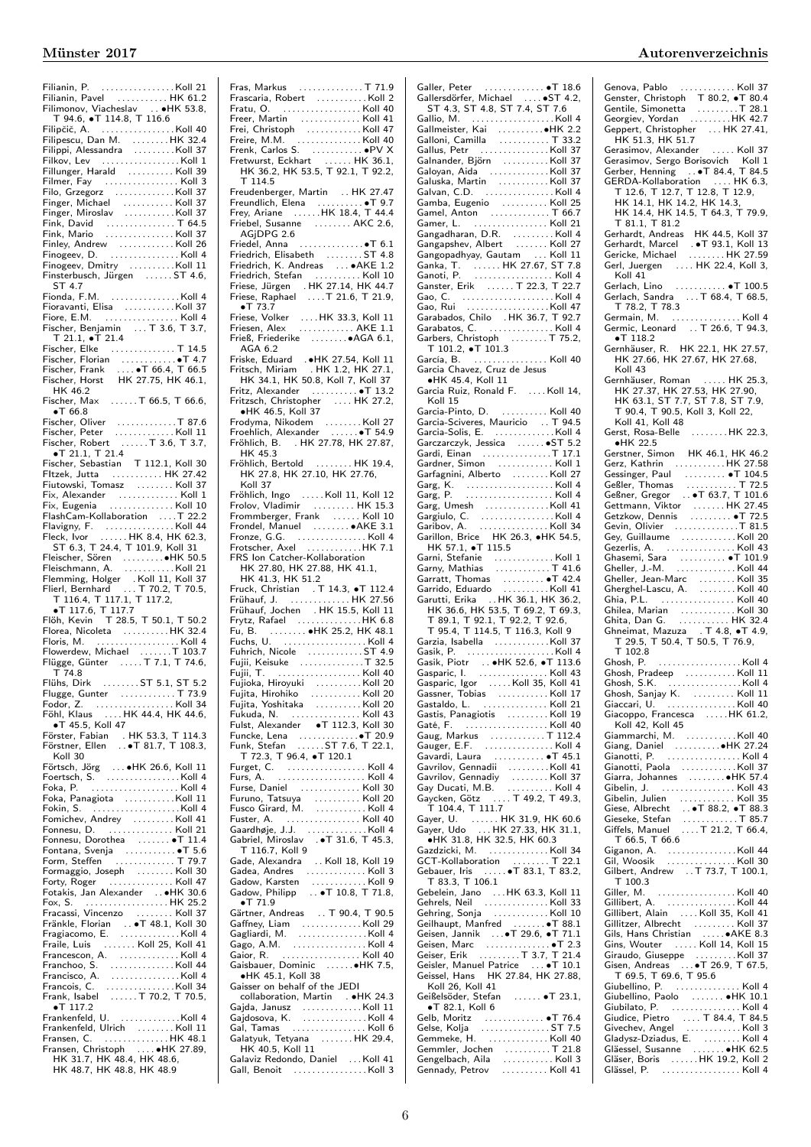Filianin, P. . . . . . . . . . . . . . . . . Koll 21 Filianin, Pavel . . . . . . . . . . . HK 61.2 Filimonov, Viacheslav . . ∙HK 53.8, T 94.6, ∙T 114.8, T 116.6 Filipčič, A. . . . . . . . . . . . . . . . .Koll 40 Filipescu, Dan M. . . . . . . . . HK 32.4 Filippi, Alessandra . . . . . . . . .Koll 37 Filkov, Lev . . . . . . . . . . . . . . . . . Koll 1 Fillunger, Harald . . . . . . . . . . Koll 39 Filmer, Fay . . . . . . . . . . . . . . . . Koll 3 Filo, Grzegorz . . . . . . . . . . . . . Koll 37 Finger, Michael . . . . . . . . . . . Koll 37 Finger, Miroslav . . . . . . . . . . .Koll 37 Fink, David . . . . . . . . . . . . . . . T 64.5 Fink, Mario . . . . . . . . . . . . . . . Koll 37 Finley, Andrew . . . . . . . . . . . . Koll 26 Finogeev, D. . . . . . . . . . . . . . . . Koll 4 Finogeev, Dmitry . . . . . . . . . .Koll 11 Finsterbusch, Jürgen . . . . . . ST 4.6, ST 4.7 Fionda, F.M. . . . . . . . . . . . . . . . Koll 4 Fioravanti, Elisa . . . . . . . . . . . Koll 37 Fiore, E.M. . . . . . . . . . . . . . . . . Koll 4 Fischer, Benjamin . . . T 3.6, T 3.7, T 21.1, ∙T 21.4 Fischer, Elke . . . . . . . . . . . . . . T 14.5 Fischer, Florian . . . . . . . . . . . ● T 4.7<br>Fischer, Frank . . . . ● T 66.4, T 66.5<br>Fischer, Horst HK 27.75, HK 46.1, HK 46.2 Fischer, Max . . . . . . T 66.5, T 66.6, ∙T 66.8 Fischer, Oliver . . . . . . . . . . . . . T 87.6 Fischer, Peter . . . . . . . . . . . . . Koll 11 Fischer, Robert . . . . . . T 3.6, T 3.7, ∙T 21.1, T 21.4 Fischer, Sebastian T 112.1, Koll 30 FItzek, Jutta . . . . . . . . . . . HK 27.42 Fiutowski, Tomasz . . . . . . . . Koll 37 Fix, Alexander . . . . . . . . . . . . . Koll 1 Fix, Eugenia . . . . . . . . . . . . . . Koll 10 FlashCam-Kollaboration . . . .T 22.2 Flavigny, F. . . . . . . . . . . . . . . . Koll 44 Fleck, Ivor . . . . . . HK 8.4, HK 62.3, ST 6.3, T 24.4, T 101.9, Koll 31 Fleischer, Sören . . . . . . . . .∙HK 50.5 Fleischmann, A. . . . . . . . . . . . Koll 21 Flemming, Holger . Koll 11, Koll 37 Flierl, Bernhard . . . T 70.2, T 70.5, T 116.4, T 117.1, T 117.2, ●T 117.6, T 117.7<br>iöh, Kevin T 28.5, T 50.1, T 50.2 Flöh, Kevin T 28.5, T 50.1, T 50.2 Florea, Nicoleta . . . . . . . . . . HK 32.4 Floris, M. . . . . . . . . . . . . . . . . . . Koll 4 Flowerdew, Michael . . . . . . .T 103.7 Flügge, Günter . . . . . T 7.1, T 74.6, T 74.8 Flühs, Dirk . . . . . . . . ST 5.1, ST 5.2 Flugge, Gunter . . . . . . . . . . . . T 73.9 Fodor, Z. . . . . . . . . . . . . . . . . . Koll 34 Föhl, Klaus . . . . HK 44.4, HK 44.6, ∙T 45.5, Koll 47 Förster, Fabian . HK 53.3, T 114.3 Förstner, Ellen . . ∙T 81.7, T 108.3, Koll 30 Förtsch, Jörg . . . ∙HK 26.6, Koll 11 Foertsch, S. . . . . . . . . . . . . . . . . Koll 4 Foka, P. . . . . . . . . . . . . . . . . . . . Koll 4 Foka, Panagiota ...........Koll 11 Fokin, S. . . . . . . . . . . . . . . . . . . .Koll 4 Fomichev, Andrey . . . . . . . . . Koll 41 Fonnesu, D. . . . . . . . . . . . . . . Koll 21 Fonnesu, Dorothea . . . . . . . ∙T 11.4 Fontana, Svenja . . . . . . . . . . . ∙T 5.6 Form, Steffen . . . . . . . . . . . . . T 79.7 Formaggio, Joseph . . . . . . . . Koll 30 Forty, Roger . . . . . . . . . . . . . . Koll 47 Fotakis, Jan Alexander . . ∙HK 30.6 Fox, S. . . . . . . . . . . . . . . . . . . HK 25.2 Fracassi, Vincenzo . . . . . . . . Koll 37 Fränkle, Florian (\* 1815)<br>Fragiacomo, E. (\* 1816)<br>Fraile, Luis (\* 1816)<br>Francescon, A. (\* 1816)<br>Franchoo, S. (\* 1816)<br>Francisco, A. (\* 1817)<br>Francisco, A. (\* 1818) Francois, C. . . . . . . . . . . . . . . .Koll 34 Frank, Isabel . . . . . . T 70.2, T 70.5, ∙T 117.2  $\bullet$  . 117.2<br>Frankenfeld, U.  $\,\ldots\ldots\ldots\ldots$ Koll 4 Frankenfeld, Ulrich . . . . . . . . Koll 11 Fransen, C. . . . . . . . . . . . . . . HK 48.1<br>Fransen, Christoph . . . . ●HK 27.89,<br> HK 31.7, HK 48.4, HK 48.6, HK 48.7, HK 48.8, HK 48.9

Fras, Markus . . . . . . . . . . . . . . T 71.9 Frascaria, Robert . . . . . . . . . . . Koll 2 Fratu, O. . . . . . . . . . . . . . . . . . Koll 40 Freer, Martin . . . . . . . . . . . . . Koll 41 Frei, Christoph . . . . . . . . . . . . Koll 47 Freire, M.M. . . . . . . . . . . . . . . Koll 40 Frenk, Carlos S. . . . . . . . . . . . ∙PV X Fretwurst, Eckhart . . . . . . HK 36.1, HK 36.2, HK 53.5, T 92.1, T 92.2, T 114.5 Freudenberger, Martin . . HK 27.47 Freundlich, Elena . . . . . . . . . . ∙T 9.7 Frey, Ariane . . . . . .HK 18.4, T 44.4 Friebel, Susanne . . . . . . . . . . AKC 2.6, AGiDPG 2.6 Friedel, Anna . . . . . . . . . . . . . .∙T 6.1 Friedrich, Elisabeth . . . . . . . . ST 4.8 Friedrich, K. Andreas . . . ∙AKE 1.2 Friedrich, Stefan . . . . . . . . . . Koll 10 Friese, Jürgen . HK 27.14, HK 44.7 Friese, Raphael . . . .T 21.6, T 21.9, ∙T 73.7 Friese, Volker . . . . HK 33.3, Koll 11 Friesen, Alex . . . . . . . . . . . . AKE 1.1 Frieß, Friederike . . . . . . . .∙AGA 6.1, AGA 6.2 Friske, Eduard .∙HK 27.54, Koll 11 Fritsch, Miriam . HK 1.2, HK 27.1, HK 34.1, HK 50.8, Koll 7, Koll 37 Fritz, Alexander . . . . . . . . . . ∙T 13.2 Fritzsch, Christopher . . . . HK 27.2, ∙HK 46.5, Koll 37 Frodyma, Nikodem . . . . . . . . Koll 27 Froehlich, Alexander . . . . . . ∙T 54.9 Fröhlich, B. . HK 27.78, HK 27.87, HK 45.3 Fröhlich, Bertold . . . . . . . . HK 19.4, HK 27.8, HK 27.10, HK 27.76, Koll 37 Fröhlich, Ingo . . . . . Koll 11, Koll 12 Frolov, Vladimir . . . . . . . . . HK 15.3 Frommberger, Frank . . . . . . Koll 10 Frondel, Manuel . . . . . . . . ∙AKE 3.1 Fronze, G.G. . . . . . . . . . . . . . . . Koll 4 Frotscher, Axel . . . . . . . . . . . .HK 7.1 FRS Ion Catcher-Kollaboration HK 27.80, HK 27.88, HK 41.1,<br>
HK 41.3, HK 51.2<br>
Fruck, Christian . T 14.3, •T 112.4<br>
Fruck, Christian . T 14.3, •T 112.4<br>
Frühauf, J. (1999). HK 15.5, Koll 11<br>
Frytz, Rafael (1999). HK 6.8, HK 48.1<br>
Fu, B. (1999). HK 48.19 Fuhrich, Nicole . . . . . . . . . . . . ST 4.9 Fujii, Keisuke . . . . . . . . . . . . . .T 32.5 Fujii, T. . . . . . . . . . . . . . . . . . . Koll 40 Fujioka, Hiroyuki . . . . . . . . . . Koll 20 Fujita, Hirohiko . . . . . . . . . . . Koll 20 Fujita, Yoshitaka . . . . . . . . . . Koll 20 Fukuda, N. . . . . . . . . . . . . . . . Koll 43 Fulst, Alexander ∙T 112.3, Koll 30 Funcke, Lena . . . . . . . . . . . . .∙T 20.9 Funk, Stefan . . . . . . ST 7.6, T 22.1, T 72.3, T 96.4, ∙T 120.1 Furget, C. . . . . . . . . . . . . . . . . . Koll 4 Furs, A. . . . . . . . . . . . . . . . . . . . Koll 4 Furse, Daniel . . . . . . . . . . . . . Koll 30 Furuno, Tatsuya . . . . . . . . . . Koll 20 Fusco Girard, M. . . . . . . . . . . . Koll 4 Fuster, A. . . . . . . . . . . . . . . . . Koll 40 Gaardhøje, J.J. . . . . . . . . . . . . . Koll 4 Gabriel, Miroslav . ∙T 31.6, T 45.3, T 116.7, Koll 9 Gade, Alexandra . . Koll 18, Koll 19 Gadea, Andres . . . . . . . . . . . . . . Koll 3<br>Gadow, Karsten . . . . . . . . . . . . Koll 9<br>Gadow, Philipp . . ●T 10.8, T 71.8, ∙T 71.9 Gärtner, Andreas . . T 90.4, T 90.5 Gaffney, Liam . . . . . . . . . . . . . Koll 29 Gagliardi, M. . . . . . . . . . . . . . . . Koll 4 Gago, A.M. . . . . . . . . . . . . . . . . Koll 4 Gaior, R. . . . . . . . . . . . . . . . . . Koll 40 Gaisbauer, Dominic . . . . . .∙HK 7.5, ∙HK 45.1, Koll 38 Gaisser on behalf of the JEDI collaboration, Martin . ∙HK 24.3 Gajda, Janusz . . . . . . . . . . . . . Koll 11 Gajdosova, K. . . . . . . . . . . . . . . Koll 4 Gal, Tamas . . . . . . . . . . . . . . . . Koll 6 Galatyuk, Tetyana . . . . . . . HK 29.4, HK 40.5, Koll 11 Galaviz Redondo, Daniel ... Koll 41 Gall, Benoit . . . . . . . . . . . . . . . . Koll 3

| Autorenverzeichnis |  |  |  |
|--------------------|--|--|--|
|                    |  |  |  |

Galler, Peter . . . . . . . . . . . . . • T 18.6<br>Gallersdörfer, Michael . . . . • • ST 4.2,<br>ST 4.3, ST 4.8, ST 7.4, ST 7.6 Gallio, M. . . . . . . . . . . . . . . . . . . Koll 4 Ga. . . . . . . . . . . . ●HK 2.2 Galloni, Camilla . . . . . . . . . . . T 33.2 Gallus, Petr . . . . . . . . . . . . . . . Koll 37 Galnander, Björn . . . . . . . . . . Koll 37 Galoyan, Aida . . . . . . . . . . . . . Koll 37 Galuska, Martin . . . . . . . . . . . Koll 37 Galvan, C.D. . . . . . . . . . . . . . . . Koll 4 Gamba, Eugenio . . . . . . . . . . Koll 25 Gamel, Anton . . . . . . . . . . . . . T 66.7 Gamer, L. . . . . . . . . . . . . . . . . Koll 21 Gangadharan, D.R. . . . . . . . . . Koll 4 Gangapshev, Albert . . . . . . . Koll 27 Gangopadhyay, Gautam . . . Koll 11 Ganka, T. . . . . . . HK 27.67, ST 7.8 Ganoti, P. . . . . . . . . . . . . . . . . . Koll 4 Ganster, Erik . . . . . . T 22.3, T 22.7 Gao, C. . . . . . . . . . . . . . . . . . . . . Koll 4 Gao, Rui . . . . . . . . . . . . . . . . . .Koll 47 Garabados, Chilo . HK 36.7, T 92.7 Garabatos, C. . . . . . . . . . . . . . . Koll 4 Garbers, Christoph . . . . . . . . T 75.2, T 101.2, ∙T 101.3 García, B. . . . . . . . . . . . . . . . . Koll 40 Garcia Chavez, Cruz de Jesus ∙HK 45.4, Koll 11 Garcia Ruiz, Ronald F. . . . . Koll 14, Koll 15 Garcia-Pinto, D. . . . . . . . . . . Koll 40 Garcia-Sciveres, Mauricio . . T 94.5 Garcia-Solis, E. . . . . . . . . . . . . .Koll 4 Garczarczyk, Jessica . . . . . . ∙ST 5.2 Gardi, Einan . . . . . . . . . . . . . . .T 17.1 Gardner, Simon . . . . . . . . . . . . Koll 1 Garfagnini, Alberto . . . . . . . . Koll 27 Garg, K. . . . . . . . . . . . . . . . . . . . Koll 4 Garg, P. . . . . . . . . . . . . . . . . . . . Koll 4 Garg, Umesh . . . . . . . . . . . . . .Koll 41 Gargiulo, C. . . . . . . . . . . . . . . . . Koll 4 Garibov, A. . . . . . . . . . . . . . . . Koll 34 Garillon, Brice HK 26.3, ∙HK 54.5, HK 57.1, ∙T 115.5 Garni, Stefanie . . . . . . . . . . . . . Koll 1 Garny, Mathias . . . . . . . . . . . . T 41.6 Garratt, Thomas . . . . . . . . . ∙T 42.4 Garrido, Eduardo . . . . . . . . . . Koll 41 Garutti, Erika . . HK 36.1, HK 36.2, HK 36.6, HK 53.5, T 69.2, T 69.3, T 89.1, T 92.1, T 92.2, T 92.6, T 95.4, T 114.5, T 116.3, Koll 9 Garzia, Isabella . . . . . . . . . . . .Koll 37 Gasik, P. (1997)<br>Gasik, Piotr (1987)<br>Gasparic, I. (1998)<br>Gasparic, Igor (1998)<br>Gasparic, Igor (1998)<br>Gassner, Tobias (1998)<br>Call 1998) Gastaldo, L. (1912)<br>
Gasti, Panagiotis (1911)<br>
Gaté, F. (1911)<br>
Gauger, E.F. (1912)<br>
Gauger, E.F. (1914)<br>
Gauger, E.F. (1914)<br>
Gavardi, Laura (1914)<br>
Gavardi, Comandij (1914)<br>
Gavardiov, Gennadij (1914)<br>
Gay Ducati, M.B. ( Gayer, U. ....... HK 31.9, HK 60.6<br>Gayer, Udo ....HK 27.33, HK 31.1, ∙HK 31.8, HK 32.5, HK 60.3 Gazdzicki, M. . . . . . . . . . . . . . Koll 34 GCT-Kollaboration . . . . . . . . T 22.1 Gebauer, Iris . . . . . ∙T 83.1, T 83.2, T 83.3, T 106.1 Gebelein, Jano . . .HK 63.3, Koll 11 Gehrels, Neil . . . . . . . . . . . . . . Koll 33 Gehring, Sonja ............Koll 10 Geilhaupt, Manfred . . . . . . . ∙T 88.1 Geisen, Jannik . . .∙T 29.6, ∙T 71.1 Geisen, Marc . . . . . . . . . . . . . . ∙T 2.3 Geiser, Erik . . . . . . . . . T 3.7, T 21.4 Geisler, Manuel Patrice . . . ∙T 10.1 Geissel, Hans HK 27.84, HK 27.88, Koll 26, Koll 41 Geißelsöder, Stefan . . . . . . ∙T 23.1, ∙T 82.1, Koll 6 Gelb, Moritz . . . . . . . . . . . . . ∙T 76.4 Gelse, Kolja . . . . . . . . . . . . . . . ST 7.5 Gemmeke, H. . . . . . . . . . . . . . Koll 40 Gemmler, Jochen . . . . . . . . . . T 21.8 Gengelbach, Aila . . . . . . . . . . . Koll 3 Gennady, Petrov . . . . . . . . . . Koll 41

Genova, Pablo . . . . . . . . . . . . . Koll 37<br>Genster, Christoph T 80.2, • T 80.4 Gentile, Simonetta . . . . . . . . . T 28.1 Georgiev, Yordan . . . . . . . . .HK 42.7 Geppert, Christopher . . . HK 27.41, HK 51.3, HK 51.7 Gerasimov, Alexander . . . . . Koll 37 Gerasimov, Sergo Borisovich Koll 1 Gerber, Henning ... • T 84.4, T 84.5 GERDA-Kollaboration . . . . HK 6.3, T 12.6, T 12.7, T 12.8, T 12.9, HK 14.1, HK 14.2, HK 14.3, HK 14.4, HK 14.5, T 64.3, T 79.9, T 81.1, T 81.2 Gerhardt, Andreas HK 44.5, Koll 37 Gerhardt, Marcel . ∙T 93.1, Koll 13 Gericke, Michael . . . . . . . . HK 27.59 Gerl, Juergen . . . . HK 22.4, Koll 3, Koll 41 Gerlach, Lino . . . . . . . . . . . ∙T 100.5 Gerlach, Sandra . . . T 68.4, T 68.5, T 78.2, T 78.3 Germain, M. . . . . . . . . . . . . . . . Koll 4 Germic, Leonard . . T 26.6, T 94.3, ∙T 118.2 Gernhäuser, R. HK 22.1, HK 27.57, HK 27.66, HK 27.67, HK 27.68, Koll 43 Gernhäuser, Roman . . . . . HK 25.3, HK 27.37, HK 27.53, HK 27.90, HK 63.1, ST 7.7, ST 7.8, ST 7.9, T 90.4, T 90.5, Koll 3, Koll 22, Koll 41, Koll 48 Gerst, Rosa-Belle . . . . . . . . HK 22.3, ∙HK 22.5 Gerstner, Simon HK 46.1, HK 46.2 Gerz, Kathrin . . . . . . . . . . . HK 27.58 Gessinger, Paul . . . . . . . . . ∙T 104.5 Geßler, Thomas . . . . . . . . . . . T 72.5 Geßner, Gregor . . ∙T 63.7, T 101.6 Gettmann, Viktor . . . . . . . HK 27.45 Getzkow, Dennis . . . . . . . . . ∙T 72.5 Gevin, Olivier<br>
Gey, Guillaume<br>
Gezerlis, A.<br>
Koll 20<br>
Ghasemi, Sara<br>
Marshall 41<br>
Gheller, J.-M.<br>
Koll 44<br>
Gherghel-Lascu, A.<br>
Cherghel-Lascu, A.<br>
Cherghel-Lascu, A.<br>
Cherghel-Lascu, A.<br>
Koll 40<br>
Ghia, P.L.<br>
Marshall 40<br> Ghilea, Marian . . . . . . . . . . . . Koll 30 Ghita, Dan G. . . . . . . . . . . . HK 32.4 Ghneimat, Mazuza . T 4.8, ∙T 4.9, T 29.5, T 50.4, T 50.5, T 76.9, T 102.8 Ghosh, P. . . . . . . . . . . . . . . . . . . Koll 4 Ghosh, Pradeep . . . . . . . . . . . Koll 11 Ghosh, S.K. . . . . . . . . . . . . . . . . Koll 4 Ghosh, Sanjay K. . . . . . . . . . Koll 11 Giaccari, U. . . . . . . . . . . . . . . . Koll 40 Giacoppo, Francesca . . . . .HK 61.2, Koll 42, Koll 45 Giammarchi, M. . . . . . . . . . . .Koll 40 Giang, Daniel . . . . . . . . . .∙HK 27.24 Gianotti, P.<br>
Gianotti, Paola<br>
Giarra, Johannes<br>
Giarra, Johannes<br>
Gibelin, J.<br>
Gibelin, J.<br>
Cibelin, Julien<br>
Ciese, Albrecht<br>
Ciese, Albrecht<br>
Ciese, Sefan<br>
Ciffels, Manuel<br>
Ciffels, Manuel<br>
Ciffels, Manuel<br>
Ciffels, Manu T 66.5, T 66.6 Giganon, A. . . . . . . . . . . . . . . .Koll 44 Gil, Woosik . . . . . . . . . . . . . . . Koll 30 Gilbert, Andrew . . T 73.7, T 100.1, T 100.3 Giller, M. . . . . . . . . . . . . . . . . . Koll 40 Gillibert, A. . . . . . . . . . . . . . . . Koll 44 Gillibert, Alain . . . . Koll 35, Koll 41 Gillitzer, Albrecht . . . . . . . . . Koll 37 Gils, Hans Christian . . . . .∙AKE 8.3 Gins, Wouter . . . . . Koll 14, Koll 15 Giraudo, Giuseppe . . . . . . . . .Koll 37 Gisen, Andreas . . .∙T 26.9, T 67.5, T 69.5, T 69.6, T 95.6 Giubellino, P. . . . . . . . . . . . . . . Koll 4 Giubellino, Paolo . . . . . . . ∙HK 10.1 Giubilato, P. . . . . . . . . . . . . . . . Koll 4 Giudice, Pietro . . . . T 84.4, T 84.5 Givechev, Angel . . . . . . . . . . . . Koll 3 Gladysz-Dziadus, E. . . . . . . . . Koll 4 Gläessel, Susanne . . . . . . . ∙HK 62.5 Gläser, Boris . . . . . . HK 19.2, Koll 2 Glässel, P. . . . . . . . . . . . . . . . . . Koll 4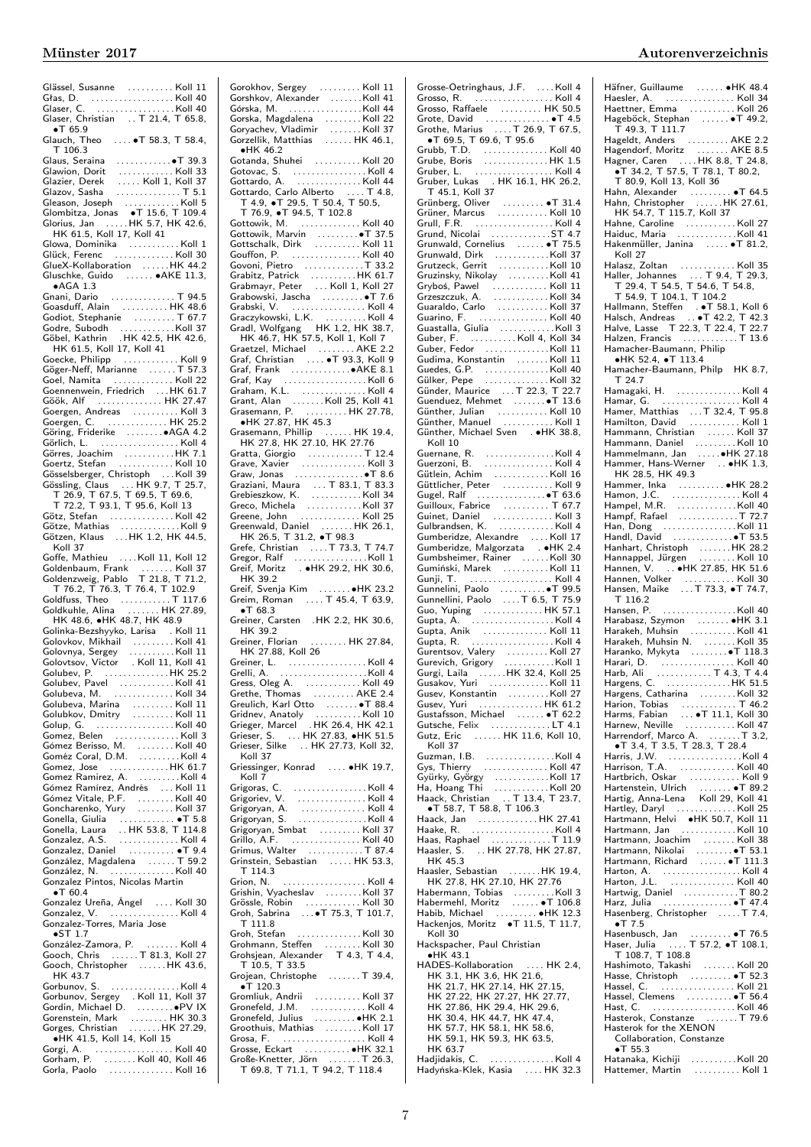Glässel, Susanne . . . . . . . . . . Koll 11 Głas, D. . . . . . . . . . . . . . . . . . . Koll 40 Glaser, C. . . . . . . . . . . . . . . . . .Koll 40 Glaser, Christian ... T 21.4, T 65.8, ∙T 65.9 Glauch, Theo .... • T 58.3, T 58.4,<br>T 106.3 T 106.3 Glaus, Seraina . . . . . . . . . . . .∙T 39.3 Glawion, Dorit . . . . . . . . . . . . Koll 33 Glazier, Derek . . . . . Koll 1, Koll 37 Glazov, Sasha . . . . . . . . . . . . . . T 5.1 Gleason, Joseph . . . . . . . . . . . . Koll 5 Glombitza, Jonas ∙T 15.6, T 109.4 Glorius, Jan . . . . .HK 5.7, HK 42.6, HK 61.5, Koll 17, Koll 41 Glowa, Dominika . . . . . . . . . . . Koll 1 Glück, Ferenc . . . . . . . . . . . . . Koll 30 GlueX-Kollaboration . . . . . .HK 44.2 Gluschke, Guido . . . . . . ∙AKE 11.3, ∙AGA 1.3 Gnani, Dario . . . . . . . . . . . . . . T 94.5 Goasduff, Alain . . . . . . . . . . HK 48.6 Godiot, Stephanie . . . . . . . . . T 67.7 Godre, Subodh . . . . . . . . . . . .Koll 37 Göbel, Kathrin . HK 42.5, HK 42.6, HK 61.5, Koll 17, Koll 41 Goecke, Philipp . . . . . . . . . . . . Koll 9 Göger-Neff, Marianne . . . . . . T 57.3 Goel, Namita . . . . . . . . . . . . . Koll 22 Goennenwein, Friedrich . . .HK 61.7 Göök, Alf . . . . . . . . . . . . . . HK 27.47 Goergen, Andreas . . . . . . . . . . Koll 3 Goergen, C. . . . . . . . . . . . . . HK 25.2 Göring, Friderike . . . . . . . .∙AGA 4.2 Görlich, L. . . . . . . . . . . . . . . . . . Koll 4 Görres, Joachim . . . . . . . . . . .HK 7.1 Goertz, Stefan . . . . . . . . . . . . Koll 10 Gösselsberger, Christoph Gössling, Claus . . . HK 9.7, T 25.7, T 26.9, T 67.5, T 69.5, T 69.6, T 72.2, T 93.1, T 95.6, Koll 13 Götz, Stefan . . . . . . . . . . . . . . Koll 42 Götze, Mathias . . . . . . . . . . . . .Koll 9 Götzen, Klaus . . .HK 1.2, HK 44.5, Koll 37 Goffe, Mathieu . . . .Koll 11, Koll 12 Goldenbaum, Frank . . . . . . . Koll 37 Goldenzweig, Pablo T 21.8, T 71.2, T 76.2, T 76.3, T 76.4, T 102.9 Goldfuss, Theo . . . . . . . . . . . . . T 117.6 Goldkuhle, Alina . . . . . . . HK 27.89, HK 48.6, ∙HK 48.7, HK 48.9 Golinka-Bezshyyko, Larisa . Koll 11 Golovkov, Mikhail . . . . . . . . . Koll 41 Golovnya, Sergey . . . . . . . . . . Koll 11 Golovtsov, Victor . Koll 11, Koll 41 Golubev, P. . . . . . . . . . . . . . . HK 25.2 Golubev, Pavel . . . . . . . . . . . . Koll 41 Golubeva, M. . . . . . . . . . . . . . Koll 34 Golubeva, Marina . . . . . . . . . Koll 11 Golubkov, Dmitry . . . . . . . . . Koll 11 Golup, G. (1981)<br>Gomez, Belen (1981)<br>Goméz Cerisso, M. (1991)<br>Goméz Coral, D.M. (1991)<br>Goméz Coral, D.M. (1991)<br>Gomez Ramirez, Andrés, 1991<br>Gómez Vitale, P.F. (1991)<br>Gómez Vitale, P.F. (1991)<br>Gomez Vitale, P.F. (1991)<br>Gome Gonella, Giulia . . . . . . . . . . . . ∙T 5.8 Gonella, Laura . . HK 53.8, T 114.8 Gonzalez, A.S. . . . . . . . . . . . . . Koll 4 Gonzalez, Daniel . . . . . . . . . . ∙T 9.4 Gonzalez, Daniel<br>González, Magdalena . . . . . . . T 59.2<br>González, N González, N. . . . . . . . . . . . . . . Koll 40 Gonzalez Pintos, Nicolas Martin ∙T 60.4 Gonzalez Ureña, Ángel . . . . Koll 30 Gonzalez, V. . . . . . . . . . . . . . . . Koll 4 Gonzalez-Torres, Maria Jose ∙ST 1.7 González-Zamora, P. . . . . . . . Koll 4 Gooch, Chris . . . . . . T 81.3, Koll 27 Gooch, Christopher . . . . . . HK 43.6, HK 43.7 Gorbunov, S. . . . . . . . . . . . . . . . Koll 4 Gorbunov, Sergey . Koll 11, Koll 37 Gordin, Michael D. . . . . . . . .∙PV IX Gorenstein, Mark ........ HK 30.3<br>Gorges, Christian .......HK 27.29,  $\ldots$  . . . . . . . HK 27.29, ∙HK 41.5, Koll 14, Koll 15 Gorgi, A. . . . . . . . . . . . . . . . . . Koll 40 Gorham, P. . . . . . . . Koll 40, Koll 46 Gorla, Paolo . . . . . . . . . . . . . . Koll 16

Gorokhov, Sergey . . . . . . . . . Koll 11 Gorshkov, Alexander . . . . . . .Koll 41 Górska, M. . . . . . . . . . . . . . . . .Koll 44 Gorska, Magdalena . . . . . . . . Koll 22 Goryachev, Vladimir . . . . . . . Koll 37 Gorzellik, Matthias . . . . . . HK 46.1, ∙HK 46.2 Gotanda, Shuhei . . . . . . . . . . Koll 20 Gotovac, S. . . . . . . . . . . . . . . . . Koll 4 Gottardo, A. . . . . . . . . . . . . . . Koll 44 Gottardo, Carlo Alberto . . . . T 4.8, ottardo, Carlo Alberto .... T 4.<br>T 4.9, •T 29.5, T 50.4, T 50.5, T 76.9, ∙T 94.5, T 102.8 Gottowik, M. . . . . . . . . . . . . . Koll 40 Gottowik, Marvin . . . . . . . . .∙T 37.5 Gottschalk, Dirk . . . . . . . . . . Koll 11 Gouffon, P. . . . . . . . . . . . . . . . Koll 40 Govoni, Pietro . . . . . . . . . . . . .T 33.2 Grabitz, Patrick . . . . . . . . . . HK 61.7 Grabmayr, Peter . . . Koll 1, Koll 27 Grabowski, Jascha . . . . . . . . . ∙T 7.6 Grabski, V. . . . . . . . . . . . . . . . . Koll 4 Graczykowski, L.K. . . . . . . . . . Koll 4 Gradl, Wolfgang HK 1.2, HK 38.7, HK 46.7, HK 57.5, Koll 1, Koll 7 Graetzel, Michael . . . . . . . . AKE 2.2 Graf, Christian . . . . ∙T 93.3, Koll 9 Graf, Frank . . . . . . . . . . . . .∙AKE 8.1 Graf, Kay . . . . . . . . . . . . . . . . . . Koll 6 Graham, K.L. . . . . . . . . . . . . . . Koll 4 Grant, Alan . . . . . . . Koll 25, Koll 41 Grasemann, P. . . . . . . . . . HK 27.78, ∙HK 27.87, HK 45.3 Grasemann, Phillip . . . . . . HK 19.4, HK 27.8, HK 27.10, HK 27.76 Gratta, Giorgio<br>Grave, Xavier<br>Grazu, Jonas<br>Graziani, Maura<br>Graziani, Maura<br>Grebieszkow, K.<br>Grebieszkow, K.<br>Grebieszkow, K.<br>Greco, Michela<br>Greco, Michela<br>Greco, Michela<br>Greco, Michela<br>Greco, Michela<br>Greco, Michela Greenwald, Daniel . . . . . . . HK 26.1, HK 26.5, T 31.2, ∙T 98.3 Grefe, Christian . . . . T 73.3, T 74.7 Gregor, Ralf . . . . . . . . . . . . . . . .Koll 1 Greif, Moritz . ∙HK 29.2, HK 30.6, HK 39.2 Greif, Svenja Kim . . . . . . . ∙HK 23.2 Greim, Roman ... . T 45.4, T 63.9, ∙T 68.3 Greiner, Carsten .HK 2.2, HK 30.6, HK 39.2 Greiner, Florian . . . . . . . . HK 27.84, HK 27.88, Koll 26 Greiner, L. . . . . . . . . . . . . . . . . . Koll 4 Grelli, A. . . . . . . . . . . . . . . . . . . .Koll 4 Gress, Oleg A. . . . . . . . . . . . . Koll 49 Grethe, Thomas . . . . . . . . . AKE 2.4 Greulich, Karl Otto . . . . . . . ∙T 88.4 Gridnev, Anatoly . . . . . . . . . . Koll 10 Grieger, Marcel . HK 26.4, HK 42.1 Grieser, S. . . . HK 27.83, ∙HK 51.5 Grieser, Silke . . HK 27.73, Koll 32, Koll 37 Griessinger, Konrad .... •HK 19.7,<br>Koll 7 Koll 7<br>Grigoras, C.<br>Grigoriev, V.<br>Grigoriev, V.<br>Grigoryan, A.<br>Grigoryan, S.<br>Grigoryan, Smbat<br>Grillo, A.F.<br>Grinstelle, Natter<br>Grimus, Walter<br>Grimus, Natter<br>Grimus, Natter<br>Grimus, Natter<br>Grimus, Natter<br>Grimus, Natter T 114.3 Grion, N. . . . . . . . . . . . . . . . . . . Koll 4 Grishin, Vyacheslav . . . . . . . . Koll 37 Grössle, Robin . . . . . . . . . . . . Koll 30 Groh, Sabrina . . .∙T 75.3, T 101.7, T 111.8<br>Groh. Stefan Groh, Stefan . . . . . . . . . . . . . . Koll 30 Grohmann, Steffen . . . . . . . . . . . . Koll 30 Grohsjean, Alexander T 4.3, T 4.4, T 10.5, T 33.5 Grojean, Christophe . . . . . . . T 39.4, ∙T 120.3 Gromliuk, Andrii . . . . . . . . . . Koll 37 Gronefeld, J.M. . . . . . . . . . . . . Koll 4 Gronefeld, Julius . . . . . . . . . ∙HK 2.1 Groothuis, Mathias . . . . . . . . Koll 17 Grosa, F. . . . . . . . . . . . . . . . . . . Koll 4 Grosse, Eckart . . . . . . . . . . ∙HK 32.1 Große-Knetter, Jörn . . . . . . . T 26.3, T 69.8, T 71.1, T 94.2, T 118.4

| Grosse-Oetringhaus, J.F. Koll 4                                                                                                                                                                                                                                                                                                                                                                                    |  |
|--------------------------------------------------------------------------------------------------------------------------------------------------------------------------------------------------------------------------------------------------------------------------------------------------------------------------------------------------------------------------------------------------------------------|--|
| Grosso, R.  Koll 4                                                                                                                                                                                                                                                                                                                                                                                                 |  |
|                                                                                                                                                                                                                                                                                                                                                                                                                    |  |
|                                                                                                                                                                                                                                                                                                                                                                                                                    |  |
|                                                                                                                                                                                                                                                                                                                                                                                                                    |  |
|                                                                                                                                                                                                                                                                                                                                                                                                                    |  |
| Grubb, T.D.<br>Grube, Boris<br>Grube, Boris<br>Gruber, L.                                                                                                                                                                                                                                                                                                                                                          |  |
|                                                                                                                                                                                                                                                                                                                                                                                                                    |  |
|                                                                                                                                                                                                                                                                                                                                                                                                                    |  |
| Gruber, Lukas HK 16.1, HK 26.2,                                                                                                                                                                                                                                                                                                                                                                                    |  |
| T 45.1, Koll 37                                                                                                                                                                                                                                                                                                                                                                                                    |  |
|                                                                                                                                                                                                                                                                                                                                                                                                                    |  |
|                                                                                                                                                                                                                                                                                                                                                                                                                    |  |
|                                                                                                                                                                                                                                                                                                                                                                                                                    |  |
| Grund, Nicolai ST 4.7                                                                                                                                                                                                                                                                                                                                                                                              |  |
| Grunwald, Cornelius<br>Grunwald, Dirk<br>Grunwald, Dirk<br>Grutzeck, Gerrit<br>Mill 10                                                                                                                                                                                                                                                                                                                             |  |
|                                                                                                                                                                                                                                                                                                                                                                                                                    |  |
|                                                                                                                                                                                                                                                                                                                                                                                                                    |  |
| Gruzinsky, Nikolay Koll 41                                                                                                                                                                                                                                                                                                                                                                                         |  |
|                                                                                                                                                                                                                                                                                                                                                                                                                    |  |
|                                                                                                                                                                                                                                                                                                                                                                                                                    |  |
| Gryboś, Pawel<br>Grzeszczuk, A. (11)<br>Grzeszczuk, A. (11)<br>Guaraldo, Carlo (11)<br>Guarino, F. (11)<br>Guarino, F. (11)                                                                                                                                                                                                                                                                                        |  |
|                                                                                                                                                                                                                                                                                                                                                                                                                    |  |
|                                                                                                                                                                                                                                                                                                                                                                                                                    |  |
|                                                                                                                                                                                                                                                                                                                                                                                                                    |  |
|                                                                                                                                                                                                                                                                                                                                                                                                                    |  |
|                                                                                                                                                                                                                                                                                                                                                                                                                    |  |
|                                                                                                                                                                                                                                                                                                                                                                                                                    |  |
|                                                                                                                                                                                                                                                                                                                                                                                                                    |  |
| Cuber, Fedor<br>Guber, Fedor<br>Guber, Fedor<br>Guilla, Konstantin<br>Guilla, Konstantin<br>Guilla, Constantin<br>Guilla, Constanting (1997)<br>Sunder, Maurice (1998)<br>Mahmute (1998)<br>22.7<br>Taylor (1998)                                                                                                                                                                                                  |  |
|                                                                                                                                                                                                                                                                                                                                                                                                                    |  |
|                                                                                                                                                                                                                                                                                                                                                                                                                    |  |
| Guenduez, Mehmet<br>Günther, Julian (1997)<br>Günther, Manuel (1998)<br>Koll 1 (1998)                                                                                                                                                                                                                                                                                                                              |  |
| Günther, Michael Sven . HK 38.8,                                                                                                                                                                                                                                                                                                                                                                                   |  |
| Koll 10                                                                                                                                                                                                                                                                                                                                                                                                            |  |
|                                                                                                                                                                                                                                                                                                                                                                                                                    |  |
|                                                                                                                                                                                                                                                                                                                                                                                                                    |  |
| Guerzoni, D.<br>Güttlicher, Peter<br>Güttlicher, Peter<br>Güttlicher, Peter<br>Guilloux, Fabrice<br>Guilloux, Fabrice<br>Guilloux, Fabrice<br>Cumhoridea, K.<br>Cumhoridea, K.<br>Cumhoridea, K.<br>Cumhoridea, K.<br>Cumhoridea, K.                                                                                                                                                                               |  |
|                                                                                                                                                                                                                                                                                                                                                                                                                    |  |
|                                                                                                                                                                                                                                                                                                                                                                                                                    |  |
|                                                                                                                                                                                                                                                                                                                                                                                                                    |  |
|                                                                                                                                                                                                                                                                                                                                                                                                                    |  |
|                                                                                                                                                                                                                                                                                                                                                                                                                    |  |
|                                                                                                                                                                                                                                                                                                                                                                                                                    |  |
|                                                                                                                                                                                                                                                                                                                                                                                                                    |  |
|                                                                                                                                                                                                                                                                                                                                                                                                                    |  |
|                                                                                                                                                                                                                                                                                                                                                                                                                    |  |
|                                                                                                                                                                                                                                                                                                                                                                                                                    |  |
|                                                                                                                                                                                                                                                                                                                                                                                                                    |  |
|                                                                                                                                                                                                                                                                                                                                                                                                                    |  |
|                                                                                                                                                                                                                                                                                                                                                                                                                    |  |
|                                                                                                                                                                                                                                                                                                                                                                                                                    |  |
|                                                                                                                                                                                                                                                                                                                                                                                                                    |  |
|                                                                                                                                                                                                                                                                                                                                                                                                                    |  |
|                                                                                                                                                                                                                                                                                                                                                                                                                    |  |
|                                                                                                                                                                                                                                                                                                                                                                                                                    |  |
|                                                                                                                                                                                                                                                                                                                                                                                                                    |  |
|                                                                                                                                                                                                                                                                                                                                                                                                                    |  |
|                                                                                                                                                                                                                                                                                                                                                                                                                    |  |
|                                                                                                                                                                                                                                                                                                                                                                                                                    |  |
|                                                                                                                                                                                                                                                                                                                                                                                                                    |  |
|                                                                                                                                                                                                                                                                                                                                                                                                                    |  |
|                                                                                                                                                                                                                                                                                                                                                                                                                    |  |
|                                                                                                                                                                                                                                                                                                                                                                                                                    |  |
|                                                                                                                                                                                                                                                                                                                                                                                                                    |  |
|                                                                                                                                                                                                                                                                                                                                                                                                                    |  |
| Gulbrandsen, K. (1997)<br>Gumberidze, Alexandre (1998)<br>The Comberidze, Alexandre (1998)<br>Gumbsheimer, Rainer (1998)<br>Gumiński, Marek (1998)<br>Gumalini, T. (1998)<br>Gumalini, Paolo (1998)<br>Gumalini, Paolo (1995)<br>Gumalini, Pao<br>Gusev, Konstantin Koll 27<br>Gusev, Yuri HK 61.2<br>Gustafsson, Michael<br>Gustafsson, Michael<br>Gutsche, Felix<br>Gutz, Eric All. HK 11.6, Koll 10,<br>Koll 37 |  |
|                                                                                                                                                                                                                                                                                                                                                                                                                    |  |
| . Koll 47                                                                                                                                                                                                                                                                                                                                                                                                          |  |
|                                                                                                                                                                                                                                                                                                                                                                                                                    |  |
|                                                                                                                                                                                                                                                                                                                                                                                                                    |  |
|                                                                                                                                                                                                                                                                                                                                                                                                                    |  |
| Guzman, I.B. Koll 4<br>Gys, Thierry<br>Gyürky, György<br>Ha, Hoang Thi   Koll 20<br>Haack, Christian   T 13.4, T 23.7,<br>$\bullet$ T 58.7, T 58.8, T 106.3                                                                                                                                                                                                                                                        |  |
|                                                                                                                                                                                                                                                                                                                                                                                                                    |  |
| Haack, Jan HK 27.41<br>Haake, R. Koll 4                                                                                                                                                                                                                                                                                                                                                                            |  |
|                                                                                                                                                                                                                                                                                                                                                                                                                    |  |
|                                                                                                                                                                                                                                                                                                                                                                                                                    |  |
| HK 45.3                                                                                                                                                                                                                                                                                                                                                                                                            |  |
|                                                                                                                                                                                                                                                                                                                                                                                                                    |  |
| Haasler, Sebastian   HK 19.4,<br>HK 27.8, HK 27.10, HK 27.76                                                                                                                                                                                                                                                                                                                                                       |  |
|                                                                                                                                                                                                                                                                                                                                                                                                                    |  |
|                                                                                                                                                                                                                                                                                                                                                                                                                    |  |
|                                                                                                                                                                                                                                                                                                                                                                                                                    |  |
|                                                                                                                                                                                                                                                                                                                                                                                                                    |  |
| Koll 30                                                                                                                                                                                                                                                                                                                                                                                                            |  |
|                                                                                                                                                                                                                                                                                                                                                                                                                    |  |
| $\bullet$ HK 43.1                                                                                                                                                                                                                                                                                                                                                                                                  |  |
|                                                                                                                                                                                                                                                                                                                                                                                                                    |  |
| HK 3.1, HK 3.6, HK 21.6,                                                                                                                                                                                                                                                                                                                                                                                           |  |
|                                                                                                                                                                                                                                                                                                                                                                                                                    |  |
| HK 21.7, HK 27.14, HK 27.15,<br>HK 27.22, HK 27.27, HK 27.77,                                                                                                                                                                                                                                                                                                                                                      |  |
| HK 27.86, HK 29.4, HK 29.6,                                                                                                                                                                                                                                                                                                                                                                                        |  |
| HK 30.4, HK 44.7, HK 47.4,                                                                                                                                                                                                                                                                                                                                                                                         |  |
| HK 57.7, HK 58.1, HK 58.6,                                                                                                                                                                                                                                                                                                                                                                                         |  |
| HK 59.1, HK 59.3, HK 63.5,                                                                                                                                                                                                                                                                                                                                                                                         |  |
| Haasler, Sebastian<br>Habermann, Tobias<br>Habermehl, Moritz  T 106.8<br>Habib, Michael ●HK 12.3<br>Hackenjos, Moritz ●T 11.5, T 11.7,<br>Hackspacher, Paul Christian<br>HADES-Kollaboration  HK 2.4,<br>HK 63.7                                                                                                                                                                                                   |  |
| Hadjidakis, C.     Koll 4<br>Hadyńska-Klek, Kasia     HK 32.3                                                                                                                                                                                                                                                                                                                                                      |  |

| Häfner, Guillaume<br>Haesler, A. (1999).<br>Haettner, Emma (1999).<br>Hageböck, Stephan (1990).<br>T 49.3, T 111.7 (1992).<br>T 49.3, T 111.7 (1992).                                                                                                                                                       |
|-------------------------------------------------------------------------------------------------------------------------------------------------------------------------------------------------------------------------------------------------------------------------------------------------------------|
|                                                                                                                                                                                                                                                                                                             |
|                                                                                                                                                                                                                                                                                                             |
|                                                                                                                                                                                                                                                                                                             |
|                                                                                                                                                                                                                                                                                                             |
|                                                                                                                                                                                                                                                                                                             |
|                                                                                                                                                                                                                                                                                                             |
|                                                                                                                                                                                                                                                                                                             |
|                                                                                                                                                                                                                                                                                                             |
|                                                                                                                                                                                                                                                                                                             |
|                                                                                                                                                                                                                                                                                                             |
| T 34.2, T 57.5, T 78.1, T 80.2,                                                                                                                                                                                                                                                                             |
| T 80.9, Koll 13, Koll 36                                                                                                                                                                                                                                                                                    |
|                                                                                                                                                                                                                                                                                                             |
|                                                                                                                                                                                                                                                                                                             |
|                                                                                                                                                                                                                                                                                                             |
|                                                                                                                                                                                                                                                                                                             |
|                                                                                                                                                                                                                                                                                                             |
| Hahne, Caroline<br>Haiduc, Maria Koll 41                                                                                                                                                                                                                                                                    |
|                                                                                                                                                                                                                                                                                                             |
|                                                                                                                                                                                                                                                                                                             |
| Hakenmüller, Janina  T 81.2,                                                                                                                                                                                                                                                                                |
| Koll 27                                                                                                                                                                                                                                                                                                     |
|                                                                                                                                                                                                                                                                                                             |
|                                                                                                                                                                                                                                                                                                             |
|                                                                                                                                                                                                                                                                                                             |
|                                                                                                                                                                                                                                                                                                             |
|                                                                                                                                                                                                                                                                                                             |
|                                                                                                                                                                                                                                                                                                             |
|                                                                                                                                                                                                                                                                                                             |
|                                                                                                                                                                                                                                                                                                             |
|                                                                                                                                                                                                                                                                                                             |
|                                                                                                                                                                                                                                                                                                             |
|                                                                                                                                                                                                                                                                                                             |
|                                                                                                                                                                                                                                                                                                             |
| Noil 21<br>Haller, Johannes  T 9.4, T 29.3,<br>Haller, Johannes  T 9.4, T 29.3,<br>T 29.4, T 54.5, T 54.6, T 54.8,<br>T 54.9, T 104.1, T 104.2<br>Hallmann, Steffen  T 58.1, Koll 6<br>Halsch, Andreas  T 42.2, T 42.3<br>Halve,                                                                            |
| •HK 52.4, •T 113.4                                                                                                                                                                                                                                                                                          |
| Hamacher-Baumann, Philp HK 8.7,                                                                                                                                                                                                                                                                             |
|                                                                                                                                                                                                                                                                                                             |
| $T$ 24.7                                                                                                                                                                                                                                                                                                    |
| Hamagaki, H. Koll 4                                                                                                                                                                                                                                                                                         |
|                                                                                                                                                                                                                                                                                                             |
| Hamar, G. (1999)<br>Hamer, Matthias (1999, 1998)<br>Hamilton, David (1999, 1999, 1999)                                                                                                                                                                                                                      |
|                                                                                                                                                                                                                                                                                                             |
|                                                                                                                                                                                                                                                                                                             |
|                                                                                                                                                                                                                                                                                                             |
| Hammann, Christian<br>Hammann, Daniel<br>Hammelmann, Jan Allen, 1982<br>Hammelmann, Jan Allen, 27,18                                                                                                                                                                                                        |
|                                                                                                                                                                                                                                                                                                             |
|                                                                                                                                                                                                                                                                                                             |
|                                                                                                                                                                                                                                                                                                             |
| Hammer, Hans-Werner  . HK 1.3,                                                                                                                                                                                                                                                                              |
| HK 28.5, HK 49.3                                                                                                                                                                                                                                                                                            |
|                                                                                                                                                                                                                                                                                                             |
|                                                                                                                                                                                                                                                                                                             |
|                                                                                                                                                                                                                                                                                                             |
|                                                                                                                                                                                                                                                                                                             |
|                                                                                                                                                                                                                                                                                                             |
|                                                                                                                                                                                                                                                                                                             |
|                                                                                                                                                                                                                                                                                                             |
| Hammer, Inka<br>Hammer, Inka<br>Hammer, Inka<br>Hampel, M.R.<br>Hampf, Rafael<br>Hampf, Rafael<br>Hampf, Rafael<br>Hamper, Christian (1990)<br>Hamper, Christian (1990)<br>Hamper, Christian (1990)<br>Hamper, Christian (1990)<br>Hamper, Christian                                                        |
|                                                                                                                                                                                                                                                                                                             |
|                                                                                                                                                                                                                                                                                                             |
|                                                                                                                                                                                                                                                                                                             |
|                                                                                                                                                                                                                                                                                                             |
|                                                                                                                                                                                                                                                                                                             |
|                                                                                                                                                                                                                                                                                                             |
|                                                                                                                                                                                                                                                                                                             |
|                                                                                                                                                                                                                                                                                                             |
|                                                                                                                                                                                                                                                                                                             |
| 1935<br>Hannappel, Jürgen<br>Hannappel, Jürgen<br>Hannen, V. (1948)<br>Hannen, V. (1948)<br>Hannen, Volker (1948)<br>Hannen, Maike (1948)<br>Tilfi? Tilfi? (1947)<br>T 116.2                                                                                                                                |
|                                                                                                                                                                                                                                                                                                             |
|                                                                                                                                                                                                                                                                                                             |
|                                                                                                                                                                                                                                                                                                             |
|                                                                                                                                                                                                                                                                                                             |
| Harabasz, Szymon<br>HK 3.1 Harakeh, Muhsin<br>Koll 41                                                                                                                                                                                                                                                       |
|                                                                                                                                                                                                                                                                                                             |
| Harakeh, Muhsin N. Koll 35<br>Haranko, Mykyta •T 118.3                                                                                                                                                                                                                                                      |
|                                                                                                                                                                                                                                                                                                             |
|                                                                                                                                                                                                                                                                                                             |
|                                                                                                                                                                                                                                                                                                             |
|                                                                                                                                                                                                                                                                                                             |
|                                                                                                                                                                                                                                                                                                             |
| Hargens, Catharina Koll 32                                                                                                                                                                                                                                                                                  |
|                                                                                                                                                                                                                                                                                                             |
|                                                                                                                                                                                                                                                                                                             |
|                                                                                                                                                                                                                                                                                                             |
|                                                                                                                                                                                                                                                                                                             |
|                                                                                                                                                                                                                                                                                                             |
|                                                                                                                                                                                                                                                                                                             |
|                                                                                                                                                                                                                                                                                                             |
|                                                                                                                                                                                                                                                                                                             |
|                                                                                                                                                                                                                                                                                                             |
|                                                                                                                                                                                                                                                                                                             |
|                                                                                                                                                                                                                                                                                                             |
|                                                                                                                                                                                                                                                                                                             |
|                                                                                                                                                                                                                                                                                                             |
|                                                                                                                                                                                                                                                                                                             |
|                                                                                                                                                                                                                                                                                                             |
|                                                                                                                                                                                                                                                                                                             |
|                                                                                                                                                                                                                                                                                                             |
|                                                                                                                                                                                                                                                                                                             |
|                                                                                                                                                                                                                                                                                                             |
|                                                                                                                                                                                                                                                                                                             |
|                                                                                                                                                                                                                                                                                                             |
|                                                                                                                                                                                                                                                                                                             |
|                                                                                                                                                                                                                                                                                                             |
|                                                                                                                                                                                                                                                                                                             |
|                                                                                                                                                                                                                                                                                                             |
|                                                                                                                                                                                                                                                                                                             |
|                                                                                                                                                                                                                                                                                                             |
|                                                                                                                                                                                                                                                                                                             |
| $\bullet$ T 7.5                                                                                                                                                                                                                                                                                             |
|                                                                                                                                                                                                                                                                                                             |
|                                                                                                                                                                                                                                                                                                             |
|                                                                                                                                                                                                                                                                                                             |
|                                                                                                                                                                                                                                                                                                             |
|                                                                                                                                                                                                                                                                                                             |
|                                                                                                                                                                                                                                                                                                             |
|                                                                                                                                                                                                                                                                                                             |
|                                                                                                                                                                                                                                                                                                             |
|                                                                                                                                                                                                                                                                                                             |
|                                                                                                                                                                                                                                                                                                             |
|                                                                                                                                                                                                                                                                                                             |
|                                                                                                                                                                                                                                                                                                             |
|                                                                                                                                                                                                                                                                                                             |
|                                                                                                                                                                                                                                                                                                             |
| Collaboration, Constanze                                                                                                                                                                                                                                                                                    |
| $\bullet$ T 55.3                                                                                                                                                                                                                                                                                            |
| Hasenberg, Christopher T 7.4,<br>• 1 (2013)<br>Hasenbusch, Jan (2014)<br>Hasenbusch, Jan (2014)<br>T 108.7, T 108.8<br>Hashimoto, Takashimoto, The Holl 20<br>Hasse, Christoph (2014)<br>Hassel, C. (2014)<br>Hassel, C. (2014)<br>Hassel, Clemens (2014)<br>Hassel, Clemens (201<br>Hasterok for the XENON |
| Hatanaka, Kichiji Koll 20<br>Hattemer, Martin  Koll 1                                                                                                                                                                                                                                                       |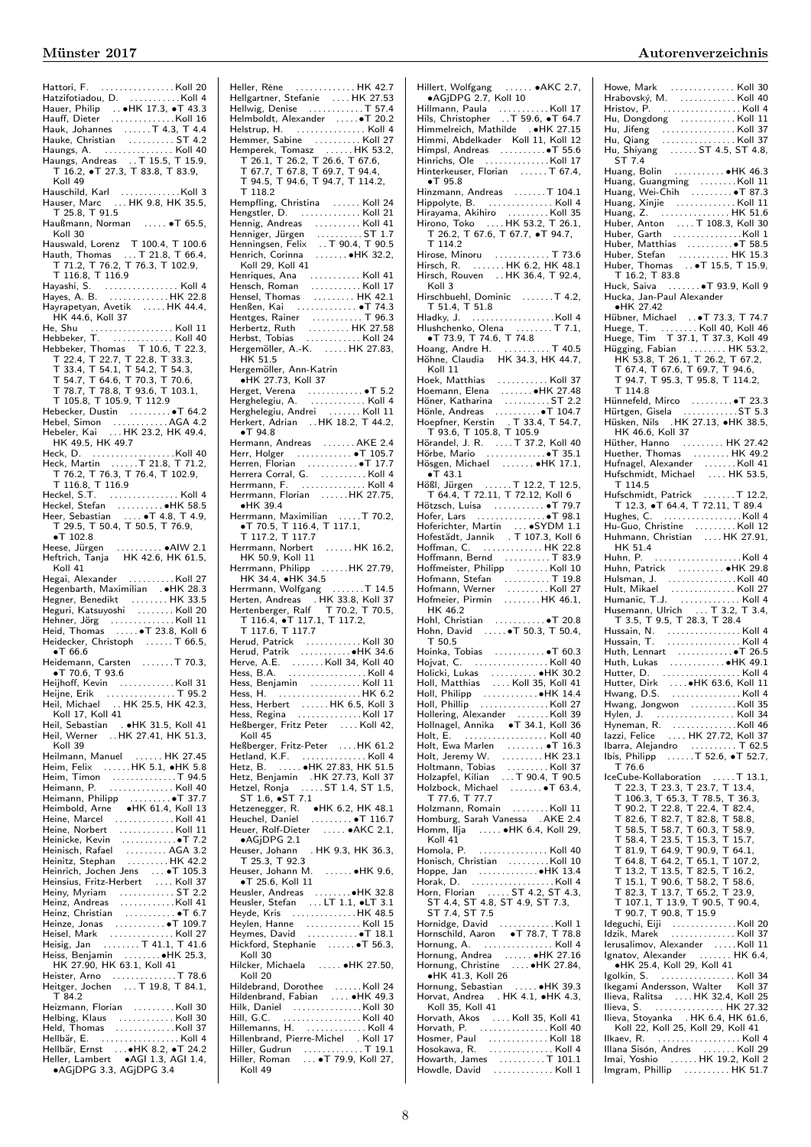Hattori, F. . . . . . . . . . . . . . . . . Koll 20 Hatzifotiadou, D. . . . . . . . . . . . . . Koll 4<br>Hauer, Philip . . ●HK 17.3, ●T 43.3<br>Hauff, Dieter . . . . . . . . . . . . . . . Koll 16 Hauk, Johannes . . . . . . T 4.3, T 4.4 Hauke, Christian . . . . . . . . . . ST 4.2 Haungs, A. . . . . . . . . . . . . . . . Koll 40 Haungs, Andreas . . T 15.5, T 15.9, T 16.2, ∙T 27.3, T 83.8, T 83.9, Koll 49 Hauschild, Karl . . . . . . . . . . . . .Koll 3 Hauser, Marc . . . HK 9.8, HK 35.5, T 25.8, T 91.5 Haußmann, Norman . . . . . ∙T 65.5, Koll 30 Hauswald, Lorenz T 100.4, T 100.6 Hauth, Thomas ... T 21.8, T 66.4,<br>T 71.2. T 76.2. T 76.3. T 102.9. T 71.2, T 76.2, T 76.3, T 102.9, T 116.8, T 116.9 Hayashi, S. . . . . . . . . . . . . . . . . Koll 4 Hayes, A. B. . . . . . . . . . . . . . HK 22.8 Hayrapetyan, Avetik . . . . . HK 44.4, HK 44.6, Koll 37 He, Shu . . . . . . . . . . . . . . . . . . Koll 11 Hebbeker, T. . . . . . . . . . . . . . Koll 40 Hebbeker, Thomas T 10.6, T 22.3, T 22.4, T 22.7, T 22.8, T 33.3, T 33.4, T 54.1, T 54.2, T 54.3, T 54.7, T 64.6, T 70.3, T 70.6, T 78.7, T 78.8, T 93.6, T 103.1, T 105.8, T 105.9, T 112.9 Hebecker, Dustin . . . . . . . . . ∙T 64.2 Hebel, Simon . . . . . . . . . . . . AGA 4.2 Hebeler, Kai . . . HK 23.2, HK 49.4, HK 49.5, HK 49.7 Heck, D. . . . . . . . . . . . . . . . . . .Koll 40 Heck, Martin . . . . . .T 21.8, T 71.2, T 76.2, T 76.3, T 76.4, T 102.9, T 116.8, T 116.9 Heckel, S.T. . . . . . . . . . . . . . . . Koll 4 Heckel, Stefan . . . . . . . . . . ∙HK 58.5 Heer, Sebastian . . . . ∙T 4.8, T 4.9, T 29.5, T 50.4, T 50.5, T 76.9, ∙T 102.8 Heese, Jürgen . . . . . . . . . . ∙AIW 2.1 Heftrich, Tanja HK 42.6, HK 61.5, Koll 41<br>Hegai, Alexander Hegai, Alexander ............Koll 27<br>Hegenbarth, Maximilian . ●HK 28.3<br>Hegner, Benedikt ..........HK 33.5<br>Heguri, Katsuyoshi .........Koll 20 Hehner, Jörg . . . . . . . . . . . . . . Koll 11 Heid, Thomas . . . . . ∙T 23.8, Koll 6 Heidecker, Christoph ...... T 66.5, ∙T 66.6 Heidemann, Carsten . . . . . . .T 70.3, ∙T 70.6, T 93.6 Heijhoff, Kevin . . . . . . . . . . . . Koll 31 Heijne, Erik . . . . . . . . . . . . . . . T 95.2 Heil, Michael . . HK 25.5, HK 42.3, Koll 17, Koll 41 Heil, Sebastian . ∙HK 31.5, Koll 41 Heil, Werner . .HK 27.41, HK 51.3, Koll 39<br>Heilmann, Manuel ...... HK 27.45<br>Heim, Timon .................... T 94.5<br>Heim, Timon .................. T 94.5 Heimann, P. . . . . . . . . . . . . . . Koll 40 Heimann, Philipp . . . . . . . . . ∙T 37.7 Heimbold, Arne ∙HK 61.4, Koll 13 Heine, Marcel . . . . . . . . . . . . . Koll 41 Heine, Norbert . . . . . . . . . . . . Koll 11 Heinicke, Kevin . . . . . . . . . . . . ●T 7.2<br>Heinisch, Rafael . . . . . . . . . AGA 3.2<br>Heinitz, Stephan . . . . . . . . . HK 42.2 Heinrich, Jochen Jens . . . ∙T 105.3 Heinsius, Fritz-Herbert . . . . Koll 37 Heiny, Myriam . . . . . . . . . . . ST 2.2<br>Heinz, Andreas . . . . . . . . . . . . . Koll 41<br>Heinz, Christian . . . . . . . . . . . ● T 6.7 Heinze, Jonas . . . . . . . . . . ●T 109.7<br>Heisel, Mark . . . . . . . . . . . . . . Koll 27<br>Heisig, Jan . . . . . . . . T 41.1, T 41.6 Heiss, Benjamin . . . . . . . . ●HK 25.3,<br>- HK 27.90, HK 63.1, Koll 41<br>Heister, Arno . . . . . . . . . . . . T 78.6<br>Heitger, Jochen . . . . T 19.8, T 84.1, T 84.2 Heizmann, Florian . . . . . . . . .Koll 30 Helbing, Klaus . . . . . . . . . . . . Koll 30 Held, Thomas . . . . . . . . . . . . .Koll 37 Hellbär, E. . . . . . . . . . . . . . . . . . Koll 4 Hellbär, Ernst . . .∙HK 8.2, ∙T 24.2 Heller, Lambert ∙AGI 1.3, AGI 1.4, ∙AGjDPG 3.3, AGjDPG 3.4

Heller, Réne . . . . . . . . . . . . . HK 42.7<br>Hellgartner, Stefanie . . . . . HK 27.53<br>Hellwig, Denise . . . . . . . . . . T 37.4<br>Helmboldt, Alexander . . . . . ●T 20.2 Helstrup, H. . . . . . . . . . . . . . . . Koll 4 Hemmer, Sabine . . . . . . . . . . Koll 27 Hemperek, Tomasz . . . . . . HK 53.2, T 26.1, T 26.2, T 26.6, T 67.6, T 67.7, T 67.8, T 69.7, T 94.4, T 94.5, T 94.6, T 94.7, T 114.2,  $T$  118.2 Hempfling, Christina ...... Koll 24 Hengstler, D. . . . . . . . . . . . . . . Koll 21<br>Hennig, Andreas . . . . . . . . . . . . Koll 41<br>Henniger, Jürgen . . . . . . . . . . . 5T 1.7<br>Henningsen, Felix . . . T 90.4, T 90.5 Henrich, Corinna . . . . . . . ∙HK 32.2, Koll 29, Koll 41 Henriques, Ana . . . . . . . . . . . Koll 41 Hensch, Roman . . . . . . . . . . . Koll 17 Hensel, Thomas . . . . . . . . . HK 42.1 Henßen, Kai . . . . . . . . . . . . . ∙T 74.3 Hentges, Rainer . . . . . . . . . . . T 96.3 Herbertz, Ruth . . . . . . . . . HK 27.58 Herbst, Tobias . . . . . . . . . . . . Koll 24 Hergemöller, A.-K. . . . . . HK 27.83, HK 51.5 Hergemöller, Ann-Katrin ∙HK 27.73, Koll 37 Herget, Verena . . . . . . . . . . . . ∙T 5.2 Herghelegiu, A. . . . . . . . . . . . . Koll 4 Herghelegiu, Andrei . . . . . . . Koll 11 Herghelegiu, Andrei<br>Herkert, Adrian ... HK 18.2, T 44.2, ∙T 94.8 Hermann, Andreas ....... AKE 2.4 Herr, Holger . . . . . . . . . . . . ∙T 105.7 Herren, Florian . . . . . . . . . . . ∙T 17.7 Herrera Corral, G. . . . . . . . . . . Koll 4 Herrmann, F. . . . . . . . . . . . . . . Koll 4 Herrmann, Florian . . . . . .HK 27.75, ∙HK 39.4 Herrmann, Maximilian . . . . .T 70.2, ∙T 70.5, T 116.4, T 117.1, T 117.2, T 117.7 Herrmann, Norbert . . . . . . HK 16.2, HK 50.9, Koll 11 Herrmann, Philipp . . . . . .HK 27.79, HK 34.4, ∙HK 34.5 Herrmann, Wolfgang . . . . . . .T 14.5<br>Herten, Andreas . .HK 33.8, Koll 37<br>Hertenberger, Ralf T 70.2, T 70.5,<br>T 116.4, •T 117.1, T 117.2,<br>T 117.6, T 117.7 Herud, Patrick . . . . . . . . . . . . Koll 30<br>Herud, Patrik . . . . . . . . . . ● HK 34.6<br>Herve, A.E. . . . . . . . Koll 34, Koll 40 Hess, B.A. . . . . . . . . . . . . . . . . . Koll 4 Hess, Benjamin . . . . . . . . . . . Koll 11 Hess, H. . . . . . . . . . . . . . . . . . . HK 6.2 Hess, Herbert . . . . . . HK 6.5, Koll 3 Hess, Regina . . . . . . . . . . . . . . Koll 17 Heßberger, Fritz Peter . . . . Koll 42,  $Kol<sub>145</sub>$ Heßberger, Fritz-Peter . . . .HK 61.2 Hetland, K.F. . . . . . . . . . . . . . . Koll 4<br>Hetz, B. . . . . . ●HK 27.83, HK 51.5<br>Hetz, Benjamin .HK 27.73, Koll 37 Hetzel, Ronja . . . . . ST 1.4, ST 1.5, ST 1.6, ∙ST 7.1 Hetzenegger, R. ●HK 6.2, HK 48.1<br>Heuchel, Daniel . . . . . ... ●T 116.7<br>Heuer, Rolf-Dieter . . . . ●AKC 2.1, ∙AGjDPG 2.1 Heuser, Johann . HK 9.3, HK 36.3, T 25.3, T 92.3 Heuser, Johann M. . . . . . . ∙HK 9.6, ∙T 25.6, Koll 11 Heusler, Andreas . . . . . . . . ●HK 32.8<br>Heusler, Stefan . . . LT 1.1, ●LT 3.1<br>Heyde, Kris . . . . . . . . . . . . . HK 48.5 Heylen, Hanne . . . . . . . . . . . . Koll 15 Heymes, David . . . . . . . . . . . ∙T 18.1 Hickford, Stephanie . . . . . . ∙T 56.3,  $K_0$ II 30 Hilcker, Michaela . . . . . ∙HK 27.50, Koll 20 Hildebrand, Dorothee . . . . . . Koll 24 Hildenbrand, Fabian . . . . ∙HK 49.3 Hilk, Daniel . . . . . . . . . . . . . . . Koll 30 Hill, G.C. . . . . . . . . . . . . . . . . . Koll 40 Hillemanns, H. . . . . . . . . . . . . . Koll 4 Hillenbrand, Pierre-Michel . Koll 17 Hiller, Gudrun . . . . . . . . . . . . . T 19.1 Hiller, Roman . . . ∙T 79.9, Koll 27, Koll 49

# Hillert, Wolfgang . . . . . . ∙AKC 2.7, ∙AGjDPG 2.7, Koll 10 Hillmann, Paula . . . . . . . . . . . Koll 17 Hils, Christopher . .T 59.6, ∙T 64.7 Himmelreich, Mathilde . ∙HK 27.15 Himmi, Abdelkader Koll 11, Koll 12 Himpsl, Andreas . . . . . . . . . .∙T 55.6 Hinrichs, Ole ..............Koll 17<br>Hinterkeuser, Florian .......T 67.4, ∙T 95.8 Hinzmann, Andreas . . . . . . .T 104.1 Hippolyte, B. . . . . . . . . . . . . . . Koll 4 Hirayama, Akihiro . . . . . . . . . Koll 35 Hirono, Toko . . . . HK 53.2, T 26.1, T 26.2, T 67.6, T 67.7, ∙T 94.7,  $T 114.2$ Hirose, Minoru . . . . . . . . . . . . T 73.6 Hirsch, R. . . . . . . . HK 6.2, HK 48.1 Hirsch, Rouven . . HK 36.4, T 92.4, Koll 3 Hirschbuehl, Dominic . . . . . . .T 4.2, T 51.4, T 51.8 Hladky, J. . . . . . . . . . . . . . . . . . .Koll 4 Hlushchenko, Olena . . . . . . . . T 7.1, ∙T 73.9, T 74.6, T 74.8 Hoang, Andre H. . . . . . . . . . . T 40.5 Hoang, Andre H.<br>Hoang, Andre H.<br>Höhne, Claudia HK 34.3, HK 44.7, Koll 11 Hoek, Matthias . . . . . . . . . . . Koll 37 Hoemann, Elena . . . . . . . ∙HK 27.48 Höner, Katharina . . . . . . . . . . ST 2.2 Hönle, Andreas . . . . . . . . . . ● T 104.7<br>Hoepfner, Kerstin . T 33.4, T 54.7,<br>T 93.6, T 105.8, T 105.9 Hörandel, J. R. ⊥.... T 37.2, Koll 40<br>Hörbe, Mario ⊥.............•T 35.1<br>Hösgen, Michael ⊥....... •HK 17.1, ∙T 43.1 Hößl, Jürgen . . . . . . T 12.2, T 12.5, T 64.4, T 72.11, T 72.12, Koll 6 Hötzsch, Luisa . . . . . . . . . . . ∙T 79.7 Hofer, Lars . . . . . . . . . . . . . . .∙T 98.1 Hoferichter, Martin . . . ∙SYDM 1.1 Hofestädt, Jannik . T 107.3, Koll 6 Hoffman, C. . . . . . . . . . . . . . HK 22.8 Hoffmann, Bernd . . . . . . . . . . T 83.9 Hoffmeister, Philipp . . . . . . . Koll 10 Hofmann, Stefan . . . . . . . . . . T 19.8 Hofmann, Werner . . . . . . . . . Koll 27 Hofmeier, Pirmin . . . . . . . . HK 46.1,  $HK$  46.2 Hohl, Christian . . . . . . . . . . . ∙T 20.8 Hohn, David ......●T 50.3, T 50.4, T 50.5 Hoinka, Tobias . . . . . . . . . . . ∙T 60.3 Hojvat, C. . . . . . . . . . . . . . . . . Koll 40 Holicki, Lukas . . . . . . . . . . ∙HK 30.2 Holl, Matthias . . . . Koll 35, Koll 41 Holl, Philipp . . . . . . . . . . . . ∙HK 14.4 Holl, Phillip . . . . . . . . . . . . . . . Koll 27 Hollering, Alexander . . . . . . . Koll 39 Hollnagel, Annika ∙T 34.1, Koll 36 Holt, E. . . . . . . . . . . . . . . . . . . Koll 40 Holt, Ewa Marlen . . . . . . . . ∙T 16.3 Holt, Jeremy W. . . . . . . . . . HK 23.1<br>Holtmann, Tobias . . . . . . . . . Koll 37<br>Holzapfel, Kilian . . . . T 90.4, T 90.5<br>Holzbock, Michael . . . . . . ●T 63.4, T 77.6, T 77.7 Holzmann, Romain . . . . . . . . Koll 11 Homburg, Sarah Vanessa . AKE 2.4 Homm, Ilja . . . . . ∙HK 6.4, Koll 29, Koll 41 Homola, P. . . . . . . . . . . . . . . . Koll 40 Honisch, Christian . . . . . . . . . Koll 10<br>Hoppe, Jan . . . . . . . . . . . . ●HK 13.4 Horak, D. . . . . . . . . . . . . . . . . . . Koll 4 Horn, Florian . . . . . ST 4.2, ST 4.3, ST 4.4, ST 4.8, ST 4.9, ST 7.3, ST 7.4, ST 7.5 Hornidge, David . . . . . . . . . . . . Koll 1 Hornschild, Aaron ∙T 78.7, T 78.8 Hornung, A. . . . . . . . . . . . . . . . Koll 4 Hornung, Andrea . . . . . . ∙HK 27.16 Hornung, Christine . . . . ∙HK 27.84, ∙HK 41.3, Koll 26 Hornung, Sebastian . . . . . ∙HK 39.3 Horvat, Andrea . HK 4.1, ∙HK 4.3, Koll 35, Koll 41 Horvath, Akos . . . . Koll 35, Koll 41 Horvath, P. . . . . . . . . . . . . . . . Koll 40 Hosmer, Paul . . . . . . . . . . . . . Koll 18 Hosokawa, R. . . . . . . . . . . . . . . Koll 4 Howarth, James . . . . . . . . . . T 101.1 Howdle, David . . . . . . . . . . . . . Koll 1

### Münster 2017 Autorenverzeichnis

Howe, Mark . . . . . . . . . . . . . . Koll 30 Hrabovský, M. . . . . . . . . . . . . Koll 40 Hristov, P. . . . . . . . . . . . . . . . . . Koll 4 Hu, Dongdong . . . . . . . . . . . . Koll 11 Hu, Jifeng . . . . . . . . . . . . . . . . Koll 37 Hu, Qiang . . . . . . . . . . . . . . . . Koll 37 Hu, Shiyang . . . . . . ST 4.5, ST 4.8, ST 7.4 Huang, Bolin . . . . . . . . . . . ∙HK 46.3 Huang, Guangming . . . . . . . .Koll 11 Huang, Wei-Chih . . . . . . . . . ∙T 87.3 Huang, Xinjie . . . . . . . . . . . . . Koll 11 Huang, Z. . . . . . . . . . . . . . . . HK 51.6 Huber, Anton . . . . T 108.3, Koll 30 Huber, Garth . . . . . . . . . . . . . . .Koll 1 Huber, Matthias . . . . . . . . . .∙T 58.5 Huber, Thomas ...•T 15.5, T 15.9,<br>
⊤ 16.2, T 83.8<br>
Huck, Saiva .......•T 93.9, Koll 9<br>
Hucka, Jan-Paul Alexander<br>
•HK 27.42<br>
Hübner, Michael ..•T 73.3, T 74.7 Huege, T. . . . . . . . . Koll 40, Koll 46 Huege, Tim T 37.1, T 37.3, Koll 49 Hügging, Fabian . . . . . . . . . HK 53.2,<br>HK 53.8, T 26.1, T 26.2, T 67.2,<br>T 67.4, T 67.6, T 69.7, T 94.6,<br>T 94.7, T 95.3, T 95.8, T 114.2, T 114.8 Hünnefeld, Mirco . . . . . . . . . ∙T 23.3 Hürtgen, Gisela . . . . . . . . . . . .ST 5.3 Hüsken, Nils .HK 27.13, ∙HK 38.5, HK 46.6, Koll 37 Hüther, Hanno . . . . . . . . . HK 27.42 Huether, Thomas . . . . . . . . HK 49.2 Hufnagel, Alexander . . . . . . . Koll 41 Hufschmidt, Michael . . . . HK 53.5, T 114.5<br>Hufschmidt, Patrick Hufschmidt, Patrick . . . . . . . T 12.2, T 12.3, ∙T 64.4, T 72.11, T 89.4 Hughes, C. . . . . . . . . . . . . . . . . .Koll 4 Hu-Guo, Christine . . . . . . . . . Koll 12 Huhmann, Christian . . . . HK 27.91, HK 51.4 Huhn, P. . . . . . . . . . . . . . . . . . . .Koll 4 Huhn, Patrick . . . . . . . . . . ∙HK 29.8 Hulsman, J. . . . . . . . . . . . . . . .Koll 40 Hult, Mikael . . . . . . . . . . . . . . Koll 27 Humanic, T.J. . . . . . . . . . . . . . Koll 4 Husemann, Ulrich . . . T 3.2, T 3.4, T 3.5, T 9.5, T 28.3, T 28.4 Hussain, N. . . . . . . . . . . . . . . . . Koll 4 Hussain, T. . . . . . . . . . . . . . . . . Koll 4 Huth, Lennart . . . . . . . . . . . . ∙T 26.5 Huth, Lukas . . . . . . . . . . . . ∙HK 49.1 Hutter, D. . . . . . . . . . . . . . . . . . Koll 4 Hutter, Dirk . . . .∙HK 63.6, Koll 11 Hwang, D.S. . . . . . . . . . . . . . . . Koll 4 Hwang, Jongwon . . . . . . . . . . Koll 35 Hylen, J. . . . . . . . . . . . . . . . . . Koll 34 Hyneman, R. . . . . . . . . . . . . . .Koll 46 Iazzi, Felice . . . . HK 27.72, Koll 37 Ibarra, Alejandro . . . . . . . . . . T 62.5 Ibis, Philipp . . . . . .T 52.6, ∙T 52.7,  $T$  76.6 IceCube-Kollaboration . . . . . T 13.1, T 22.3, T 23.3, T 23.7, T 13.4, T 106.3, T 65.3, T 78.5, T 36.3, T 90.2, T 22.8, T 22.4, T 82.4, T 82.6, T 82.7, T 82.8, T 58.8, T 58.5, T 58.7, T 60.3, T 58.9, T 58.4, T 23.5, T 15.3, T 15.7, T 81.9, T 64.9, T 90.9, T 64.1, T 64.8, T 64.2, T 65.1, T 107.2, T 13.2, T 13.5, T 82.5, T 16.2, T 15.1, T 90.6, T 58.2, T 58.6, T 82.3, T 13.7, T 65.2, T 23.9, T 107.1, T 13.9, T 90.5, T 90.4, T 90.7, T 90.8, T 15.9 Ideguchi, Eiji . . . . . . . . . . . . . .Koll 20 Idzik, Marek . . . . . . . . . . . . . . Koll 37 Ierusalimov, Alexander . . . . .Koll 11 Ignatov, Alexander . . . . . . . HK 6.4, ∙HK 25.4, Koll 29, Koll 41 Igolkin, S. . . . . . . . . . . . . . . . . Koll 34 Ikegami Andersson, Walter Koll 37 Ilieva, Ralitsa .....HK 32.4, Koll 25 Ilieva, S. . . . . . . . . . . . . . . . HK 27.32 Ilieva, Stoyanka . HK 6.4, HK 61.6, Koll 22, Koll 25, Koll 29, Koll 41 Ilkaev, R. . . . . . . . . . . . . . . . . . . Koll 4 Illana Sisón, Andres . . . . . . . Koll 29 Imai, Yoshio . . . . . . HK 19.2, Koll 2 Imgram, Phillip . . . . . . . . . . HK 51.7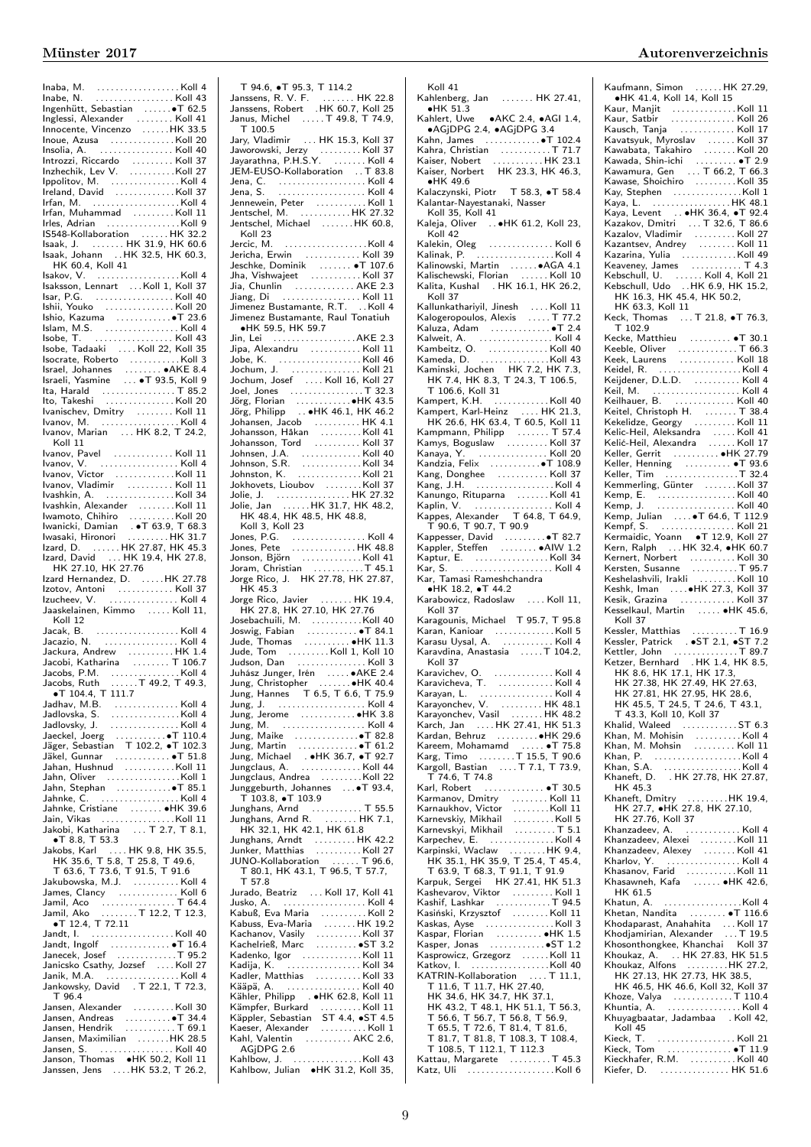| Inoue, Azusa Albumananan Koll 20                                                                                                                                                                                                                                            |  |
|-----------------------------------------------------------------------------------------------------------------------------------------------------------------------------------------------------------------------------------------------------------------------------|--|
| Insolia, A.  Koll 40                                                                                                                                                                                                                                                        |  |
| Introzzi, Riccardo<br>Inzhechik, Lev V. Koll 27                                                                                                                                                                                                                             |  |
| Ippolitov, M.<br>Ireland, David (1999)<br>Irfan, M. (1999)<br>Irfan, M. (1999)                                                                                                                                                                                              |  |
|                                                                                                                                                                                                                                                                             |  |
| Irfan, Muhammad Koll 11                                                                                                                                                                                                                                                     |  |
| Irles, Adrian  Koll 9                                                                                                                                                                                                                                                       |  |
|                                                                                                                                                                                                                                                                             |  |
| 15548-Kollaboration<br>15348-Kollaboration HK 31.9, HK 60.6                                                                                                                                                                                                                 |  |
| Isaak, Johann  HK 32.5, HK 60.3,                                                                                                                                                                                                                                            |  |
| HK 60.4, Koll 41                                                                                                                                                                                                                                                            |  |
| Isaksson, Lennart  Koll 1, Koll 37                                                                                                                                                                                                                                          |  |
| Isar, P.G. Koll 40                                                                                                                                                                                                                                                          |  |
| Ishii, Youko Koll 20                                                                                                                                                                                                                                                        |  |
| Ishio, Kazuma   ●T 23.6                                                                                                                                                                                                                                                     |  |
|                                                                                                                                                                                                                                                                             |  |
|                                                                                                                                                                                                                                                                             |  |
|                                                                                                                                                                                                                                                                             |  |
|                                                                                                                                                                                                                                                                             |  |
|                                                                                                                                                                                                                                                                             |  |
|                                                                                                                                                                                                                                                                             |  |
|                                                                                                                                                                                                                                                                             |  |
|                                                                                                                                                                                                                                                                             |  |
| Ivanov, Marian  HK 8.2, T 24.2,                                                                                                                                                                                                                                             |  |
| Koll 11                                                                                                                                                                                                                                                                     |  |
| Ivanov, Pavel  Koll 11<br>Ivanov, V.  Koll 4                                                                                                                                                                                                                                |  |
|                                                                                                                                                                                                                                                                             |  |
|                                                                                                                                                                                                                                                                             |  |
|                                                                                                                                                                                                                                                                             |  |
|                                                                                                                                                                                                                                                                             |  |
|                                                                                                                                                                                                                                                                             |  |
|                                                                                                                                                                                                                                                                             |  |
| Vashkin, Alexander<br>Washkin, Alexander<br>Wamoto, Chihiro<br>Wamicki, Damian<br><b>Telesian (Alexander Alexander Alexander Alexander Alexander Alexander Alexander Alexander Alexander Alexander Alexander Alexander Alexander Alexand</b>                                |  |
|                                                                                                                                                                                                                                                                             |  |
| HK 27.10, HK 27.76                                                                                                                                                                                                                                                          |  |
|                                                                                                                                                                                                                                                                             |  |
| Izard Hernandez, D. HK 27.78                                                                                                                                                                                                                                                |  |
|                                                                                                                                                                                                                                                                             |  |
|                                                                                                                                                                                                                                                                             |  |
| Koll 12                                                                                                                                                                                                                                                                     |  |
|                                                                                                                                                                                                                                                                             |  |
|                                                                                                                                                                                                                                                                             |  |
| Jackura, Andrew HK 1.4<br>Jacobi, Katharina  T 106.7                                                                                                                                                                                                                        |  |
|                                                                                                                                                                                                                                                                             |  |
|                                                                                                                                                                                                                                                                             |  |
|                                                                                                                                                                                                                                                                             |  |
|                                                                                                                                                                                                                                                                             |  |
|                                                                                                                                                                                                                                                                             |  |
| Jacobi, Kamamia<br>Jacobs, P.M.<br>Jacobs, Ruth<br>Jacobs, Ruth<br>The Times of the Capacity<br>Jadhav, M.B.<br>Jadlovska, S.<br>M.B.<br>Jadlovska, S.<br>M.B.<br>M.B.<br>M.B.<br>M.B.<br>M.B.<br>M.B.<br>M.B.<br>M.B.<br>M.B.<br>M.B.<br>M.B.<br>M.B.<br>M.B.<br>M.B.<br>M |  |
|                                                                                                                                                                                                                                                                             |  |
|                                                                                                                                                                                                                                                                             |  |
| Jadiovsky, J.<br>Jaeckel, Joeg (1997)<br>Jäger, Sebastian T 102.2, $\bullet$ T 102.3<br>Jäkel, Gunnar (1997)<br>Jahan, Hushnud (1998)<br>China Koli 11                                                                                                                      |  |
| Jahn, Oliver $\dots \dots \dots \dots$                                                                                                                                                                                                                                      |  |
|                                                                                                                                                                                                                                                                             |  |
| Jahnke, Cristiane  HK 39.6                                                                                                                                                                                                                                                  |  |
|                                                                                                                                                                                                                                                                             |  |
| Jain, Vikas<br>Jakobi, Katharina  T 2.7, T 8.1,<br>$\bullet$ T 8.8, T 53.3                                                                                                                                                                                                  |  |
|                                                                                                                                                                                                                                                                             |  |
|                                                                                                                                                                                                                                                                             |  |
|                                                                                                                                                                                                                                                                             |  |
|                                                                                                                                                                                                                                                                             |  |
|                                                                                                                                                                                                                                                                             |  |
|                                                                                                                                                                                                                                                                             |  |
|                                                                                                                                                                                                                                                                             |  |
|                                                                                                                                                                                                                                                                             |  |
|                                                                                                                                                                                                                                                                             |  |
|                                                                                                                                                                                                                                                                             |  |
|                                                                                                                                                                                                                                                                             |  |
| Jakubowska, M.J.<br>Jamil, Aco<br>Jamil, Aco<br>Jamil, Aco<br>In Jamil, Aco<br>Tatari, Tommunic Communication<br>Tatari Communic Communic Communication<br>Jandt, Ingola<br>Jancek, Josef<br>Janicsko Csathy, Jozef<br>M.M.A.<br>Tank, M.A.<br>Tank, M<br>T 96.4            |  |
| Jansen, Alexander Koll 30                                                                                                                                                                                                                                                   |  |
|                                                                                                                                                                                                                                                                             |  |
| Jansen, Andreas<br>Jansen, Hendrik  T 69.1                                                                                                                                                                                                                                  |  |
| Jansen, Maximilian HK 28.5                                                                                                                                                                                                                                                  |  |
| Jansen, S. (1999)<br>Janson, Thomas (1998)<br>Janssen, Jens (1998)<br>Janssen, Jens (1998)<br>J. HK 53.2, T 26.2,                                                                                                                                                           |  |

| T 94.6, •T 95.3, T 114.2<br>Janssens, R. V. F.  HK 22.8<br>Janssens, Robert HK 60.7, Koll 25<br>Janus, Michel  T 49.8, T 74.9,<br>Jary, Vladimir  HK 15.3, Koll 37                                                                                         |  |
|------------------------------------------------------------------------------------------------------------------------------------------------------------------------------------------------------------------------------------------------------------|--|
|                                                                                                                                                                                                                                                            |  |
|                                                                                                                                                                                                                                                            |  |
|                                                                                                                                                                                                                                                            |  |
| Jary, viatamir<br>1. HK 15.3, Noll 37<br>Jayarathna, P.H.S.Y.<br>1. HK 15.7, 1. HK 16.1<br>1. HK 16.1<br>1. Jean, C.<br>1. All 4.<br>Jennewein, Peter<br>1. All 1. HK 27.32<br>1. HK 27.32<br>1. HK 27.32<br>1. HK 27.32<br>1. HK 27.32<br>1. HK 27.32<br> |  |
|                                                                                                                                                                                                                                                            |  |
|                                                                                                                                                                                                                                                            |  |
|                                                                                                                                                                                                                                                            |  |
|                                                                                                                                                                                                                                                            |  |
|                                                                                                                                                                                                                                                            |  |
| Koll 23                                                                                                                                                                                                                                                    |  |
|                                                                                                                                                                                                                                                            |  |
|                                                                                                                                                                                                                                                            |  |
|                                                                                                                                                                                                                                                            |  |
|                                                                                                                                                                                                                                                            |  |
|                                                                                                                                                                                                                                                            |  |
| Jimenez Bustamante, R.T. Koll 4<br>Jimenez Bustamante, Raul Tonatiuh                                                                                                                                                                                       |  |
|                                                                                                                                                                                                                                                            |  |
|                                                                                                                                                                                                                                                            |  |
| Jipa, Alexandru  Koll 11                                                                                                                                                                                                                                   |  |
| Jobe, K.<br>Jochum, J. (1997). (1998). (1998). (1998). (1998). (1998). (1998). (1998). (1998). (1998). (1998). (1999). (19                                                                                                                                 |  |
|                                                                                                                                                                                                                                                            |  |
|                                                                                                                                                                                                                                                            |  |
|                                                                                                                                                                                                                                                            |  |
|                                                                                                                                                                                                                                                            |  |
|                                                                                                                                                                                                                                                            |  |
|                                                                                                                                                                                                                                                            |  |
|                                                                                                                                                                                                                                                            |  |
| Sorg, Primpp<br>Johansson, Jacob (1997)<br>Johansson, Håkan (1998)<br>Johansson, Tord (1998)<br>Johnsson, Tord (1998)<br>Johnson, S.R. (1998)<br>Johnson, S.R. (1998)<br>Johnston, Koll (1998)<br>Johnston, Koll (1998)<br>Johnston, Koll (1998)           |  |
|                                                                                                                                                                                                                                                            |  |
|                                                                                                                                                                                                                                                            |  |
| HK 48.4, HK 48.5, HK 48.8,                                                                                                                                                                                                                                 |  |
| Koll 3, Koll 23                                                                                                                                                                                                                                            |  |
|                                                                                                                                                                                                                                                            |  |
|                                                                                                                                                                                                                                                            |  |
| Jonson, Björn Koll 41                                                                                                                                                                                                                                      |  |
| Joram, Christian<br>Jorge Rico, J. HK 27.78, HK 27.87,                                                                                                                                                                                                     |  |
| HK 45.3                                                                                                                                                                                                                                                    |  |
| Jorge Rico, Javier  HK 19.4,<br>HK 27.8, HK 27.10, HK 27.76                                                                                                                                                                                                |  |
|                                                                                                                                                                                                                                                            |  |
|                                                                                                                                                                                                                                                            |  |
|                                                                                                                                                                                                                                                            |  |
|                                                                                                                                                                                                                                                            |  |
|                                                                                                                                                                                                                                                            |  |
|                                                                                                                                                                                                                                                            |  |
|                                                                                                                                                                                                                                                            |  |
|                                                                                                                                                                                                                                                            |  |
| Jung, Jerome  HK 3.8                                                                                                                                                                                                                                       |  |
|                                                                                                                                                                                                                                                            |  |
| Jung, M.  Koll 4                                                                                                                                                                                                                                           |  |
|                                                                                                                                                                                                                                                            |  |
|                                                                                                                                                                                                                                                            |  |
| Jung, Maike<br>Jung, Maike<br>Jung, Martin<br>Jung, Michael (1997)<br>Jungclaus, A.<br>Koll 44<br>Michael (1998)<br>Michael (1998)<br>Koll 44                                                                                                              |  |
| Jungclaus, Andrea Koll 22<br>Junggeburth, Johannes  T 93.4,                                                                                                                                                                                                |  |
| T 103.8, <b>•T</b> 103.9                                                                                                                                                                                                                                   |  |
|                                                                                                                                                                                                                                                            |  |
| Junghans, Arnd<br>Junghans, Arnd R. (1997). T. HK 7.1,<br>HK 32.1, HK 42.1, HK 61.8                                                                                                                                                                        |  |
|                                                                                                                                                                                                                                                            |  |
| Junghans, Arndt<br>Junghans, Arndt<br>Junker, Matthias Koll 27                                                                                                                                                                                             |  |
|                                                                                                                                                                                                                                                            |  |
| JUNO-Kollaboration<br>T 80.1, HK 43.1, T 96.5, T 57.7,<br>T 57.8                                                                                                                                                                                           |  |
| Jurado, Beatriz  Koll 17, Koll 41                                                                                                                                                                                                                          |  |
|                                                                                                                                                                                                                                                            |  |
|                                                                                                                                                                                                                                                            |  |
|                                                                                                                                                                                                                                                            |  |
|                                                                                                                                                                                                                                                            |  |
|                                                                                                                                                                                                                                                            |  |
|                                                                                                                                                                                                                                                            |  |
|                                                                                                                                                                                                                                                            |  |
|                                                                                                                                                                                                                                                            |  |
| Nachanov, Vasily<br>Kachanov, Vasily<br>Kachelrieß, Marc<br>Kadenko, Igor<br>Kadija, K. (Koll 34)<br>Kadija, K. (Koll 34)<br>Kadler, Matthias Koll 33<br>Kääpä, A.  Koll 40<br>Kähler, Philipp . HK 62.8, Koll 11                                          |  |
|                                                                                                                                                                                                                                                            |  |
|                                                                                                                                                                                                                                                            |  |
| Kaeser, Alexander<br>Kahl, Valentin<br>Kahl, Valentin<br>AGjDPG 2.6                                                                                                                                                                                        |  |

| Koll 41                                                                                                                                                                                                                                      |  |
|----------------------------------------------------------------------------------------------------------------------------------------------------------------------------------------------------------------------------------------------|--|
| Kahlenberg, Jan<br>•HK 51.3<br>Kahlert, Uwe •AKC 2.4, •AGI 1.4,<br>•AGJDPG 2.4, •AGJDPG 3.4                                                                                                                                                  |  |
|                                                                                                                                                                                                                                              |  |
|                                                                                                                                                                                                                                              |  |
|                                                                                                                                                                                                                                              |  |
|                                                                                                                                                                                                                                              |  |
| Kahn, James  T 102.4                                                                                                                                                                                                                         |  |
|                                                                                                                                                                                                                                              |  |
|                                                                                                                                                                                                                                              |  |
| Xahra, Christian<br>Kaiser, Nobert<br>Kaiser, Norbert HK 23.3, HK 46.3,                                                                                                                                                                      |  |
|                                                                                                                                                                                                                                              |  |
| $eHK$ 49.6                                                                                                                                                                                                                                   |  |
| Kalaczynski, Piotr T 58.3, .T 58.4                                                                                                                                                                                                           |  |
| Kalantar-Nayestanaki, Nasser                                                                                                                                                                                                                 |  |
| Koll 35, Koll 41                                                                                                                                                                                                                             |  |
|                                                                                                                                                                                                                                              |  |
| Kaleja, Oliver  . HK 61.2, Koll 23,                                                                                                                                                                                                          |  |
| Koll 42                                                                                                                                                                                                                                      |  |
|                                                                                                                                                                                                                                              |  |
|                                                                                                                                                                                                                                              |  |
|                                                                                                                                                                                                                                              |  |
|                                                                                                                                                                                                                                              |  |
|                                                                                                                                                                                                                                              |  |
|                                                                                                                                                                                                                                              |  |
|                                                                                                                                                                                                                                              |  |
| Kallunkathariyil, Jinesh<br>Kalogeropoulos, Alexis  T 77.2                                                                                                                                                                                   |  |
|                                                                                                                                                                                                                                              |  |
|                                                                                                                                                                                                                                              |  |
|                                                                                                                                                                                                                                              |  |
|                                                                                                                                                                                                                                              |  |
|                                                                                                                                                                                                                                              |  |
| Kaluza, Adam<br>Kaluza, Adam<br>Kaluza, Adam<br>Kalweit, A. (1994)<br>Kalweit, A. (1994)<br>Kaminski, Jochen HK 7.2, HK 7.3, HK 7.3, HK 7.4, HK 7.4, HK 7.4, HK 7.4, HK 7.4, HK 7.4, HK 7.4, HK 7.4, HK 7.4, HK 7.4, HK 7.4, HK 7.4, HK      |  |
|                                                                                                                                                                                                                                              |  |
|                                                                                                                                                                                                                                              |  |
|                                                                                                                                                                                                                                              |  |
| T 106.6, Koll 31                                                                                                                                                                                                                             |  |
|                                                                                                                                                                                                                                              |  |
|                                                                                                                                                                                                                                              |  |
|                                                                                                                                                                                                                                              |  |
|                                                                                                                                                                                                                                              |  |
|                                                                                                                                                                                                                                              |  |
|                                                                                                                                                                                                                                              |  |
|                                                                                                                                                                                                                                              |  |
|                                                                                                                                                                                                                                              |  |
|                                                                                                                                                                                                                                              |  |
|                                                                                                                                                                                                                                              |  |
| Kang, J.H.  Koll 4                                                                                                                                                                                                                           |  |
|                                                                                                                                                                                                                                              |  |
|                                                                                                                                                                                                                                              |  |
|                                                                                                                                                                                                                                              |  |
|                                                                                                                                                                                                                                              |  |
|                                                                                                                                                                                                                                              |  |
|                                                                                                                                                                                                                                              |  |
|                                                                                                                                                                                                                                              |  |
|                                                                                                                                                                                                                                              |  |
|                                                                                                                                                                                                                                              |  |
|                                                                                                                                                                                                                                              |  |
| Kar, Tamasi Rameshchandra                                                                                                                                                                                                                    |  |
|                                                                                                                                                                                                                                              |  |
|                                                                                                                                                                                                                                              |  |
| $\bullet$ HK 18.2, $\bullet$ T 44.2                                                                                                                                                                                                          |  |
| Karabowicz, Radoslaw  Koll 11,                                                                                                                                                                                                               |  |
| Koll 37                                                                                                                                                                                                                                      |  |
|                                                                                                                                                                                                                                              |  |
| Karagounis, Michael T 95.7, T 95.8                                                                                                                                                                                                           |  |
|                                                                                                                                                                                                                                              |  |
|                                                                                                                                                                                                                                              |  |
| Karavdina, Anastasia T 104.2,                                                                                                                                                                                                                |  |
| Koll 37                                                                                                                                                                                                                                      |  |
|                                                                                                                                                                                                                                              |  |
|                                                                                                                                                                                                                                              |  |
|                                                                                                                                                                                                                                              |  |
| Karavan. L. Koll 4                                                                                                                                                                                                                           |  |
|                                                                                                                                                                                                                                              |  |
|                                                                                                                                                                                                                                              |  |
|                                                                                                                                                                                                                                              |  |
|                                                                                                                                                                                                                                              |  |
|                                                                                                                                                                                                                                              |  |
|                                                                                                                                                                                                                                              |  |
|                                                                                                                                                                                                                                              |  |
|                                                                                                                                                                                                                                              |  |
|                                                                                                                                                                                                                                              |  |
|                                                                                                                                                                                                                                              |  |
| Karl, Robert  T 30.5                                                                                                                                                                                                                         |  |
|                                                                                                                                                                                                                                              |  |
|                                                                                                                                                                                                                                              |  |
|                                                                                                                                                                                                                                              |  |
|                                                                                                                                                                                                                                              |  |
|                                                                                                                                                                                                                                              |  |
| Narmanov, Dmitry<br>Karmanov, Dmitry<br>Karmanov, Dmitry<br>Karnaukhov, Victor<br>Karnevskyi, Mikhail<br>Karnevskyi, Mikhail<br>Karnechev, E.<br>Karpechev, E.<br>Karnechev, E.                                                              |  |
|                                                                                                                                                                                                                                              |  |
|                                                                                                                                                                                                                                              |  |
|                                                                                                                                                                                                                                              |  |
|                                                                                                                                                                                                                                              |  |
| Narpinski, Wacław<br>HK 35.1, HK 35.9, T 25.4, T 45.4,<br>T 63.9, T 68.3, T 91.1, T 91.9<br>Karpuk, Sergei HK 27.41, HK 51.3                                                                                                                 |  |
|                                                                                                                                                                                                                                              |  |
| Kashevarov, Viktor<br>Kashif, Lashkar<br>T 94.5                                                                                                                                                                                              |  |
|                                                                                                                                                                                                                                              |  |
|                                                                                                                                                                                                                                              |  |
|                                                                                                                                                                                                                                              |  |
|                                                                                                                                                                                                                                              |  |
| Kaspar, Florian  • HK 1.5<br>Kasper, Jonas  • ST 1.2                                                                                                                                                                                         |  |
| Kasprowicz, Grzegorz Koll 11                                                                                                                                                                                                                 |  |
|                                                                                                                                                                                                                                              |  |
|                                                                                                                                                                                                                                              |  |
|                                                                                                                                                                                                                                              |  |
| KATRIN-Kollaboration  T 11.1,<br>T 11.6, T 11.7, HK 27.40,                                                                                                                                                                                   |  |
|                                                                                                                                                                                                                                              |  |
|                                                                                                                                                                                                                                              |  |
|                                                                                                                                                                                                                                              |  |
|                                                                                                                                                                                                                                              |  |
|                                                                                                                                                                                                                                              |  |
|                                                                                                                                                                                                                                              |  |
|                                                                                                                                                                                                                                              |  |
| H 1.1.6, 1 11.7, HK 27.40,<br>HK 34.2, T 48.1, HK 37.1,<br>HK 43.2, T 48.1, HK 51.1, T 56.3,<br>T 56.6, T 56.7, T 56.8, T 56.9,<br>T 65.5, T 72.6, T 81.4, T 81.6,<br>T 01.8.5, T 112.1, T 112.3<br>HX 411.0, T 108.5, T 112.1,<br>HX 411.0, |  |

| Kaufmann, Simon   HK 27.29,<br>●HK 41.4, Koll 14, Koll 15                                                                                                                                                                                                |  |
|----------------------------------------------------------------------------------------------------------------------------------------------------------------------------------------------------------------------------------------------------------|--|
|                                                                                                                                                                                                                                                          |  |
| Kaur, Manjit<br>Kaur, Satbir<br>Kausch, Tanja (1999)<br>Kausch, Tanja (1999)                                                                                                                                                                             |  |
| Kausch, Tanja<br>Kavatsyuk, Myroslav<br>Kawabata, Takahiro<br>Kawabata, Takahiro<br>Kawada, Shin-ichi<br>Kawada, Shin-ichi<br>Kawamura, Gen<br>Kawase, Shoichiro<br>K. Kay, Stephen<br>K. Kaya, L.<br>K. Kaya, L.<br>K. Kaya, L.<br>K. Kaya, L.<br>K. Ka |  |
|                                                                                                                                                                                                                                                          |  |
|                                                                                                                                                                                                                                                          |  |
|                                                                                                                                                                                                                                                          |  |
|                                                                                                                                                                                                                                                          |  |
|                                                                                                                                                                                                                                                          |  |
|                                                                                                                                                                                                                                                          |  |
|                                                                                                                                                                                                                                                          |  |
|                                                                                                                                                                                                                                                          |  |
|                                                                                                                                                                                                                                                          |  |
|                                                                                                                                                                                                                                                          |  |
|                                                                                                                                                                                                                                                          |  |
|                                                                                                                                                                                                                                                          |  |
|                                                                                                                                                                                                                                                          |  |
| HK 63.3, Koll 11                                                                                                                                                                                                                                         |  |
| Keck, Thomas  T 21.8, $\bullet$ T 76.3,<br>T 102.9                                                                                                                                                                                                       |  |
| T 102.9                                                                                                                                                                                                                                                  |  |
|                                                                                                                                                                                                                                                          |  |
| Particular Collective Matthieu<br>Keeble, Oliver (1963)<br>Keeble, Cliver (1963)<br>Keidel, R. (1964)<br>Keidel, R. (1964)<br>Keidel, R. (1964)                                                                                                          |  |
|                                                                                                                                                                                                                                                          |  |
|                                                                                                                                                                                                                                                          |  |
|                                                                                                                                                                                                                                                          |  |
|                                                                                                                                                                                                                                                          |  |
|                                                                                                                                                                                                                                                          |  |
| Kekelidze, Georgy<br>Kelic-Heil, Aleksandra<br>Kelic-Heil, Aleksandra<br>Kelic-Heil, Aleksandra<br>Kelic-Heil, Alexandra<br>Keller, Gerrit<br>Keller, Henning<br>Keller, Tim<br>Kemp, E.<br>Kemp, J.<br>Kemp, J.<br>Kemp, Julian<br>C. T. 112.9, Koll    |  |
|                                                                                                                                                                                                                                                          |  |
|                                                                                                                                                                                                                                                          |  |
|                                                                                                                                                                                                                                                          |  |
|                                                                                                                                                                                                                                                          |  |
|                                                                                                                                                                                                                                                          |  |
|                                                                                                                                                                                                                                                          |  |
|                                                                                                                                                                                                                                                          |  |
|                                                                                                                                                                                                                                                          |  |
|                                                                                                                                                                                                                                                          |  |
| Kern, Ralph  HK 32.4, HK 60.7                                                                                                                                                                                                                            |  |
|                                                                                                                                                                                                                                                          |  |
|                                                                                                                                                                                                                                                          |  |
|                                                                                                                                                                                                                                                          |  |
| Kernert, Norbert<br>Kernert, Norbert<br>Keshelashvili, Irakli<br>Keshelashvili, Irakli<br>Keshelashvili, Irakli                                                                                                                                          |  |
|                                                                                                                                                                                                                                                          |  |
| Keshk, Iman  HK 27.3, Koll 37<br>Kesik, Grazina<br>Kesselkaul, Martin III • HK 45.6,                                                                                                                                                                     |  |
| Koll 37                                                                                                                                                                                                                                                  |  |
|                                                                                                                                                                                                                                                          |  |
|                                                                                                                                                                                                                                                          |  |
|                                                                                                                                                                                                                                                          |  |
|                                                                                                                                                                                                                                                          |  |
| Ketzer, Bernhard  HK 1.4, HK 8.5,<br>HK 8.6, HK 17.1, HK 17.3,                                                                                                                                                                                           |  |
|                                                                                                                                                                                                                                                          |  |
| HK 27.38, HK 27.49, HK 27.63,<br>HK 27.38, HK 27.95, HK 28.6,<br>HK 45.5, T 24.5, T 24.6, T 43.1,                                                                                                                                                        |  |
| T 43.3, Koll 10, Koll 37                                                                                                                                                                                                                                 |  |
| Khalid, Waleed ST 6.3                                                                                                                                                                                                                                    |  |
|                                                                                                                                                                                                                                                          |  |
|                                                                                                                                                                                                                                                          |  |
|                                                                                                                                                                                                                                                          |  |
|                                                                                                                                                                                                                                                          |  |
| HK 45.3                                                                                                                                                                                                                                                  |  |
| Khaneft, Dmitry HK 19.4,<br>HK 27.7, •HK 27.8, HK 27.10,                                                                                                                                                                                                 |  |
| HK 27.76, Koll 37                                                                                                                                                                                                                                        |  |
|                                                                                                                                                                                                                                                          |  |
| Khanzadeev, A. Koll 4<br>Khanzadeev, Alexei Koll 11                                                                                                                                                                                                      |  |
| Khanzadeev, Alexey  Koll 41                                                                                                                                                                                                                              |  |
| Kharlov, Y.  Koll 4                                                                                                                                                                                                                                      |  |
| Khasanov, Farid Koll 11<br>Khasawneh, Kafa  •HK 42.6,                                                                                                                                                                                                    |  |
| HK 61.5                                                                                                                                                                                                                                                  |  |
|                                                                                                                                                                                                                                                          |  |
|                                                                                                                                                                                                                                                          |  |
|                                                                                                                                                                                                                                                          |  |
|                                                                                                                                                                                                                                                          |  |
| Khodaparast, Anahahita Koll 17<br>Khodjamirian, Alexander  T 19.5<br>Khosonthongkee, Khanchai Koll 37<br>Khoukaz, A.  HK 27.83, HK 51.5                                                                                                                  |  |
|                                                                                                                                                                                                                                                          |  |
|                                                                                                                                                                                                                                                          |  |
| HK 46.5, HK 46.6, Koll 32, Koll 37                                                                                                                                                                                                                       |  |
|                                                                                                                                                                                                                                                          |  |
|                                                                                                                                                                                                                                                          |  |
| Khoukaz, Alfons HK 27.2,<br>HK 27.13, HK 27.73, HK 38.5,<br>Khuyagbaatar, Jadambaa . Koll 42,<br>Koll 45                                                                                                                                                 |  |
|                                                                                                                                                                                                                                                          |  |
|                                                                                                                                                                                                                                                          |  |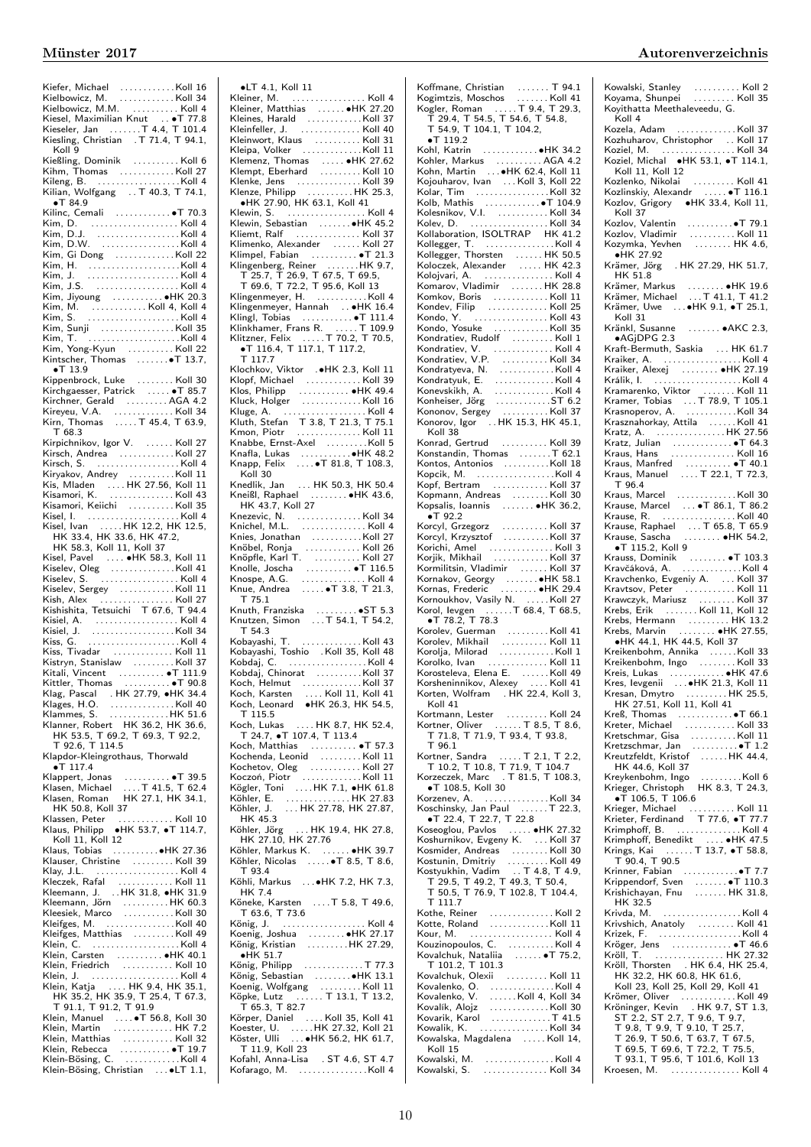| Kiesel, Maximilian Knut  • T 77.8<br>Kieseler, Jan  T 4.4, T 101.4                                                                                                                              |
|-------------------------------------------------------------------------------------------------------------------------------------------------------------------------------------------------|
|                                                                                                                                                                                                 |
| Kiesling, Christian . T 71.4, T 94.1,                                                                                                                                                           |
|                                                                                                                                                                                                 |
| Koll 9                                                                                                                                                                                          |
| Kießling, Dominik<br>Kihm, Thomas   Koll 27                                                                                                                                                     |
|                                                                                                                                                                                                 |
|                                                                                                                                                                                                 |
| Kileng, B. (1999).<br>Kilian, Wolfgang (1990). T 40.3, T 74.1,                                                                                                                                  |
|                                                                                                                                                                                                 |
| $\bullet$ T 84.9                                                                                                                                                                                |
| Kilinc, Cemali  . T 70.3                                                                                                                                                                        |
|                                                                                                                                                                                                 |
|                                                                                                                                                                                                 |
|                                                                                                                                                                                                 |
|                                                                                                                                                                                                 |
| Kim, Gi Dong Koll 22                                                                                                                                                                            |
|                                                                                                                                                                                                 |
|                                                                                                                                                                                                 |
|                                                                                                                                                                                                 |
|                                                                                                                                                                                                 |
|                                                                                                                                                                                                 |
| Kim, Jiyoung  • HK 20.3                                                                                                                                                                         |
|                                                                                                                                                                                                 |
|                                                                                                                                                                                                 |
|                                                                                                                                                                                                 |
|                                                                                                                                                                                                 |
|                                                                                                                                                                                                 |
|                                                                                                                                                                                                 |
|                                                                                                                                                                                                 |
| $\bullet$ T 13.9                                                                                                                                                                                |
|                                                                                                                                                                                                 |
|                                                                                                                                                                                                 |
| Kippenbrock, Luke Koll 30<br>Kirchgaesser, Patrick  T 85.7                                                                                                                                      |
| Kirchner, Gerald AGA 4.2                                                                                                                                                                        |
|                                                                                                                                                                                                 |
|                                                                                                                                                                                                 |
|                                                                                                                                                                                                 |
| T 68.3                                                                                                                                                                                          |
| Kirpichnikov, Igor V.  Koll 27                                                                                                                                                                  |
|                                                                                                                                                                                                 |
|                                                                                                                                                                                                 |
|                                                                                                                                                                                                 |
|                                                                                                                                                                                                 |
|                                                                                                                                                                                                 |
|                                                                                                                                                                                                 |
|                                                                                                                                                                                                 |
|                                                                                                                                                                                                 |
|                                                                                                                                                                                                 |
|                                                                                                                                                                                                 |
|                                                                                                                                                                                                 |
| Nisamori, Kelichi<br>Kisamori, Kelichi<br>Kisel, I. (1994).<br>Kisel, Ivan (1994).<br>HK 33.4, HK 33.6, HK 47.2, HK 33.4, HK 33.6, HK 47.2,                                                     |
| HK 58.3, Koll 11, Koll 37                                                                                                                                                                       |
|                                                                                                                                                                                                 |
|                                                                                                                                                                                                 |
|                                                                                                                                                                                                 |
|                                                                                                                                                                                                 |
| Kisel, Pavel  . HK 58.3, Koll 11<br>Kiselev, Oleg Koll 41<br>Kiselay S                                                                                                                          |
| Kiselev, S.  Koll 4                                                                                                                                                                             |
| Kiselev, Sergey Koll 11                                                                                                                                                                         |
|                                                                                                                                                                                                 |
|                                                                                                                                                                                                 |
| Kish, Alex<br>Kish, Alex<br>Kishishita, Tetsuichi T 67.6, T 94.4                                                                                                                                |
|                                                                                                                                                                                                 |
|                                                                                                                                                                                                 |
| Kisiel, A.<br>Kisiel, J. (1999).<br>Kisiel, J. (1999).<br>Kiss, G. (1999). (1999). Koll 4.                                                                                                      |
| Tivadar  Koll 11<br>Kiss,                                                                                                                                                                       |
|                                                                                                                                                                                                 |
| Kistryn, Stanislaw I. Koll 37                                                                                                                                                                   |
|                                                                                                                                                                                                 |
| Kitali, Vincent  • T 111.9<br>Kittler, Thomas  • T 90.8<br>$\ldots \ldots \ldots \bullet$ T 90.8                                                                                                |
|                                                                                                                                                                                                 |
|                                                                                                                                                                                                 |
|                                                                                                                                                                                                 |
|                                                                                                                                                                                                 |
|                                                                                                                                                                                                 |
| Viener, Thomas (1998)<br>Klag, Pascal (HK 27.79, $\bullet$ HK 34.4<br>Klages, H.O. (1997)<br>Klammes, S. (1998)<br>Klammer, Robert HK 36.2, HK 36.6, HK 53.6<br>HK 53.5 (T 60.2) T 60.2 (190.6) |
| HK 53.5, T 69.2, T 69.3, T 92.2,                                                                                                                                                                |
| T 92.6, T 114.5                                                                                                                                                                                 |
| Klapdor-Kleingrothaus, Thorwald                                                                                                                                                                 |
| $\bullet$ T 117.4                                                                                                                                                                               |
|                                                                                                                                                                                                 |
|                                                                                                                                                                                                 |
|                                                                                                                                                                                                 |
| Klappert, Jonas<br>Klasen, Michael   T 41.5, T 62.4<br>Klasen, Roman     HK 27.1, HK 34.1,                                                                                                      |
| HK 50.8, Koll 37                                                                                                                                                                                |
|                                                                                                                                                                                                 |
|                                                                                                                                                                                                 |
| Klassen, Peter  Koll 10<br>Klaus, Philipp •HK 53.7, •T 114.7,                                                                                                                                   |
| Koll 11, Koll 12                                                                                                                                                                                |
|                                                                                                                                                                                                 |
|                                                                                                                                                                                                 |
|                                                                                                                                                                                                 |
|                                                                                                                                                                                                 |
|                                                                                                                                                                                                 |
| Kleczek, Rafal  Koll 11<br>Kleemann, J.  .HK 31.8, •HK 31.9                                                                                                                                     |
|                                                                                                                                                                                                 |
|                                                                                                                                                                                                 |
|                                                                                                                                                                                                 |
| Kleifges, M. Koll 40                                                                                                                                                                            |
|                                                                                                                                                                                                 |
|                                                                                                                                                                                                 |
| Kleifges, Matthias Koll 49<br>Klein, C. Koll 4                                                                                                                                                  |
|                                                                                                                                                                                                 |
|                                                                                                                                                                                                 |
|                                                                                                                                                                                                 |
|                                                                                                                                                                                                 |
| Klein, Carsten<br>Klein, Friedrich<br>Klein, J. (Koll 10<br>Klein, Katja (K. HK 9.4, HK 35.1)<br>Klein, Katja (K. HK 9.4, HK 35.1)                                                              |
| HK 35.2, HK 35.9, T 25.4, T 67.3,                                                                                                                                                               |
|                                                                                                                                                                                                 |
|                                                                                                                                                                                                 |
|                                                                                                                                                                                                 |
|                                                                                                                                                                                                 |
|                                                                                                                                                                                                 |
|                                                                                                                                                                                                 |
| Klein, Matthias<br>Klein, Rebecca<br>Klein, Rebecca<br>Klein-Bösing, C.<br>Klein-Bösing, C.<br>Klein-Bösing, C.<br>Klein-Bösing, Christian  . LT 1.1,                                           |

| $\bullet$ LT 4.1, Koll 11                                                                                                                                                                                                                                    |  |
|--------------------------------------------------------------------------------------------------------------------------------------------------------------------------------------------------------------------------------------------------------------|--|
| Kleiner, M.  Koll 4                                                                                                                                                                                                                                          |  |
|                                                                                                                                                                                                                                                              |  |
|                                                                                                                                                                                                                                                              |  |
|                                                                                                                                                                                                                                                              |  |
|                                                                                                                                                                                                                                                              |  |
| Klemenz, Thomas<br>Klemenz, Thomas<br>Klemet, Eberhard<br>Klenke, Jens<br>Klemet, Jens<br>Klemet, Jens<br>Klemet, Jens<br>Klemet, Jens<br>Klemet, Jens<br>Klemet, Jens<br>Klemet, Jens<br>Klemet, Jens<br>Klemet, Jens<br>Klemet, Jens<br>Klemet, Jens<br>Kl |  |
|                                                                                                                                                                                                                                                              |  |
|                                                                                                                                                                                                                                                              |  |
| Klenze, Philipp HK 25.3,<br>•HK 27.90, HK 63.1, Koll 41                                                                                                                                                                                                      |  |
| Klewin, S.  Koll 4                                                                                                                                                                                                                                           |  |
| Klewin, Sebastian<br>Kliemt, Ralf     Koll 37                                                                                                                                                                                                                |  |
|                                                                                                                                                                                                                                                              |  |
| Klimenko, Alexander<br>Klimpel, Fabian<br>Klimpel, Fabian                                                                                                                                                                                                    |  |
|                                                                                                                                                                                                                                                              |  |
|                                                                                                                                                                                                                                                              |  |
|                                                                                                                                                                                                                                                              |  |
|                                                                                                                                                                                                                                                              |  |
|                                                                                                                                                                                                                                                              |  |
|                                                                                                                                                                                                                                                              |  |
| Klinkhamer, Frans R.  T 109.9<br>Klitzner, Felix  T 70.2, T 70.5,<br>●T 116.4, T 117.1, T 117.2,                                                                                                                                                             |  |
| T 117.7                                                                                                                                                                                                                                                      |  |
|                                                                                                                                                                                                                                                              |  |
|                                                                                                                                                                                                                                                              |  |
|                                                                                                                                                                                                                                                              |  |
|                                                                                                                                                                                                                                                              |  |
|                                                                                                                                                                                                                                                              |  |
|                                                                                                                                                                                                                                                              |  |
|                                                                                                                                                                                                                                                              |  |
|                                                                                                                                                                                                                                                              |  |
|                                                                                                                                                                                                                                                              |  |
| Koll 30<br>Knedlik, Jan (1990). HK 50.3, HK 50.4<br>Kneißl, Raphael (1990). 1990 MK 43.6,                                                                                                                                                                    |  |
|                                                                                                                                                                                                                                                              |  |
| HK 43.7, Koll 27                                                                                                                                                                                                                                             |  |
|                                                                                                                                                                                                                                                              |  |
| Knies, Jonathan Koll 27                                                                                                                                                                                                                                      |  |
|                                                                                                                                                                                                                                                              |  |
|                                                                                                                                                                                                                                                              |  |
|                                                                                                                                                                                                                                                              |  |
|                                                                                                                                                                                                                                                              |  |
| $T$ 75.1                                                                                                                                                                                                                                                     |  |
|                                                                                                                                                                                                                                                              |  |
|                                                                                                                                                                                                                                                              |  |
| T <sub>54.3</sub>                                                                                                                                                                                                                                            |  |
|                                                                                                                                                                                                                                                              |  |
|                                                                                                                                                                                                                                                              |  |
|                                                                                                                                                                                                                                                              |  |
|                                                                                                                                                                                                                                                              |  |
| Koch, Karsten  Koll 11, Koll 41<br>Koch, Leonard •HK 26.3, HK 54.5,<br>Koch, Karsten                                                                                                                                                                         |  |
| T 115.5                                                                                                                                                                                                                                                      |  |
| Koch, Lukas  HK 8.7, HK 52.4,                                                                                                                                                                                                                                |  |
| T 24.7, $\bullet$ T 107.4, T 113.4                                                                                                                                                                                                                           |  |
| Koch, Matthias  . T 57.3                                                                                                                                                                                                                                     |  |
| Kochenda, Leonid Koll 11                                                                                                                                                                                                                                     |  |
|                                                                                                                                                                                                                                                              |  |
| Kochetov, Oleg<br>Koczoń, Piotr<br>Kögler, Toni All H. 7.1, H. 61.8<br>Kögler, Toni All H. 7.1, H. 61.8                                                                                                                                                      |  |
|                                                                                                                                                                                                                                                              |  |
| Köhler, E. (1997). Köhler, E. (1997). HK 27.83<br>Köhler, J. (1997). HK 27.78, HK 27.87, HK 45.3                                                                                                                                                             |  |
|                                                                                                                                                                                                                                                              |  |
| Histania<br>Histania (1975 - 1976 - 1976 - 1976 - 1976 - 1976 - 1976 - 1976 - 1976 - 1976 - 1976 - 1976 - 1976 - 1976 - 1<br>Histania (1977 - 1976 - 1977 - 1978 - 1978 - 1978 - 1978 - 1978 - 1978 - 1978 - 1979 - 1979 - 1979 -                            |  |
|                                                                                                                                                                                                                                                              |  |
| T 93.4                                                                                                                                                                                                                                                       |  |
| Köhli, Markus  . HK 7.2, HK 7.3,                                                                                                                                                                                                                             |  |
| <b>HK 7.4</b>                                                                                                                                                                                                                                                |  |
| Köneke, Karsten  T 5.8, T 49.6,                                                                                                                                                                                                                              |  |
| T 63.6, T 73.6<br>König, J.  Koll 4                                                                                                                                                                                                                          |  |
| Koenig, Joshua  HK 27.17<br>König, Kristian HK 27.29,                                                                                                                                                                                                        |  |
|                                                                                                                                                                                                                                                              |  |
|                                                                                                                                                                                                                                                              |  |
| $\bullet$ HK 51.7                                                                                                                                                                                                                                            |  |
|                                                                                                                                                                                                                                                              |  |
| König, Philipp<br>König, Sebastian<br>König, Sebastian<br>W. 13.1                                                                                                                                                                                            |  |
|                                                                                                                                                                                                                                                              |  |
| $T$ 65.3, T 82.7                                                                                                                                                                                                                                             |  |
|                                                                                                                                                                                                                                                              |  |
| Koenig, Wolfgang Koll 11<br>Köpke, Lutz T 13.1, T 13.2,                                                                                                                                                                                                      |  |
| Körper, Daniel<br>Koester, U. HK 27.32, Koll 21<br>Köster, Ulli HK 27.32, Koll 21<br>Köster, Ulli<br>T 11.9, Koll 23<br>Kofahl, Anna-Lisa . ST 4.6, ST 4.7                                                                                                   |  |

| Koffmane, Christian  T 94.1<br>Kogimtzis, Moschos  Koll 41<br>Kogler, Roman  T 9.4, T 29.3,<br>T 29.4, T 54.5, T 54.6, T 54.8,<br>T 54.9, T 104.1, T 104.2,                                                                                      |    |
|--------------------------------------------------------------------------------------------------------------------------------------------------------------------------------------------------------------------------------------------------|----|
|                                                                                                                                                                                                                                                  |    |
|                                                                                                                                                                                                                                                  |    |
|                                                                                                                                                                                                                                                  |    |
| $\bullet$ T<br>119.2                                                                                                                                                                                                                             |    |
|                                                                                                                                                                                                                                                  |    |
| Kohler, Markus   AGA 4.2<br>Kohn, Martin   •HK 62.4, Koll 11                                                                                                                                                                                     |    |
| Kojouharov, Ivan    Koll 3, Koll 22<br>Kolar, Tim   Koll 32                                                                                                                                                                                      |    |
|                                                                                                                                                                                                                                                  |    |
|                                                                                                                                                                                                                                                  |    |
| Nolb, Mathis<br>Kolb, Mathis<br>Kolesnikov, V.I.<br>Kollaboration, ISOLTRAP HK 41.2<br>Kollaboration, ISOLTRAP HK 41.2                                                                                                                           |    |
|                                                                                                                                                                                                                                                  |    |
|                                                                                                                                                                                                                                                  |    |
|                                                                                                                                                                                                                                                  |    |
| Kollegger, T.<br>Kollegger, T.<br>Kollegger, Thorsten (Kollegger, Thorsten (Kollegger, Thorsten (Kollegger, Thorsten (Kollegger, Thorsten (Kollegger, T.<br>Kollegger, Thorsten (Kollegger, T. 1988)<br>Komkov, Roris (Kollegger, T. 1           |    |
|                                                                                                                                                                                                                                                  |    |
|                                                                                                                                                                                                                                                  |    |
|                                                                                                                                                                                                                                                  |    |
|                                                                                                                                                                                                                                                  |    |
| Mondratiev, Nudolf (1997)<br>Kondratiev, V. (1997)<br>Kondratiev, V. P. (1998)<br>Kondratyuk, E. (1998)<br>Kondratyuk, E. (1998)<br>Kondratyuk, E. (1998)<br>Konesskikh, A. (1998)<br>Kononov, Sergey (1998)<br>Kononov, Igor (1998)<br>Kononov, |    |
|                                                                                                                                                                                                                                                  |    |
|                                                                                                                                                                                                                                                  |    |
|                                                                                                                                                                                                                                                  |    |
|                                                                                                                                                                                                                                                  |    |
|                                                                                                                                                                                                                                                  |    |
| Koll 38                                                                                                                                                                                                                                          |    |
| Konrad, Gertrud     Koll 39                                                                                                                                                                                                                      |    |
| Konstandin, Thomas T 62.1                                                                                                                                                                                                                        |    |
| Kontos, Antonios Koll 18                                                                                                                                                                                                                         |    |
| Kopcik, M. Koll 4<br>Kopf, Bertram  Koll 37                                                                                                                                                                                                      |    |
| Kopmann, Andreas Koll                                                                                                                                                                                                                            | 30 |
| Kopsalis, Ioannis  HK 36.2,                                                                                                                                                                                                                      |    |
| $\bullet$ T 92.2                                                                                                                                                                                                                                 |    |
| Norcyl, Grzegorz<br>Korcyl, Krzysztof (Marcus Koll 37<br>Korcyl, Krzysztof (Marcus Koll 37<br>Korjik, Mikhail (Marcus Koll 37)                                                                                                                   |    |
|                                                                                                                                                                                                                                                  |    |
| Kormilitsin, Vladimir<br>Kormilitsin, Vladimir                                                                                                                                                                                                   |    |
|                                                                                                                                                                                                                                                  |    |
|                                                                                                                                                                                                                                                  |    |
|                                                                                                                                                                                                                                                  |    |
|                                                                                                                                                                                                                                                  |    |
|                                                                                                                                                                                                                                                  |    |
|                                                                                                                                                                                                                                                  |    |
| Korolko, Ivan  Koll 11                                                                                                                                                                                                                           |    |
|                                                                                                                                                                                                                                                  |    |
| Korosteleva, Elena E.   Koll 49<br>Korsheninnikov, Alexey   Koll 41<br>Korten, Wolfram   . HK 22.4, Koll 3,                                                                                                                                      |    |
| Koll 41                                                                                                                                                                                                                                          |    |
|                                                                                                                                                                                                                                                  |    |
| Kortmann, Lester  Koll 24<br>Kortner, Oliver  T 8.5, T 8.6,<br>T 71.8, T 71.9, T 93.4, T 93.8,                                                                                                                                                   |    |
| $T$ 96.1                                                                                                                                                                                                                                         |    |
| Kortner, Sandra  T 2.1, T 2.2,<br>T 10.2, T 10.8, T 71.9, T 104.7<br>Korzeczek, Marc  T 81.5, T 108.3,                                                                                                                                           |    |
|                                                                                                                                                                                                                                                  |    |
| ·T 108.5, Koll 30                                                                                                                                                                                                                                |    |
|                                                                                                                                                                                                                                                  |    |
|                                                                                                                                                                                                                                                  |    |
| $\bullet$ T 22.4, T 22.7, T 22.8<br>Kseegou, Pavlos<br>Kseegou, Pavlos                                                                                                                                                                           |    |
| Koshurnikov, Evgeny K.  Koll 37                                                                                                                                                                                                                  |    |
|                                                                                                                                                                                                                                                  |    |
|                                                                                                                                                                                                                                                  |    |
| Mosmider, Andreas<br>Kosmider, Andreas<br>Kostunin, Dmitriy<br>Kostyukhin, Vadim<br>T. 4.8, T. 4.9,<br>T. 29.5, T. 49.2, T. 49.3, T. 50.4,<br>T. 50.5, T. 76.9, T. 102.8, T. 104.4,<br>T. 50.5, T. 76.9, T. 102.8, T. 104.4,                     |    |
| $T$ 111.7                                                                                                                                                                                                                                        |    |
|                                                                                                                                                                                                                                                  |    |
|                                                                                                                                                                                                                                                  |    |
|                                                                                                                                                                                                                                                  |    |
|                                                                                                                                                                                                                                                  |    |
|                                                                                                                                                                                                                                                  |    |
|                                                                                                                                                                                                                                                  |    |
|                                                                                                                                                                                                                                                  |    |
|                                                                                                                                                                                                                                                  |    |
|                                                                                                                                                                                                                                                  |    |
| Kowalik, K. Koll 34<br>Kowalska, Magdalena  Koll 14,                                                                                                                                                                                             |    |
| Koll 15                                                                                                                                                                                                                                          |    |
| Kowalski, M. Koll 4<br>Kowalski, S.  Koll 34                                                                                                                                                                                                     |    |
|                                                                                                                                                                                                                                                  |    |

Kowalski, Stanley . . . . . . . . . . Koll 2 Koyama, Shunpei . . . . . . . . . Koll 35 Koyithatta Meethaleveedu, G. Koll 4 Kozela, Adam . . . . . . . . . . . . . Koll 37 Kozhuharov, Christophor . . Koll 17 Koziel, M. . . . . . . . . . . . . . . . . Koll 34 Koziel, Michal ∙HK 53.1, ∙T 114.1, Koll 11, Koll 12 Kozlenko, Nikolai . . . . . . . . . Koll 41 Kozlinskiy, Alexandr . . . . . ∙T 116.1 Kozlov, Grigory ∙HK 33.4, Koll 11, Koll 37 Kozlov, Valentin . . . . . . . . . .∙T 79.1 Kozlov, Vladimir . . . . . . . . . . Koll 11 Kozymka, Yevhen . . . . . . . . HK 4.6, ∙HK 27.92 Krämer, Jörg . HK 27.29, HK 51.7, HK 51.8 Krämer, Markus . . . . . . . . ●HK 19.6<br>Krämer, Michael . . . T 41.1, T 41.2<br>Krämer, Uwe . . . ●HK 9.1, ●T 25.1, Koll 31 Kränkl, Susanne . . . . . . . ∙AKC 2.3, ∙AGjDPG 2.3 Kraft-Bermuth, Saskia ... HK 61.7 Kraiker, A.<br>Kraiker, Alexej (1997)<br>Králik, I. (1998)<br>Kraiker, Niktor (1998)<br>Kramarenko, Viktor (1998)<br>Krasnoperov, A. (1998)<br>Krasznahorkay, Attila (1998)<br>Krasznahorkay, Attila (1999)<br>Krasznahorkay, Attila (1999) Kratz, A. . . . . . . . . . . . . . . . HK 27.56 Kratz, Julian . . . . . . . . . . . . . ∙T 64.3 Kraus, Hans . . . . . . . . . . . . . . Koll 16 Kraus, Manfred . . . . . . . . . . ∙T 40.1 Kraus, Manuel . . . . T 22.1, T 72.3, T 96.4 Kraus, Marcel . . . . . . . . . . . . . Koll 30 Krause, Marcel . . . ∙T 86.1, T 86.2 Krause, R. . . . . . . . . . . . . . . . . Koll 40 Krause, Raphael . . . T 65.8, T 65.9<br>Krause, Sascha . . . . . . . ● HK 54.2,<br>● T 115.2, Koll 9 Krauss, Dominik . . . . . . . . . ●T 103.3<br>Kravčáková, A. . . . . . . . . . . . . . Koll 37<br>Kravtsov, Peter . . . . . . . . . Koll 37<br>Krawczyk, Mariusz . . . . . . . . . Koll 37 Krebs, Erik ....... Koll 11, Koll 12 Krebs, Hermann . . . . . . . . . HK 13.2 Krebs, Marvin . . . . . . . . ∙HK 27.55, ∙HK 44.1, HK 44.5, Koll 37 Kreikenbohm, Annika ......Koll 33<br>Kreikenbohm, Ingo ........Koll 33 Kreis, Lukas . . . . . . . . . . . . ∙HK 47.6 Kres, Ievgenii . . .∙HK 21.3, Koll 11 Kresan, Dmytro . . . . . . . . . HK 25.5, HK 27.51, Koll 11, Koll 41 Kreß, Thomas . . . . . . . . . . . .∙T 66.1 Kreter, Michael . . . . . . . . . . . Koll 33 Kretschmar, Gisa . . . . . . . . . . Koll 11 Kretzschmar, Jan . . . . . . . . . . ∙T 1.2 Kreutzfeldt, Kristof . . . . . . HK 44.4, HK 44.6, Koll 37 Kreykenbohm, Ingo . . . . . . . . .Koll 6 Krieger, Christoph HK 8.3, T 24.3, ∙T 106.5, T 106.6 Krieger, Michael . . . . . . . . . . Koll 11 Krieter, Ferdinand T 77.6, •T 77.7<br>Krimphoff, B. . . . . . . . . . . . . . . . . Koll 4<br>Krimphoff, Benedikt . . . . . •HK 47.5<br>Krings, Kai . . . . . . T 13.7, •T 58.8,<br>T 90.4, T 90.5 Krinner, Fabian . . . . . . . . . . . .∙T 7.7 Krippendorf, Sven ........●T 110.3<br>Krishichayan, Fnu ........HK 31.8, HK 32.5 Krivda, M. . . . . . . . . . . . . . . . . . Koll 4 Krivshich, Anatoly . . . . . . . . Koll 41 Krizek, F. . . . . . . . . . . . . . . . . . . Koll 4 Kröger, Jens . . . . . . . . . . . . . ∙T 46.6 Kröll, T. . . . . . . . . . . . . . . . HK 27.32 Kröll, Thorsten . HK 6.4, HK 25.4, HK 32.2, HK 60.8, HK 61.6, Koll 23, Koll 25, Koll 29, Koll 41 Krömer, Oliver ..............Koll 49<br>
Kröninger, Kevin ...HK 9.7, ST 1.3,<br>
ST 2.2, ST 2.7, T 9.6, T 9.7,<br>
T 9.8, T 9.9, T 9.10, T 25.7,<br>
T 26.9, T 50.6, T 63.7, T 67.5,<br>
T 69.5, T 69.6, T 72.2, T 75.5,<br>
T 93.1, T 95.6, T 1 Kroesen, M. . . . . . . . . . . . . . . . Koll 4

Kofarago, M. . . . . . . . . . . . . . . . . . Koll 4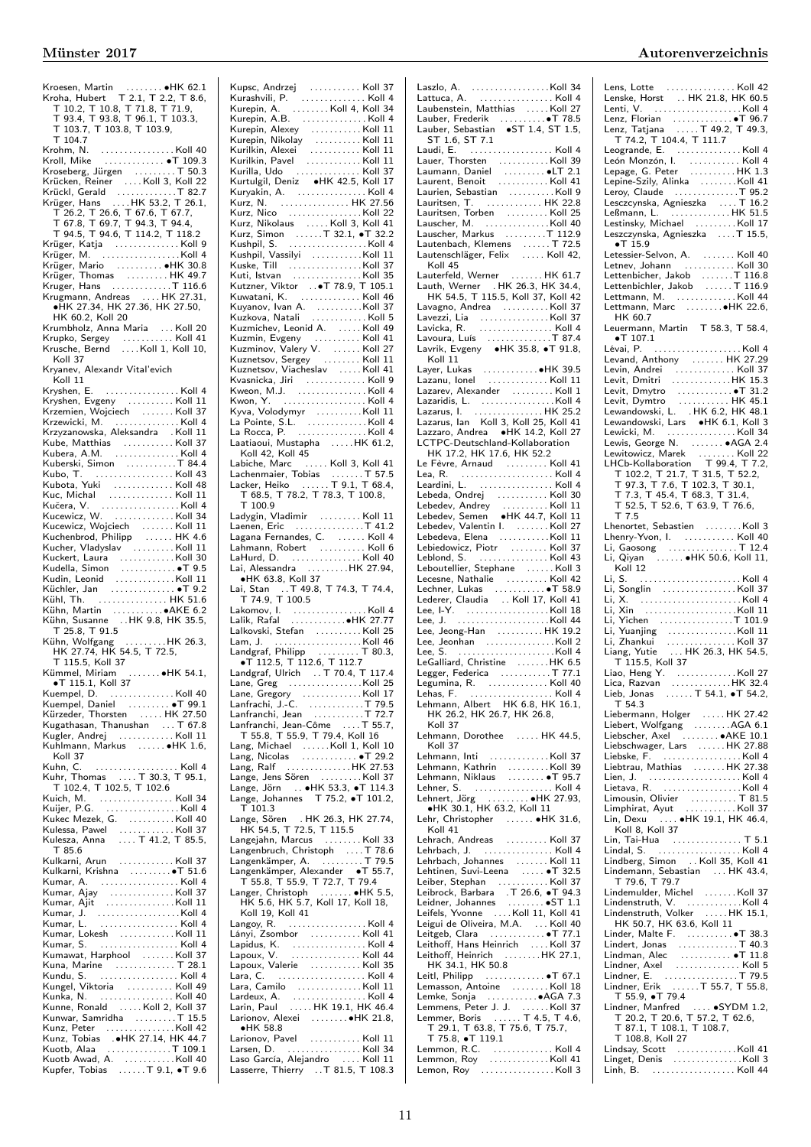| Kroesen, Martin ●HK 62.1<br>Kroha, Hubert T 2.1, T 2.2, T 8.6,<br>T 10.2, T 10.8, T 71.8, T 71.9,<br>T 93.4, T 93.8, T 96.1, T 103.3,<br>T 103.7, T 103.8, T 103.9,                  |  |
|--------------------------------------------------------------------------------------------------------------------------------------------------------------------------------------|--|
|                                                                                                                                                                                      |  |
|                                                                                                                                                                                      |  |
|                                                                                                                                                                                      |  |
|                                                                                                                                                                                      |  |
|                                                                                                                                                                                      |  |
| T 104.7                                                                                                                                                                              |  |
|                                                                                                                                                                                      |  |
|                                                                                                                                                                                      |  |
|                                                                                                                                                                                      |  |
| Kroseberg, Jürgen  T 50.3                                                                                                                                                            |  |
|                                                                                                                                                                                      |  |
|                                                                                                                                                                                      |  |
|                                                                                                                                                                                      |  |
|                                                                                                                                                                                      |  |
| T 26.2, T 26.6, T 67.6, T 67.7,<br>T 67.8, T 69.7, T 94.3, T 94.4,<br>T 94.5, T 94.6, T 114.2, T 118.2                                                                               |  |
|                                                                                                                                                                                      |  |
|                                                                                                                                                                                      |  |
| Krüger, Katja Koll 9                                                                                                                                                                 |  |
| Krüger, M.                                                                                                                                                                           |  |
|                                                                                                                                                                                      |  |
|                                                                                                                                                                                      |  |
|                                                                                                                                                                                      |  |
|                                                                                                                                                                                      |  |
| Krugmann, Andreas  HK 27.31,                                                                                                                                                         |  |
| •HK 27.34, HK 27.36, HK 27.50,                                                                                                                                                       |  |
| HK 60.2, Koll 20                                                                                                                                                                     |  |
| Krumbholz, Anna Maria  Koll 20                                                                                                                                                       |  |
|                                                                                                                                                                                      |  |
| Krupko, Sergey  Koll 41<br>Krusche, Bernd Koll 1, Koll 10,                                                                                                                           |  |
|                                                                                                                                                                                      |  |
| Koll 37                                                                                                                                                                              |  |
| Kryanev, Alexandr Vital'evich                                                                                                                                                        |  |
| Koll 11                                                                                                                                                                              |  |
| Kryshen, E.<br>. Koll 4                                                                                                                                                              |  |
|                                                                                                                                                                                      |  |
| Kryshen, Evgeny Koll 11                                                                                                                                                              |  |
|                                                                                                                                                                                      |  |
|                                                                                                                                                                                      |  |
| Krzemien, Wojciech<br>Krzewicki, M. (1998)<br>Krzewicki, M. (1998)<br>Krzyzanowska, Aleksandra (1908)<br>1998                                                                        |  |
|                                                                                                                                                                                      |  |
| Kube, Matthias Koll 37<br>Kubera, A.M. Koll 4                                                                                                                                        |  |
| Kuberski, Simon T 84.4                                                                                                                                                               |  |
|                                                                                                                                                                                      |  |
|                                                                                                                                                                                      |  |
|                                                                                                                                                                                      |  |
|                                                                                                                                                                                      |  |
|                                                                                                                                                                                      |  |
| Kucewicz, W. Koll 34                                                                                                                                                                 |  |
|                                                                                                                                                                                      |  |
| Kucewicz, Wojciech<br>Kuchenbrod, Philipp    HK 4.6                                                                                                                                  |  |
|                                                                                                                                                                                      |  |
| Kucher, Vladyslav Koll 11                                                                                                                                                            |  |
|                                                                                                                                                                                      |  |
|                                                                                                                                                                                      |  |
|                                                                                                                                                                                      |  |
| Nuckert, Laura<br>Kuckert, Laura<br>Kudella, Simon<br>Kudin, Leonid<br>Küchler, Jan<br>Küchler, Lan<br>W. 51.6                                                                       |  |
|                                                                                                                                                                                      |  |
|                                                                                                                                                                                      |  |
| Kühl, Th.  HK 51.6                                                                                                                                                                   |  |
|                                                                                                                                                                                      |  |
|                                                                                                                                                                                      |  |
| Kühn, Martin   ● AKE 6.2<br>Kühn, Susanne   HK 9.8, HK 35.5,                                                                                                                         |  |
| T 25.8, T 91.5                                                                                                                                                                       |  |
|                                                                                                                                                                                      |  |
| Kühn, Wolfgang HK 26.3,<br>HK 27.74, HK 54.5, T 72.5,                                                                                                                                |  |
| T 115.5, Koll 37                                                                                                                                                                     |  |
| Kümmel, Miriam                                                                                                                                                                       |  |
| $\ldots \ldots \bullet$ HK 54.1,                                                                                                                                                     |  |
| ·T 115.1, Koll 37                                                                                                                                                                    |  |
|                                                                                                                                                                                      |  |
| Kuempel, Daniel  . T 99.1                                                                                                                                                            |  |
| Kürzeder, Thorsten  HK 27.50                                                                                                                                                         |  |
|                                                                                                                                                                                      |  |
| Kugathasan, Thanushan  T 67.8                                                                                                                                                        |  |
| Kugler, Andrej Koll 11<br>Kuhlmann, Markus  HK 1.6,                                                                                                                                  |  |
| Koll 37                                                                                                                                                                              |  |
|                                                                                                                                                                                      |  |
|                                                                                                                                                                                      |  |
|                                                                                                                                                                                      |  |
|                                                                                                                                                                                      |  |
|                                                                                                                                                                                      |  |
|                                                                                                                                                                                      |  |
|                                                                                                                                                                                      |  |
| V. (1917)<br>Kuhn, C. (1924, T. 102.5, T. 103.3, T. 95.1,<br>T. 102.4, T. 102.5, T. 102.6<br>Kuich, M. (1918)<br>Kuler, P. G. (1918)<br>Kulers Dening (1918)<br>Kulers Dening (1918) |  |
|                                                                                                                                                                                      |  |
| Kulessa, Pawel Koll 37<br>Kulesza, Anna  T 41.2, T 85.5,                                                                                                                             |  |
| T 85.6                                                                                                                                                                               |  |
| Kulkarni, Arun  Koll 37                                                                                                                                                              |  |
|                                                                                                                                                                                      |  |
| Kumar, A.                                                                                                                                                                            |  |
| Kumar, Ajay  Koll 37                                                                                                                                                                 |  |
|                                                                                                                                                                                      |  |
|                                                                                                                                                                                      |  |
|                                                                                                                                                                                      |  |
|                                                                                                                                                                                      |  |
|                                                                                                                                                                                      |  |
|                                                                                                                                                                                      |  |
|                                                                                                                                                                                      |  |
| Kumawat, Harphool Koll 37                                                                                                                                                            |  |
| Kuna, Marine  T 28.1                                                                                                                                                                 |  |
| Kundu, S.  Koll 4                                                                                                                                                                    |  |
| Kungel, Viktoria  Koll 49                                                                                                                                                            |  |
| Kunka, N.     Koll 40                                                                                                                                                                |  |
| Kunne, Ronald  Koll 2, Koll 37                                                                                                                                                       |  |
|                                                                                                                                                                                      |  |
|                                                                                                                                                                                      |  |
| Kunwar, Samridha<br>Kunz, Peter (1999). Koll 42                                                                                                                                      |  |
|                                                                                                                                                                                      |  |
|                                                                                                                                                                                      |  |
|                                                                                                                                                                                      |  |

| Kursch, Andrzej (1997)<br>Kurschvili, P. (1998)<br>Kurepin, A. B. (1998)<br>Kurepin, A. B. (1998)<br>Kurepin, A. B. (1998)<br>Kurepin, Alexej (1998)<br>Kurepin, Nikolay (1998)<br>Kurilkin, Aexej (1998)<br>Kurilkin, Pavel (1998)<br>Kurilla, |  |
|-------------------------------------------------------------------------------------------------------------------------------------------------------------------------------------------------------------------------------------------------|--|
|                                                                                                                                                                                                                                                 |  |
|                                                                                                                                                                                                                                                 |  |
|                                                                                                                                                                                                                                                 |  |
|                                                                                                                                                                                                                                                 |  |
|                                                                                                                                                                                                                                                 |  |
|                                                                                                                                                                                                                                                 |  |
|                                                                                                                                                                                                                                                 |  |
|                                                                                                                                                                                                                                                 |  |
|                                                                                                                                                                                                                                                 |  |
|                                                                                                                                                                                                                                                 |  |
|                                                                                                                                                                                                                                                 |  |
|                                                                                                                                                                                                                                                 |  |
|                                                                                                                                                                                                                                                 |  |
|                                                                                                                                                                                                                                                 |  |
|                                                                                                                                                                                                                                                 |  |
|                                                                                                                                                                                                                                                 |  |
|                                                                                                                                                                                                                                                 |  |
|                                                                                                                                                                                                                                                 |  |
|                                                                                                                                                                                                                                                 |  |
|                                                                                                                                                                                                                                                 |  |
|                                                                                                                                                                                                                                                 |  |
|                                                                                                                                                                                                                                                 |  |
|                                                                                                                                                                                                                                                 |  |
|                                                                                                                                                                                                                                                 |  |
|                                                                                                                                                                                                                                                 |  |
|                                                                                                                                                                                                                                                 |  |
|                                                                                                                                                                                                                                                 |  |
|                                                                                                                                                                                                                                                 |  |
| Kuzkova, Natali<br>Kuzmichev, Leonid A.  Koll 49<br>Kuzminov, Valery V.  Koll 41<br>Kuzminov, Valery V.  Koll 41<br>Kuznetsov, Sergey  Koll 97<br>Kuznetsov, Viacheslav  Koll 91<br>Kwasnicka, Jiri .                                           |  |
|                                                                                                                                                                                                                                                 |  |
| Koll 42, Koll 45                                                                                                                                                                                                                                |  |
| None 42, None 43<br>Lachenmaier, Tobias T 57.5<br>Lachenmaier, Tobias T 57.5<br>Lacker, Heiko T 9.1, T 68.4,<br>T 68.5, T 78.2, T 78.3, T 100.8,                                                                                                |  |
|                                                                                                                                                                                                                                                 |  |
|                                                                                                                                                                                                                                                 |  |
|                                                                                                                                                                                                                                                 |  |
| $\frac{1}{100.9}$                                                                                                                                                                                                                               |  |
|                                                                                                                                                                                                                                                 |  |
|                                                                                                                                                                                                                                                 |  |
|                                                                                                                                                                                                                                                 |  |
|                                                                                                                                                                                                                                                 |  |
|                                                                                                                                                                                                                                                 |  |
|                                                                                                                                                                                                                                                 |  |
|                                                                                                                                                                                                                                                 |  |
|                                                                                                                                                                                                                                                 |  |
|                                                                                                                                                                                                                                                 |  |
|                                                                                                                                                                                                                                                 |  |
|                                                                                                                                                                                                                                                 |  |
|                                                                                                                                                                                                                                                 |  |
| Lai, Messandra<br>Lai, Messandra<br>Lai, Stan II. T 49.8, T 74.3, T 74.4,<br>Lai, Stan II. T 49.8, T 74.3, T 74.4,<br>T 74.9, T 100.5<br>Lakomov, I. II. II. Koll 4<br>Lalik, Rafal                                                             |  |
|                                                                                                                                                                                                                                                 |  |
|                                                                                                                                                                                                                                                 |  |
|                                                                                                                                                                                                                                                 |  |
|                                                                                                                                                                                                                                                 |  |
|                                                                                                                                                                                                                                                 |  |
| Lane, Gregory Koll 17                                                                                                                                                                                                                           |  |
|                                                                                                                                                                                                                                                 |  |
|                                                                                                                                                                                                                                                 |  |
|                                                                                                                                                                                                                                                 |  |
| Lane, Gregory<br>Lanfranchi, J.-C.<br>Lanfranchi, Jean<br>Lanfranchi, Jean<br>T. 755.7, T. 55.8, T. 75.9, T. 75.9, T. 75.8, T. 55.7, T.<br>A. W.-4, M. M. 11.10                                                                                 |  |
|                                                                                                                                                                                                                                                 |  |
| Lang, Ralf HK 27.53                                                                                                                                                                                                                             |  |
|                                                                                                                                                                                                                                                 |  |
| Lange, Jens Sören<br>Lange, Jörn 1998 1893, 1998 1999<br>Lange, Jörn 1998, 1999 1999                                                                                                                                                            |  |
|                                                                                                                                                                                                                                                 |  |
| T 101.3                                                                                                                                                                                                                                         |  |
| Lange, Johannes T 75.2, .T 101.2,<br>Lange, Sören . HK 26.3, HK 27.74,                                                                                                                                                                          |  |
|                                                                                                                                                                                                                                                 |  |
| HK 54.5, T 72.5, T 115.5<br>Langejahn, Marcus<br>. Koll 33                                                                                                                                                                                      |  |
|                                                                                                                                                                                                                                                 |  |
| Langenbruch, Christoph  T 78.6<br>Langenkämper, A.  T 79.5                                                                                                                                                                                      |  |
|                                                                                                                                                                                                                                                 |  |
|                                                                                                                                                                                                                                                 |  |
|                                                                                                                                                                                                                                                 |  |
| Koll 19, Koll $41$                                                                                                                                                                                                                              |  |
| Langenkämper, Alexander • 55.7,<br>T 55.8, T 55.9, T 72.7, T 79.4<br>Langer, Christoph   • HK 5.5,<br>HK 5.6, HK 5.7, Koll 17, Koll 18,<br>Langoy, R. $\ldots$ Koll 4                                                                           |  |
|                                                                                                                                                                                                                                                 |  |
|                                                                                                                                                                                                                                                 |  |
|                                                                                                                                                                                                                                                 |  |
|                                                                                                                                                                                                                                                 |  |
|                                                                                                                                                                                                                                                 |  |
|                                                                                                                                                                                                                                                 |  |
|                                                                                                                                                                                                                                                 |  |
| Larionov, Alexei  HK 21.8,                                                                                                                                                                                                                      |  |
| $\bullet$ HK 58.8                                                                                                                                                                                                                               |  |
| Larionov, Pavel  Koll 11                                                                                                                                                                                                                        |  |
|                                                                                                                                                                                                                                                 |  |
|                                                                                                                                                                                                                                                 |  |

| ST 1.6, ST 7.1                                                                                                                                                                                                                                                                     |
|------------------------------------------------------------------------------------------------------------------------------------------------------------------------------------------------------------------------------------------------------------------------------------|
|                                                                                                                                                                                                                                                                                    |
| Laudi, E.  Koll 4                                                                                                                                                                                                                                                                  |
| Lauer, Thorsten<br>Lauer, Thorsten<br>Laumann, Daniel<br>Laurent, Benoit<br>Laurent, Benoit                                                                                                                                                                                        |
|                                                                                                                                                                                                                                                                                    |
|                                                                                                                                                                                                                                                                                    |
|                                                                                                                                                                                                                                                                                    |
| Laurien, Sebastian Koll 9                                                                                                                                                                                                                                                          |
|                                                                                                                                                                                                                                                                                    |
|                                                                                                                                                                                                                                                                                    |
|                                                                                                                                                                                                                                                                                    |
|                                                                                                                                                                                                                                                                                    |
|                                                                                                                                                                                                                                                                                    |
| Lautenbach, Klemens     T 72.5<br>Lautenschläger, Felix     Koll 42,                                                                                                                                                                                                               |
|                                                                                                                                                                                                                                                                                    |
|                                                                                                                                                                                                                                                                                    |
| Koll 45                                                                                                                                                                                                                                                                            |
|                                                                                                                                                                                                                                                                                    |
|                                                                                                                                                                                                                                                                                    |
| Nou 45<br>Lauterfeld, Werner HK 61.7<br>Lauth, Werner HK 26.3, HK 34.4,<br>HK 54.5, T 115.5, Koll 37, Koll 42                                                                                                                                                                      |
|                                                                                                                                                                                                                                                                                    |
|                                                                                                                                                                                                                                                                                    |
|                                                                                                                                                                                                                                                                                    |
|                                                                                                                                                                                                                                                                                    |
|                                                                                                                                                                                                                                                                                    |
|                                                                                                                                                                                                                                                                                    |
|                                                                                                                                                                                                                                                                                    |
| Koll 11                                                                                                                                                                                                                                                                            |
|                                                                                                                                                                                                                                                                                    |
|                                                                                                                                                                                                                                                                                    |
|                                                                                                                                                                                                                                                                                    |
| Lazarev, Alexander     Koll 1                                                                                                                                                                                                                                                      |
|                                                                                                                                                                                                                                                                                    |
|                                                                                                                                                                                                                                                                                    |
|                                                                                                                                                                                                                                                                                    |
|                                                                                                                                                                                                                                                                                    |
| Lazzaro, Andrea • HK 14.2, Koll 27                                                                                                                                                                                                                                                 |
| LCTPC-Deutschland-Kollaboration                                                                                                                                                                                                                                                    |
| HK 17.2, HK 17.6, HK 52.2                                                                                                                                                                                                                                                          |
|                                                                                                                                                                                                                                                                                    |
| Le Fèvre, Arnaud  Koll 41                                                                                                                                                                                                                                                          |
| Lea, R.  Koll 4                                                                                                                                                                                                                                                                    |
| Leardini, L.  Koll 4                                                                                                                                                                                                                                                               |
|                                                                                                                                                                                                                                                                                    |
|                                                                                                                                                                                                                                                                                    |
|                                                                                                                                                                                                                                                                                    |
|                                                                                                                                                                                                                                                                                    |
|                                                                                                                                                                                                                                                                                    |
|                                                                                                                                                                                                                                                                                    |
|                                                                                                                                                                                                                                                                                    |
|                                                                                                                                                                                                                                                                                    |
| Leblond, S.<br>Leboutellier, Stephane Koll 3<br>Leboutellier, Stephane                                                                                                                                                                                                             |
|                                                                                                                                                                                                                                                                                    |
|                                                                                                                                                                                                                                                                                    |
|                                                                                                                                                                                                                                                                                    |
|                                                                                                                                                                                                                                                                                    |
|                                                                                                                                                                                                                                                                                    |
|                                                                                                                                                                                                                                                                                    |
|                                                                                                                                                                                                                                                                                    |
|                                                                                                                                                                                                                                                                                    |
|                                                                                                                                                                                                                                                                                    |
|                                                                                                                                                                                                                                                                                    |
|                                                                                                                                                                                                                                                                                    |
|                                                                                                                                                                                                                                                                                    |
|                                                                                                                                                                                                                                                                                    |
|                                                                                                                                                                                                                                                                                    |
|                                                                                                                                                                                                                                                                                    |
| Lee, Jeong-Han<br>Lee, Jeong-Han<br>Lee, Jeonhan<br>Lee, S. Allen, Allen (1922)<br>Legger, Federica<br>Legger, Federica<br>Legger, Federica<br>Legger, Federica<br>Legger, Federica<br>Legger, Tr.11, Tr.11, Tr.11, Tr.11, Tr.12, Tr.12, Tr.12, Tr.12, Tr<br>Legumina, R.  Koll 40 |
|                                                                                                                                                                                                                                                                                    |
|                                                                                                                                                                                                                                                                                    |
| Lehas, F. (1997)<br>Lehas, F. (1997)<br>Lehmann, Albert HK 6.8, HK 16.1,                                                                                                                                                                                                           |
| HK 26.2, HK 26.7, HK 26.8,                                                                                                                                                                                                                                                         |
| Koll 37                                                                                                                                                                                                                                                                            |
|                                                                                                                                                                                                                                                                                    |
| Lehmann, Dorothee  HK 44.5,                                                                                                                                                                                                                                                        |
| Koll 37                                                                                                                                                                                                                                                                            |
| Lehmann, Inti Koll 37                                                                                                                                                                                                                                                              |
| Lehmann, Kathrin Koll 39                                                                                                                                                                                                                                                           |
|                                                                                                                                                                                                                                                                                    |
|                                                                                                                                                                                                                                                                                    |
|                                                                                                                                                                                                                                                                                    |
| Lehnert, Jörg  HK 27.93,                                                                                                                                                                                                                                                           |
| •HK 30.1, HK 63.2, Koll 11                                                                                                                                                                                                                                                         |
|                                                                                                                                                                                                                                                                                    |
| Lehr, Christopher  . HK 31.6,                                                                                                                                                                                                                                                      |
| Koll 41                                                                                                                                                                                                                                                                            |
| Lehrach, Andreas  Koll 37                                                                                                                                                                                                                                                          |
| Lehrbach, J.  Koll 4                                                                                                                                                                                                                                                               |
|                                                                                                                                                                                                                                                                                    |
|                                                                                                                                                                                                                                                                                    |
|                                                                                                                                                                                                                                                                                    |
|                                                                                                                                                                                                                                                                                    |
|                                                                                                                                                                                                                                                                                    |
|                                                                                                                                                                                                                                                                                    |
|                                                                                                                                                                                                                                                                                    |
|                                                                                                                                                                                                                                                                                    |
| Lehrbach, Johannes<br>Lehrbach, Johannes<br>Lehtinen, Suvi-Leena<br>Lehtinen, Suvi-Leena<br>Leibrock, Barbara<br>T. 26.6, T. 94.3<br>Leidner, Johannes<br>Leirenis, Yvonne (11.1, Koll 41.1)<br>Leirenis, Yvonne (11.1, Koll 41.1, Koll 40.1)<br>                                  |
|                                                                                                                                                                                                                                                                                    |
|                                                                                                                                                                                                                                                                                    |
|                                                                                                                                                                                                                                                                                    |
| Leithoff, Heinrich HK 27.1,                                                                                                                                                                                                                                                        |
| HK 34.1, HK 50.8                                                                                                                                                                                                                                                                   |
|                                                                                                                                                                                                                                                                                    |
|                                                                                                                                                                                                                                                                                    |
|                                                                                                                                                                                                                                                                                    |
| Leitl, Philipp  T 67.1<br>Lemasson, Antoine Koll 18                                                                                                                                                                                                                                |
|                                                                                                                                                                                                                                                                                    |
|                                                                                                                                                                                                                                                                                    |
|                                                                                                                                                                                                                                                                                    |
|                                                                                                                                                                                                                                                                                    |
| T 75.8, •T 119.1                                                                                                                                                                                                                                                                   |
|                                                                                                                                                                                                                                                                                    |
|                                                                                                                                                                                                                                                                                    |
|                                                                                                                                                                                                                                                                                    |

| Lenz, Florian<br>Lenz, Tatjana  T 49.2, T 49.3,<br>T 74.2, T 104.4, T 111.7<br>List L                                                                                                                                           |  |
|---------------------------------------------------------------------------------------------------------------------------------------------------------------------------------------------------------------------------------|--|
|                                                                                                                                                                                                                                 |  |
|                                                                                                                                                                                                                                 |  |
|                                                                                                                                                                                                                                 |  |
|                                                                                                                                                                                                                                 |  |
|                                                                                                                                                                                                                                 |  |
|                                                                                                                                                                                                                                 |  |
|                                                                                                                                                                                                                                 |  |
|                                                                                                                                                                                                                                 |  |
|                                                                                                                                                                                                                                 |  |
|                                                                                                                                                                                                                                 |  |
|                                                                                                                                                                                                                                 |  |
|                                                                                                                                                                                                                                 |  |
|                                                                                                                                                                                                                                 |  |
| Leszczynska, Agnieszka T 15.5,                                                                                                                                                                                                  |  |
| $\bullet$ T 15.9                                                                                                                                                                                                                |  |
|                                                                                                                                                                                                                                 |  |
| Letessier-Selvon, A.     Koll 40<br>Letnev, Johann   Koll 30                                                                                                                                                                    |  |
|                                                                                                                                                                                                                                 |  |
|                                                                                                                                                                                                                                 |  |
|                                                                                                                                                                                                                                 |  |
|                                                                                                                                                                                                                                 |  |
|                                                                                                                                                                                                                                 |  |
|                                                                                                                                                                                                                                 |  |
|                                                                                                                                                                                                                                 |  |
| HK 60.7                                                                                                                                                                                                                         |  |
| Leuermann, Martin T 58.3, T 58.4,                                                                                                                                                                                               |  |
|                                                                                                                                                                                                                                 |  |
|                                                                                                                                                                                                                                 |  |
|                                                                                                                                                                                                                                 |  |
|                                                                                                                                                                                                                                 |  |
|                                                                                                                                                                                                                                 |  |
|                                                                                                                                                                                                                                 |  |
|                                                                                                                                                                                                                                 |  |
|                                                                                                                                                                                                                                 |  |
|                                                                                                                                                                                                                                 |  |
|                                                                                                                                                                                                                                 |  |
|                                                                                                                                                                                                                                 |  |
| Lewandowski, Lars . HK 6.1, Koll 3                                                                                                                                                                                              |  |
|                                                                                                                                                                                                                                 |  |
|                                                                                                                                                                                                                                 |  |
|                                                                                                                                                                                                                                 |  |
|                                                                                                                                                                                                                                 |  |
|                                                                                                                                                                                                                                 |  |
|                                                                                                                                                                                                                                 |  |
|                                                                                                                                                                                                                                 |  |
|                                                                                                                                                                                                                                 |  |
|                                                                                                                                                                                                                                 |  |
|                                                                                                                                                                                                                                 |  |
| $T$ 7.5                                                                                                                                                                                                                         |  |
|                                                                                                                                                                                                                                 |  |
| Lhenortet, Sebastien Koll 3                                                                                                                                                                                                     |  |
|                                                                                                                                                                                                                                 |  |
|                                                                                                                                                                                                                                 |  |
|                                                                                                                                                                                                                                 |  |
|                                                                                                                                                                                                                                 |  |
|                                                                                                                                                                                                                                 |  |
|                                                                                                                                                                                                                                 |  |
|                                                                                                                                                                                                                                 |  |
|                                                                                                                                                                                                                                 |  |
|                                                                                                                                                                                                                                 |  |
|                                                                                                                                                                                                                                 |  |
|                                                                                                                                                                                                                                 |  |
|                                                                                                                                                                                                                                 |  |
|                                                                                                                                                                                                                                 |  |
|                                                                                                                                                                                                                                 |  |
|                                                                                                                                                                                                                                 |  |
|                                                                                                                                                                                                                                 |  |
|                                                                                                                                                                                                                                 |  |
|                                                                                                                                                                                                                                 |  |
|                                                                                                                                                                                                                                 |  |
|                                                                                                                                                                                                                                 |  |
|                                                                                                                                                                                                                                 |  |
|                                                                                                                                                                                                                                 |  |
| T 54.3                                                                                                                                                                                                                          |  |
|                                                                                                                                                                                                                                 |  |
|                                                                                                                                                                                                                                 |  |
|                                                                                                                                                                                                                                 |  |
|                                                                                                                                                                                                                                 |  |
|                                                                                                                                                                                                                                 |  |
|                                                                                                                                                                                                                                 |  |
|                                                                                                                                                                                                                                 |  |
|                                                                                                                                                                                                                                 |  |
|                                                                                                                                                                                                                                 |  |
|                                                                                                                                                                                                                                 |  |
|                                                                                                                                                                                                                                 |  |
|                                                                                                                                                                                                                                 |  |
|                                                                                                                                                                                                                                 |  |
|                                                                                                                                                                                                                                 |  |
|                                                                                                                                                                                                                                 |  |
|                                                                                                                                                                                                                                 |  |
|                                                                                                                                                                                                                                 |  |
|                                                                                                                                                                                                                                 |  |
|                                                                                                                                                                                                                                 |  |
|                                                                                                                                                                                                                                 |  |
|                                                                                                                                                                                                                                 |  |
| Lindemann, Sebastian  HK 43.4,<br>T 79.6, T 79.7                                                                                                                                                                                |  |
| Lindemulder, Michel Koll 37                                                                                                                                                                                                     |  |
|                                                                                                                                                                                                                                 |  |
|                                                                                                                                                                                                                                 |  |
|                                                                                                                                                                                                                                 |  |
|                                                                                                                                                                                                                                 |  |
|                                                                                                                                                                                                                                 |  |
|                                                                                                                                                                                                                                 |  |
|                                                                                                                                                                                                                                 |  |
|                                                                                                                                                                                                                                 |  |
|                                                                                                                                                                                                                                 |  |
|                                                                                                                                                                                                                                 |  |
|                                                                                                                                                                                                                                 |  |
|                                                                                                                                                                                                                                 |  |
| Linder, Malte F.<br>Linder, Lonas<br>Lindert, Jonas<br>Lindert, Jonas<br>Lindert, Axel<br>Linder, Axel<br>Linder, E.<br>Linder, E.<br>Linder, E.<br>Linder, E.<br>Linder, E.<br>Linder, E.<br>Linder, E.<br>T. F. S. Q. T. 79.5 |  |
|                                                                                                                                                                                                                                 |  |
|                                                                                                                                                                                                                                 |  |
|                                                                                                                                                                                                                                 |  |
|                                                                                                                                                                                                                                 |  |
|                                                                                                                                                                                                                                 |  |
| Lindner, Erik (1957, 1958, 1957, 1958, 1958), 1959, 1979, 1980, 1972, 1972, 1972, 1972, 1973, 1973, 1973, 1973, 1973, 1973, 1973, 1973, 1973, 1973, 1973, 1973, 1973, 1973, 1973, 1973, 1973, 1973, 1973, 1973, 1973, 1973, 1   |  |
|                                                                                                                                                                                                                                 |  |
|                                                                                                                                                                                                                                 |  |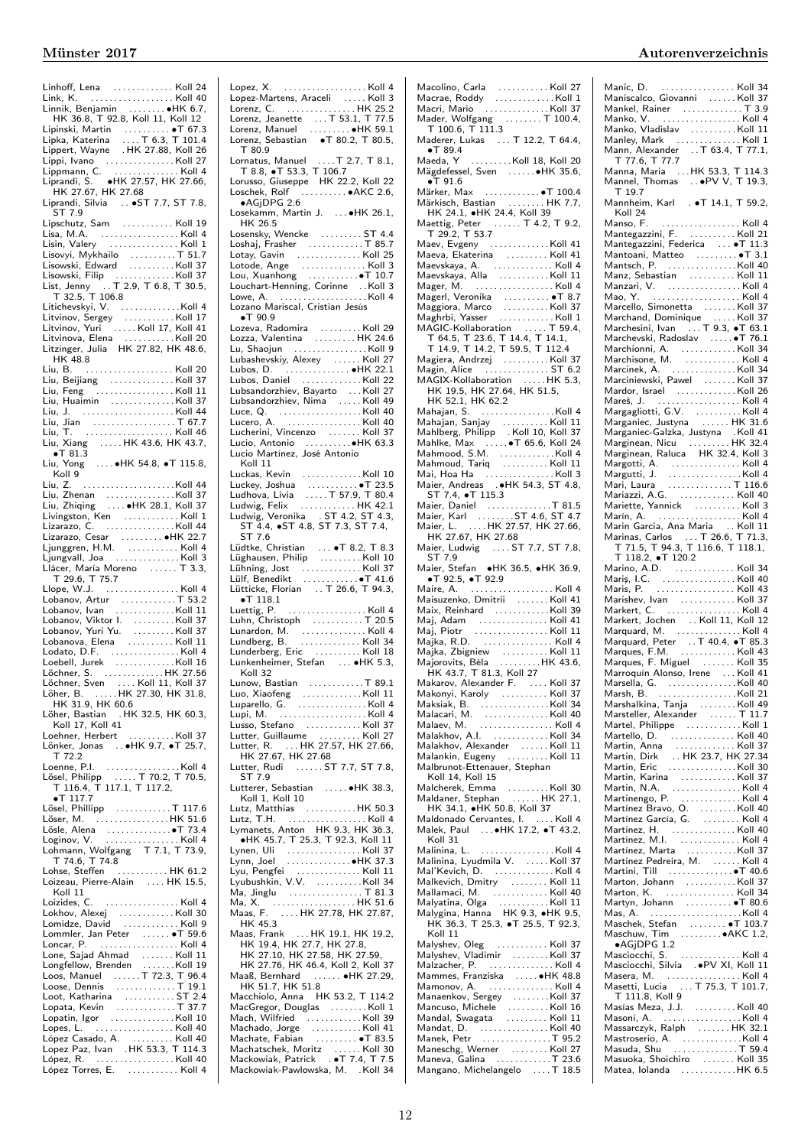| Linhoff, Lena  Koll 24<br>Link, K.  Koll 40                                                                                                                                                                                   |  |
|-------------------------------------------------------------------------------------------------------------------------------------------------------------------------------------------------------------------------------|--|
| Linnik, Benjamin<br>Linnik, Benjamin<br>HK 36.8, T 92.8, Koll 11, Koll 12                                                                                                                                                     |  |
|                                                                                                                                                                                                                               |  |
| Lipinski, Martin<br>Lipka, Katerina   T 6.3, T 101.4<br>Lippert, Wayne   HK 27.88, Koll 26                                                                                                                                    |  |
|                                                                                                                                                                                                                               |  |
|                                                                                                                                                                                                                               |  |
| Lippi, Ivano<br>Lippi, Ivano<br>Lippi, Ivano<br>Lippmann, C.<br>Liprandi, S. (1948)<br>HK 27.57, HK 27.68<br>HK 27.67, HK 27.68                                                                                               |  |
| Liprandi, Silvia  ST 7.7, ST 7.8,<br>ST 7.9                                                                                                                                                                                   |  |
| Lipschutz, Sam  Koll 19                                                                                                                                                                                                       |  |
|                                                                                                                                                                                                                               |  |
| Lisovyi, Mykhailo $\ldots \ldots \ldots$ 51.7                                                                                                                                                                                 |  |
| Lisowski, Edward Koll 37                                                                                                                                                                                                      |  |
| Lisowski, Filip<br>List, Jenny  T 2.9, T 6.8, T 30.5,<br>T 32.5, T 106.8                                                                                                                                                      |  |
|                                                                                                                                                                                                                               |  |
| Litichevskyi, V.<br>Litvinov, Sergey Koll 17<br>Litvinov, Yuri Koll 17, Koll 41<br>Litvinov, Yuri Koll 17, Koll 41                                                                                                            |  |
| Litvinova, Elena   Koll 20<br>Litzinger, Julia   HK 27.82, HK 48.6,                                                                                                                                                           |  |
| HK 48.8                                                                                                                                                                                                                       |  |
|                                                                                                                                                                                                                               |  |
| Liu, Beijiang   Koll 37<br>Liu, Feng     Koll 11                                                                                                                                                                              |  |
|                                                                                                                                                                                                                               |  |
| Liu, Jian  T 67.7                                                                                                                                                                                                             |  |
| .<br>Liu,                                                                                                                                                                                                                     |  |
| Liu, Xiang HK 43.6, HK 43.7,                                                                                                                                                                                                  |  |
| Liu, Yong ●HK 54.8, ●T 115.8,<br>Koll 9                                                                                                                                                                                       |  |
| Liu, Z.                                                                                                                                                                                                                       |  |
|                                                                                                                                                                                                                               |  |
|                                                                                                                                                                                                                               |  |
|                                                                                                                                                                                                                               |  |
|                                                                                                                                                                                                                               |  |
| Llácer, María Moreno  T 3.3,                                                                                                                                                                                                  |  |
|                                                                                                                                                                                                                               |  |
| T 29.6, T 75.7                                                                                                                                                                                                                |  |
|                                                                                                                                                                                                                               |  |
|                                                                                                                                                                                                                               |  |
|                                                                                                                                                                                                                               |  |
| Lodato, D.F. Koll 4                                                                                                                                                                                                           |  |
|                                                                                                                                                                                                                               |  |
| Löchner, Sven  Koll 11, Koll 37                                                                                                                                                                                               |  |
| Löher,                                                                                                                                                                                                                        |  |
| her, B. HK 27.30, HK 31.8,<br>HK 31.9, HK 60.6<br>Löher, Bastian . HK 32.5, HK 60.3,                                                                                                                                          |  |
| Koll 17, Koll 41                                                                                                                                                                                                              |  |
| Loehner, Herbert<br>Lönker, Jonas  HK 9.7, •T 25.7,                                                                                                                                                                           |  |
| T 72.2                                                                                                                                                                                                                        |  |
|                                                                                                                                                                                                                               |  |
| Loenne, P.I. Koll 4<br>Lösel, Philipp  T 70.2, T 70.5,<br>T_116.4, T 117.1, T 117.2,<br>$\bullet$ T 117.7                                                                                                                     |  |
| Lösel, Phillipp T 117.6<br>$\ldots$ HK 51.6<br>Löser, M.                                                                                                                                                                      |  |
| Lösle, Alena (1999), 2008, 2009, 2009, 2009, 2009, 2009, 2009, 2009, 2009, 2009, 2009, 2009, 2009, 2009, 2009, 2009, 2009, 2009, 2009, 2009, 2009, 2009, 2009, 2009, 2009, 2009, 2009, 2009, 2009, 2009, 2009, 2009, 2009, 20 |  |
| Loginov, V.  Koll 4                                                                                                                                                                                                           |  |
| Lohmann, Wolfgang<br>T 7.1, T 73.9,<br>T 74.6, T 74.8                                                                                                                                                                         |  |
| Lohse, Steffen  HK 61.2<br>Loizeau, Pierre-Alain  HK 15.5,                                                                                                                                                                    |  |
| Koll 11<br>Loizides, C.<br>. Koll 4                                                                                                                                                                                           |  |
| Lokhov, Alexej Koll 30                                                                                                                                                                                                        |  |
| Lomidze, David  Koll 9<br>Lommler, Jan Peter  T 59.6                                                                                                                                                                          |  |
|                                                                                                                                                                                                                               |  |
|                                                                                                                                                                                                                               |  |
|                                                                                                                                                                                                                               |  |
|                                                                                                                                                                                                                               |  |
|                                                                                                                                                                                                                               |  |
| Lopes, L.  Koll 40                                                                                                                                                                                                            |  |
|                                                                                                                                                                                                                               |  |
| López Torres, E.  Koll 4                                                                                                                                                                                                      |  |

| T 80.9                                                                                                                                                                                                                                                             |
|--------------------------------------------------------------------------------------------------------------------------------------------------------------------------------------------------------------------------------------------------------------------|
| Lornatus, Manuel  T 2.7, T 8.1,<br>T 8.8, • T 53.3, T 106.7<br>Lorusso, Giuseppe HK 22.2, Koll 22<br>Loschek, Rolf • AKC 2.6,                                                                                                                                      |
|                                                                                                                                                                                                                                                                    |
|                                                                                                                                                                                                                                                                    |
|                                                                                                                                                                                                                                                                    |
| $\bullet$ AGjDPG 2.6<br>Losekamm, Martin J.  HK 26.1,                                                                                                                                                                                                              |
| HK 26.5                                                                                                                                                                                                                                                            |
| Losensky, Wencke  ST 4.4                                                                                                                                                                                                                                           |
|                                                                                                                                                                                                                                                                    |
|                                                                                                                                                                                                                                                                    |
|                                                                                                                                                                                                                                                                    |
|                                                                                                                                                                                                                                                                    |
| Louchart-Henning, Corinne  Koll 3<br>Lowe, A.  Koll 4                                                                                                                                                                                                              |
|                                                                                                                                                                                                                                                                    |
| Lozano Mariscal, Cristian Jesús                                                                                                                                                                                                                                    |
| $\bullet$ T 90.9                                                                                                                                                                                                                                                   |
| Lozeva, Radomira<br>Lozza, Valentina   HK 24.6<br>Lu, Shaojun   Koll 9                                                                                                                                                                                             |
|                                                                                                                                                                                                                                                                    |
|                                                                                                                                                                                                                                                                    |
| Lubashevskiy, Alexey  Koll 27<br>Lubos, D.  •HK 22.1                                                                                                                                                                                                               |
|                                                                                                                                                                                                                                                                    |
| Lubos, Daniel<br>Lubsandorzhiev, Bayarto  Koll 27<br>Lubsandorzhiev, Nima  Koll 49<br>Lubsandorzhiev, Nima  Koll 49                                                                                                                                                |
|                                                                                                                                                                                                                                                                    |
|                                                                                                                                                                                                                                                                    |
|                                                                                                                                                                                                                                                                    |
|                                                                                                                                                                                                                                                                    |
|                                                                                                                                                                                                                                                                    |
| Lucherini, Vincenzo<br>Lucherini, Vincenzo<br>Lucio, Antonio<br>Lucio Martínez, José Antonio                                                                                                                                                                       |
| Koll 11                                                                                                                                                                                                                                                            |
|                                                                                                                                                                                                                                                                    |
|                                                                                                                                                                                                                                                                    |
|                                                                                                                                                                                                                                                                    |
|                                                                                                                                                                                                                                                                    |
|                                                                                                                                                                                                                                                                    |
|                                                                                                                                                                                                                                                                    |
| ST 7.6                                                                                                                                                                                                                                                             |
| Lüdtke, Christian  • T 8.2, T 8.3<br>Lüghausen, Philip  Koll 10                                                                                                                                                                                                    |
|                                                                                                                                                                                                                                                                    |
|                                                                                                                                                                                                                                                                    |
| Lühning, Jost<br>Lülf, Benedikt<br>Lütf, Benedikt<br>Lütti⊏ke, Florian ∴. T 26.6, T 94.3,                                                                                                                                                                          |
| $\bullet$ T 118.1                                                                                                                                                                                                                                                  |
| Luettig, P.  Koll 4                                                                                                                                                                                                                                                |
|                                                                                                                                                                                                                                                                    |
|                                                                                                                                                                                                                                                                    |
| Luhn, Christoph<br>Lunardon, M. (2015)<br>Lunardon, M. (2015)<br>Lundberg, B. (2016)<br>Lunderberg, Eric (2016)<br>Koll 18                                                                                                                                         |
|                                                                                                                                                                                                                                                                    |
| Lunkenheimer, Stefan  HK 5.3,                                                                                                                                                                                                                                      |
| Koll 32                                                                                                                                                                                                                                                            |
| Lunow, Bastian<br>$\ldots \ldots \ldots \ldots$ T 89.1                                                                                                                                                                                                             |
| Luo, Xiaofeng Koll 11<br>Luparello, G. Koll 4                                                                                                                                                                                                                      |
|                                                                                                                                                                                                                                                                    |
|                                                                                                                                                                                                                                                                    |
| Lupi, M. Koll 4                                                                                                                                                                                                                                                    |
| Lusso, Stefano  Koll 37                                                                                                                                                                                                                                            |
|                                                                                                                                                                                                                                                                    |
|                                                                                                                                                                                                                                                                    |
|                                                                                                                                                                                                                                                                    |
| Lutter, Guillaume<br>Lutter, R.  HK 27.57, HK 27.66,<br>HK 27.67, HK 27.68<br>Lutter, Rudi<br>Cutter, Rudi<br>Cutter, Rudi<br>C.  ST 7.7, ST 7.8,<br>C. T 7.9                                                                                                      |
| ST 7.9                                                                                                                                                                                                                                                             |
| Lutterer, Sebastian  HK 38.3,                                                                                                                                                                                                                                      |
| Koll 1, Koll 10                                                                                                                                                                                                                                                    |
|                                                                                                                                                                                                                                                                    |
|                                                                                                                                                                                                                                                                    |
|                                                                                                                                                                                                                                                                    |
| Lymanets, Anton HK 9.3, HK 36.3,<br>HK 45.7, T 25.3, T 92.3, Koll 11                                                                                                                                                                                               |
|                                                                                                                                                                                                                                                                    |
|                                                                                                                                                                                                                                                                    |
|                                                                                                                                                                                                                                                                    |
| Lynen, Uli<br>Lynen, Uli<br>Lynn, Joel<br>Lynn, Joel<br>Lyubushkin, V.V.<br>Ma, Jinglu<br>Ma, Jinglu<br>Ma, Jinglu<br>Ma, Jinglu<br>Ma, Jinglu<br>Ma, Jinglu<br>Ma, Jinglu<br>Ma, Jinglu<br>Ma, Jinglu<br>Ma, Jinglu<br>Ma, Jinglu<br>Ma, Jinglu<br>Ma, Jinglu<br> |
|                                                                                                                                                                                                                                                                    |
|                                                                                                                                                                                                                                                                    |
| HK 45.3                                                                                                                                                                                                                                                            |
|                                                                                                                                                                                                                                                                    |
|                                                                                                                                                                                                                                                                    |
| 11x 43.3<br>HK 19.4, HK 17.7, HK 19.1, HK 19.2,<br>HK 19.4, HK 27.7, HK 27.8,<br>HK 27.10, HK 27.58, HK 27.59,                                                                                                                                                     |
| HK 27.76, HK 46.4, Koll 2, Koll 37<br>Maaß, Bernhard  . HK 27.29,                                                                                                                                                                                                  |
| HK 51.7, HK 51.8                                                                                                                                                                                                                                                   |
| Macchiolo, Anna HK 53.2, T 114.2                                                                                                                                                                                                                                   |
| MacGregor, Douglas Koll 1                                                                                                                                                                                                                                          |
| Mach, Wilfried Koll 39                                                                                                                                                                                                                                             |
|                                                                                                                                                                                                                                                                    |
|                                                                                                                                                                                                                                                                    |
|                                                                                                                                                                                                                                                                    |
| Machatschek, Moritz Koll 30<br>Mackowiak, Patrick  • T 7.4, T 7.5<br>Mackowiak-Pawlowska, M. . Koll 34                                                                                                                                                             |

| Mader, Wolfgang<br>T 100.6, T 111.3                                                                                                    |  |
|----------------------------------------------------------------------------------------------------------------------------------------|--|
|                                                                                                                                        |  |
| Maderer, Lukas  T 12.2, T 64.4,                                                                                                        |  |
| $\bullet$ T 89.4                                                                                                                       |  |
| Maeda, Y Koll 18, Koll 20                                                                                                              |  |
|                                                                                                                                        |  |
| wiacua,<br>Mägdefessel, Sven   ●HK 35.6,                                                                                               |  |
| $\bullet$ T 91.6                                                                                                                       |  |
| Märker, Max  T 100.4                                                                                                                   |  |
|                                                                                                                                        |  |
|                                                                                                                                        |  |
| Märkisch, Bastian  HK 7.7,<br>HK 24.1, •HK 24.4, Koll 39                                                                               |  |
|                                                                                                                                        |  |
| Maettig, Peter<br>T 29.2, T 53.7                                                                                                       |  |
|                                                                                                                                        |  |
| Maev, Evgeny Koll 41                                                                                                                   |  |
| Maeva, Ekaterina<br>Maevskaya, A. (1998).<br>Maevskaya, A. (1998).<br>Maevskaya, Alla (1999).                                          |  |
|                                                                                                                                        |  |
|                                                                                                                                        |  |
|                                                                                                                                        |  |
| Mager, M. Koll 4                                                                                                                       |  |
|                                                                                                                                        |  |
|                                                                                                                                        |  |
|                                                                                                                                        |  |
|                                                                                                                                        |  |
|                                                                                                                                        |  |
|                                                                                                                                        |  |
| MAGIC-Kollaboration<br>T 64.5, T 23.6, T 14.4, T 14.1,<br>T 14.9, T 14.2, T 59.5, T 112.4                                              |  |
|                                                                                                                                        |  |
| Magiera, Andrzej<br>Magin, Alice   ST 6.2                                                                                              |  |
|                                                                                                                                        |  |
|                                                                                                                                        |  |
|                                                                                                                                        |  |
| MAGIX-Kollaboration  HK 5.3,<br>HK 19.5, HK 27.64, HK 51.5,                                                                            |  |
| HK 52.1, HK 62.2                                                                                                                       |  |
| Mahajan, S. Koll 4                                                                                                                     |  |
|                                                                                                                                        |  |
|                                                                                                                                        |  |
|                                                                                                                                        |  |
|                                                                                                                                        |  |
|                                                                                                                                        |  |
|                                                                                                                                        |  |
|                                                                                                                                        |  |
|                                                                                                                                        |  |
|                                                                                                                                        |  |
| ST 7.4, • T 115.3                                                                                                                      |  |
|                                                                                                                                        |  |
|                                                                                                                                        |  |
|                                                                                                                                        |  |
| Maier, Daniel<br>Maier, Karl<br>Maier, Karl<br>Maier, L.<br>Maier, L.<br>Maier, L.<br>Maier, L.<br>Maier, L.<br>Maier, L.<br>Maier, L. |  |
|                                                                                                                                        |  |
| HK 27.67, HK 27.68                                                                                                                     |  |
| Maier, Ludwig  ST 7.7, ST 7.8,                                                                                                         |  |
| ST 7.9                                                                                                                                 |  |
| Maier, Stefan •HK 36.5, •HK 36.9,                                                                                                      |  |
| $\bullet$ T 92.5, $\bullet$ T 92.9                                                                                                     |  |
|                                                                                                                                        |  |
|                                                                                                                                        |  |
|                                                                                                                                        |  |
|                                                                                                                                        |  |
|                                                                                                                                        |  |
|                                                                                                                                        |  |
|                                                                                                                                        |  |
|                                                                                                                                        |  |
|                                                                                                                                        |  |
|                                                                                                                                        |  |
|                                                                                                                                        |  |
|                                                                                                                                        |  |
| Majka, Zbigniew Koll 11<br>Majorovits, Béla HK 43.6,                                                                                   |  |
|                                                                                                                                        |  |
| Koll 37                                                                                                                                |  |
|                                                                                                                                        |  |
| HK 43.7, T 81.3, Koll 27<br>Makarov, Alexander F.  Koll 37<br>Makarov, Alexander F.  Koll 37<br>Makaisk P.                             |  |
|                                                                                                                                        |  |
|                                                                                                                                        |  |
|                                                                                                                                        |  |
| Malakhov, A.I. Koll 34                                                                                                                 |  |
|                                                                                                                                        |  |
|                                                                                                                                        |  |
| Malakhov, Alexander    Koll 11<br>Malankin, Eugeny    Koll 11                                                                          |  |
| Malbrunot-Ettenauer, Stephan                                                                                                           |  |
| Koll 14, Koll 15                                                                                                                       |  |
|                                                                                                                                        |  |
|                                                                                                                                        |  |
|                                                                                                                                        |  |
| HK 34.1, $\bullet$ HK 50.8, Koll 37                                                                                                    |  |
|                                                                                                                                        |  |
|                                                                                                                                        |  |
| Koll 31                                                                                                                                |  |
|                                                                                                                                        |  |
| Malinina, L. Koll 4                                                                                                                    |  |
|                                                                                                                                        |  |
|                                                                                                                                        |  |
| Malinina, Lyudmila V.<br>Malinina, Lyudmila V.   Koll 37<br>Mal'Kevich, D.   Koll 4                                                    |  |
| Malkevich, Dmitry  Koll 11                                                                                                             |  |
|                                                                                                                                        |  |
|                                                                                                                                        |  |
|                                                                                                                                        |  |
|                                                                                                                                        |  |
|                                                                                                                                        |  |
| Koll 11                                                                                                                                |  |
| Malyshev, Oleg  Koll 37                                                                                                                |  |
|                                                                                                                                        |  |
|                                                                                                                                        |  |
|                                                                                                                                        |  |
| Mammes, Franziska  HK 48.8                                                                                                             |  |
|                                                                                                                                        |  |
| Mamonov, A.  Koll 4                                                                                                                    |  |
| Manaenkov, Sergey Koll 37                                                                                                              |  |
|                                                                                                                                        |  |
| Mancuso, Michele Koll 16<br>Mandal, Swagata Koll 11                                                                                    |  |
|                                                                                                                                        |  |
|                                                                                                                                        |  |
|                                                                                                                                        |  |
|                                                                                                                                        |  |
| Maneschg, Werner<br>Maneva, Galina   T 23.6<br>Mangano, Michelangelo  T 18.5                                                           |  |

| Manko, Namer<br>Manko, V. Handels (1998)<br>Manko, Vladislav<br>Manley, Mark (1998)<br>Mann, Alexander (1998), The Trip (1999)<br>Trip (1999), Trip (1999), Trip (1999), Trip (1999), Trip (1999), Trip (1999), Trip (1999), Trip (1999), Tri             |  |
|-----------------------------------------------------------------------------------------------------------------------------------------------------------------------------------------------------------------------------------------------------------|--|
|                                                                                                                                                                                                                                                           |  |
|                                                                                                                                                                                                                                                           |  |
|                                                                                                                                                                                                                                                           |  |
| Manna, Maria  HK 53.3, T 114.3<br>Mannel, Thomas   •PV V, T 19.3,                                                                                                                                                                                         |  |
|                                                                                                                                                                                                                                                           |  |
| T 19.7                                                                                                                                                                                                                                                    |  |
| Mannheim, Karl T 14.1, T 59.2,                                                                                                                                                                                                                            |  |
|                                                                                                                                                                                                                                                           |  |
| Koll 24                                                                                                                                                                                                                                                   |  |
|                                                                                                                                                                                                                                                           |  |
|                                                                                                                                                                                                                                                           |  |
|                                                                                                                                                                                                                                                           |  |
|                                                                                                                                                                                                                                                           |  |
|                                                                                                                                                                                                                                                           |  |
|                                                                                                                                                                                                                                                           |  |
|                                                                                                                                                                                                                                                           |  |
|                                                                                                                                                                                                                                                           |  |
|                                                                                                                                                                                                                                                           |  |
|                                                                                                                                                                                                                                                           |  |
|                                                                                                                                                                                                                                                           |  |
|                                                                                                                                                                                                                                                           |  |
|                                                                                                                                                                                                                                                           |  |
|                                                                                                                                                                                                                                                           |  |
|                                                                                                                                                                                                                                                           |  |
|                                                                                                                                                                                                                                                           |  |
|                                                                                                                                                                                                                                                           |  |
| Mantsch, P.<br>Manz, Sebastian (1997)<br>Manzari, V. (1997)<br>Manzari, V. (1998)<br>Manzari, V. (1998)<br>Marcello, Simonetta (1998)<br>Marcheshi, Ivan (1998)<br>Marchesski, Radoslav (1998)<br>Marchesski, Radoslav (1998)<br>Marchesski, Rad          |  |
|                                                                                                                                                                                                                                                           |  |
|                                                                                                                                                                                                                                                           |  |
|                                                                                                                                                                                                                                                           |  |
|                                                                                                                                                                                                                                                           |  |
|                                                                                                                                                                                                                                                           |  |
|                                                                                                                                                                                                                                                           |  |
|                                                                                                                                                                                                                                                           |  |
|                                                                                                                                                                                                                                                           |  |
|                                                                                                                                                                                                                                                           |  |
| Mardor, Israel<br>Margagliotti, G.V.<br>Margagliotti, G.V.<br>Margagliotti, G.V.<br>Margagliotti, G.V.<br>Marganiec, Justyna    HK 31.6<br>Marginean, Nicu<br>Marginean, Raluca   HK 32.4, Koll 3<br>Marginean, Raluca   HK 32.4, Koll 3                  |  |
|                                                                                                                                                                                                                                                           |  |
|                                                                                                                                                                                                                                                           |  |
|                                                                                                                                                                                                                                                           |  |
|                                                                                                                                                                                                                                                           |  |
|                                                                                                                                                                                                                                                           |  |
|                                                                                                                                                                                                                                                           |  |
|                                                                                                                                                                                                                                                           |  |
|                                                                                                                                                                                                                                                           |  |
| T 118.2, •T 120.2                                                                                                                                                                                                                                         |  |
|                                                                                                                                                                                                                                                           |  |
|                                                                                                                                                                                                                                                           |  |
|                                                                                                                                                                                                                                                           |  |
|                                                                                                                                                                                                                                                           |  |
|                                                                                                                                                                                                                                                           |  |
|                                                                                                                                                                                                                                                           |  |
|                                                                                                                                                                                                                                                           |  |
|                                                                                                                                                                                                                                                           |  |
|                                                                                                                                                                                                                                                           |  |
|                                                                                                                                                                                                                                                           |  |
|                                                                                                                                                                                                                                                           |  |
|                                                                                                                                                                                                                                                           |  |
|                                                                                                                                                                                                                                                           |  |
|                                                                                                                                                                                                                                                           |  |
| T 118.2, $\bullet$ T 120.2<br>Maris, I.C.<br>Maris, I.C.<br>Maris, I.C.<br>Maris, P.<br>Marishev, Ivan (1990).<br>Marishev, Ivan (1991).<br>Markert, John (1991).<br>Markert, John (1991).<br>Marquard, M.<br>Marquard, Peter (1991).<br>Marquard, Peter  |  |
|                                                                                                                                                                                                                                                           |  |
|                                                                                                                                                                                                                                                           |  |
|                                                                                                                                                                                                                                                           |  |
|                                                                                                                                                                                                                                                           |  |
|                                                                                                                                                                                                                                                           |  |
|                                                                                                                                                                                                                                                           |  |
|                                                                                                                                                                                                                                                           |  |
|                                                                                                                                                                                                                                                           |  |
|                                                                                                                                                                                                                                                           |  |
| Marsella, G. (1997)<br>Marshalkina, Tanja (1998)<br>Marshalkina, Tanja (1998)<br>Marshalkina, Tanja (1998)<br>Martelle, Philippe (1998)<br>Martin, Anna (1998)<br>Martin, Dirk (1998)<br>Martin, Eric (1998)<br>Martin, Eric (1998)<br>Martin, Eric (1998 |  |
|                                                                                                                                                                                                                                                           |  |
|                                                                                                                                                                                                                                                           |  |
|                                                                                                                                                                                                                                                           |  |
| Martin, Karina<br>Martin, N.A.<br>Martin, N.A.<br>Martínezgo, P.<br>Martínez Bravo, O.<br>Martínez García, G.<br>Martínez García, G.<br>Martínez García, G.<br>Martínez García, G.<br>Martínez García, G.                                                 |  |
|                                                                                                                                                                                                                                                           |  |
|                                                                                                                                                                                                                                                           |  |
|                                                                                                                                                                                                                                                           |  |
| Martinez, H. (1999)<br>Martínez, M.I. (1999)<br>Martínez, Marta (1999)<br>Martinez Pedreira, M. (1999)<br>Martinez Pedreira, M. (1999)                                                                                                                    |  |
| Martini, Till  T 40.6                                                                                                                                                                                                                                     |  |
|                                                                                                                                                                                                                                                           |  |
|                                                                                                                                                                                                                                                           |  |
|                                                                                                                                                                                                                                                           |  |
|                                                                                                                                                                                                                                                           |  |
| Marton, Johann<br>Marton, K. (1997).<br>Martyn, Johann<br>Mas, A. (1997).<br>Mas, A. (1997).<br>Mas, A. (1997).                                                                                                                                           |  |
|                                                                                                                                                                                                                                                           |  |
|                                                                                                                                                                                                                                                           |  |
|                                                                                                                                                                                                                                                           |  |
|                                                                                                                                                                                                                                                           |  |
|                                                                                                                                                                                                                                                           |  |
|                                                                                                                                                                                                                                                           |  |
| Masciocchi, S.<br>Masciocchi, Silvia (1990 XI, Koll 11<br>Masera, M. (1990 XI, Koll 4<br>Masetti, Lucia (1970 XI, T 101.7)                                                                                                                                |  |
| T 111.8, Koll 9                                                                                                                                                                                                                                           |  |
| Masías Meza, J.J. Koll 40                                                                                                                                                                                                                                 |  |
|                                                                                                                                                                                                                                                           |  |
|                                                                                                                                                                                                                                                           |  |
|                                                                                                                                                                                                                                                           |  |
|                                                                                                                                                                                                                                                           |  |
| Masoni, A.<br>Masoni, A.<br>Massarczyk, Ralph<br>Massarczyk, Ralph<br>Masuda, Shu<br>Masuda, Shu<br>Masuda, Shu<br>Masuda, Shu<br>Masuda, Shu<br>Masuda, Shu<br>Masuda, Shu                                                                               |  |
| Masuoka, Shoichiro<br>Matea, Iolanda<br>Matea, Iolanda                                                                                                                                                                                                    |  |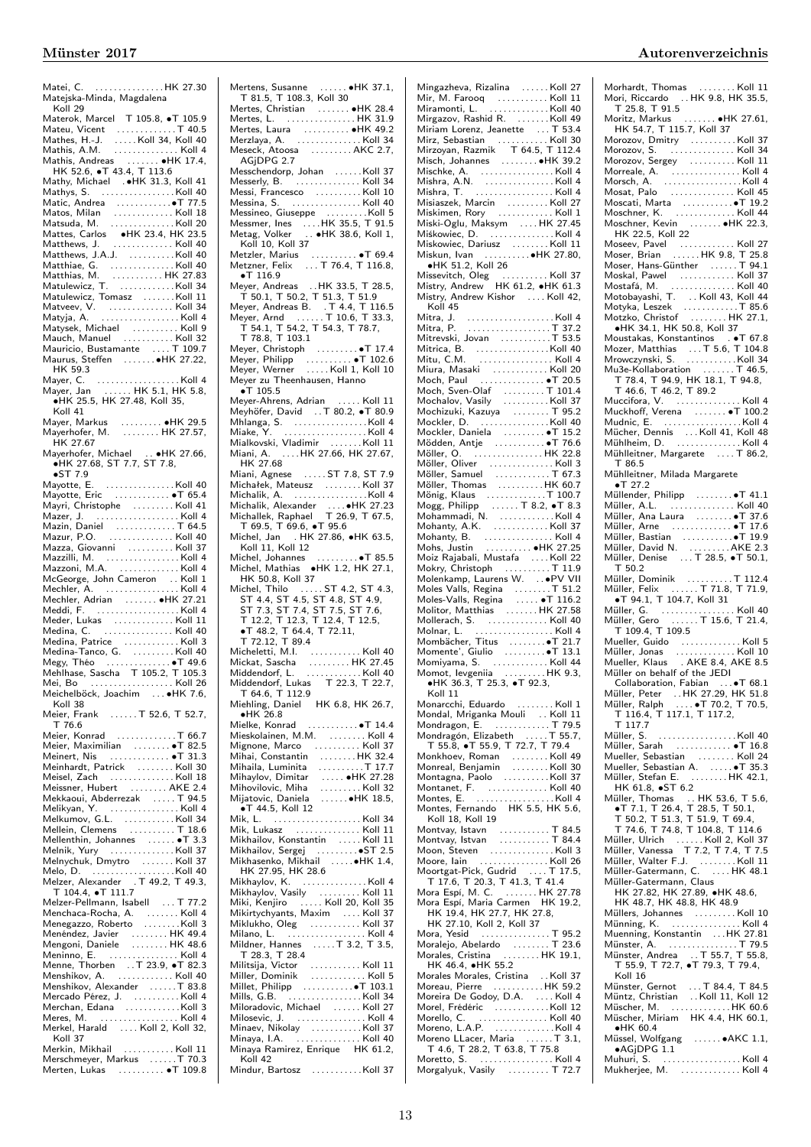Matei, C. . . . . . . . . . . . . . . . HK 27.30 Matejska-Minda, Magdalena Koll 29 Materok, Marcel T 105.8, ∙T 105.9 Mateu, Vicent . . . . . . . . . . . . . T 40.5 Mathes, H.-J. . . . . . Koll 34, Koll 40 Mathis, A.M. . . . . . . . . . . . . . . Koll 4 Mathis, Andreas . . . . . . . ∙HK 17.4, HK 52.6, ∙T 43.4, T 113.6 Mathy, Michael .∙HK 31.3, Koll 41 Mathys, S. . . . . . . . . . . . . . . . .Koll 40 Matic, Andrea . . . . . . . . . . . .∙T 77.5 Matos, Milan . . . . . . . . . . . . . Koll 18 Matsuda, M. . . . . . . . . . . . . . . Koll 20 Mattes, Carlos ∙HK 23.4, HK 23.5 Matthews, J. . . . . . . . . . . . . . Koll 40 Matthews, J.A.J. . . . . . . . . . .Koll 40 Matthiae, G. . . . . . . . . . . . . . . Koll 40 Matthias, M. . . . . . . . . . . . HK 27.83 Matulewicz, T. . . . . . . . . . . . .Koll 34 Matulewicz, Tomasz . . . . . . . Koll 11<br>Matveev, V. . . . . . . . . . . . . . . Koll 34<br>Matyja, A. . . . . . . . . . . . . . . . Koll 4 Matysek, Michael . . . . . . . . . . Koll 9 Mauch, Manuel . . . . . . . . . . . Koll 32 Mauricio, Bustamante . . . . T 109.7 Maurus, Steffen . . . . . . .∙HK 27.22, HK 59.3 Mayer, C. . . . . . . . . . . . . . . . . . . Koll 4 Mayer, Jan . . . . . . HK 5.1, HK 5.8, ∙HK 25.5, HK 27.48, Koll 35, Koll 41 Mayer, Markus . . . . . . . . . ∙HK 29.5 Mayerhofer, M. . . . . . . . . HK 27.57, HK 27.67 Mayerhofer, Michael . . ∙HK 27.66, ∙HK 27.68, ST 7.7, ST 7.8, ●ST 7.9<br>Mayotte, E. . . . . . . . . . . . . . . . . . . Koll 40 Mayotte, Eric . . . . . . . . . . . . ∙T 65.4 Mayri, Christophe . . . . . . . . . Koll 41 Mazer, J. . . . . . . . . . . . . . . . . . . Koll 4 Mazin, Daniel . . . . . . . . . . . . . T 64.5 Mazur, P.O. . . . . . . . . . . . . . . Koll 40 Mazza, Giovanni . . . . . . . . . . Koll 37 Mazzilli, M. . . . . . . . . . . . . . . . . Koll 4 Mazzoni, M.A. . . . . . . . . . . . . . Koll 4 McGeorge, John Cameron . . Koll 1 Mechler, A. . . . . . . . . . . . . . . . . Koll 4 Mechler, Adrian . . . . . . . ∙HK 27.21 Meddi, F. . . . . . . . . . . . . . . . . . . Koll 4 Meder, Lukas . . . . . . . . . . . . . Koll 11 Medina, C. . . . . . . . . . . . . . . . Koll 40 Medina, Patrice . . . . . . . . . . . . Koll 3 Medina-Tanco, G. . . . . . . . . . Koll 40 Megy, Théo . . . . . . . . . . . . . . ∙T 49.6 Mehlhase, Sascha T 105.2, T 105.3 Mei, Bo . . . . . . . . . . . . . . . . . . Koll 26 Meichelböck, Joachim . . . ∙HK 7.6, Koll 38 Meier, Frank ....... T 52.6, T 52.7, r 76.6<br>Meier. Konrad . . . . . . . . . . . T 66.7 Meier, Konrad<br>
Meier, Maximilian<br>
Meinhardt, Nis<br>
Meinhardt, Patrick<br>
Meinhardt, Patrick<br>
Meinhardt, Patrick<br>
Meinhardt, Patrick<br>
Meissner, Hubert<br>
Meikumov, G.L.<br>
Melkumov, G.L.<br>
Melkumov, G.L.<br>
Mellein, Clemens<br>
Mellein, Mellenthin, Johannes . . . . . . ∙T 3.3 Melnik, Yury . . . . . . . . . . . . . . Koll 37 Melnychuk, Dmytro . . . . . . . Koll 37 Melo, D. . . . . . . . . . . . . . . . . . .Koll 40 Melzer, Alexander . T 49.2, T 49.3, T 104.4, ∙T 111.7 Melzer-Pellmann, Isabell . . . T 77.2 Menchaca-Rocha, A. . . . . . . . Koll 4 Menegazzo, Roberto . . . . . . . .Koll 3 Menéndez, Javier . . . . . . . . HK 49.4 Mengoni, Daniele . . . . . . . . HK 48.6 Meninno, E. . . . . . . . . . . . . . . . Koll 4 Menne, Thorben . .T 23.9, ∙T 82.3 Menshikov, A. . . . . . . . . . . . . Koll 40 Menshikov, Alexander . . . . . .T 83.8 Mercado Pérez, J. . . . . . . . . . . Koll 4 Merchan, Edana . . . . . . . . . . . .Koll 3 Meres, M. . . . . . . . . . . . . . . . . . Koll 4 Merkel, Harald . . . . Koll 2, Koll 32,  $K_0$ II 37 Merkin, Mikhail . . . . . . . . . . . Koll 11 Merschmeyer, Markus . . . . . . T 70.3<br>Merten, Lukas . . . . . . . . . . ●T 109.8

Mertens, Susanne . . . . . . ∙HK 37.1, T 81.5, T 108.3, Koll 30 Mertes, Christian . . . . . . . ∙HK 28.4 Mertes, L. ............... HK 31.9 Mertes, Laura . . . . . . . . . ●HK 49.2<br>Merzlaya, A. . . . . . . . . . . . . . . Koll 34<br>Meseck, Atoosa . . . . . . . . . AKC 2.7, AGjDPG 2.7 Messchendorp, Johan ......Koll 37 Messerly, B. . . . . . . . . . . . . . . Koll 34 Messi, Francesco . . . . . . . . . . Koll 10 Messina, S. . . . . . . . . . . . . . . . Koll 40 Messineo, Giuseppe . . . . . . . . . Koll 5<br>Messmer, Ines . . . . HK 35.5, T 91.5<br>Metag, Volker . . ●HK 38.6, Koll 1, letag, voiкer . . . . .<br>Koll 10, Koll 37 Metzler, Marius . . . . . . . . . . ∙T 69.4 Metzner, Felix . . . T 76.4, T 116.8, ∙T 116.9 Meyer, Andreas . .HK 33.5, T 28.5, T 50.1, T 50.2, T 51.3, T 51.9 Meyer, Andreas B. . T 4.4, T 116.5 Meyer, Arnd . . . . . . T 10.6, T 33.3, T 54.1, T 54.2, T 54.3, T 78.7, T 78.8, T 103.1 Meyer, Christoph . . . . . . . . . ∙T 17.4 Meyer, Philipp . . . . . . . . . . ∙T 102.6 Meyer, Werner . . . . . Koll 1, Koll 10 Meyer, wenner Institution 1, is<br>Mever zu Theenhausen, Hanno ∙T 105.5 Meyer-Ahrens, Adrian ..... Koll 11 Meyhöfer, David . . T 80.2, ∙T 80.9 Mhlanga, S. . . . . . . . . . . . . . . . .Koll 4 Miake, Y. . . . . . . . . . . . . . . . . . . Koll 4 Mialkovski, Vladimir . . . . . . .Koll 11 Miani, A. . . . .HK 27.66, HK 27.67, HK 27.68 Miani, Agnese . . . . . ST 7.8, ST 7.9 Michałek, Mateusz . . . . . . . . Koll 37 Michalik, A. . . . . . . . . . . . . . . . .Koll 4 Michalik, Alexander . . . .∙HK 27.23 Michallek, Raphael T 26.9, T 67.5, T 69.5, T 69.6, ∙T 95.6 Michel, Jan . HK 27.86, ●HK 63.5,<br>Koll 11, Koll 12<br>Michel, Johannes ..........●T 85.5 Michel, Mathias ∙HK 1.2, HK 27.1, HK 50.8, Koll 37 Michel, Thilo . . . . . ST 4.2, ST 4.3, ST 4.4, ST 4.5, ST 4.8, ST 4.9, ST 7.3, ST 7.4, ST 7.5, ST 7.6, T 12.2, T 12.3, T 12.4, T 12.5, ∙T 48.2, T 64.4, T 72.11, T 72.12, T 89.4 Micheletti, M.I. . . . . . . . . . . . Koll 40 Mickat, Sascha . . . . . . . . . HK 27.45 Middendorf, L. . . . . . . . . . . . . Koll 40 Middendorf, Lukas T 22.3, T 22.7, T 64.6, T 112.9 Miehling, Daniel HK 6.8, HK 26.7, →HK 26.8<br>→HK 26.8<br>Mielke, Konrad . . . . . . . . . . . . ●T 14.4 Mieskolainen, M.M. . . . . . . . . Koll 4 Mignone, Marco . . . . . . . . . . Koll 37 Mihai, Constantin . . . . . . . . HK 32.4 Mihaila, Luminita<br>
Mihaylov, Dimitar<br>
Mihovilovic, Miha<br>
Mijatovic, Miha<br>
Mijatovic, Daniela<br>
Mijatovic, Daniela<br>
Mik, L.<br>
Mik, L.<br>
Mik, Lukasz<br>
Mik, Lukasz<br>
Mik, Lukasz<br>
Mik, Lukasz<br>
Mik, Lukasz<br>
Mik, Lukasz<br>
Mik, Lukasz<br> Mikhailov, Konstantin . . . .. Koll 11<br>Mikhailov, Sergej . . . . . . . . ●ST 2.5<br>Mikhasenko, Mikhail . . . . . . ●HK 1.4,<br>HK 27.95, HK 28.6 Mikhaylov, K. . . . . . . . . . . . . . . Koll 4 Mikhaylov, Vasily . . . . . . . . . Koll 11 Miki, Kenjiro . . . . . Koll 20, Koll 35 Mikirtychyants, Maxim . . . . Koll 37 Miklukho, Oleg . . . . . . . . . . . Koll 37 Milano, L. . . . . . . . . . . . . . . . . . Koll 4 Mildner, Hannes . . . . . T 3.2, T 3.5, T 28.3, T 28.4 Militsija, Victor . . . . . . . . . . . Koll 11 Miller, Dominik . . . . . . . . . . . . Koll 5 Millet, Philipp . . . . . . . . . . .∙T 103.1 Mills, G.B. . . . . . . . . . . . . . . . . Koll 34 Miloradovic, Michael . . . . . . Koll 27 Milosevic, J. . . . . . . . . . . . . . . . Koll 4 Minaev, Nikolay ...........Koll 37 Minaya, I.A. . . . . . . . . . . . . . . Koll 40 Minaya Ramirez, Enrique HK 61.2, Koll 42

| Mingazheva, Rizalina<br>Mir, M. Farooq    Koll 11<br>Miramonti, L. Koll 40                                                                                                                                                                                 |      |
|------------------------------------------------------------------------------------------------------------------------------------------------------------------------------------------------------------------------------------------------------------|------|
|                                                                                                                                                                                                                                                            |      |
| Mirgazov, Rashid R. Koll 49                                                                                                                                                                                                                                |      |
| Miriam Lorenz, Jeanette  T 53.4                                                                                                                                                                                                                            |      |
|                                                                                                                                                                                                                                                            |      |
|                                                                                                                                                                                                                                                            |      |
|                                                                                                                                                                                                                                                            |      |
|                                                                                                                                                                                                                                                            |      |
|                                                                                                                                                                                                                                                            |      |
|                                                                                                                                                                                                                                                            |      |
|                                                                                                                                                                                                                                                            |      |
| Miski-Oglu, Maksymanda HK 27.45<br>Miśkowiec, D. Michamanda Koll 4                                                                                                                                                                                         |      |
| Miskowiec, Dariusz Koll 11                                                                                                                                                                                                                                 |      |
|                                                                                                                                                                                                                                                            |      |
|                                                                                                                                                                                                                                                            |      |
|                                                                                                                                                                                                                                                            |      |
| Mistry, Andrew Kishor  Koll 42,                                                                                                                                                                                                                            |      |
| Koll 45                                                                                                                                                                                                                                                    |      |
|                                                                                                                                                                                                                                                            |      |
|                                                                                                                                                                                                                                                            |      |
|                                                                                                                                                                                                                                                            |      |
|                                                                                                                                                                                                                                                            |      |
|                                                                                                                                                                                                                                                            |      |
|                                                                                                                                                                                                                                                            |      |
|                                                                                                                                                                                                                                                            |      |
|                                                                                                                                                                                                                                                            |      |
| Miura, Masaki<br>Moch, Paul<br>Moch, Sven-Olaf (1990)<br>Mochalov, Vasily<br>Mochalov, Vasily<br>Mochalov, Vasily<br>Mochizuki, Kazuya<br>Mochizuki, Kazuya<br>Mockler, D.<br>Mockler, D.<br>Mockler, D.<br>Mockler, D.<br>Mockler, D.<br>Mockler, D.<br>M |      |
|                                                                                                                                                                                                                                                            |      |
|                                                                                                                                                                                                                                                            |      |
|                                                                                                                                                                                                                                                            |      |
|                                                                                                                                                                                                                                                            |      |
|                                                                                                                                                                                                                                                            |      |
|                                                                                                                                                                                                                                                            |      |
|                                                                                                                                                                                                                                                            |      |
|                                                                                                                                                                                                                                                            |      |
|                                                                                                                                                                                                                                                            |      |
|                                                                                                                                                                                                                                                            |      |
|                                                                                                                                                                                                                                                            |      |
|                                                                                                                                                                                                                                                            |      |
| Molenkamp, Laurens W. PV VII                                                                                                                                                                                                                               |      |
|                                                                                                                                                                                                                                                            |      |
|                                                                                                                                                                                                                                                            |      |
|                                                                                                                                                                                                                                                            |      |
|                                                                                                                                                                                                                                                            |      |
|                                                                                                                                                                                                                                                            |      |
| Momiyama, S.  Koll 44                                                                                                                                                                                                                                      |      |
| Momot, levgeniia<br>•HK 36.3, T 25.3, •T 92.3,                                                                                                                                                                                                             |      |
| Koll 11                                                                                                                                                                                                                                                    |      |
| Monarcchi, Eduardo Koll 1                                                                                                                                                                                                                                  |      |
|                                                                                                                                                                                                                                                            |      |
| Mondal, Mriganka Mouli  Koll 11<br>Mondragon, E.  T 79.5                                                                                                                                                                                                   |      |
| Mondragón, Elizabeth<br>T 55.8, • T 55.9, T 72.7, T 79.4                                                                                                                                                                                                   |      |
|                                                                                                                                                                                                                                                            |      |
| Monkhoev, Roman Koll 49<br>Monreal, Benjamin Koll 30                                                                                                                                                                                                       |      |
| Montagna, Paolo Koll                                                                                                                                                                                                                                       | 37   |
| Montanet, F. Koll 40<br>Montes, E. Koll 4                                                                                                                                                                                                                  |      |
|                                                                                                                                                                                                                                                            |      |
| Montes, Fernando HK 5.5, HK 5.6,<br>Koll 18, Koll 19                                                                                                                                                                                                       |      |
|                                                                                                                                                                                                                                                            |      |
| Montvay, Istavn  T 84.5<br>Montvay, Istvan  T 84.4                                                                                                                                                                                                         |      |
| Moon, Steven Koll 3                                                                                                                                                                                                                                        |      |
| Moore, lain  Koll 26                                                                                                                                                                                                                                       |      |
| Moortgat-Pick, Gudrid  T 17.5,<br>T 17.6, T 20.3, T 41.3, T 41.4                                                                                                                                                                                           |      |
| Mora Espí, M. C.  HK 27.78                                                                                                                                                                                                                                 |      |
| Mora Espí, Maria Carmen HK 19.2,                                                                                                                                                                                                                           |      |
| HK 19.4, HK 27.7, HK 27.8,<br>HK 27.10, Koll 2, Koll 37                                                                                                                                                                                                    |      |
|                                                                                                                                                                                                                                                            |      |
|                                                                                                                                                                                                                                                            |      |
| Morales, Cristina  HK 19.1,                                                                                                                                                                                                                                |      |
| HK 46.4, $\bullet$ HK 55.2<br>Morales Morales, Cristina  Koll 37                                                                                                                                                                                           |      |
| $\ldots \ldots \ldots$ . HK 59.2<br>Moreau, Pierre                                                                                                                                                                                                         |      |
| Moreira De Godoy, D.A.  Koll 4                                                                                                                                                                                                                             |      |
| Morel, Frédéric<br>Morello, C. Koll 40                                                                                                                                                                                                                     |      |
|                                                                                                                                                                                                                                                            |      |
| Moreno, L.A.P. Koll 4<br>Moreno LLacer, Maria T                                                                                                                                                                                                            | 3.1, |
|                                                                                                                                                                                                                                                            |      |
|                                                                                                                                                                                                                                                            |      |
| Morgalyuk, Vasily  T 72.7                                                                                                                                                                                                                                  |      |

Morhardt, Thomas . . . . . . . . Koll 11<br>Mori, Riccardo . . . HK 9.8, HK 35.5,<br>T 25.8, T 91.5<br>Moritz, Markus . . . . . . . ●HK 27.61, HK 54.7, T 115.7, Koll 37<br>
Morozov, Dmitry<br>
Morozov, S.<br>
Morozov, S.<br>
Morozov, Sergey<br>
Morozov, Sergey<br>
Morozov, Sergey<br>
Morozov, Sergey<br>
Morosch, A.<br>
Morosch, A.<br>
Mossat, Palo<br>
Mossat, Palo<br>
Mossat, Palo<br>
Mossat, Marta<br>
M Moustakas, Konstantinos . ∙T 67.8 Mozer, Matthias . . . T 5.6, T 104.8 Mrowczynski, S. . . . . . . . . . . .Koll 34 Mu3e-Kollaboration . . . . . . . T 46.5, T 78.4, T 94.9, HK 18.1, T 94.8, T 46.6, T 46.2, T 89.2 Muccifora, V. . . . . . . . . . . . . . . Koll 4 Muckhoff, Verena . . . . . . . ∙T 100.2 Mudnic, E. . . . . . . . . . . . . . . . . .Koll 4 Mücher, Dennis . . . Koll 41, Koll 48 Mühlheim, D. . . . . . . . . . . . . . . Koll 4 Mühlleitner, Margarete . . . . T 86.2, T 86.5 Mühlleitner, Milada Margarete ∙T 27.2 Müllender, Philipp . . . . . . . . ∙T 41.1 Müller, A.L.<br>
Müller, Ana Laura (17.67–17.67)<br>
Müller, Arne (17.67–17.67)<br>
Müller, Bastian (19.67–19.68)<br>
Müller, David N. (18.67–19.68)<br>
Müller, David N. (17.685)<br>
Müller, Denise (17.67–17.685)<br>
Müller, Denise (17.675) T 50.2 Müller, Dominik . . . . . . . . . . T 112.4 Müller, Felix . . . . . . T 71.8, T 71.9, ∙T 94.1, T 104.7, Koll 31 Müller, G. . . . . . . . . . . . . . . . . Koll 40 Müller, Gero . . . . . . T 15.6, T 21.4, T 109.4, T 109.5 Mueller, Guido .............. Koll 5 Müller, Jonas . . . . . . . . . . . . . Koll 10 Mueller, Klaus . AKE 8.4, AKE 8.5 Müller on behalf of the JEDI<br>Collaboration, Fabian . ..•T 68.1<br>Müller, Peter ...HK 27.29, HK 51.8<br>Müller, Ralph ....•T 70.2, T 70.5,<br>T 116.4, T 117.1, T 117.2, T 117.7 Müller, S. . . . . . . . . . . . . . . . . .Koll 40 Müller, Sarah . . . . . . . . . . . . ∙T 16.8 Mueller, Sebastian . . . . . . . . Koll 24 Mueller, Sebastian A. . . . . . ∙T 35.3 Müller, Stefan E. . . . . . . . . HK 42.1, HK 61.8, ∙ST 6.2 Müller, Thomas . . HK 53.6, T 5.6,<br>●T 7.1, T 26.4, T 28.5, T 50.1,<br>T 50.2, T 51.3, T 51.9, T 69.4,<br>T 74.6, T 74.8, T 104.8, T 114.6 Müller, Ulrich . . . . . . Koll 2, Koll 37 Müller, Vanessa T 7.2, T 7.4, T 7.5 Müller, Walter F.J. . . . . . . . . Koll 11 Müller-Gatermann, C. . . . . HK 48.1 Müller-Gatermann, Claus<br>HK 27.82, HK 27.89, HK 48.6. HK 27.82, HK 27.89, •HK 48.6,<br>HK 48.7, HK 48.8, HK 48.9<br>Müllers, Johannes<br>Müllers, Johannes<br>Münning, K.<br>Munning, K.<br>Münster, A.<br>Münster, A.<br>Münster, A.<br>Münster, A.<br>T55.9, T 55.9, T 75.3, T 75.8, Koll 16 Münster, Gernot . . . T 84.4, T 84.5 Müntz, Christian . . Koll 11, Koll 12 Müscher, M. . . . . . . . . . . . . . HK 60.6 Müscher, Miriam HK 4.4, HK 60.1, ∙HK 60.4 Müssel, Wolfgang . . . . . . ∙AKC 1.1, ∙AGjDPG 1.1 Muhuri, S. . . . . . . . . . . . . . . . . . Koll 4 Mukherjee, M. . . . . . . . . . . . . . Koll 4

Mindur, Bartosz ..........Koll 37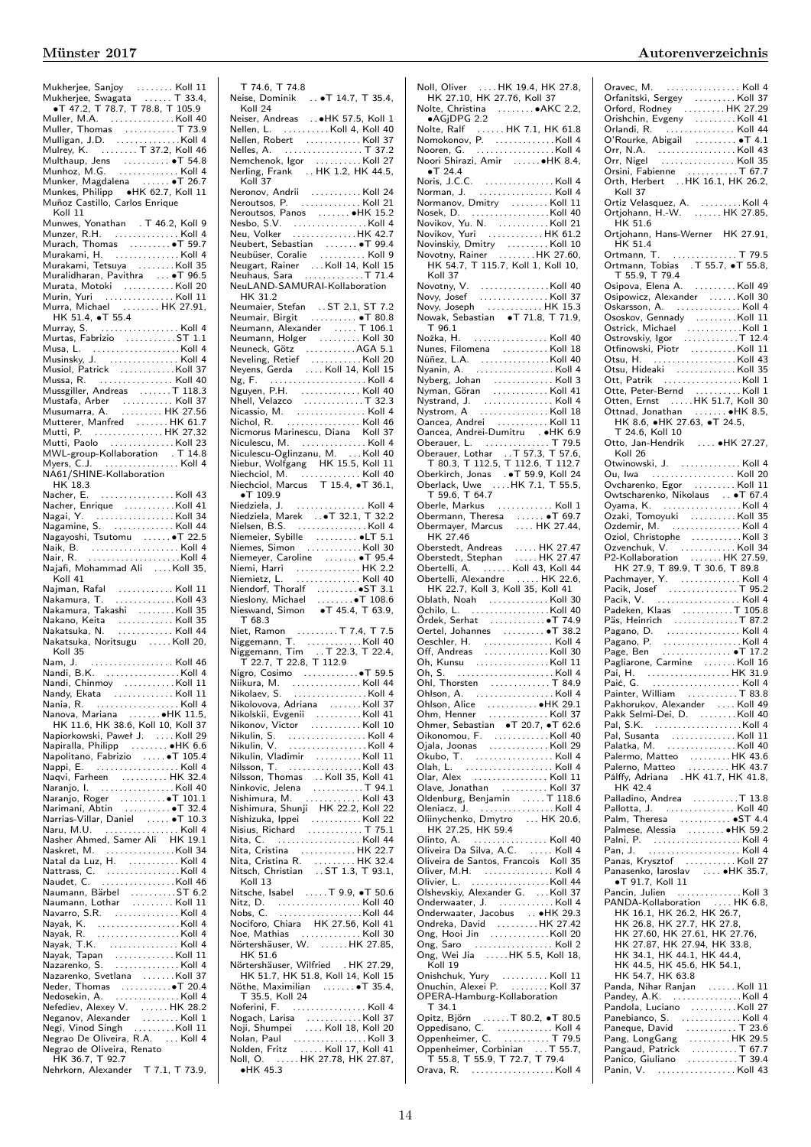| Mukherjee, Sanjoy<br>Mukherjee, Swagata<br>T 47.2, T 78.7, T 78.8, T 105.9<br>A 47.2, T 78.7, T 78.8, T 105.9                                                                                                                 |      |
|-------------------------------------------------------------------------------------------------------------------------------------------------------------------------------------------------------------------------------|------|
|                                                                                                                                                                                                                               |      |
| Muller, M.A. Koll 40                                                                                                                                                                                                          |      |
|                                                                                                                                                                                                                               |      |
|                                                                                                                                                                                                                               |      |
| Munhoz, M.G.  Koll 4                                                                                                                                                                                                          |      |
| Munker, Magdalena  . T 26.7                                                                                                                                                                                                   |      |
| Munkes, Philipp •HK 62.7, Koll 11<br>Muñoz Castillo, Carlos Enrique                                                                                                                                                           |      |
| Koll 11                                                                                                                                                                                                                       |      |
| Munwes, Yonathan . T 46.2, Koll 9<br>Munzer, R.H. Koll 4                                                                                                                                                                      |      |
| Murach, Thomas   6T 59.7<br>Murakami, H.   Koll 4                                                                                                                                                                             |      |
| Murakami, Tetsuya Koll 35                                                                                                                                                                                                     |      |
| Muralidharan, Pavithra  . T 96.5                                                                                                                                                                                              |      |
| Murata, Motoki   Koll 20<br>Murin, Yuri   Koll 11                                                                                                                                                                             |      |
| Murra, Michael  HK 27.91,                                                                                                                                                                                                     |      |
| HK 51.4, <b>•T</b> 55.4                                                                                                                                                                                                       |      |
| Murray, S.  Koll 4<br>Murtas, Fabrizio   ST 1.1                                                                                                                                                                               |      |
|                                                                                                                                                                                                                               |      |
|                                                                                                                                                                                                                               |      |
|                                                                                                                                                                                                                               |      |
|                                                                                                                                                                                                                               |      |
|                                                                                                                                                                                                                               |      |
| Mutterer, Manfred HK 61.7                                                                                                                                                                                                     |      |
| Mutti, P. HK 27.32<br>Mutti, Paolo Koll 23                                                                                                                                                                                    |      |
| MWL-group-Kollaboration . T 14.8                                                                                                                                                                                              |      |
| Myers, C.J.  Koll 4<br>NA61/SHINE-Kollaboration                                                                                                                                                                               |      |
| HK 18.3                                                                                                                                                                                                                       |      |
| . Koll 43<br>Nacher, E.                                                                                                                                                                                                       |      |
| <u>Nacher, Enrique<br/>Nagai, Y. (1998).</u><br>Nagarija (1998).                                                                                                                                                              |      |
| Nagamine, S.  Koll 44                                                                                                                                                                                                         |      |
| Nagayoshi, Tsutomu  T 22.5                                                                                                                                                                                                    |      |
| Naik, B. (1999)<br>Nair, R. (1999) - 2008 - 2014<br>Nair, R. (1999) - 2014 - 2014 - 2014                                                                                                                                      |      |
| Najafi, Mohammad Ali    Koll 35,                                                                                                                                                                                              |      |
|                                                                                                                                                                                                                               |      |
| Koll 41                                                                                                                                                                                                                       |      |
|                                                                                                                                                                                                                               |      |
|                                                                                                                                                                                                                               |      |
|                                                                                                                                                                                                                               |      |
| Nakatsuka, Noritsugu Koll 20,<br>Koll 35                                                                                                                                                                                      |      |
| Nam, J.                                                                                                                                                                                                                       |      |
| Nandi, B.K. Koll 4<br>Nandi, Chinmoy Koll 11                                                                                                                                                                                  |      |
|                                                                                                                                                                                                                               |      |
| Nania, R.                                                                                                                                                                                                                     |      |
| Nanova, Mariana  HK 11.5,<br>HK 11.6, HK 38.6, Koll 10, Koll 37                                                                                                                                                               |      |
|                                                                                                                                                                                                                               |      |
| Napiorkowski, Paweł J. Koll 29<br>Napiralla, Philipp  •HK 6.6<br>Napolitano, Fabrizio  T 105.4                                                                                                                                |      |
| Nappi, E.  Koll 4                                                                                                                                                                                                             |      |
| Naqvi, Farheen  HK 32.4                                                                                                                                                                                                       |      |
| Naranjo, I.<br>Naranjo, Roger   0T 101.1                                                                                                                                                                                      |      |
| nanani, Abtin ●T                                                                                                                                                                                                              | 32.4 |
| Narrias-Villar, Daniel  •T 10.3<br>Naru, M.U.  Koll 4                                                                                                                                                                         |      |
| Nasher Ahmed, Samer Ali HK 19.1                                                                                                                                                                                               |      |
|                                                                                                                                                                                                                               |      |
|                                                                                                                                                                                                                               |      |
|                                                                                                                                                                                                                               |      |
| Naumann, Bärbel   ST 6.2<br>Naumann, Lothar   Koll 11                                                                                                                                                                         |      |
| Navarro, S.R.     Koll 4                                                                                                                                                                                                      |      |
|                                                                                                                                                                                                                               |      |
|                                                                                                                                                                                                                               |      |
|                                                                                                                                                                                                                               |      |
| Nazarenko, Svetlana Koll 37                                                                                                                                                                                                   |      |
| Neder, Thomas $\ldots \ldots \bullet$ T 20.4                                                                                                                                                                                  |      |
|                                                                                                                                                                                                                               |      |
|                                                                                                                                                                                                                               |      |
|                                                                                                                                                                                                                               |      |
| Nedosekin, A. (1999)<br>Nedosekin, A. (1999)<br>Nefediev, Alexander (1998)<br>Negi, Vinod Singh (1999)<br>Negrao De Oliveira, R.A. (1999)<br>Negrao De Oliveira, R.A. (1999)<br>Negrao de Oliveira, Renato<br>HK 36.7, T 92.7 |      |

| T 74.6, T 74.8    |                                                                                                                                                                                                                                                      |  |
|-------------------|------------------------------------------------------------------------------------------------------------------------------------------------------------------------------------------------------------------------------------------------------|--|
|                   | Neise, Dominik  • T 14.7, T 35.4,                                                                                                                                                                                                                    |  |
| Koll 24           |                                                                                                                                                                                                                                                      |  |
|                   | Neiser, Andreas  HK 57.5, Koll 1                                                                                                                                                                                                                     |  |
|                   |                                                                                                                                                                                                                                                      |  |
|                   |                                                                                                                                                                                                                                                      |  |
|                   |                                                                                                                                                                                                                                                      |  |
|                   |                                                                                                                                                                                                                                                      |  |
|                   | Nemchenok, Igor<br>Nerling, Frank  HK 1.2, HK 44.5,                                                                                                                                                                                                  |  |
|                   |                                                                                                                                                                                                                                                      |  |
| Koll 37           |                                                                                                                                                                                                                                                      |  |
|                   | Neronov, Andrii<br>Neroutsos, P.<br>Neroutsos, P.                                                                                                                                                                                                    |  |
|                   |                                                                                                                                                                                                                                                      |  |
|                   |                                                                                                                                                                                                                                                      |  |
|                   | Neroutsos, Panos<br>Neroutsos, Panos<br>New Yolker<br>Neu, Volker<br>Meu, Volker<br>Meu, Volker<br>Meu, Volker<br>Meu, Volker<br>Meu, Volker                                                                                                         |  |
|                   |                                                                                                                                                                                                                                                      |  |
|                   |                                                                                                                                                                                                                                                      |  |
|                   |                                                                                                                                                                                                                                                      |  |
|                   |                                                                                                                                                                                                                                                      |  |
|                   |                                                                                                                                                                                                                                                      |  |
|                   |                                                                                                                                                                                                                                                      |  |
|                   | NeuLAND-SAMURAI-Kollaboration                                                                                                                                                                                                                        |  |
| HK 31.2           |                                                                                                                                                                                                                                                      |  |
|                   |                                                                                                                                                                                                                                                      |  |
|                   | Neumaier, Stefan  ST 2.1, ST 7.2<br>Neumair, Birgit  • T 80.8                                                                                                                                                                                        |  |
|                   |                                                                                                                                                                                                                                                      |  |
|                   |                                                                                                                                                                                                                                                      |  |
|                   |                                                                                                                                                                                                                                                      |  |
|                   |                                                                                                                                                                                                                                                      |  |
|                   |                                                                                                                                                                                                                                                      |  |
|                   |                                                                                                                                                                                                                                                      |  |
|                   |                                                                                                                                                                                                                                                      |  |
|                   |                                                                                                                                                                                                                                                      |  |
|                   |                                                                                                                                                                                                                                                      |  |
|                   |                                                                                                                                                                                                                                                      |  |
|                   |                                                                                                                                                                                                                                                      |  |
|                   |                                                                                                                                                                                                                                                      |  |
|                   |                                                                                                                                                                                                                                                      |  |
|                   |                                                                                                                                                                                                                                                      |  |
|                   | Niculescu-Oglinzanu, M. Koll 40                                                                                                                                                                                                                      |  |
|                   |                                                                                                                                                                                                                                                      |  |
|                   | Niebur, Wolfgang HK 15.5, Koll 11<br>Niechciol, M. Koll 40<br>Niechciol, Marcus T 15.4, •T 36.1,                                                                                                                                                     |  |
|                   |                                                                                                                                                                                                                                                      |  |
|                   |                                                                                                                                                                                                                                                      |  |
| $\bullet$ T 109.9 |                                                                                                                                                                                                                                                      |  |
|                   |                                                                                                                                                                                                                                                      |  |
|                   |                                                                                                                                                                                                                                                      |  |
|                   | ●   109.9<br>Niedziela, J.   Koll 4<br>Niedziela, Marek   ●T 32.1, T 32.2<br>Nielsen, B.S. … Koll 4                                                                                                                                                  |  |
|                   |                                                                                                                                                                                                                                                      |  |
|                   | Niemeier, Sybille   ●LT 5.1<br>Niemes, Simon   Koll 30                                                                                                                                                                                               |  |
|                   |                                                                                                                                                                                                                                                      |  |
|                   |                                                                                                                                                                                                                                                      |  |
|                   |                                                                                                                                                                                                                                                      |  |
|                   |                                                                                                                                                                                                                                                      |  |
|                   |                                                                                                                                                                                                                                                      |  |
|                   |                                                                                                                                                                                                                                                      |  |
|                   |                                                                                                                                                                                                                                                      |  |
|                   |                                                                                                                                                                                                                                                      |  |
|                   |                                                                                                                                                                                                                                                      |  |
| T 68.3            |                                                                                                                                                                                                                                                      |  |
|                   |                                                                                                                                                                                                                                                      |  |
|                   |                                                                                                                                                                                                                                                      |  |
|                   |                                                                                                                                                                                                                                                      |  |
|                   |                                                                                                                                                                                                                                                      |  |
|                   |                                                                                                                                                                                                                                                      |  |
|                   |                                                                                                                                                                                                                                                      |  |
|                   | Niikura, M.  Koll 44                                                                                                                                                                                                                                 |  |
|                   | Nikolaev, S. Koll 4                                                                                                                                                                                                                                  |  |
|                   |                                                                                                                                                                                                                                                      |  |
|                   |                                                                                                                                                                                                                                                      |  |
|                   |                                                                                                                                                                                                                                                      |  |
|                   |                                                                                                                                                                                                                                                      |  |
|                   |                                                                                                                                                                                                                                                      |  |
|                   |                                                                                                                                                                                                                                                      |  |
|                   |                                                                                                                                                                                                                                                      |  |
|                   |                                                                                                                                                                                                                                                      |  |
|                   |                                                                                                                                                                                                                                                      |  |
|                   |                                                                                                                                                                                                                                                      |  |
|                   |                                                                                                                                                                                                                                                      |  |
|                   |                                                                                                                                                                                                                                                      |  |
|                   |                                                                                                                                                                                                                                                      |  |
|                   |                                                                                                                                                                                                                                                      |  |
|                   |                                                                                                                                                                                                                                                      |  |
|                   | Nikonov, Victor<br>Nikulin, S.<br>Nikulin, V. (1998)<br>Nikulin, Vladimir<br>Nikulin, Vladimir<br>Nikulin, Vladimir<br>Nikulin, Vladimir<br>Nikovic, Jelena<br>Nikovic, Jelena<br>Nikovic, Jelena<br>Nishimura, M. (1994)<br>Nishimura, Shunji (1942 |  |
|                   |                                                                                                                                                                                                                                                      |  |
|                   |                                                                                                                                                                                                                                                      |  |
|                   | Nita, Cristina<br>Nita, Cristina R. (1999). 1984. - 1986. 2014<br>Nitsch, Christian (1987). 1987. 1988. 1993. 1993. 1993. 1993. 1993. 1993. 1993. 1993. 1994. 1995. 1998. 1999.<br>The State State State State State State State State               |  |
| Koll 13           |                                                                                                                                                                                                                                                      |  |
|                   | Nitsche, Isabel  T 9.9, .T 50.6                                                                                                                                                                                                                      |  |
|                   |                                                                                                                                                                                                                                                      |  |
|                   |                                                                                                                                                                                                                                                      |  |
|                   |                                                                                                                                                                                                                                                      |  |
|                   |                                                                                                                                                                                                                                                      |  |
|                   |                                                                                                                                                                                                                                                      |  |
|                   | Nitz, D.<br>Nitz, D.<br>Nobs, C.<br>Nobs, C.<br>Nobs, C.<br>Notiforo, Chiara HK 27.56, Koll 41<br>Noe, Mathias<br>Nortershäuser, W.<br>Michael 27.56, Koll 30<br>Notiforon: N.<br>Notiforon: N.<br>Notiforon: N.                                     |  |
| HK 51.6           |                                                                                                                                                                                                                                                      |  |
|                   |                                                                                                                                                                                                                                                      |  |
|                   | Nörtershäuser, Wilfried . HK 27.29,<br>HK 51.7, HK 51.8, Koll 14, Koll 15                                                                                                                                                                            |  |
|                   | Nöthe, Maximilian  T 35.4,                                                                                                                                                                                                                           |  |
| T 35.5, Koll 24   |                                                                                                                                                                                                                                                      |  |
|                   |                                                                                                                                                                                                                                                      |  |
|                   | Noferini, F.  Koll 4                                                                                                                                                                                                                                 |  |
|                   |                                                                                                                                                                                                                                                      |  |
|                   |                                                                                                                                                                                                                                                      |  |
|                   |                                                                                                                                                                                                                                                      |  |
|                   |                                                                                                                                                                                                                                                      |  |

Noll, Oliver . . . . HK 19.4, HK 27.8, HK 27.10, HK 27.76, Koll 37 Nolte, Christina . . . . . . . . ∙AKC 2.2, ∙AGjDPG 2.2 Nolte, Ralf ...... HK 7.1, HK 61.8<br>Nomokonov, P. ...............Koll 4<br>Noori Shirazi, Amir .......●HK 8.4, ∙T 24.4 Noris, J.C.C. . . . . . . . . . . . . . . . Koll 4 Norman, J. . . . . . . . . . . . . . . . . Koll 4 Normanov, Dmitry . . . . . . . . Koll 11 Nosek, D. (1997)<br>
Novikov, Yu. N. (1997)<br>
Novikov, Yuri (1997)<br>
Novinskiy, Dmitry (1997)<br>
Novotny, Rainer (1997)<br>
Novotny, Rainer (1998)<br>
HK 54.7, T 115.7, Koll 1, Koll 10, Koll 37 Novotny, V. . . . . . . . . . . . . . . .Koll 40 Novy, Josef . . . . . . . . . . . . . . . Koll 37 Novy, Joseph . . . . . . . . . . . . HK 15.3 Nowak, Sebastian ∙T 71.8, T 71.9, T 96.1 Nožka, H. . . . . . . . . . . . . . . . . Koll 40 Nunes, Filomena . . . . . . . . . . Koll 18 Núñez, L.A. . . . . . . . . . . . . . . .Koll 40 Nyanin, A. . . . . . . . . . . . . . . . . . Koll 4 Nyberg, Johan . . . . . . . . . . . . . Koll 3 Nyman, Göran . . . . . . . . . . . . Koll 41 Nystrand, J. . . . . . . . . . . . . . . . Koll 4 Nystrom, A . . . . . . . . . . . . . . . Koll 18 Oancea, Andrei . . . . . . . . . . . Koll 11 Oancea, Andrei-Dumitru . ∙HK 6.9 Oberauer, L. . . . . . . . . . . . . . . T 79.5 Oberauer, Lothar . .T 57.3, T 57.6, T 80.3, T 112.5, T 112.6, T 112.7 Oberkirch, Jonas . ∙T 59.9, Koll 24 Oberlack, Uwe . . . .HK 7.1, T 55.5, T 59.6, T 64.7 Oberle, Markus . . . . . . . . . . . . Koll 1 Obermann, Theresa ....... • T 69.7<br>Obermayer, Marcus ..... HK 27.44, HK 27.46 Oberstedt, Andreas . . . . . HK 27.47 Oberstedt, Stephan . . . . . HK 27.47 Obertelli, A. . . . . . . Koll 43, Koll 44 Obertelli, Alexandre . . . . . HK 22.6, HK 22.7, Koll 3, Koll 35, Koll 41 Cohilo, L.<br>
Cohilo, L.<br>
Cohilo, L.<br>
Cordek, Serhat (14.00 + 17.49 + 17.49 + 17.49 + 17.49 Oertel, Johannes (17.49 Oertel, Johannes (17.49 + 17.49 30<br>
Oeschler, H.<br>
Consumers (18.1) 38.2<br>
Consumers (18.1) 100 h, S.<br>
Coll 3 Olah, L. . . . . . . . . . . . . . . . . . . . Koll 4 Olar, Alex . . . . . . . . . . . . . . . . Koll 11 Olave, Jonathan . . . . . . . . . . Koll 37 Oldenburg, Benjamin . . . . . T 118.6 Oleniacz, J. . . . . . . . . . . . . . . . . Koll 4 Oliinychenko, Dmytro . . . HK 20.6, HK 27.25, HK 59.4 Olinto, A. . . . . . . . . . . . . . . . . Koll 40 Oliveira Da Silva, A.C. . . . . . Koll 4 Oliveira de Santos, Francois Koll 35 Oliver, M.H. . . . . . . . . . . . . . . . Koll 4 Olivier, L. . . . . . . . . . . . . . . . . .Koll 44 Olshevskiy, Alexander G. . . .Koll 37 Onderwaater, J. . . . . . . . . . . . . Koll 4 Onderwaater, Jacobus . . ∙HK 29.3 Ondreka, David . . . . . . . . . HK 27.42 Ong, Hooi Jin . . . . . . . . . . . . .Koll 20 Ong, Saro . . . . . . . . . . . . . . . . . Koll 2 Ong, Wei Jia . . . . .HK 5.5, Koll 18, Koll 19 Onishchuk, Yury . . . . . . . . . . Koll 11 Onuchin, Alexei P. . . . . . . . . Koll 37 OPERA-Hamburg-Kollaboration T 34.1 Opitz, Björn . . . . . .T 80.2, ∙T 80.5 Oppedisano, C. . . . . . . . . . . . . Koll 4 Oppenheimer, C. . . . . . . . . . . T 79.5 Oppenheimer, Corbinian . . . T 55.7, T 55.8, T 55.9, T 72.7, T 79.4 Orava, R. . . . . . . . . . . . . . . . . . . Koll 4

| Oravec, M.  Koll 4                                                                                                                                                                                                                                                           |        |
|------------------------------------------------------------------------------------------------------------------------------------------------------------------------------------------------------------------------------------------------------------------------------|--------|
| Orfanitski, Sergey<br>Orfanitski, Sergey<br>Orfanitski, Sergey<br>Orishchin, Evgeny<br>Child 44<br>Orlandi, R.                                                                                                                                                               |        |
|                                                                                                                                                                                                                                                                              |        |
|                                                                                                                                                                                                                                                                              |        |
|                                                                                                                                                                                                                                                                              |        |
|                                                                                                                                                                                                                                                                              |        |
|                                                                                                                                                                                                                                                                              |        |
|                                                                                                                                                                                                                                                                              |        |
| Orsini, Fabienne<br>Orth, Herbert  HK 16.1, HK 26.2,<br>Koll 37                                                                                                                                                                                                              |        |
|                                                                                                                                                                                                                                                                              |        |
| Koll 37                                                                                                                                                                                                                                                                      |        |
|                                                                                                                                                                                                                                                                              |        |
| Ortiz Velasquez, A. Koll 4<br>Ortjohann, H.-W. HK 27.85,                                                                                                                                                                                                                     |        |
|                                                                                                                                                                                                                                                                              |        |
| HK 51.6                                                                                                                                                                                                                                                                      |        |
| Ortjohann, Hans-Werner   HK 27.91,                                                                                                                                                                                                                                           |        |
| HK 51.4                                                                                                                                                                                                                                                                      |        |
| Ortmann, T.<br>Ortmann, T.<br>Ortmann, Tobias . T 55.7, of 55.8,<br>T 55.9, T 79.4<br>Orinous .                                                                                                                                                                              |        |
|                                                                                                                                                                                                                                                                              |        |
|                                                                                                                                                                                                                                                                              |        |
|                                                                                                                                                                                                                                                                              |        |
|                                                                                                                                                                                                                                                                              |        |
|                                                                                                                                                                                                                                                                              |        |
|                                                                                                                                                                                                                                                                              |        |
|                                                                                                                                                                                                                                                                              |        |
|                                                                                                                                                                                                                                                                              |        |
|                                                                                                                                                                                                                                                                              |        |
|                                                                                                                                                                                                                                                                              |        |
|                                                                                                                                                                                                                                                                              |        |
|                                                                                                                                                                                                                                                                              |        |
|                                                                                                                                                                                                                                                                              |        |
|                                                                                                                                                                                                                                                                              |        |
|                                                                                                                                                                                                                                                                              |        |
| Ott, Farm Annum Moll 1<br>Otte, Peter-Bernd Annum Koll 1<br>Otten, Ernst Annum HK 51.7, Koll 30                                                                                                                                                                              |        |
| Ottnad, Jonathan  HK 8.5,                                                                                                                                                                                                                                                    |        |
| HK 8.6, ●HK 27.63, ●T 24.5,                                                                                                                                                                                                                                                  |        |
| T 24.6, Koll 10                                                                                                                                                                                                                                                              |        |
| Otto, Jan-Hendrik $\ldots$ • HK 27.27,                                                                                                                                                                                                                                       |        |
| Koll 26                                                                                                                                                                                                                                                                      |        |
|                                                                                                                                                                                                                                                                              |        |
|                                                                                                                                                                                                                                                                              |        |
|                                                                                                                                                                                                                                                                              |        |
| Ovcharenko, Egor  Koll 11                                                                                                                                                                                                                                                    |        |
|                                                                                                                                                                                                                                                                              |        |
|                                                                                                                                                                                                                                                                              |        |
|                                                                                                                                                                                                                                                                              |        |
| Owtscharenko, Nikolaus<br>Owtscharenko, Nikolaus<br>Ozaki, Tomoyuki<br>Ozaki, Tomoyuki<br>Ozdemir, M.<br>M.<br>Coll 4                                                                                                                                                        |        |
|                                                                                                                                                                                                                                                                              |        |
|                                                                                                                                                                                                                                                                              |        |
|                                                                                                                                                                                                                                                                              |        |
|                                                                                                                                                                                                                                                                              |        |
|                                                                                                                                                                                                                                                                              |        |
|                                                                                                                                                                                                                                                                              |        |
|                                                                                                                                                                                                                                                                              |        |
|                                                                                                                                                                                                                                                                              |        |
|                                                                                                                                                                                                                                                                              |        |
|                                                                                                                                                                                                                                                                              |        |
|                                                                                                                                                                                                                                                                              |        |
|                                                                                                                                                                                                                                                                              |        |
|                                                                                                                                                                                                                                                                              |        |
|                                                                                                                                                                                                                                                                              |        |
|                                                                                                                                                                                                                                                                              |        |
|                                                                                                                                                                                                                                                                              |        |
|                                                                                                                                                                                                                                                                              |        |
|                                                                                                                                                                                                                                                                              |        |
| $P$ ainter. William $\ldots \ldots$                                                                                                                                                                                                                                          | T 83.8 |
|                                                                                                                                                                                                                                                                              |        |
|                                                                                                                                                                                                                                                                              |        |
|                                                                                                                                                                                                                                                                              |        |
|                                                                                                                                                                                                                                                                              |        |
|                                                                                                                                                                                                                                                                              |        |
| Pal, Susanta Koll 11<br>Palatka, M. Koll 40                                                                                                                                                                                                                                  |        |
|                                                                                                                                                                                                                                                                              |        |
|                                                                                                                                                                                                                                                                              |        |
| Palermo, Matteo HK 43.6<br>Palerno, Matteo HK 43.7<br>Pálffy, Adriana .HK 41.7, HK 41.8,                                                                                                                                                                                     |        |
| HK 42.4                                                                                                                                                                                                                                                                      |        |
| Palladino, Andrea T 13.8                                                                                                                                                                                                                                                     |        |
|                                                                                                                                                                                                                                                                              |        |
|                                                                                                                                                                                                                                                                              |        |
| Pallotta, J. Koll 40<br>Palm, Theresa  •ST 4.4                                                                                                                                                                                                                               |        |
|                                                                                                                                                                                                                                                                              |        |
|                                                                                                                                                                                                                                                                              |        |
|                                                                                                                                                                                                                                                                              |        |
| Palmese, Alessia<br>Palmese, Alessia<br>Palmi, P.<br>Pan, J.<br>Mullan, S.<br>Panas, Krysztof<br>Mulland, Mullan, Mullan, Mullan, Mullan, Mullan, Mullan, Mullan, Mullan, Mullan, Mullan, Mullan, Mullan, Mullan, Mullan, Mullan, Mullan,                                    |        |
| Panasenko, laroslav  HK 35.7,                                                                                                                                                                                                                                                |        |
| $\bullet$ T 91.7, Koll 11                                                                                                                                                                                                                                                    |        |
|                                                                                                                                                                                                                                                                              |        |
|                                                                                                                                                                                                                                                                              |        |
|                                                                                                                                                                                                                                                                              |        |
| PANDA-Kollaboration  HK 6.8,<br>HK 16.1, HK 26.2, HK 26.7,                                                                                                                                                                                                                   |        |
|                                                                                                                                                                                                                                                                              |        |
|                                                                                                                                                                                                                                                                              |        |
| HK 26.8, HK 27.7, HK 27.8,<br>HK 27.60, HK 27.61, HK 27.76,<br>HK 27.87, HK 27.94, HK 33.8,                                                                                                                                                                                  |        |
| HK 34.1, HK 44.1, HK 44.4,                                                                                                                                                                                                                                                   |        |
|                                                                                                                                                                                                                                                                              |        |
| HK 44.5, HK 45.6, HK 54.1,<br>HK 54.7, HK 63.8                                                                                                                                                                                                                               |        |
| Panda, Nihar Ranjan  Koll 11                                                                                                                                                                                                                                                 |        |
|                                                                                                                                                                                                                                                                              |        |
|                                                                                                                                                                                                                                                                              |        |
|                                                                                                                                                                                                                                                                              |        |
|                                                                                                                                                                                                                                                                              |        |
|                                                                                                                                                                                                                                                                              |        |
|                                                                                                                                                                                                                                                                              |        |
|                                                                                                                                                                                                                                                                              |        |
| Panelola, Luciano<br>Panelola, Luciano<br>Panelola, Luciano<br>Paneque, David<br>Paneque, David<br>Panelo, Giuliano<br>Panico, Giuliano<br>Panico, Giuliano<br>Panico, Giuliano<br>Panico, Giuliano<br>Panico, Giuliano<br>Panico, Giuliano<br>Panico,<br>Panin, V.  Koll 43 |        |

∙HK 45.3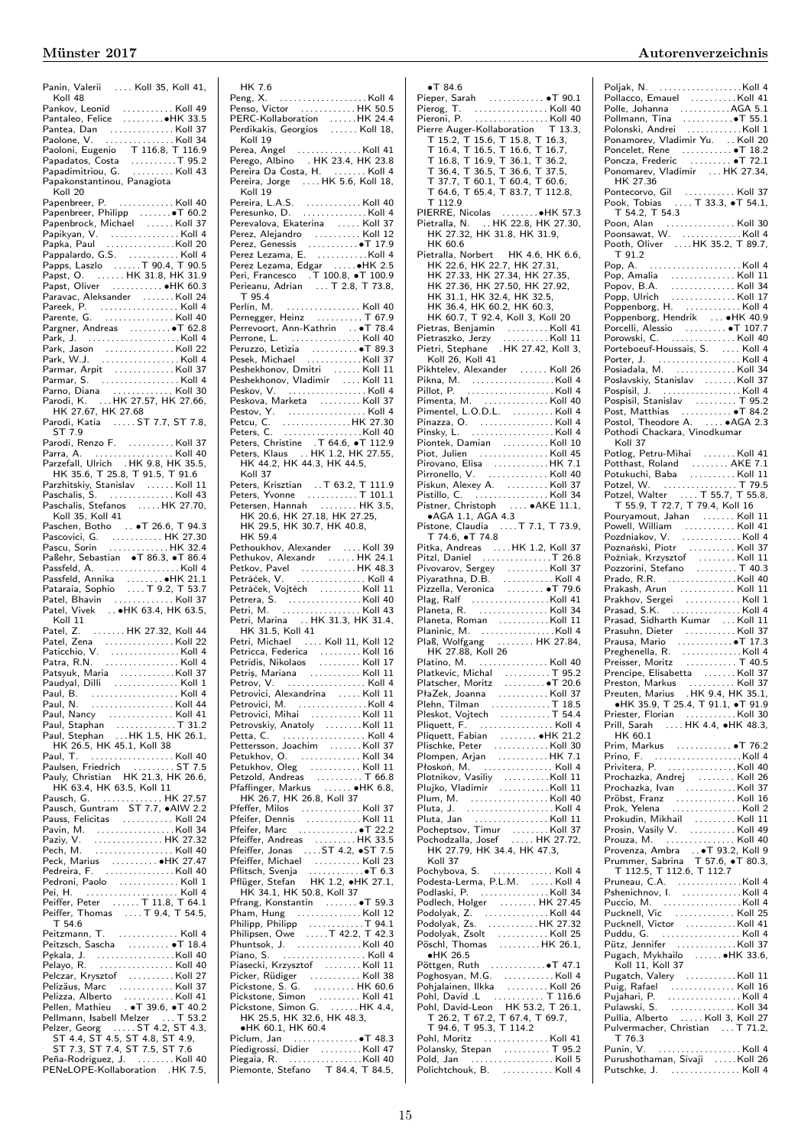| Panin, Valerii  Koll 35, Koll 41,<br>Koll 48                                                                                                                                                                                                           |  |
|--------------------------------------------------------------------------------------------------------------------------------------------------------------------------------------------------------------------------------------------------------|--|
| Pankov, Leonid  Koll 49<br>Pantaleo, Felice ●HK 33.5                                                                                                                                                                                                   |  |
|                                                                                                                                                                                                                                                        |  |
|                                                                                                                                                                                                                                                        |  |
|                                                                                                                                                                                                                                                        |  |
|                                                                                                                                                                                                                                                        |  |
|                                                                                                                                                                                                                                                        |  |
|                                                                                                                                                                                                                                                        |  |
| Fantea, Dan<br>Pantea, Dan<br>Paolone, V. (1999).<br>Paolone, V. (1999).<br>Papadatos, Costa<br>Papadatos, Costa<br>Mapadatos, Costa<br>Mapadatos, Costa<br>Mapadatos, Costa<br>Papadatos, Costa<br>Mapadatos, Costa<br>Papadatos, Gosta<br>Papadatos, |  |
| Koll 20                                                                                                                                                                                                                                                |  |
| Papenbreer, P.  Koll 40                                                                                                                                                                                                                                |  |
| Papenbreer, Philipp<br>Papenbrock, Michael  Koll 37                                                                                                                                                                                                    |  |
|                                                                                                                                                                                                                                                        |  |
|                                                                                                                                                                                                                                                        |  |
|                                                                                                                                                                                                                                                        |  |
|                                                                                                                                                                                                                                                        |  |
|                                                                                                                                                                                                                                                        |  |
| Papst, Oliver  • HK 60.3                                                                                                                                                                                                                               |  |
| Paravac, Aleksander Koll 24                                                                                                                                                                                                                            |  |
| Pareek, P. (1998)<br>Parente, G. (1999). Noll 40                                                                                                                                                                                                       |  |
|                                                                                                                                                                                                                                                        |  |
|                                                                                                                                                                                                                                                        |  |
|                                                                                                                                                                                                                                                        |  |
|                                                                                                                                                                                                                                                        |  |
|                                                                                                                                                                                                                                                        |  |
|                                                                                                                                                                                                                                                        |  |
|                                                                                                                                                                                                                                                        |  |
|                                                                                                                                                                                                                                                        |  |
| Parno, Diana<br>Parodi, K.  . HK 27.57, HK 27.66,<br>HK 27.67, HK 27.68                                                                                                                                                                                |  |
| Parodi, Katia  ST 7.7, ST 7.8,                                                                                                                                                                                                                         |  |
| ST 7.9                                                                                                                                                                                                                                                 |  |
| Parodi, Renzo F.<br>Parra, A. (1999). 1998. (1998). Koll 40.<br>Parzefall, Ulrich 1998. HK 35.5,                                                                                                                                                       |  |
|                                                                                                                                                                                                                                                        |  |
|                                                                                                                                                                                                                                                        |  |
| HK 35.6, T 25.8, T 91.5, T 91.6<br>Parzhitskiy, Stanislav  Koll 11<br>Paschalis, S.                                                                                                                                                                    |  |
|                                                                                                                                                                                                                                                        |  |
|                                                                                                                                                                                                                                                        |  |
| Paschalis, Stefanos HK 27.70,                                                                                                                                                                                                                          |  |
| Koll 35, Koll 41<br>Paschen, Botho  T 26.6, T 94.3                                                                                                                                                                                                     |  |
|                                                                                                                                                                                                                                                        |  |
|                                                                                                                                                                                                                                                        |  |
|                                                                                                                                                                                                                                                        |  |
| Passfeld, A.     Koll 4                                                                                                                                                                                                                                |  |
|                                                                                                                                                                                                                                                        |  |
|                                                                                                                                                                                                                                                        |  |
|                                                                                                                                                                                                                                                        |  |
| Passfeld, Annika<br>Passfeld, Annika<br>Pataraia, Sophio<br>Pataraia, Sophio<br>Patel, Bhavin<br>Patel, Vivek<br>Coll 11<br>Coll 11                                                                                                                    |  |
| Koll 11<br>Koll 11<br>Patel, Z.     HK 27.32, Koll 44                                                                                                                                                                                                  |  |
|                                                                                                                                                                                                                                                        |  |
| Patel, Zena<br>Paticchio, V.<br>Patra, R.N.<br>Patra, R.N.                                                                                                                                                                                             |  |
|                                                                                                                                                                                                                                                        |  |
|                                                                                                                                                                                                                                                        |  |
|                                                                                                                                                                                                                                                        |  |
|                                                                                                                                                                                                                                                        |  |
|                                                                                                                                                                                                                                                        |  |
|                                                                                                                                                                                                                                                        |  |
|                                                                                                                                                                                                                                                        |  |
|                                                                                                                                                                                                                                                        |  |
|                                                                                                                                                                                                                                                        |  |
| Paul, T.<br>Paulsen, Friedrich<br>Pauly, Christian HK 21.3, HK 26.6,                                                                                                                                                                                   |  |
|                                                                                                                                                                                                                                                        |  |
| HK 63.4, HK 63.5, Koll 11                                                                                                                                                                                                                              |  |
|                                                                                                                                                                                                                                                        |  |
|                                                                                                                                                                                                                                                        |  |
| Pausch, G. (1997). HK 27.57<br>Pausch, Guntram ST 7.7, AAIW 2.2<br>Pauss, Felicitas (1998). Hardwald 24<br>Paus, M. (1994).                                                                                                                            |  |
|                                                                                                                                                                                                                                                        |  |
| Pavin, M.<br>Paziy, V.<br>Pech, M.<br>Richard M.<br>Richard M.<br>Richard M.<br>Richard M.<br>Richard M.<br>Richard M.                                                                                                                                 |  |
|                                                                                                                                                                                                                                                        |  |
|                                                                                                                                                                                                                                                        |  |
|                                                                                                                                                                                                                                                        |  |
|                                                                                                                                                                                                                                                        |  |
|                                                                                                                                                                                                                                                        |  |
| Pedroni, Paolo<br>Pei, H. (1996)<br>Pei, H. (1996)<br>Peiffer, Peter (1997)<br>The Peiffer, Thomas (1997)<br>The Peiffer, Thomas (1997)<br>The A, T 54.5,                                                                                              |  |
| T 54.6                                                                                                                                                                                                                                                 |  |
| Peitzmann, T. $\ldots$ Koll 4                                                                                                                                                                                                                          |  |
| Peitzsch, Sascha  · T 18.4                                                                                                                                                                                                                             |  |
|                                                                                                                                                                                                                                                        |  |
| Pekala, J.<br>Pekala, J.<br>Pekala, J.<br>Pelczar, Krysztof (140 120 - 140 120 - 140 121 - 140 121 - 140 121 - 140 121 - 140 121 - 140 141 - 140 141 - 140 141 - 140 141 - 140 141 - 140 141 - 140 141 - 140 141 - 140 141 - 140 141                   |  |
|                                                                                                                                                                                                                                                        |  |
|                                                                                                                                                                                                                                                        |  |
|                                                                                                                                                                                                                                                        |  |
|                                                                                                                                                                                                                                                        |  |
|                                                                                                                                                                                                                                                        |  |
| Pellmann, Isabell Melzer  T 53.2                                                                                                                                                                                                                       |  |
| Pelzer, Georg<br>ST 4.4, ST 4.5, ST 4.2, ST 4.3,<br>ST 4.4, ST 4.5, ST 4.8, ST 4.9,<br>ST 7.3, ST 7.4, ST 7.5, ST 7.6                                                                                                                                  |  |

| Peña-Rodriguez, J.               | . Koll 40 |
|----------------------------------|-----------|
| PENeLOPE-Kollaboration . HK 7.5, |           |

| HK 7.6                                                                                                                                                                                                                                                 |  |
|--------------------------------------------------------------------------------------------------------------------------------------------------------------------------------------------------------------------------------------------------------|--|
| Peng, X. Koll 4                                                                                                                                                                                                                                        |  |
|                                                                                                                                                                                                                                                        |  |
| Penso, Victor<br>Penso, Victor Marchine HK 50.5<br>PERC-Kollaboration Marchine 24.4<br>Perdikakis, Georgios Marchine 18,                                                                                                                               |  |
|                                                                                                                                                                                                                                                        |  |
| Koll 19                                                                                                                                                                                                                                                |  |
|                                                                                                                                                                                                                                                        |  |
| Perea, Angel Koll 41<br>Perego, Albino HK 23.4, HK 23.8                                                                                                                                                                                                |  |
|                                                                                                                                                                                                                                                        |  |
|                                                                                                                                                                                                                                                        |  |
| Koll 19                                                                                                                                                                                                                                                |  |
|                                                                                                                                                                                                                                                        |  |
| Pereira, L.A.S.<br>Peresunko, D.<br>Koll 4                                                                                                                                                                                                             |  |
|                                                                                                                                                                                                                                                        |  |
| Perevalova, Ekaterina (1997)<br>Perevalova, Ekaterina (1998)<br>Perez, Alejandro (1998)<br>Perez Lezama, E. (1998)<br>Nella Alejandro (1998)<br>Nella Alejandro (1998)                                                                                 |  |
|                                                                                                                                                                                                                                                        |  |
|                                                                                                                                                                                                                                                        |  |
|                                                                                                                                                                                                                                                        |  |
| Perez Lezama, Edgar<br>Perez Lezama, Edgar<br>Peri, Francesco II 100.8, •T 100.9<br>Pereanu, Adrian III 72.8, T 73.8,                                                                                                                                  |  |
|                                                                                                                                                                                                                                                        |  |
|                                                                                                                                                                                                                                                        |  |
| T 95.4                                                                                                                                                                                                                                                 |  |
| P 95.4<br>Peringger, Heinz (1979)<br>Pernegger, Heinz (1979)<br>Perrevoort, Ann-Kathrin (1978)<br>Perrone, L. (1978)<br>Martin (1988)<br>Martin (1988)<br>Martin (1988)<br>Martin (1988)<br>Martin (1988)<br>Martin (1988)                             |  |
|                                                                                                                                                                                                                                                        |  |
|                                                                                                                                                                                                                                                        |  |
|                                                                                                                                                                                                                                                        |  |
|                                                                                                                                                                                                                                                        |  |
| Peruzzo, Letizia<br>Pesek, Michael (1999). Koll 37                                                                                                                                                                                                     |  |
|                                                                                                                                                                                                                                                        |  |
|                                                                                                                                                                                                                                                        |  |
|                                                                                                                                                                                                                                                        |  |
|                                                                                                                                                                                                                                                        |  |
|                                                                                                                                                                                                                                                        |  |
|                                                                                                                                                                                                                                                        |  |
|                                                                                                                                                                                                                                                        |  |
|                                                                                                                                                                                                                                                        |  |
|                                                                                                                                                                                                                                                        |  |
|                                                                                                                                                                                                                                                        |  |
|                                                                                                                                                                                                                                                        |  |
| HK 44.2, HK 44.3, HK 44.5,                                                                                                                                                                                                                             |  |
| Koll 37                                                                                                                                                                                                                                                |  |
| Peters, Krisztian  T 63.2, T 111.9<br>Peters, Yvonne  T 101.1                                                                                                                                                                                          |  |
|                                                                                                                                                                                                                                                        |  |
|                                                                                                                                                                                                                                                        |  |
| Petersen, Hannah  HK 3.5,<br>HK 20.6, HK 27.18, HK 27.25,                                                                                                                                                                                              |  |
| HK 29.5, HK 30.7, HK 40.8,                                                                                                                                                                                                                             |  |
|                                                                                                                                                                                                                                                        |  |
| HK 59.4                                                                                                                                                                                                                                                |  |
| Pethoukhov, Alexander  Koll 39                                                                                                                                                                                                                         |  |
|                                                                                                                                                                                                                                                        |  |
|                                                                                                                                                                                                                                                        |  |
|                                                                                                                                                                                                                                                        |  |
|                                                                                                                                                                                                                                                        |  |
|                                                                                                                                                                                                                                                        |  |
|                                                                                                                                                                                                                                                        |  |
|                                                                                                                                                                                                                                                        |  |
|                                                                                                                                                                                                                                                        |  |
|                                                                                                                                                                                                                                                        |  |
| HK 31.5, Koll 41                                                                                                                                                                                                                                       |  |
|                                                                                                                                                                                                                                                        |  |
| Petri, Michael  Koll 11, Koll 12                                                                                                                                                                                                                       |  |
|                                                                                                                                                                                                                                                        |  |
|                                                                                                                                                                                                                                                        |  |
|                                                                                                                                                                                                                                                        |  |
| Petricca, Federica<br>Petricca, Federica<br>Petridis, Nikolaos<br>Petris, Mariana<br>Petrov, V.<br>Koll 4<br>Petrov, V.<br>Koll 4                                                                                                                      |  |
| Petrovici, Alexandrina  Koll 11                                                                                                                                                                                                                        |  |
|                                                                                                                                                                                                                                                        |  |
| Petrovici, M.<br>Petrovici, Mihai Koll 11                                                                                                                                                                                                              |  |
| Petrovskiy, Anatoly Koll 11                                                                                                                                                                                                                            |  |
|                                                                                                                                                                                                                                                        |  |
|                                                                                                                                                                                                                                                        |  |
|                                                                                                                                                                                                                                                        |  |
|                                                                                                                                                                                                                                                        |  |
|                                                                                                                                                                                                                                                        |  |
|                                                                                                                                                                                                                                                        |  |
|                                                                                                                                                                                                                                                        |  |
| Petra, C. (1997)<br>Petra, C. (1997)<br>Petra, C. (1997)<br>Petra, C. (1997)<br>Petra Molena (1997)<br>Petra Markus (1998)<br>Petra Markus (1998)<br>HK 6.8, HK 26.7, HK 26.8, Koll 37<br>Petra Milec<br>Petra Milec<br>Petra Milec<br>Petra Milec<br> |  |
| Pfeffer, Milos  Koll 37                                                                                                                                                                                                                                |  |
|                                                                                                                                                                                                                                                        |  |
|                                                                                                                                                                                                                                                        |  |
|                                                                                                                                                                                                                                                        |  |
|                                                                                                                                                                                                                                                        |  |
| Pfeifer, Dennis<br>Pfeifer, Marc<br>Pfeifer, Marc<br>Pfeifer, Andreas<br>Strategy (ST 7.5<br>Pfeiffer, Jonas<br>Strategy (ST 7.5<br>The Strategy of 7.5<br>Strategy (ST 7.5<br>The Strategy of 7.5<br>Strategy of 7.5<br>Strategy of 7.5<br>Strategy o |  |
|                                                                                                                                                                                                                                                        |  |
|                                                                                                                                                                                                                                                        |  |
| Pfeiffer, Michael<br>Pfeiffer, Michael<br>Pflitsch, Svenja<br>Pflitger, Stefan HK 1.2, OHK 27.1,                                                                                                                                                       |  |
| HK 34.1, HK 50.8, Koll 37                                                                                                                                                                                                                              |  |
|                                                                                                                                                                                                                                                        |  |
|                                                                                                                                                                                                                                                        |  |
|                                                                                                                                                                                                                                                        |  |
|                                                                                                                                                                                                                                                        |  |
|                                                                                                                                                                                                                                                        |  |
|                                                                                                                                                                                                                                                        |  |
|                                                                                                                                                                                                                                                        |  |
|                                                                                                                                                                                                                                                        |  |
|                                                                                                                                                                                                                                                        |  |
|                                                                                                                                                                                                                                                        |  |
|                                                                                                                                                                                                                                                        |  |
|                                                                                                                                                                                                                                                        |  |
| Plance, M. H. (1997)<br>Picker, Rüdiger<br>Picker, Rüdiger<br>Pickstone, S. G. (1998)<br>Pickstone, Simon G. (1998)<br>Pickstone, Simon G. (1998)<br>HK 25.5, HK 32.6, HK 48.3,<br>(1998)<br>MK 25.5, HK 32.6, HK 48.3,                                |  |
| •HK 60.1, HK 60.4                                                                                                                                                                                                                                      |  |
| Piclum, Jan  . T 48.3                                                                                                                                                                                                                                  |  |
|                                                                                                                                                                                                                                                        |  |
| Piedigrossi, Didier<br>Piegaia, R. (1999). 1998. (Koll 40<br>Piemonte, Stefano T 84.4, T 84.5,                                                                                                                                                         |  |

| $\bullet$ T 84.6                                                                                                                                                                                                                                                                                                                                  |           |
|---------------------------------------------------------------------------------------------------------------------------------------------------------------------------------------------------------------------------------------------------------------------------------------------------------------------------------------------------|-----------|
| Pieper, Sarah  . T 90.1                                                                                                                                                                                                                                                                                                                           |           |
| Pierog,                                                                                                                                                                                                                                                                                                                                           |           |
|                                                                                                                                                                                                                                                                                                                                                   |           |
|                                                                                                                                                                                                                                                                                                                                                   |           |
|                                                                                                                                                                                                                                                                                                                                                   |           |
|                                                                                                                                                                                                                                                                                                                                                   |           |
|                                                                                                                                                                                                                                                                                                                                                   |           |
|                                                                                                                                                                                                                                                                                                                                                   |           |
|                                                                                                                                                                                                                                                                                                                                                   |           |
|                                                                                                                                                                                                                                                                                                                                                   |           |
|                                                                                                                                                                                                                                                                                                                                                   |           |
| T 112.9                                                                                                                                                                                                                                                                                                                                           |           |
|                                                                                                                                                                                                                                                                                                                                                   |           |
|                                                                                                                                                                                                                                                                                                                                                   |           |
| PIERRE, Nicolas<br>Pietralla, N.     HK 22.8, HK 27.30,<br>HK 27.32, HK 31.8, HK 31.9,                                                                                                                                                                                                                                                            |           |
| HK 60.6                                                                                                                                                                                                                                                                                                                                           |           |
| Pietralla, Norbert HK 4.6, HK 6.6,                                                                                                                                                                                                                                                                                                                |           |
| HK 22.6, HK 22.7, HK 27.31,                                                                                                                                                                                                                                                                                                                       |           |
|                                                                                                                                                                                                                                                                                                                                                   |           |
| HK 27.33, HK 27.34, HK 27.35,<br>HK 27.36, HK 27.50, HK 27.92,                                                                                                                                                                                                                                                                                    |           |
| HK 31.1, HK 32.4, HK 32.5,                                                                                                                                                                                                                                                                                                                        |           |
|                                                                                                                                                                                                                                                                                                                                                   |           |
| HK 36.4, HK 60.2, HK 60.3,                                                                                                                                                                                                                                                                                                                        |           |
| HK 60.7, T 92.4, Koll 3, Koll 20                                                                                                                                                                                                                                                                                                                  |           |
|                                                                                                                                                                                                                                                                                                                                                   |           |
|                                                                                                                                                                                                                                                                                                                                                   |           |
| Pietras, Benjamin<br>Pietraszko, Jerzy III. Koll 41<br>Pietri, Stephane II. HK 27.42, Koll 3,                                                                                                                                                                                                                                                     |           |
| Koll 26, Koll 41                                                                                                                                                                                                                                                                                                                                  |           |
| Pikhtelev, Alexander  Koll 26                                                                                                                                                                                                                                                                                                                     |           |
|                                                                                                                                                                                                                                                                                                                                                   |           |
|                                                                                                                                                                                                                                                                                                                                                   |           |
| Pimenta, M. Koll 40                                                                                                                                                                                                                                                                                                                               |           |
|                                                                                                                                                                                                                                                                                                                                                   |           |
|                                                                                                                                                                                                                                                                                                                                                   |           |
|                                                                                                                                                                                                                                                                                                                                                   |           |
|                                                                                                                                                                                                                                                                                                                                                   |           |
| Piontek, Damian<br>Piot, Julien (1999) Noll 45                                                                                                                                                                                                                                                                                                    |           |
| Pirovano, Elisa HK 7.1                                                                                                                                                                                                                                                                                                                            |           |
| Pirronello, V.  Koll 40                                                                                                                                                                                                                                                                                                                           |           |
|                                                                                                                                                                                                                                                                                                                                                   |           |
| Piskun, Alexey A.  Koll 37                                                                                                                                                                                                                                                                                                                        |           |
|                                                                                                                                                                                                                                                                                                                                                   |           |
|                                                                                                                                                                                                                                                                                                                                                   |           |
| ●AGA 1.1, AGA 4.3<br>Pistone, Claudia  T 7.1, T 73.9,                                                                                                                                                                                                                                                                                             |           |
|                                                                                                                                                                                                                                                                                                                                                   |           |
| T 74.6, •T 74.8                                                                                                                                                                                                                                                                                                                                   |           |
|                                                                                                                                                                                                                                                                                                                                                   |           |
|                                                                                                                                                                                                                                                                                                                                                   |           |
|                                                                                                                                                                                                                                                                                                                                                   |           |
|                                                                                                                                                                                                                                                                                                                                                   |           |
|                                                                                                                                                                                                                                                                                                                                                   |           |
|                                                                                                                                                                                                                                                                                                                                                   |           |
| Pivovarov, Sergey<br>Pivovarov, Sergey<br>Pizzella, Veronica<br>Pizzella, Veronica<br>Pizal, Suranica                                                                                                                                                                                                                                             |           |
| Plag, Ralf Koll 41<br>Planeta, R. Koll 34                                                                                                                                                                                                                                                                                                         |           |
|                                                                                                                                                                                                                                                                                                                                                   |           |
|                                                                                                                                                                                                                                                                                                                                                   |           |
| Plaß, Wolfgang  HK 27.84,                                                                                                                                                                                                                                                                                                                         |           |
| HK 27.88, Koll 26                                                                                                                                                                                                                                                                                                                                 |           |
| Platino, M.  Koll 40                                                                                                                                                                                                                                                                                                                              |           |
|                                                                                                                                                                                                                                                                                                                                                   |           |
| Platkevic, Michal  T 95.2                                                                                                                                                                                                                                                                                                                         | 20 6<br>т |
| Platscher, Moritz                                                                                                                                                                                                                                                                                                                                 |           |
|                                                                                                                                                                                                                                                                                                                                                   |           |
|                                                                                                                                                                                                                                                                                                                                                   |           |
| Pleskot, Vojtech T 54.4                                                                                                                                                                                                                                                                                                                           |           |
| Pliquett, F.  Koll 4                                                                                                                                                                                                                                                                                                                              |           |
| Pliquett, Fabian  HK 21.2                                                                                                                                                                                                                                                                                                                         |           |
|                                                                                                                                                                                                                                                                                                                                                   |           |
| Plischke, Peter Koll 30<br>Plompen, Arjan HK 7.1                                                                                                                                                                                                                                                                                                  |           |
|                                                                                                                                                                                                                                                                                                                                                   |           |
| Płoskoń, M.  Koll 4                                                                                                                                                                                                                                                                                                                               |           |
|                                                                                                                                                                                                                                                                                                                                                   |           |
| Plum, M. Koll 40                                                                                                                                                                                                                                                                                                                                  |           |
|                                                                                                                                                                                                                                                                                                                                                   |           |
| Pluta, J.                                                                                                                                                                                                                                                                                                                                         |           |
|                                                                                                                                                                                                                                                                                                                                                   |           |
|                                                                                                                                                                                                                                                                                                                                                   |           |
| HK 27.79, HK 34.4, HK 47.3,                                                                                                                                                                                                                                                                                                                       |           |
| Koll 37                                                                                                                                                                                                                                                                                                                                           |           |
|                                                                                                                                                                                                                                                                                                                                                   |           |
| Pochybova, S. Koll 4<br>Podesta-Lerma, P.L.M. Koll 4                                                                                                                                                                                                                                                                                              |           |
| Podlaski, P. Koll 34                                                                                                                                                                                                                                                                                                                              |           |
| Podlech, Holger  HK 27.45                                                                                                                                                                                                                                                                                                                         |           |
|                                                                                                                                                                                                                                                                                                                                                   |           |
|                                                                                                                                                                                                                                                                                                                                                   |           |
|                                                                                                                                                                                                                                                                                                                                                   |           |
|                                                                                                                                                                                                                                                                                                                                                   |           |
| $\bullet$ HK 26.5                                                                                                                                                                                                                                                                                                                                 |           |
|                                                                                                                                                                                                                                                                                                                                                   |           |
|                                                                                                                                                                                                                                                                                                                                                   |           |
|                                                                                                                                                                                                                                                                                                                                                   |           |
|                                                                                                                                                                                                                                                                                                                                                   |           |
|                                                                                                                                                                                                                                                                                                                                                   |           |
|                                                                                                                                                                                                                                                                                                                                                   |           |
|                                                                                                                                                                                                                                                                                                                                                   |           |
|                                                                                                                                                                                                                                                                                                                                                   |           |
| Podolyak, Z.<br>Podolyak, Z.<br>Podolyak, Zs.<br>Podolyak, Zsolt<br>Poschl, Thomas<br>Poschl, Thomas<br>All 25.1, HK 26.1,<br>Poghosyan, M.G. Koll 4<br>Pohjalainen, Ilkka Koll 26<br>Pohl, David L.<br>Pohl, David L.<br>Pohl, David-Leon HK 53.2, T 26.1,<br>T 26.2, T 67.2, T 67.4, T 69.7,<br>T 94.6, T 95.3, T 114.2<br>Pohl, Moritz Koll 41 |           |
| Polansky, Stepan  T 95.2<br>Pold, Jan Koll 5                                                                                                                                                                                                                                                                                                      |           |
| Polichtchouk, B.  Koll 4                                                                                                                                                                                                                                                                                                                          |           |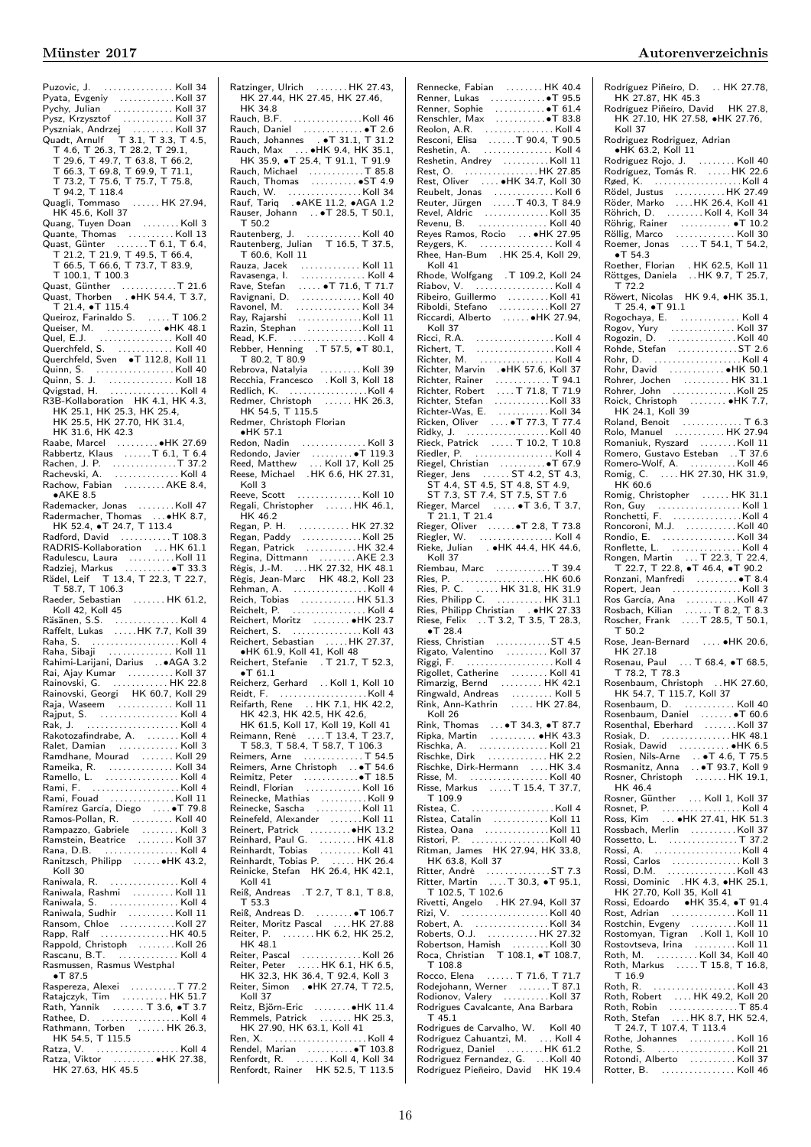Puzovic, J. . . . . . . . . . . . . . . . Koll 34 Pyata, Evgeniy . . . . . . . . . . . . Koll 37 Pychy, Julian . . . . . . . . . . . . . Koll 37 Pysz, Krzysztof . . . . . . . . . . . Koll 37 Pyszniak, Andrzej . . . . . . . . . Koll 37 Quadt, Arnulf T 3.1, T 3.3, T 4.5, T 4.6, T 26.3, T 28.2, T 29.1, T 29.6, T 49.7, T 63.8, T 66.2, T 66.3, T 69.8, T 69.9, T 71.1, T 73.2, T 75.6, T 75.7, T 75.8, T 94.2, T 118.4 Quagli, Tommaso . . . . . . HK 27.94, HK 45.6, Koll 37 Quang, Tuyen Doan . . . . . . . . Koll 3 Quante, Thomas . . . . . . . . . . Koll 13 Quast, Günter . . . . . . . T 6.1, T 6.4, T 21.2, T 21.9, T 49.5, T 66.4, T 66.5, T 66.6, T 73.7, T 83.9, T 100.1, T 100.3 Quast, Günther . . . . . . . . . . . . T 21.6 Quast, Thorben . ∙HK 54.4, T 3.7, T 21.4, ∙T 115.4 Queiroz, Farinaldo S. . . . . . T 106.2 Queiser, M. . . . . . . . . . . . . ●HK 48.1<br>Quel, E.J. . . . . . . . . . . . . . . . . Koll 40 Quel, E.J. . . . . . . . . . . . . . . . . Koll 40 Querchfeld, S. . . . . . . . . . . . . Koll 40 Querchfeld, Sven ∙T 112.8, Koll 11 Quinn, S. . . . . . . . . . . . . . . . . . Koll 40 Quinn, S. J. . . . . . . . . . . . . . . Koll 18 Qvigstad, H. . . . . . . . . . . . . . . . Koll 4 R3B-Kollaboration HK 4.1, HK 4.3, HK 25.1, HK 25.3, HK 25.4, HK 25.5, HK 27.70, HK 31.4, HK 31.6, HK 42.3 Raabe, Marcel . . . . . . . . . ∙HK 27.69 Rabbertz, Klaus . . . . . .T 6.1, T 6.4 Rachen, J. P. . . . . . . . . . . . . . .T 37.2 Rachevski, A. . . . . . . . . . . . . . . Koll 4 Rachow, Fabian . . . . . . . . . . . . AKE 8.4, ∙AKE 8.5 Rademacker, Jonas . . . . . . . . Koll 47 Radermacher, Thomas . . . ●HK 8.7,<br> HK 52.4, ●T 24.7, T 113.4<br>Radford, David . . . . . . . . . . . . T 108.3<br>RADRIS-Kollaboration . . . . HK 61.1 Radulescu, Laura . . . . . . . . . .Koll 11 Radziej, Markus . . . . . . . . . . ∙T 33.3 Rädel, Leif T 13.4, T 22.3, T 22.7, T 58.7, T 106.3 Raeder, Sebastian . . . . . . . HK 61.2, Koll 42, Koll 45 Räsänen, S.S. . . . . . . . . . . . . . . Koll 4 Raffelt, Lukas . . . . .HK 7.7, Koll 39 Raha, S. . . . . . . . . . . . . . . . . . . . Koll 4 Raha, Sibaji . . . . . . . . . . . . . . Koll 11 Rahimi-Larijani, Darius . .∙AGA 3.2 Rai, Ajay Kumar . . . . . . . . . . Koll 37 Rainovski, G. . . . . . . . . . . . . HK 22.8 Rainovski, Georgi HK 60.7, Koll 29 Raja, Waseem . . . . . . . . . . . . Koll 11 Rajput, S. . . . . . . . . . . . . . . . . . Koll 4 Rak, J. . . . . . . . . . . . . . . . . . . . . Koll 4 Rakotozafindrabe, A. . . . . . . . Koll 4 Ralet, Damian . . . . . . . . . . . . . Koll 3 Ramdhane, Mourad . . . . . . . Koll 29 Rameika, R. . . . . . . . . . . . . . . Koll 34 Ramello, L. . . . . . . . . . . . . . . . . Koll 4 Rami, F. . . . . . . . . . . . . . . . . . . . Koll 4 Rami, Fouad . . . . . . . . . . . . . . . Koll 11<br>Ramírez García, Diego . . . . • T 79.8<br>Rampazzo, Gabriele . . . . . . . . Koll 4<br>Rampazzo, Gabriele . . . . . . . . . Koll 3 Ramstein, Beatrice . . . . . . . . Koll 37 Rana, D.B. . . . . . . . . . . . . . . . . Koll 4 Ranitzsch, Philipp . . . . . . ∙HK 43.2, Koll 30<br>Raniwala, R. Raniwala, R. . . . . . . . . . . . . . . . Koll 4 Raniwala, Rashmi . . . . . . . . . Koll 11 Raniwala, S. . . . . . . . . . . . . . . . Koll 4 Raniwala, Sudhir . . . . . . . . . . Koll 11 Ransom, Chloe . . . . . . . . . . . .Koll 27 Rapp, Ralf . . . . . . . . . . . . . . .HK 40.5 Rappold, Christoph . . . . . . . .Koll 26 Rascanu, B.T. . . . . . . . . . . . . . Koll 4 Rasmussen, Rasmus Westphal ∙T 87.5 Raspereza, Alexei . . . . . . . . . . T 77.2 Ratajczyk, Tim . . . . . . . . . . HK 51.7 Rath, Yannik . . . . . . . T 3.6, ∙T 3.7 Rathee, D. . . . . . . . . . . . . . . . . . Koll 4 Rathmann, Torben . . . . . . HK 26.3, HK 54.5, T 115.5 Ratza, V. . . . . . . . . . . . . . . . . . . Koll 4 Ratza, Viktor . . . . . . . . . ∙HK 27.38, atza, Viktor (1999)<br>HK 27.63, HK 45.5 Ratzinger, Ulrich . . . . . . . HK 27.43, HK 27.44, HK 27.45, HK 27.46, HK 34.8<br>Rauch, B.F. Rauch, B.F. . . . . . . . . . . . . . . .Koll 46 Rauch, Daniel . . . . . . . . . . . . . ∙T 2.6 Rauch, Johannes . ∙T 31.1, T 31.2 Rauch, Max . . . ∙HK 9.4, HK 35.1, HK 35.9, ∙T 25.4, T 91.1, T 91.9 Rauch, Michael . . . . . . . . . . . . T 85.8 Rauch, Thomas . . . . . . . . . . ∙ST 4.9 Rauch, W. . . . . . . . . . . . . . . . . Koll 34 Rauf, Tariq . ∙AKE 11.2, ∙AGA 1.2 Rauser, Johann . . ∙T 28.5, T 50.1, T 50.2 Rautenberg, J. . . . . . . . . . . . . Koll 40 Rautenberg, Julian T 16.5, T 37.5, T 60.6, Koll 11 Rauza, Jacek . . . . . . . . . . . . . Koll 11 Ravasenga, I. . . . . . . . . . . . . . . Koll 4 Rave, Stefan . . . . . ∙T 71.6, T 71.7 Ravignani, D. . . . . . . . . . . . . . Koll 40 Ravonel, M. . . . . . . . . . . . . . . Koll 34 Ray, Rajarshi . . . . . . . . . . . . . .Koll 11 Razin, Stephan . . . . . . . . . . . .Koll 11 Read, K.F. . . . . . . . . . . . . . . . . . Koll 4 Rebber, Henning . T 57.5, ∙T 80.1, T 80.2, T 80.9 Rebrova, Natalyia . . . . . . . . . Koll 39 Recchia, Francesco . Koll 3, Koll 18 Redlich, K. . . . . . . . . . . . . . . . . .Koll 4 Redmer, Christoph . . . . . . HK 26.3, HK 54.5, T 115.5 Redmer, Christoph Florian ∙HK 57.1 Redon, Nadin . . . . . . . . . . . . . . Koll 3 Redondo, Javier . . . . . . . . . ∙T 119.3 Reed, Matthew . . . Koll 17, Koll 25 Reese, Michael .HK 6.6, HK 27.31, Koll 3 Reeve, Scott . . . . . . . . . . . . . . Koll 10 Regali, Christopher . . . . . . HK 46.1, HK 46.2 Regan, P. H. . . . . . . . . . . . HK 27.32 Regan, Paddy . . . . . . . . . . . . . Koll 25 Regan, Patrick . . . . . . . . . . . HK 32.4 Regina, Dittmann . . . . . . . . AKE 2.3 Régis, J.-M. . . . HK 27.32, HK 48.1 Régis, Jean-Marc HK 48.2, Koll 23 Rehman, A. . . . . . . . . . . . . . . . . Koll 4 Reich, Tobias . . . . . . . . . . . . HK 51.3 Reichelt, P. . . . . . . . . . . . . . . . . Koll 4 Reichert, Moritz . . . . . . . . ∙HK 23.7 Reichert, S. . . . . . . . . . . . . . . . Koll 43 Reichert, Sebastian . . . . . HK 27.37, ∙HK 61.9, Koll 41, Koll 48 Reichert, Stefanie . T 21.7, T 52.3, ∙T 61.1 Reicherz, Gerhard . . Koll 1, Koll 10 Reidt, F. . . . . . . . . . . . . . . . . . . . Koll 4 Reifarth, Rene . . HK 7.1, HK 42.2, HK 42.3, HK 42.5, HK 42.6, HK 61.5, Koll 17, Koll 19, Koll 41 Reimann, René . . . .T 13.4, T 23.7, T 58.3, T 58.4, T 58.7, T 106.3 Reimers, Arne . . . . . . . . . . . . . T 54.5<br>Reimers, Arne Christoph . . ●T 54.6<br>Reimitz, Peter . . . . . . . . . . . . . T 18.5<br>Reindl, Florian . . . . . . . . . . . . . . Koll 16 Reinecke, Mathias . . . . . . . . . . Koll 9 Reinecke, Sascha . . . . . . . . . . Koll 11 Reinefeld, Alexander . . . . . . .Koll 11 Reinert, Patrick . . . . . . . . .∙HK 13.2 Reinhard, Paul G. . . . . . . . . HK 41.8 Reinhardt, Tobias . . . . . . . . . Koll 41 Reinhardt, Tobias P. . . . . . HK 26.4 Reinicke, Stefan HK 26.4, HK 42.1,  $K_0$ II 41 Reiß, Andreas .T 2.7, T 8.1, T 8.8, T 53.3 Reiß, Andreas D. . . . . . . . . ∙T 106.7 Reiter, Moritz Pascal . . . .HK 27.88 Reiter, P. . . . . . . . HK 6.2, HK 25.2, HK 48.1 Reiter, Pascal . . . . . . . . . . . . . Koll 26 Reiter, Peter . . . . . HK 6.1, HK 6.5, HK 32.3, HK 36.4, T 92.4, Koll 3 Reiter, Simon . ●HK 27.74, T 72.5, Koll 37 Reitz, Björn-Eric . . . . . . . . ∙HK 11.4 Remmels, Patrick . . . . . . . HK 25.3, emmels, Patrick<br>HK 27.90, HK 63.1, Koll 41 Ren, X. . . . . . . . . . . . . . . . . . . . . Koll 4 Rendel, Marian . . . . . . . . . .∙T 103.8 Renfordt, R. . . . . . . . Koll 4, Koll 34 Renfordt, Rainer HK 52.5, T 113.5

# Rennecke, Fabian . . . . . . . . HK 40.4 Renner, Lukas . . . . . . . . . . . ● T 95.5<br>Renner, Sophie . . . . . . . . . . ● T 61.4<br>Renschler, Max . . . . . . . . . . ● T 83.8 Reolon, A.R. . . . . . . . . . . . . . . . Koll 4 Resconi, Elisa . . . . . .T 90.4, T 90.5 Reshetin, A. . . . . . . . . . . . . . . . Koll 4 Reshetin, Andrey . . . . . . . . . . Koll 11 Rest, O. . . . . . . . . . . . . . . . . HK 27.85 Rest, Oliver . . . . ∙HK 34.7, Koll 30 Reubelt, Jonas . . . . . . . . . . . . . Koll 6 Reuter, Jürgen . . . . .T 40.3, T 84.9 Revel, Aldric . . . . . . . . . . . . . . Koll 35 Revenu, B. . . . . . . . . . . . . . . . Koll 40 Reyes Ramos, Rocio . . . ∙HK 27.95 Reygers, K. . . . . . . . . . . . . . . . . Koll 4 Rhee, Han-Bum . HK 25.4, Koll 29, Koll 41 Rhode, Wolfgang .T 109.2, Koll 24 Riabov, V. . . . . . . . . . . . . . . . . . Koll 4 Ribeiro, Guillermo . . . . . . . . . Koll 41 Riboldi, Stefano . . . . . . . . . . . Koll 27 Riccardi, Alberto . . . . . . ∙HK 27.94, Koll 37 Ricci, R.A. . . . . . . . . . . . . . . . . . Koll 4 Richert, T. . . . . . . . . . . . . . . . . . Koll 4 Richter, M. . . . . . . . . . . . . . . . . Koll 4 Richter, Marvin .∙HK 57.6, Koll 37 Richter, Rainer . . . . . . . . . . . . T 94.1 Richter, Robert . . . . T 71.8, T 71.9 Richter, Stefan . . . . . . . . . . . . Koll 33 Richter-Was, E. . . . . . . . . . . . Koll 34 Ricken, Oliver . . . . ∙T 77.3, T 77.4 Ridky, J. . . . . . . . . . . . . . . . . . . Koll 40 Rieck, Patrick . . . . . T 10.2, T 10.8 Riedler, P. . . . . . . . . . . . . . . . . . Koll 4 Riegel, Christian . . . . . . . . . .∙T 67.9 Rieger, Jens . . . . . . ST 4.2, ST 4.3, ST 4.4, ST 4.5, ST 4.8, ST 4.9, ST 7.3, ST 7.4, ST 7.5, ST 7.6 Rieger, Marcel . . . . . ∙T 3.6, T 3.7, T 21.1, T 21.4 Rieger, Oliver . . . . . .∙T 2.8, T 73.8 Riegler, W. . . . . . . . . . . . . . . . . Koll 4 Rieke, Julian . ∙HK 44.4, HK 44.6,  $Kol1$  37 Riembau, Marc . . . . . . . . . . . . T 39.4 Ries, P. . . . . . . . . . . . . . . . . . .HK 60.6 Ries, P. C. . . . . . HK 31.8, HK 31.9 Ries, Philipp C. . . . . . . . . . . HK 31.1 Ries, Philipp Christian . ∙HK 27.33 Riese, Felix . . T 3.2, T 3.5, T 28.3, ∙T 28.4 Riess, Christian . . . . . . . . . . . .ST 4.5 Rigato, Valentino . . . . . . . . . Koll 37 Riggi, F. . . . . . . . . . . . . . . . . . . . Koll 4 Rigollet, Catherine . . . . . . . . Koll 41 Rimarzig, Bernd . . . . . . . . . HK 42.1 Ringwald, Andreas . . . . . . . . . Koll 5 Rink, Ann-Kathrin . . . . . HK 27.84, Koll 26 Rink, Thomas . . . ∙T 34.3, ∙T 87.7 Ripka, Martin . . . . . . . . . . ∙HK 43.3 Rischka, A. . . . . . . . . . . . . . . . Koll 21 Rischke, Dirk . . . . . . . . . . . . . HK 2.2 Rischke, Dirk-Hermann . . . . . HK 3.4 Risse, M. . . . . . . . . . . . . . . . . . Koll 40 Risse, Markus . . . . . T 15.4, T 37.7,  $T_{109.9}$ Ristea, C. . . . . . . . . . . . . . . . . . . Koll 4 Ristea, Catalin . . . . . . . . . . . . Koll 11 Ristea, Oana . . . . . . . . . . . . . . Koll 11 Ristori, P. . . . . . . . . . . . . . . . . .Koll 40 Ritman, James HK 27.94, HK 33.8, HK 63.8, Koll 37 Ritter, André . . . . . . . . . . . . . . ST 7.3 Ritter, Martin . . . .T 30.3, ∙T 95.1, T 102.5, T 102.6 Rivetti, Angelo . HK 27.94, Koll 37 Rizi, V. . . . . . . . . . . . . . . . . . . . Koll 40 Robert, A. . . . . . . . . . . . . . . . . Koll 34 Roberts, O.J. . . . . . . . . . . . HK 27.32 Robertson, Hamish . . . . . . . . Koll 30 Roca, Christian T 108.1, ∙T 108.7, T 108.8 Rocco, Elena . . . . . . T 71.6, T 71.7 Rodejohann, Werner . . . . . . . T 87.1 Rodionov, Valery . . . . . . . . . . Koll 37 Rodrigues Cavalcante, Ana Barbara T 45.1 Rodrigues de Carvalho, W. Koll 40 Rodríguez Cahuantzi, M. . . . Koll 4 Rodriguez, Daniel . . . . . . . . HK 61.2 Rodriguez Fernandez, G. . . .Koll 40 Rodríguez Pieñeiro, David HK 19.4

### Münster 2017 Autorenverzeichnis

Rodríguez Piñeíro, D. .. HK 27.78, HK 27.87, HK 45.3 Rodríguez Piñeíro, David HK 27.8, HK 27.10, HK 27.58, ∙HK 27.76, Koll 37 Rodriguez Rodriguez, Adrian ∙HK 63.2, Koll 11 Rodriguez Rojo, J. . . . . . . . . Koll 40 Rodríguez, Tomás R. . . . . . HK 22.6 Røed, K. . . . . . . . . . . . . . . . . . . . Koll 4 Rödel, Justus . . . . . . . . . . . HK 27.49 Röder, Marko . . . .HK 26.4, Koll 41 Röhrich, D. . . . . . . . . . Koll 4, Koll 34<br>Röhlrig, Rainer . . . . . . . . . . ● T 10.2<br>Röellig, Marco . . . . . . . . . . . . . . Koll 30<br>Roemer, Jonas . . . . . T 54.1, T 54.2, ∙T 54.3 Roether, Florian . HK 62.5, Koll 11 Röttges, Daniela . . HK 9.7, T 25.7, T 72.2<br>Röwert, Nicolas HK 9.4, •HK 35.1, Röwert, Nicolas HK 9.4, ∙HK 35.1, T 25.4, ∙T 91.1 Rogochaya, E. . . . . . . . . . . . . . Koll 4 Rogov, Yury . . . . . . . . . . . . . . Koll 37 Rogozin, D. . . . . . . . . . . . . . . . Koll 40 Rohde, Stefan . . . . . . . . . . . . . ST 2.6 Rohr, D. . . . . . . . . . . . . . . . . . . . Koll 4 Rohr, David . . . . . . . . . . . . ∙HK 50.1 Rohrer, Jochen . . . . . . . . . . HK 31.1 Rohrer, John . . . . . . . . . . . . . .Koll 25 Roick, Christoph . . . . . . . . ∙HK 7.7, HK 24.1, Koll 39 Roland, Benoit . . . . . . . . . . . . . T 6.3 Rolo, Manuel . . . . . . . . . . . HK 27.94 Romaniuk, Ryszard . . . . . . . . Koll 11 Romero, Gustavo Esteban . . T 37.6 Romero-Wolf, A. . . . . . . . . . . Koll 46 Romig, C. . . . . HK 27.30, HK 31.9, HK 60.6 Romig, Christopher . . . . . . HK 31.1 Ron, Guy . . . . . . . . . . . . . . . . . . Koll 1 Ronchetti, F. . . . . . . . . . . . . . . .Koll 4 Roncoroni, M.J. . . . . . . . . . . . Koll 40 Rondio, E. . . . . . . . . . . . . . . . . Koll 34 Ronflette, L. . . . . . . . . . . . . . . . Koll 4 Rongen, Martin . . . T 22.3, T 22.4, T 22.7, T 22.8, T 46.4, T 90.2<br>
Ronzani, Manfredi<br>
Ropert, Jean<br>
Ros García, Ana<br>
Ross García, Ana<br>
Rossbach, Kilian<br>
Rossbach, Frank<br>
Rossbach, Frank<br>
T 3.2, T 8.3, T 8.7<br>
T 50.2<br>
T 50.2 Rose, Jean-Bernard . . . . ∙HK 20.6, HK 27.18 Rosenau, Paul . . . T 68.4, ∙T 68.5, T 78.2, T 78.3 Rosenbaum, Christoph . .HK 27.60, HK 54.7, T 115.7, Koll 37 Rosenbaum, D. . . . . . . . . . . . Koll 40 Rosenbaum, Daniel . . . . . . . ∙T 60.6 Rosenthal, Eberhard . . . . . . . Koll 37 Rosiak, D. . . . . . . . . . . . . . . . HK 48.1 Rosiak, Dawid . . . . . . . . . . . ∙HK 6.5 Rosien, Nils-Arne . . ∙T 4.6, T 75.5 Rosmanitz, Anna . . ∙T 93.7, Koll 9 Rosner, Christoph . . . . . . . HK 19.1, HK 46.4 Rosner, Günther ... Koll 1, Koll 37 Rosnet, P. . . . . . . . . . . . . . . . . . Koll 4 Ross, Kim . . . ∙HK 27.41, HK 51.3 Rossbach, Merlin . . . . . . . . . . Koll 37 Rossetto, L. . . . . . . . . . . . . . . . T 37.2 Rossi, A. . . . . . . . . . . . . . . . . . . .Koll 4 Rossi, Carlos . . . . . . . . . . . . . . . Koll 3 Rossi, D.M. . . . . . . . . . . . . . . . Koll 43 Rossi, Dominic .HK 4.3, ∙HK 25.1, HK 27.70, Koll 35, Koll 41 Rossi, Edoardo ∙HK 35.4, ∙T 91.4 Rost, Adrian . . . . . . . . . . . . . . Koll 11 Rostchin, Evgeny . . . . . . . . . .Koll 11 Rostomyan, Tigran . Koll 1, Koll 10 Rostovtseva, Irina . . . . . . . . . Koll 11 Roth, M. . . . . . . . . . Koll 34, Koll 40 Roth, Markus . . . . . T 15.8, T 16.8, T 16.9 Roth, R. . . . . . . . . . . . . . . . . . . Koll 43 Roth, Robert . . . . HK 49.2, Koll 20 Roth, Robin . . . . . . . . . . . . . . . T 85.4 Roth, Stefan . . . . HK 8.7, HK 52.4, T 24.7, T 107.4, T 113.4 Rothe, Johannes . . . . . . . . . . Koll 16 Rothe, S. . . . . . . . . . . . . . . . . . Koll 21 Rotondi, Alberto . . . . . . . . . . Koll 37 Rotter, B. . . . . . . . . . . . . . . . . Koll 46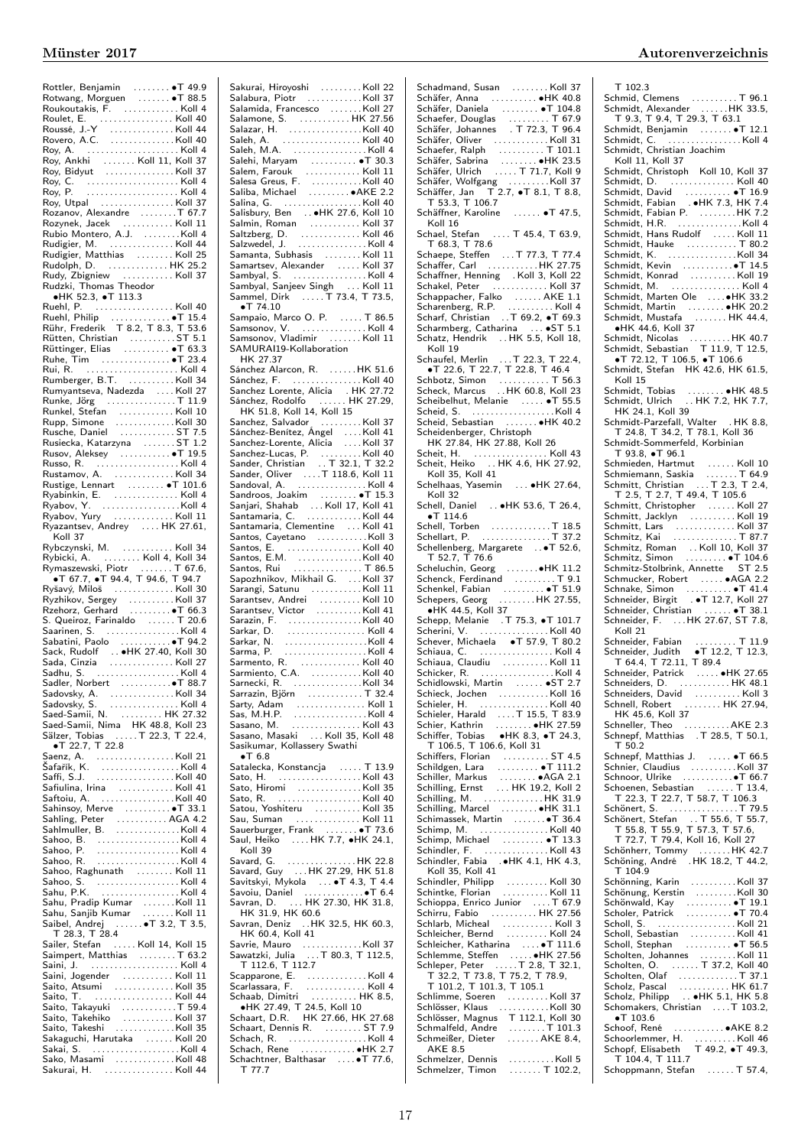Rottler, Benjamin<br>Rotwang, Morguen<br>Roukoutakis, F. (1998). Roulet, E. (1998).<br>Roulet, E. (1998). Noulet, E. (1998).<br>Roulet, E. (1998). Noulet, Noulet Alexandric Mill 40.<br>Rovero, A.C. (1999). Noulet Mill 40. Roy, A. . . . . . . . . . . . . . . . . . . . . Koll 4 Roy, Ankhi . . . . . . . Koll 11, Koll 37 Roy, Bidyut . . . . . . . . . . . . . . . Koll 37 Roy, C. . . . . . . . . . . . . . . . . . . . . Koll 4 Roy, P. . . . . . . . . . . . . . . . . . . . . Koll 4 Roy, Utpal . . . . . . . . . . . . . . . . Koll 37 Rozanov, Alexandre ........T 67.7 Rozynek, Jacek . . . . . . . . . . . Koll 11 Rubio Montero, A.J. . . . . . . . .Koll 4 Rudigier, M. . . . . . . . . . . . . . . Koll 44 Rudigier, Matthias . . . . . . . . Koll 25 Rudolph, D. . . . . . . . . . . . . . HK 25.2 Rudy, Zbigniew . . . . . . . . . . . Koll 37 Rudzki, Thomas Theodor ∙HK 52.3, ∙T 113.3 Ruehl, P. . . . . . . . . . . . . . . . . . Koll 40 Ruehl, Philip . . . . . . . . . . . . . ∙T 15.4 Rühr, Frederik T 8.2, T 8.3, T 53.6 Rütten, Christian . . . . . . . . . ST 5.1<br>Rüttinger, Elias . . . . . . . . . ●T 63.3 Ruhe, Tim . . . . . . . . . . . . . . . ∙T 23.4 Rui, R. . . . . . . . . . . . . . . . . . . . . Koll 4 Rumberger, B.T. . . . . . . . . . . Koll 34 Rumyantseva, Nadezda . . . . Koll 27 Runke, Jörg . . . . . . . . . . . . . . . T 11.9 Runkel, Stefan . . . . . . . . . . . . Koll 10 Rupp, Simone . . . . . . . . . . . . .Koll 30 Rusche, Daniel . . . . . . . . . . . . ST 7.5 Rusiecka, Katarzyna . . . . . . . ST 1.2 Rusov, Aleksey . . . . . . . . . . . ∙T 19.5 Russo, R. . . . . . . . . . . . . . . . . . . Koll 4 Rustamov, A. . . . . . . . . . . . . . Koll 34 Rustige, Lennart . . . . . . . . ∙T 101.6 Ryabinkin, E. . . . . . . . . . . . . . . Koll 4 Ryabov, Y. . . . . . . . . . . . . . . . . .Koll 4 Ryabov, Yury . . . . . . . . . . . . . Koll 11 Ryazantsev, Andrey .... HK 27.61, Koll 37 Rybczynski, M. . . . . . . . . . . . Koll 34 Rybicki, A. . . . . . . . . . . Koll 4, Koll 34<br>Rymaszewski, Piotr . . . . . . . T 67.6,<br>●T 67.7, ●T 94.4, T 94.6, T 94.7 Ryšavý, Miloš . . . . . . . . . . . . . Koll 30 Ryzhikov, Sergey . . . . . . . . . . Koll 37 Rzehorz, Gerhard<br>S. Queiroz, Farinaldo<br>Saarinen, S. (1998)<br>Sabatini, Paolo (1998)<br>Sack, Rudolf (1998)<br>Sack, Rudolf (1998)<br>Sada, Cinzia (1999)<br>Sada, Cinzia (1999) Sadhu, S.<br>
Saddovsky, A.<br>
Saddovsky, A.<br>
Saddovsky, A.<br>
Saddovsky, S.<br>
Saddovsky, S.<br>
Saddovsky, S.<br>
Sadde-Samii, Nima HK 48.8, Koll 23<br>
Sadde-Samii, Nima HK 48.8, Koll 23<br>
Sadzer, Tobias .....T 22.3, T 22.4,<br>
T 22.7, T 22 Saenz, A.<br>
Šafařík, K.<br>
Šafří, S.J. (Koll 40<br>
Saffi, S.J. (Koll 40<br>
Safiulina, Irina (Koll 41<br>
Safiulina, Irina (Koll 40<br>
Sahlimuller, B. (Koll 40<br>
Sahlmuller, B. (Koll 40<br>
Sahlmuller, B. (Koll 40<br>
Sahlmuller, B. (Koll 40<br> Sahoo, B. . . . . . . . . . . . . . . . . . .Koll 4 Sahoo, P. . . . . . . . . . . . . . . . . . . Koll 4 Sahoo, R. . . . . . . . . . . . . . . . . . . Koll 4 Sahoo, Raghunath . . . . . . . . Koll 11 Sahoo, S. . . . . . . . . . . . . . . . . . . Koll 4 Sahu, P.K. . . . . . . . . . . . . . . . . . Koll 4 Sahu, Pradip Kumar . . . . . . .Koll 11 Sahu, Sanjib Kumar . . . . . . . Koll 11 Saibel, Andrej . . . . . . ●T 3.2, T 3.5,<br> T 28.3, T 28.4<br>Sailer, Stefan . . . . Koll 14, Koll 15 Saimpert, Matthias . . . . . . . . T 63.2 Saini, J. . . . . . . . . . . . . . . . . . . . Koll 4 Saini, Jogender . . . . . . . . . . . Koll 11 Saito, Atsumi . . . . . . . . . . . . . Koll 35 Saito, T. . . . . . . . . . . . . . . . . . Koll 44 Saito, Takayuki . . . . . . . . . . . . T 59.4 Saito, Takehiko . . . . . . . . . . . Koll 37 Saito, Takeshi . . . . . . . . . . . . .Koll 35 Sakaguchi, Harutaka . . . . . . Koll 20 Sakai, S. . . . . . . . . . . . . . . . . . . . Koll 4 Sako, Masami . . . . . . . . . . . . .Koll 48 Sakurai, H. . . . . . . . . . . . . . . . Koll 44

Salabura, Piotr . . . . . . . . . . . .Koll 37 Salamida, Francesco . . . . . . .Koll 27 Salamone, S. . . . . . . . . . . . HK 27.56 Salazar, H. . . . . . . . . . . . . . . . .Koll 40 Saleh, A. . . . . . . . . . . . . . . . . . Koll 40 Saleh, M.A. . . . . . . . . . . . . . . . . Koll 4 Salehi, Maryam . . . . . . . . . . ∙T 30.3 Salem, Farouk . . . . . . . . . . . . Koll 11 Salesa Greus, F. . . . . . . . . . . .Koll 40 Saliba, Michael . . . . . . . . . ∙AKE 2.2 Salina, G. . . . . . . . . . . . . . . . . . Koll 40 Salisbury, Ben . . ∙HK 27.6, Koll 10 Salmin, Roman . . . . . . . . . . . Koll 37 Saltzberg, D. . . . . . . . . . . . . . Koll 46 Salzwedel, J. . . . . . . . . . . . . . . . Koll 4 Samanta, Subhasis . . . . . . . . Koll 11 Samartsev, Alexander . . . . . Koll 37 Sambyal, S. . . . . . . . . . . . . . . . . Koll 4 Sambyal, Sanjeev Singh . . . Koll 11 Sammel, Dirk ...... T 73.4, T 73.5, ∙T 74.10 Sampaio, Marco O. P. . . . . . T 86.5 Samsonov, V. . . . . . . . . . . . . . . Koll 4 Samsonov, Vladimir . . . . . . . Koll 11 SAMURAI19-Kollaboration HK 27.37 Sánchez Alarcon, R. . . . . . .HK 51.6 Sánchez, F. . . . . . . . . . . . . . . . Koll 40 Sanchez Lorente, Alicia . HK 27.72 Sánchez, Rodolfo . . . . . . HK 27.29, HK 51.8, Koll 14, Koll 15 Sanchez, Salvador . . . . . . . . . Koll 37 Sánchez-Benítez, Ángel . . . .Koll 41 Sanchez-Lorente, Alicia . . . . Koll 37 Sanchez-Lucas, P. . . . . . . . . . Koll 40 Sander, Christian . . T 32.1, T 32.2 Sander, Oliver . . . .T 118.6, Koll 11 Sandoval, A. . . . . . . . . . . . . . . . Koll 4 Sandroos, Joakim . . . . . . . . ∙T 15.3 Sanjari, Shahab . . . Koll 17, Koll 41 Santamaria, C. . . . . . . . . . . . . Koll 44 Santamaria, Clementine ... Koll 41 Santos, Cayetano . . . . . . . . . . .Koll 3 Santos, E. . . . . . . . . . . . . . . . . Koll 40 Santos, E.M. . . . . . . . . . . . . . .Koll 40 Santos, Rui . . . . . . . . . . . . . . . T 86.5 Sapozhnikov, Mikhail G. . . . Koll 37 Sarangi, Satunu . . . . . . . . . . . Koll 11 Sarantsev, Andrei . . . . . . . . . Koll 10 Sarantsev, Victor . . . . . . . . . . Koll 41 Sarazin, F. . . . . . . . . . . . . . . . . Koll 40 Sarkar, D. . . . . . . . . . . . . . . . . . Koll 4 Sarkar, N. . . . . . . . . . . . . . . . . . .Koll 4 Sarma, P. . . . . . . . . . . . . . . . . . . Koll 4 Sarmento, R. . . . . . . . . . . . . . Koll 40 Sarmiento, C.A. . . . . . . . . . . . Koll 40 Sarnecki, R. . . . . . . . . . . . . . . .Koll 34 Sarrazin, Björn . . . . . . . . . . . . T 32.4 Sarty, Adam . . . . . . . . . . . . . . . Koll 1 Sas, M.H.P. . . . . . . . . . . . . . . . . Koll 4 Sasano, M. . . . . . . . . . . . . . . . Koll 43 Sasano, Masaki . . . Koll 35, Koll 48 Sasikumar, Kollassery Swathi ∙T 6.8 Satalecka, Konstancja . . . . . T 13.9 Sato, H. . . . . . . . . . . . . . . . . . . Koll 43 Sato, Hiromi . . . . . . . . . . . . . . Koll 35 Sato, R. . . . . . . . . . . . . . . . . . . Koll 40 Satou, Yoshiteru . . . . . . . . . . Koll 35 Sau, Suman . . . . . . . . . . . . . . Koll 11 Sauerburger, Frank . . . . . . . ∙T 73.6 Saul, Heiko .....HK 7.7, •HK 24.1, Koll 39 Savard, G. . . . . . . . . . . . . . . . HK 22.8 Savard, Guy . . . HK 27.29, HK 51.8 Savitskyi, Mykola . . . ∙T 4.3, T 4.4 Savoiu, Daniel . . . . . . . . . . . . ● T 6.4<br>Savran, D. . . . HK 27.30, HK 31.8,<br>HK 31.9, HK 60.6 Savran, Deniz . .HK 32.5, HK 60.3, HK 60.4, Koll 41 Savrie, Mauro . . . . . . . . . . . . .Koll 37 Sawatzki, Julia . . . T 80.3, T 112.5, T 112.6, T 112.7 Scapparone, E. . . . . . . . . . . . . . Koll 4 Scarlassara, F. . . . . . . . . . . . . . Koll 4 Schaab, Dimitri . . . . . . . . . . HK 8.5, ∙HK 27.49, T 24.5, Koll 10 Schaart, D.R. HK 27.66, HK 27.68 Schaart, Dennis R. . . . . . . . . ST 7.9 Schach, R. . . . . . . . . . . . . . . . . . Koll 4 Schach, Rene . . . . . . . . . . . . ∙HK 2.7 Schachtner, Balthasar . . . . ∙T 77.6, T 77.7

Sakurai, Hiroyoshi . . . . . . . . . Koll 22

Schadmand, Susan ........ Koll 37 Schäfer, Anna . . . . . . . . . . ∙HK 40.8 Schäfer, Daniela . . . . . . . . ∙T 104.8 Schaefer, Douglas . . . . . . . . . T 67.9 Schäfer, Johannes . T 72.3, T 96.4 Schäfer, Oliver . . . . . . . . . . . . Koll 31 Schaefer, Ralph . . . . . . . . . . T 101.1 Schäfer, Sabrina . . . . . . . . ∙HK 23.5 Schäfer, Ulrich . . . . . T 71.7, Koll 9 Schäfer, Wolfgang . . . . . . . . .Koll 37 Schäffer, Jan T 2.7, ∙T 8.1, T 8.8, T 53.3, T 106.7 Schäffner, Karoline . . . . . . ∙T 47.5, Koll 16 Schael, Stefan . . . . T 45.4, T 63.9, T 68.3, T 78.6 Schaepe, Steffen . . . T 77.3, T 77.4 Schaffer, Carl . . . . . . . . . . . HK 27.75 Schaffner, Henning . Koll 3, Koll 22 Schakel, Peter . . . . . . . . . . . . Koll 37 Schappacher, Falko . . . . . . AKE 1.1 Scharenberg, R.P. . . . . . . . . . . . Koll 4<br>Scharf, Christian . . T 69.2, ●T 69.3 Scharmberg, Catharina . . . ∙ST 5.1 Schatz, Hendrik . . HK 5.5, Koll 18, Koll 19 Schaufel, Merlin . . .T 22.3, T 22.4, ∙T 22.6, T 22.7, T 22.8, T 46.4 Schbotz, Simon . . . . . . . . . . . T 56.3 Scheck, Marcus . . HK 60.8, Koll 23 Scheibelhut, Melanie . . . . . ∙T 55.5 Scheid, S. . . . . . . . . . . . . . . . . . .Koll 4 Scheid, Sebastian . . . . . . . ∙HK 40.2 Scheidenberger, Christoph HK 27.84, HK 27.88, Koll 26 Scheit, H. . . . . . . . . . . . . . . . . Koll 43 Scheit, Heiko . . HK 4.6, HK 27.92, Koll 35, Koll 41 Schelhaas, Yasemin ... . • HK 27.64, Koll 32 Schell, Daniel . . ∙HK 53.6, T 26.4, ∙T 114.6 Schell, Torben . . . . . . . . . . . . . T 18.5 Schellart, P. . . . . . . . . . . . . . . . T 37.2 Schellenberg, Margarete . .∙T 52.6, T 52.7, T 76.6 Scheluchin, Georg . . . . . . .∙HK 11.2 Schenck, Ferdinand . . . . . . . . . T 9.1 Schenkel, Fabian . . . . . . . . . ∙T 51.9 Schepers, Georg . . . . . . . . HK 27.55, ∙HK 44.5, Koll 37 Schepp, Melanie . T 75.3, ∙T 101.7 Scherini, V. . . . . . . . . . . . . . . . Koll 40 Schever, Michaela ∙T 57.9, T 80.2 Schiaua, C. . . . . . . . . . . . . . . . . Koll 4 Schiaua, Claudiu . . . . . . . . . . Koll 11 Schicker, R. . . . . . . . . . . . . . . . . Koll 4 Schidlowski, Martin . . . . . . ∙ST 2.7 Schieck, Jochen . . . . . . . . . . . Koll 16 Schieler, H. . . . . . . . . . . . . . . . Koll 40 Schieler, Harald . . . . T 15.5, T 83.9 Schier, Kathrin . . . . . . . . ∙HK 27.59 Schiffer, Tobias ∙HK 8.3, ∙T 24.3, T 106.5, T 106.6, Koll 31 Schilfers, Florian<br>
Schillegn, Lara<br>
Schiller, Markus<br>
Schilling, Ernst<br>
Schilling, Ernst<br>
19.2, Koll 2<br>
Schilling, M.<br>
19.2, Koll 2<br>
Schimp, M.<br>
196.4, Martin (19.30, Nather Schilling, Marcel<br>
196.4, Martin (19.40, Nather Schimp, Michael . . . . . . . . . ∙T 13.3 Schindler, F. . . . . . . . . . . . . . . . Koll 43<br>Schindler, Fabia . . ●HK 4.1, HK 4.3,<br>Koll 35, Koll 41<br>Schindler, Philipp . . . . . . . . . . . . Koll 30 Schintke, Florian<br>
Schioppa, Enrico Junior<br>
Schirru, Fabio<br>
Schlarb, Micheal<br>
Schlarb, Micheal<br>
Schleicher, Bernd<br>
Schleicher, Katharina<br>
Coll 24<br>
Schleicher, Katharina<br>
Coll 111.6 Schlemme, Steffen . . . . . ∙HK 27.56 Schleper, Peter . . . . . T 2.8, T 32.1, T 32.2, T 73.8, T 75.2, T 78.9, T 101.2, T 101.3, T 105.1 Schlimme, Soeren . . . . . . . . . Koll 37 Schlösser, Klaus . . . . . . . . . . .Koll 30 Schlösser, Magnus T 112.1, Koll 30 Schmalfeld, Andre . . . . . . . . T 101.3 Schmeißer, Dieter . . . . . . . AKE 8.4,  $AKF 8.5$ Schmelzer, Dennis . . . . . . . . . . Koll 5 Schmelzer, Timon . . . . . . . T 102.2,

### Münster 2017 Autorenverzeichnis

T 102.3 Schmid, Clemens . . . . . . . . . . T 96.1 Schmidt, Alexander . . . . . .HK 33.5, T 9.3, T 9.4, T 29.3, T 63.1 Schmidt, Benjamin . . . . . . . ∙T 12.1 Schmidt, C. . . . . . . . . . . . . . . . . Koll 4 Schmidt, Christian Joachim Koll 11, Koll 37 Schmidt, Christoph Koll 10, Koll 37 Schmidt, D. . . . . . . . . . . . . . . Koll 40 Schmidt, David . . . . . . . . . . ∙T 16.9 Schmidt, Fabian . ∙HK 7.3, HK 7.4 Schmidt, Fabian P. . . . . . . . . HK 7.2 Schmidt, H.R. . . . . . . . . . . . . . .Koll 4 Schmidt, Hans Rudolf . . . . . Koll 11 Schmidt, Hauke . . . . . . . . . . . T 80.2 Schmidt, K. (1997)<br>Schmidt, Kevin (1997)<br>Schmidt, Konrad (1997)<br>Schmidt, Konrad (1998)<br>Schmidt, M. (1998)<br>Schmidt, Martin (1998)<br>Schmidt, Martin (1998)<br>Schmidt, Mustafa (1998)<br>Schmidt, Mustafa (1998)<br>Schmidt, Nicolas (1998 Schmidt, Sebastian T 11.9, T 12.5, ∙T 72.12, T 106.5, ∙T 106.6 Schmidt, Stefan HK 42.6, HK 61.5, Koll 15<br>Schmidt, Tobias ... Schmidt, Tobias . . . . . . . . ●HK 48.5<br>Schmidt, Ulrich . . HK 7.2, HK 7.7,<br>HK 24.1, Koll 39 Schmidt-Parzefall, Walter . HK 8.8. T 24.8, T 34.2, T 78.1, Koll 36 Schmidt-Sommerfeld, Korbinian T 93.8, •T 96.1<br>T 93.8, •T 96.1<br>Schmieden, Hartmut ...... Koll 10 Schmieden, Hartmut . . . . . . Koll 10 Schmiemann, Saskia . . . . . . . T 64.9 Schmitt, Christian . . . T 2.3, T 2.4, T 2.5, T 2.7, T 49.4, T 105.6 Schmitt, Christopher . . . . . . Koll 27 Schmitt, Jacklyn . . . . . . . . . . Koll 19 Schmitt, Lars . . . . . . . . . . . . . Koll 37 Schmitz, Kai . . . . . . . . . . . . . . T 87.7 Schmitz, Roman . . Koll 10, Koll 37 Schmitz, Simon . . . . . . . . . ∙T 104.6 Schmitz-Stolbrink, Annette ST 2.5 Schmucker, Robert . . . . . ∙AGA 2.2 Schnake, Simon . . . . . . . . . . ∙T 41.4 Schneider, Birgit . ∙T 12.7, Koll 27 Schneider, Christian . . . . . . ∙T 38.1 Schneider, Christian ....... T 38.1<br>Schneider, F. ...HK 27.67, ST 7.8, Koll 21 Schneider, Fabian . . . . . . . . . T 11.9<br>Schneider, Judith ●T 12.2, T 12.3,<br>
T 64.4, T 72.11, T 89.4 Schneider, Patrick . . . . . ∙HK 27.65 Schneiders, D. . . . . . . . . . . . HK 48.1 Schneiders, David . . . . . . . . . . Koll 3 Schnell, Robert . . . . . . . . HK 27.94, HK 45.6, Koll 37 Schneller, Theo . . . . . . . . . . AKE 2.3 Schnepf, Matthias . T 28.5, T 50.1, T 50.2 Schnepf, Matthias J. . . . . . ∙T 66.5 Schnier, Claudius ..........Koll 37<br>Schnoor, Ulrike ............●T 66.7 Schoenen, Sebastian . . . . . . T 13.4, T 22.3, T 22.7, T 58.7, T 106.3 Schönert, S. . . . . . . . . . . . . . . . T 79.5 Schönert, Stefan . . T 55.6, T 55.7, T 55.8, T 55.9, T 57.3, T 57.6, T 72.7, T 79.4, Koll 16, Koll 27 Schönherr, Tommy . . . . . . . HK 42.7 Schöning, André . HK 18.2, T 44.2, T 104.9 Schönning, Karin . . . . . . . . . .Koll 37 Schönung, Kerstin . . . . . . . . .Koll 30 Schönwald, Kay . . . . . . . . . . ∙T 19.1 Scholer, Patrick . . . . . . . . . . ∙T 70.4 Scholl, S. . . . . . . . . . . . . . . . . . Koll 21 Scholl, Sebastian . . . . . . . . . . Koll 41 Scholl, Stephan . . . . . . . . . . ∙T 56.5 Scholten, Johannes<br>
Scholten, O. (1977). The Scholten, Olay Scholten, Olay Scholz, Pascal<br>
Scholz, Pascal<br>
Scholz, Philipp (1984). The S. HK 6.1<br>
Scholz, Philipp (1984). The S. Schomakers, Christian (1978). The S. Schomake ∍Chomakers, c<br>•T 103.6<br>Schoof, René . . . . . . . . . . ●AKE 8.2 Schoorlemmer, H. . . . . . . . . . Koll 46 Schopf, Elisabeth T 49.2, ∙T 49.3, T 104.4, T 111.7 Schoppmann, Stefan ...... T 57.4,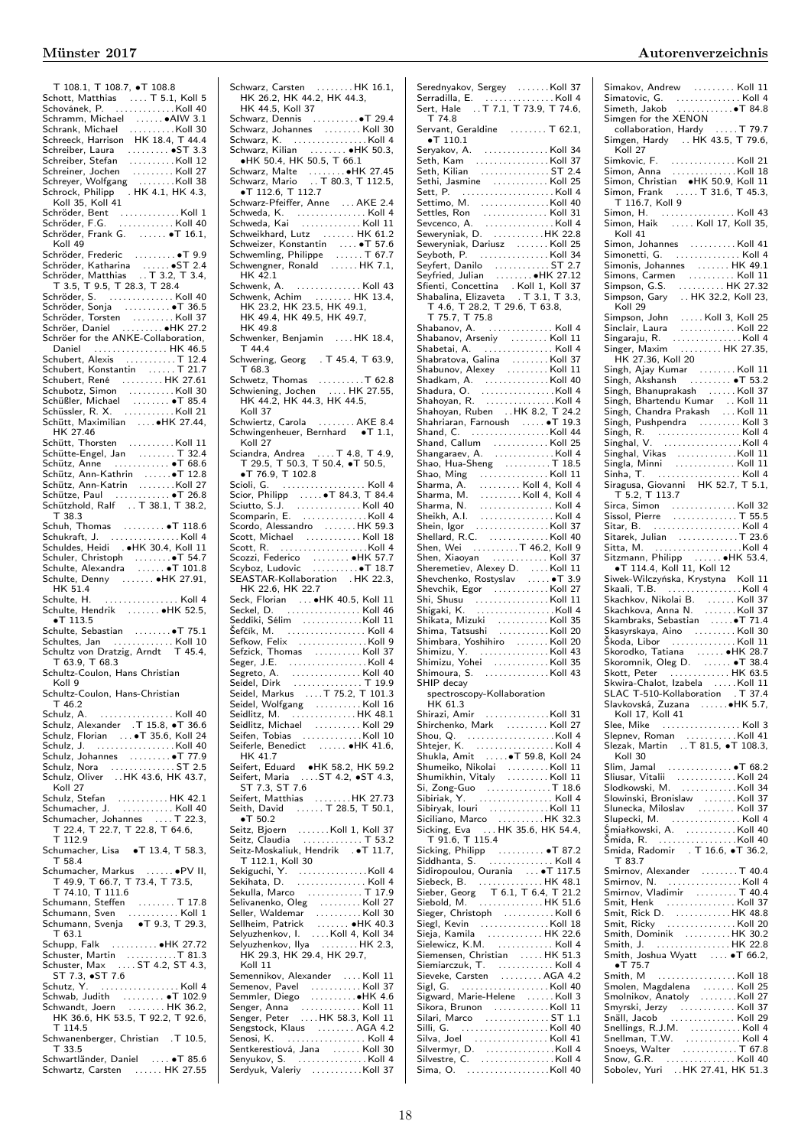| T 108.1, T 108.7, $\bullet$ T 108.8                                                                                                |
|------------------------------------------------------------------------------------------------------------------------------------|
|                                                                                                                                    |
|                                                                                                                                    |
| Schramm, Michael  AIW 3.1                                                                                                          |
| Schrank, Michael<br>$\ldots \ldots \ldots$ . Koll 30<br>Schreeck, Harrison HK 18.4, T 44.4                                         |
|                                                                                                                                    |
|                                                                                                                                    |
| Schreiner, Jochen<br>Schreiner, Jochen<br>Schreyer, Wolfgang<br>Managent Molfgang                                                  |
|                                                                                                                                    |
| Schrock, Philipp . HK 4.1, HK 4.3,                                                                                                 |
| Koll 35, Koll 41                                                                                                                   |
| Schröder, Bent<br>Schröder, F.G. Koll 40                                                                                           |
| Schröder, Frank G.  . T 16.1,                                                                                                      |
| Koll 49                                                                                                                            |
| Schröder, Frederic<br>Schröder, Katharina    ST 2.4<br>Schröder, Matthias   T 3.2, T 3.4,                                          |
|                                                                                                                                    |
|                                                                                                                                    |
| T 3.5, T 9.5, T 28.3, T 28.4<br>Schröder, S.  Koll 40                                                                              |
| Schröder, Sonja  T 36.5                                                                                                            |
|                                                                                                                                    |
|                                                                                                                                    |
| Schröder, Journal (1987)<br>Schröder, Torsten (1997)<br>Schröer, Daniel (1998)<br>Schröer for the ANKE-Collaboration,              |
| Daniel  HK 46.5                                                                                                                    |
| Schubert, Alexis<br>Schubert, Konstantin<br>Constantin<br>Constantin<br>Constanting 121.7                                          |
|                                                                                                                                    |
|                                                                                                                                    |
|                                                                                                                                    |
|                                                                                                                                    |
|                                                                                                                                    |
| HK 27.46<br>Schütt, Thorsten Koll 11                                                                                               |
| Schütte-Engel, Jan  T 32.4                                                                                                         |
| Schütz, Anne  T 68.6                                                                                                               |
|                                                                                                                                    |
|                                                                                                                                    |
|                                                                                                                                    |
| T 38.3                                                                                                                             |
| Schuh, Thomas  T 118.6                                                                                                             |
| Schukraft, J. Koll 4                                                                                                               |
| Schuldes, Heidi HK 30.4, Koll 11                                                                                                   |
|                                                                                                                                    |
|                                                                                                                                    |
| Schulte, Denny  . HK 27.91,<br>HK 51.4                                                                                             |
| Schulte, H.<br>. Koll 4                                                                                                            |
| Schulte, Hendrik  HK 52.5,                                                                                                         |
| $\bullet$ T 113.5                                                                                                                  |
|                                                                                                                                    |
| Schultes, Jan  Koll 10<br>Schultz von Dratzig, Arndt T 45.4,                                                                       |
| T 63.9, T 68.3                                                                                                                     |
| Schultz-Coulon, Hans Christian                                                                                                     |
| Koll 9                                                                                                                             |
| hultz-Coulon, Hans-Christian:                                                                                                      |
| T 46.2                                                                                                                             |
| Schulz, A.  Koll 40<br>Schulz, Alexander  T 15.8, •T 36.6                                                                          |
| Schulz, Florian  . T 35.6, Koll 24                                                                                                 |
| Schulz, J. Koll 40                                                                                                                 |
| Schulz, Johannes $\ldots \ldots \bullet T$ 77.9                                                                                    |
| Schulz, Nora ST 2.5<br>Schulz, Oliver HK 43.6, HK 43.7,                                                                            |
|                                                                                                                                    |
| Koll 27                                                                                                                            |
|                                                                                                                                    |
|                                                                                                                                    |
| Schulz, Stefan<br>Schumacher, J.<br>Schumacher, J.<br>Schumacher, Johannes<br>T 22.3,<br>T 22.4, T 22.7, T 22.8, T 64.6,<br>T 4.1, |
| $T$ 112.9                                                                                                                          |
| Schumacher, Lisa · T 13.4, T 58.3,<br>T 58.4                                                                                       |
| . •PV II,                                                                                                                          |
|                                                                                                                                    |
| T 74.10, T 111.6                                                                                                                   |
|                                                                                                                                    |
|                                                                                                                                    |
| $T_{63.1}$                                                                                                                         |
|                                                                                                                                    |
|                                                                                                                                    |
|                                                                                                                                    |
|                                                                                                                                    |
|                                                                                                                                    |
| Schutz, Y.  Koll 4                                                                                                                 |
|                                                                                                                                    |
|                                                                                                                                    |
| T 114.5                                                                                                                            |
| Schwanenberger, Christian . T 10.5,                                                                                                |
| T 33.5<br>Schwartländer, Daniel  . T 85.6                                                                                          |

Schwarz, Carsten . . . . . . . . HK 16.1, HK 26.2, HK 44.2, HK 44.3, HK 44.5, Koll 37 Schwarz, Dennis . . . . . . . . . .∙T 29.4 Schwarz, Johannes . . . . . . . . Koll 30<br>Schwarz, K. . . . . . . . . . . . . . . Koll 4<br>Schwarz, Kilian . . . . . . . ●HK 50.3,<br>●HK 50.4, HK 50.5, T 66.1 Schwarz, Malte . . . . . . . . ∙HK 27.45 Schwarz, Mario . . T 80.3, T 112.5, ∙T 112.6, T 112.7 Schwarz-Pfeiffer, Anne ... AKE 2.4 Schweda, K. . . . . . . . . . . . . . . . Koll 4<br>Schweda, Kai . . . . . . . . . . . . . Koll 11 Schweda, Kai . . . . . . . . . . . . . Koll 11 Schweikhard, Lutz . . . . . . . HK 61.2 Schweizer, Konstantin . . . . ∙T 57.6 Schwemling, Philippe . . . . . . T 67.7 Schwengner, Ronald . . . . . . HK 7.1, HK 42.1 Schwenk, A. . . . . . . . . . . . . . . Koll 43 Schwenk, Achim . . . . . . . . HK 13.4, HK 23.2, HK 23.5, HK 49.1, HK 49.4, HK 49.5, HK 49.7, HK 49.8 Schwenker, Benjamin .... HK 18.4, T 44.4 Schwering, Georg . T 45.4, T 63.9,<br>
T 68.3 T 68.3 Schwetz, Thomas . . . . . . . . . .T 62.8 Schwiening, Jochen . . . . HK 27.55, HK 44.2, HK 44.3, HK 44.5, Koll 37 Schwiertz, Carola . . . . . . . . AKE 8.4 Schwingenheuer, Bernhard •T 1.1, Koll 27 Sciandra, Andrea . . . . T 4.8, T 4.9, T 29.5, T 50.3, T 50.4, ∙T 50.5, ∙T 76.9, T 102.8 Scioli, G. . . . . . . . . . . . . . . . . . . Koll 4 Scior, Philipp . . . . . ∙T 84.3, T 84.4 Sciutto, S.J. . . . . . . . . . . . . . . Koll 40 Scomparin, E. . . . . . . . . . . . . . . Koll 4 Scordo, Alessandro . . . . . . . HK 59.3 Scott, Michael . . . . . . . . . . . . Koll 18 Scott, R. . . . . . . . . . . . . . . . . . . .Koll 4 Scozzi, Federico . . . . . . . ●HK 57.7<br>Scyboz, Ludovic . . . . . . . . . ●T 18.7<br>SEASTAR-Kollaboration . HK 22.3, HK 22.6, HK 22.7 Seck, Florian . . . ∙HK 40.5, Koll 11 Seckel, D.<br>
Seckel, D.<br>
Seddiki, Sélim<br>
Sefcik, M.<br>
Sefcik, M.<br>
Sefcik, M.<br>
Sefcik, M.<br>
Sefcik, Thomas<br>
Segret, J.E.<br>
Seiglitz, A.<br>
Seiglitz, M.<br>
Seiglitz, M.<br>
Seiglitz, M.<br>
Seiglitz, M.<br>
Seiglitz, M.<br>
Seiglitz, M.<br>
Seigli Seifert, Eduard → <del>•</del>HK 58.2, HK 59.2<br>Seifert, Maria ….ST 4.2, •ST 4.3,<br>Seifert, Matthias<br>Seifert, Matthias ………HK 27.73 Seith, David ...... T 28.5, T 50.1,<br>  $\bullet$  T 50.2 ∙T 50.2 Seitz, Bjoern . . . . . . .Koll 1, Koll 37 Seitz, Claudia . . . . . . . . . . . . . T 53.2 Seitz-Moskaliuk, Hendrik . ∙T 11.7, T 112.1, Koll 30 Sekiguchi, Y. . . . . . . . . . . . . . . .Koll 4 Sekihata, D. . . . . . . . . . . . . . . . Koll 4 Sekulla, Marco . . . . . . . . . . . . T 17.9 Selivanenko, Oleg . . . . . . . . . Koll 27 Seller, Waldemar . . . . . . . . . . Koll 30 Sellheim, Patrick . . . . . . . ●HK 40.3<br>Selyuzhenkov, I. . . . . Koll 4, Koll 34<br>Selyuzhenkov, Ilya . . . . . . . . HK 2.3, HK 29.3, HK 29.4, HK 29.7, Koll 11 Semennikov, Alexander ... Koll 11 Semenov, Pavel . . . . . . . . . . . Koll 37 Semmler, Diego . . . . . . . . . .∙HK 4.6 Senger, Anna . . . . . . . . . . . . . Koll 11 Senger, Peter . . . . HK 58.3, Koll 11 Sengstock, Klaus . . . . . . . . AGA 4.2 Senosi, K. . . . . . . . . . . . . . . . . . Koll 4 Sentkerestiová, Jana . . . . . . Koll 30

| T 74.8                                                                                                                                                                                                                                                             |  |
|--------------------------------------------------------------------------------------------------------------------------------------------------------------------------------------------------------------------------------------------------------------------|--|
| Servant, Geraldine  T 62.1,                                                                                                                                                                                                                                        |  |
| $\bullet$ T 110.1                                                                                                                                                                                                                                                  |  |
| Seryakov, A. Koll 34                                                                                                                                                                                                                                               |  |
|                                                                                                                                                                                                                                                                    |  |
|                                                                                                                                                                                                                                                                    |  |
|                                                                                                                                                                                                                                                                    |  |
|                                                                                                                                                                                                                                                                    |  |
|                                                                                                                                                                                                                                                                    |  |
|                                                                                                                                                                                                                                                                    |  |
|                                                                                                                                                                                                                                                                    |  |
| Settimo, M.<br>Settimo, M.<br>Setties, Ron<br>Sevenco, A.<br>Seweryniak, D.<br>Seweryniak, D.<br>Sexeryniak, D.                                                                                                                                                    |  |
| Seweryniak, Dariusz Koll 25                                                                                                                                                                                                                                        |  |
| Seyboth, P. Koll 34                                                                                                                                                                                                                                                |  |
|                                                                                                                                                                                                                                                                    |  |
|                                                                                                                                                                                                                                                                    |  |
| Sfienti, Concettina . Koll 1, Koll 37<br>Shabalina, Elizaveta . T 3.1, T 3.3,                                                                                                                                                                                      |  |
|                                                                                                                                                                                                                                                                    |  |
| T 4.6, T 28.2, T 29.6, T 63.8,                                                                                                                                                                                                                                     |  |
| T 75.7, T 75.8                                                                                                                                                                                                                                                     |  |
|                                                                                                                                                                                                                                                                    |  |
|                                                                                                                                                                                                                                                                    |  |
|                                                                                                                                                                                                                                                                    |  |
|                                                                                                                                                                                                                                                                    |  |
|                                                                                                                                                                                                                                                                    |  |
|                                                                                                                                                                                                                                                                    |  |
|                                                                                                                                                                                                                                                                    |  |
|                                                                                                                                                                                                                                                                    |  |
|                                                                                                                                                                                                                                                                    |  |
|                                                                                                                                                                                                                                                                    |  |
|                                                                                                                                                                                                                                                                    |  |
|                                                                                                                                                                                                                                                                    |  |
|                                                                                                                                                                                                                                                                    |  |
| Shand, Callum<br>Shangaraev, A.<br>Shangaraev, A.<br>Shao, Hua-Sheng<br>A.<br>T. 13.5                                                                                                                                                                              |  |
|                                                                                                                                                                                                                                                                    |  |
|                                                                                                                                                                                                                                                                    |  |
|                                                                                                                                                                                                                                                                    |  |
|                                                                                                                                                                                                                                                                    |  |
|                                                                                                                                                                                                                                                                    |  |
|                                                                                                                                                                                                                                                                    |  |
|                                                                                                                                                                                                                                                                    |  |
| Shao, Hua-Sheng<br>Shao, Ming<br>Shao, Ming<br>Sharma, A.<br>Moll 4, Koll 4, Koll 4<br>Sharma, N.<br>Moll 4, Koll 4<br>Sharma, N.<br>Moll 4<br>Sheikh, A.<br>Moll 4<br>Sheih, Igor<br>Moll 4<br>Shein, Igor<br>Moll 4<br>Textberical 4<br>Moll 4<br>Shen, Wei<br>T |  |
| Shen, Xiaoyan  Koll 37                                                                                                                                                                                                                                             |  |
|                                                                                                                                                                                                                                                                    |  |
|                                                                                                                                                                                                                                                                    |  |
|                                                                                                                                                                                                                                                                    |  |
| Sheremetiev, Alexey D.  Koll 11<br>Shevchenko, Rostyslav  T 3.9                                                                                                                                                                                                    |  |
| Shevchik, Egor Koll 27                                                                                                                                                                                                                                             |  |
|                                                                                                                                                                                                                                                                    |  |
|                                                                                                                                                                                                                                                                    |  |
|                                                                                                                                                                                                                                                                    |  |
|                                                                                                                                                                                                                                                                    |  |
|                                                                                                                                                                                                                                                                    |  |
|                                                                                                                                                                                                                                                                    |  |
|                                                                                                                                                                                                                                                                    |  |
| Shimoura, S. Koll 43                                                                                                                                                                                                                                               |  |
| SHIP decay                                                                                                                                                                                                                                                         |  |
| spectroscopy-Kollaboration                                                                                                                                                                                                                                         |  |
| HK 61.3                                                                                                                                                                                                                                                            |  |
| Shirazi, Amir Koll 31                                                                                                                                                                                                                                              |  |
| Shirchenko, Mark  Koll 27                                                                                                                                                                                                                                          |  |
| Shou, $Q.$ Koll 4                                                                                                                                                                                                                                                  |  |
| Shtejer, K. Koll 4                                                                                                                                                                                                                                                 |  |
| Shukla, Amit  T 59.8, Koll 24                                                                                                                                                                                                                                      |  |
|                                                                                                                                                                                                                                                                    |  |
| Shumeiko, Nikolai Koll 11<br>Shumikhin, Vitaly Koll 11                                                                                                                                                                                                             |  |
|                                                                                                                                                                                                                                                                    |  |
| Si, Zong-Guo<br>Sibiriak, Y.<br>Sibiriak, Y.                                                                                                                                                                                                                       |  |
|                                                                                                                                                                                                                                                                    |  |
|                                                                                                                                                                                                                                                                    |  |
|                                                                                                                                                                                                                                                                    |  |
| Sibiryak, Iouri<br>Sibiryak, Iouri<br>Siciliano, Marco<br>Sicking, Eva<br>191.6, T 115.4<br>T 91.6, T 115.4                                                                                                                                                        |  |
|                                                                                                                                                                                                                                                                    |  |
|                                                                                                                                                                                                                                                                    |  |
| Sidiropoulou, Ourania  T 117.5                                                                                                                                                                                                                                     |  |
|                                                                                                                                                                                                                                                                    |  |
| Siebeck, B. (2008). HK 48.1<br>Sieber, Georg T 6.1, T 6.4, T 21.2                                                                                                                                                                                                  |  |
| Siebold, M. (2008). HK 51.6                                                                                                                                                                                                                                        |  |
|                                                                                                                                                                                                                                                                    |  |
| Siegl, Kevin Koll 18                                                                                                                                                                                                                                               |  |
|                                                                                                                                                                                                                                                                    |  |
|                                                                                                                                                                                                                                                                    |  |
|                                                                                                                                                                                                                                                                    |  |
| Siemiarczuk, T.  Koll 4                                                                                                                                                                                                                                            |  |
|                                                                                                                                                                                                                                                                    |  |
|                                                                                                                                                                                                                                                                    |  |
| Sieveke, Carsten<br>Sieveke, Carsten<br>Sigl, G. (1999).<br>Sigward, Marie-Helene (1999). Koll 3                                                                                                                                                                   |  |
|                                                                                                                                                                                                                                                                    |  |
|                                                                                                                                                                                                                                                                    |  |
|                                                                                                                                                                                                                                                                    |  |
| Sikora, Brunon<br>Sikora, Brunon<br>Silari, Marco<br>Silva, Joel<br>Silva, Joel<br>Silva, Joel<br>Silva, Joel<br>Silva, Joel<br>Silva, Joel<br>Silva, Joel                                                                                                         |  |
| Sima, O. Koll 40                                                                                                                                                                                                                                                   |  |

 $\overline{1}$ 

| Simgen for the XENON                                                                                                                                                                                                                           |  |
|------------------------------------------------------------------------------------------------------------------------------------------------------------------------------------------------------------------------------------------------|--|
| collaboration, Hardy<br>Collaboration, Hardy<br>Simgen, Hardy  HK 43.5, T 79.6,                                                                                                                                                                |  |
|                                                                                                                                                                                                                                                |  |
|                                                                                                                                                                                                                                                |  |
| Koll 27                                                                                                                                                                                                                                        |  |
|                                                                                                                                                                                                                                                |  |
|                                                                                                                                                                                                                                                |  |
|                                                                                                                                                                                                                                                |  |
|                                                                                                                                                                                                                                                |  |
|                                                                                                                                                                                                                                                |  |
|                                                                                                                                                                                                                                                |  |
|                                                                                                                                                                                                                                                |  |
|                                                                                                                                                                                                                                                |  |
|                                                                                                                                                                                                                                                |  |
| Koll 41                                                                                                                                                                                                                                        |  |
| Simon, Johannes<br>Simonetti, G. Koll 4                                                                                                                                                                                                        |  |
|                                                                                                                                                                                                                                                |  |
|                                                                                                                                                                                                                                                |  |
|                                                                                                                                                                                                                                                |  |
|                                                                                                                                                                                                                                                |  |
| Simonis, Johannes<br>Simons, Carmen<br>Simons, Carmen<br>Simons, G.S.<br>Simpson, Gary<br>HK 32.2, Koll 23,<br>Simpson, Gary<br>HK 32.2, Koll 23,                                                                                              |  |
|                                                                                                                                                                                                                                                |  |
| Koll 29                                                                                                                                                                                                                                        |  |
|                                                                                                                                                                                                                                                |  |
|                                                                                                                                                                                                                                                |  |
|                                                                                                                                                                                                                                                |  |
|                                                                                                                                                                                                                                                |  |
| Koll 29<br>Simpson, John   Koll 3, Koll 25<br>Sinclair, Laura   Koll 22<br>Singaraju, R.   Koll 4<br>Singer, Maxim   HK 27.35,                                                                                                                 |  |
| Singh, Ajay Kumar<br>Singh, Ajay Kumar<br>Singh, Akshansh<br>Singh, Bhanuprakash<br>Singh, Bhanuprakash<br>Singh, Bhanuprakash<br>Singh, Bhanuprakash                                                                                          |  |
|                                                                                                                                                                                                                                                |  |
|                                                                                                                                                                                                                                                |  |
|                                                                                                                                                                                                                                                |  |
|                                                                                                                                                                                                                                                |  |
|                                                                                                                                                                                                                                                |  |
| Singh, Bhartendu Kumar  Koll 11<br>Singh, Chandra Prakash  Koll 11                                                                                                                                                                             |  |
| Singh, Pushpendra  Koll 3                                                                                                                                                                                                                      |  |
|                                                                                                                                                                                                                                                |  |
|                                                                                                                                                                                                                                                |  |
|                                                                                                                                                                                                                                                |  |
|                                                                                                                                                                                                                                                |  |
| Singh, R. University Common<br>Singhal, V. (1998)<br>Singhal, Vikas (1998)<br>Singhal, Vikas (1998)<br>Singha, Minni<br>Singha, T. (1998)<br>Singagusa, Giovanni HK 52.7, T 5.1, T 5.2, T 113.7<br>T 5.2, T 113.7<br>Singagusa, Singagusa (199 |  |
|                                                                                                                                                                                                                                                |  |
|                                                                                                                                                                                                                                                |  |
|                                                                                                                                                                                                                                                |  |
|                                                                                                                                                                                                                                                |  |
|                                                                                                                                                                                                                                                |  |
|                                                                                                                                                                                                                                                |  |
|                                                                                                                                                                                                                                                |  |
|                                                                                                                                                                                                                                                |  |
|                                                                                                                                                                                                                                                |  |
|                                                                                                                                                                                                                                                |  |
| Sitarek, Julian<br>Sitarek, Julian<br>Sitarek, Julian<br>Sitzmann, Philipp<br>Sitzmann, Philipp<br>The HK 53.4,<br>The T114.4, Koll 11, Koll 12                                                                                                |  |
|                                                                                                                                                                                                                                                |  |
|                                                                                                                                                                                                                                                |  |
|                                                                                                                                                                                                                                                |  |
|                                                                                                                                                                                                                                                |  |
|                                                                                                                                                                                                                                                |  |
|                                                                                                                                                                                                                                                |  |
|                                                                                                                                                                                                                                                |  |
|                                                                                                                                                                                                                                                |  |
|                                                                                                                                                                                                                                                |  |
|                                                                                                                                                                                                                                                |  |
|                                                                                                                                                                                                                                                |  |
|                                                                                                                                                                                                                                                |  |
|                                                                                                                                                                                                                                                |  |
|                                                                                                                                                                                                                                                |  |
|                                                                                                                                                                                                                                                |  |
|                                                                                                                                                                                                                                                |  |
|                                                                                                                                                                                                                                                |  |
| Skwira-Chalot, Izabela<br>Skwira-Chalot, Izabela<br>SLAC T-510-Kollaboration   . T 37.4<br>Slavkovská, Zuzana    HK 5.7,<br>Lell 17 Kell 41                                                                                                    |  |
| Koll 17, Koll 41                                                                                                                                                                                                                               |  |
| Slee, Mike  Koll 3                                                                                                                                                                                                                             |  |
|                                                                                                                                                                                                                                                |  |
|                                                                                                                                                                                                                                                |  |
| Slepnev, Roman Koll 41<br>Slezak, Martin T 81.5, •T 108.3,                                                                                                                                                                                     |  |
| Koll 30                                                                                                                                                                                                                                        |  |
| Koll 30<br>Slim, Jamal     ●T 68.2                                                                                                                                                                                                             |  |
|                                                                                                                                                                                                                                                |  |
|                                                                                                                                                                                                                                                |  |
| Slowinski, Bronislaw Koll 37                                                                                                                                                                                                                   |  |
|                                                                                                                                                                                                                                                |  |
|                                                                                                                                                                                                                                                |  |
|                                                                                                                                                                                                                                                |  |
| Śmiałkowski, A. Koll 40                                                                                                                                                                                                                        |  |
|                                                                                                                                                                                                                                                |  |
| Smida, R. (1998)<br>Smída, R. (1998)<br>Smida, Radomir II (16.6, of 36.2,                                                                                                                                                                      |  |
| T 83.7                                                                                                                                                                                                                                         |  |
| Smirnov, Alexander T 40.4                                                                                                                                                                                                                      |  |
|                                                                                                                                                                                                                                                |  |
|                                                                                                                                                                                                                                                |  |
|                                                                                                                                                                                                                                                |  |
|                                                                                                                                                                                                                                                |  |
|                                                                                                                                                                                                                                                |  |
|                                                                                                                                                                                                                                                |  |
| Smirnov, Vladimir<br>Smirnov, Vladimir<br>Smit, Henk<br>Smit, Rick D.<br>MK 48.8<br>Smit, Ricky<br>Moll 20<br>Moll 20                                                                                                                          |  |
|                                                                                                                                                                                                                                                |  |
| Smith, Dominik<br>Smith, J. HK 22.8                                                                                                                                                                                                            |  |
| Smith, Joshua Wyatt  . T 66.2,                                                                                                                                                                                                                 |  |
| $-T$ 75.7                                                                                                                                                                                                                                      |  |
|                                                                                                                                                                                                                                                |  |
|                                                                                                                                                                                                                                                |  |
|                                                                                                                                                                                                                                                |  |
|                                                                                                                                                                                                                                                |  |
|                                                                                                                                                                                                                                                |  |
|                                                                                                                                                                                                                                                |  |
|                                                                                                                                                                                                                                                |  |
|                                                                                                                                                                                                                                                |  |
|                                                                                                                                                                                                                                                |  |
|                                                                                                                                                                                                                                                |  |

Senyukov, S. . . . . . . . . . . . . . . . Koll 4 Serdyuk, Valeriy . . . . . . . . . . .Koll 37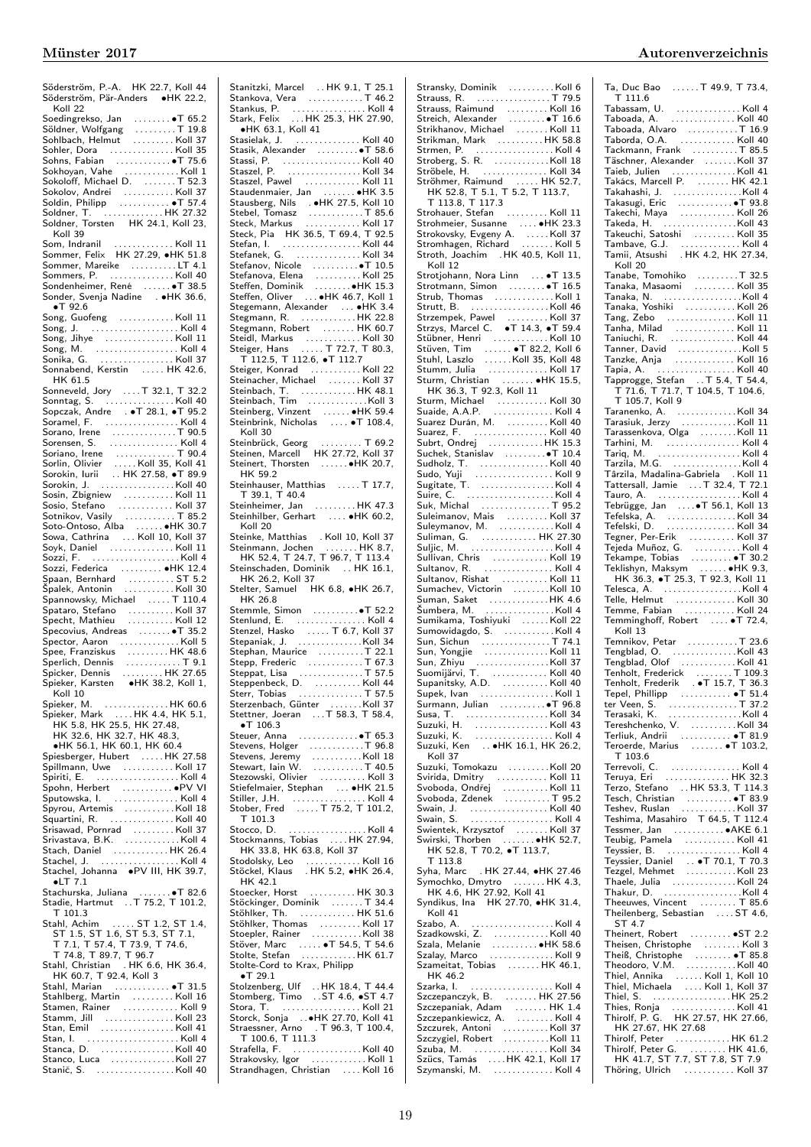| Söderström, P.-A. HK 22.7, Koll 44                                                                                                                                                                                                                                                                   |  |
|------------------------------------------------------------------------------------------------------------------------------------------------------------------------------------------------------------------------------------------------------------------------------------------------------|--|
| Söderström, Pär-Anders •HK 22.2,                                                                                                                                                                                                                                                                     |  |
|                                                                                                                                                                                                                                                                                                      |  |
| Koll 22                                                                                                                                                                                                                                                                                              |  |
| North Control Control Control Control Control Control Control Control Control Control Control Control Control Control Control Control Control Control Control Control Control Control Control Control Control Control Control                                                                        |  |
|                                                                                                                                                                                                                                                                                                      |  |
|                                                                                                                                                                                                                                                                                                      |  |
|                                                                                                                                                                                                                                                                                                      |  |
|                                                                                                                                                                                                                                                                                                      |  |
|                                                                                                                                                                                                                                                                                                      |  |
|                                                                                                                                                                                                                                                                                                      |  |
|                                                                                                                                                                                                                                                                                                      |  |
|                                                                                                                                                                                                                                                                                                      |  |
|                                                                                                                                                                                                                                                                                                      |  |
|                                                                                                                                                                                                                                                                                                      |  |
| Soldner, T. HK 27.32<br>Soldner, Torsten     HK 24.1, Koll 23,                                                                                                                                                                                                                                       |  |
|                                                                                                                                                                                                                                                                                                      |  |
| Koll 39                                                                                                                                                                                                                                                                                              |  |
|                                                                                                                                                                                                                                                                                                      |  |
| Som, Indranil  Koll 11<br>Sommer, Felix HK 27.29, •HK 51.8                                                                                                                                                                                                                                           |  |
|                                                                                                                                                                                                                                                                                                      |  |
| Sommer, Mareike LT 4.1                                                                                                                                                                                                                                                                               |  |
|                                                                                                                                                                                                                                                                                                      |  |
|                                                                                                                                                                                                                                                                                                      |  |
| Sommers, P.<br>Sondenheimer, René ●T 38.5                                                                                                                                                                                                                                                            |  |
| Sonder, Svenja Nadine → •HK 36.6,                                                                                                                                                                                                                                                                    |  |
| $\bullet$ T 92.6                                                                                                                                                                                                                                                                                     |  |
|                                                                                                                                                                                                                                                                                                      |  |
| Song, Guofeng Koll 11                                                                                                                                                                                                                                                                                |  |
| Song, J.  Koll 4                                                                                                                                                                                                                                                                                     |  |
|                                                                                                                                                                                                                                                                                                      |  |
|                                                                                                                                                                                                                                                                                                      |  |
|                                                                                                                                                                                                                                                                                                      |  |
|                                                                                                                                                                                                                                                                                                      |  |
|                                                                                                                                                                                                                                                                                                      |  |
| HK 61.5                                                                                                                                                                                                                                                                                              |  |
|                                                                                                                                                                                                                                                                                                      |  |
|                                                                                                                                                                                                                                                                                                      |  |
|                                                                                                                                                                                                                                                                                                      |  |
|                                                                                                                                                                                                                                                                                                      |  |
|                                                                                                                                                                                                                                                                                                      |  |
|                                                                                                                                                                                                                                                                                                      |  |
| Sopcanel, F. (1992–1992)<br>Soranel, F. (1995–1995)<br>Sorano, Irene (1996–1996)<br>Sorano, Irene (1996–1996)<br>Soriano, Irene (1997–1996)<br>Sorokin, Iurii (1997–1998)<br>Sorokin, Iurii (1997–1998)<br>Sorokin, J. (1998–1998)<br>Sorokin,                                                       |  |
|                                                                                                                                                                                                                                                                                                      |  |
|                                                                                                                                                                                                                                                                                                      |  |
|                                                                                                                                                                                                                                                                                                      |  |
|                                                                                                                                                                                                                                                                                                      |  |
|                                                                                                                                                                                                                                                                                                      |  |
|                                                                                                                                                                                                                                                                                                      |  |
|                                                                                                                                                                                                                                                                                                      |  |
|                                                                                                                                                                                                                                                                                                      |  |
| Sosin, Zbigniew<br>Sosin, Zbigniew<br>Sosin, Zbigniew<br>Sosin, Stefano<br>Sosin, Stefano<br>Sosin, Cathrina<br>Sosin, Cathrina<br>Michael (10, Koll 37<br>Sowa, Cathrina<br>Michael (10, Koll 37<br>Sowa, Cathrina<br>Michael (10, Koll 37                                                          |  |
|                                                                                                                                                                                                                                                                                                      |  |
|                                                                                                                                                                                                                                                                                                      |  |
|                                                                                                                                                                                                                                                                                                      |  |
|                                                                                                                                                                                                                                                                                                      |  |
|                                                                                                                                                                                                                                                                                                      |  |
|                                                                                                                                                                                                                                                                                                      |  |
|                                                                                                                                                                                                                                                                                                      |  |
|                                                                                                                                                                                                                                                                                                      |  |
|                                                                                                                                                                                                                                                                                                      |  |
|                                                                                                                                                                                                                                                                                                      |  |
|                                                                                                                                                                                                                                                                                                      |  |
|                                                                                                                                                                                                                                                                                                      |  |
| Sozzi, Federica<br>Sozzi, Federica<br>Spaan, Bernhard<br>Spannowsky, Michael<br>Spannowsky, Michael<br>Spannowsky, Michael<br>Michael<br>Michael<br>Michael<br>Michael<br>Michael<br>Michael<br>Michael<br>Michael<br>Michael<br>Michael<br>Michael<br>Michael<br>                                   |  |
|                                                                                                                                                                                                                                                                                                      |  |
| Spataro, Stefano   Koll 37<br>Specht, Mathieu   Koll 12                                                                                                                                                                                                                                              |  |
|                                                                                                                                                                                                                                                                                                      |  |
|                                                                                                                                                                                                                                                                                                      |  |
|                                                                                                                                                                                                                                                                                                      |  |
|                                                                                                                                                                                                                                                                                                      |  |
|                                                                                                                                                                                                                                                                                                      |  |
|                                                                                                                                                                                                                                                                                                      |  |
| Specivius, Andreas<br>Specivius, Andreas<br>Specior, Aaron<br>Specich, Dennis<br>Specifich, Dennis<br>Spicker, Pennis<br>Spicker, Karsten<br>Spicker, Karsten<br>Mila 27.65<br>Spicker, Karsten<br>Mila 27.65<br>Nila 27.65<br>Nila 27.65<br>Nila 27.65<br><br>Spieker, Karsten •HK<br>38.2. Koll 1. |  |
| Koll 10                                                                                                                                                                                                                                                                                              |  |
|                                                                                                                                                                                                                                                                                                      |  |
|                                                                                                                                                                                                                                                                                                      |  |
|                                                                                                                                                                                                                                                                                                      |  |
|                                                                                                                                                                                                                                                                                                      |  |
| HK 5.8, HK 25.5, HK 27.48,<br>HK 32.6, HK 32.7, HK 48.3,                                                                                                                                                                                                                                             |  |
| •HK 56.1, HK 60.1, HK 60.4                                                                                                                                                                                                                                                                           |  |
| Spiesberger, Hubert  HK 27.58                                                                                                                                                                                                                                                                        |  |
| Spillmann, Uwe  Koll 17                                                                                                                                                                                                                                                                              |  |
|                                                                                                                                                                                                                                                                                                      |  |
| Spiriti, E.  Koll 4                                                                                                                                                                                                                                                                                  |  |
|                                                                                                                                                                                                                                                                                                      |  |
|                                                                                                                                                                                                                                                                                                      |  |
|                                                                                                                                                                                                                                                                                                      |  |
|                                                                                                                                                                                                                                                                                                      |  |
| Sputowska, I.<br>Spyrou, Artemis   Koll 18<br>Squartini, R. Koll 40                                                                                                                                                                                                                                  |  |
|                                                                                                                                                                                                                                                                                                      |  |
| Srisawad, Pornrad Alexandrick Koll 37<br>Srivastava, B.K. Alexandrick Koll 4                                                                                                                                                                                                                         |  |
|                                                                                                                                                                                                                                                                                                      |  |
|                                                                                                                                                                                                                                                                                                      |  |
|                                                                                                                                                                                                                                                                                                      |  |
| Stach, Daniel<br>Stachel, J. (1999)<br>Stachel, Johanna (1990) III, HK 39.7,                                                                                                                                                                                                                         |  |
| $\bullet$ LT 7.1                                                                                                                                                                                                                                                                                     |  |
|                                                                                                                                                                                                                                                                                                      |  |
|                                                                                                                                                                                                                                                                                                      |  |
| Stachurska, Juliana •T 82.6<br>Stadie, Hartmut T 75.2, T 101.2,                                                                                                                                                                                                                                      |  |
| T 101.3                                                                                                                                                                                                                                                                                              |  |
| Stahl, Achim                                                                                                                                                                                                                                                                                         |  |
|                                                                                                                                                                                                                                                                                                      |  |
|                                                                                                                                                                                                                                                                                                      |  |
|                                                                                                                                                                                                                                                                                                      |  |
| ahl, Achim  ST 1.2, ST 1.4,<br>ST 1.5, ST 1.6, ST 5.3, ST 7.1,<br>T 7.1, T 57.4, T 73.9, T 74.6,<br>T 74.8, T 89.7, T 96.7                                                                                                                                                                           |  |
|                                                                                                                                                                                                                                                                                                      |  |
| Stahl, Christian . HK 6.6, HK 36.4,<br>HK 60.7, T 92.4, Koll 3                                                                                                                                                                                                                                       |  |
| Stahl, Marian  . T 31.5                                                                                                                                                                                                                                                                              |  |
|                                                                                                                                                                                                                                                                                                      |  |
| Stahlberg, Martin  Koll 16                                                                                                                                                                                                                                                                           |  |
| Stamen, Rainer  Koll 9                                                                                                                                                                                                                                                                               |  |
| Stamm, Jill Koll 23                                                                                                                                                                                                                                                                                  |  |
|                                                                                                                                                                                                                                                                                                      |  |
| Stan, Emil Koll 41                                                                                                                                                                                                                                                                                   |  |
|                                                                                                                                                                                                                                                                                                      |  |
| Stanca, D. Koll 40                                                                                                                                                                                                                                                                                   |  |
| Stanco, Luca   Koll 27                                                                                                                                                                                                                                                                               |  |

| Stasielak, J.  Koll 40                                                                                                                                                                                                                     |
|--------------------------------------------------------------------------------------------------------------------------------------------------------------------------------------------------------------------------------------------|
|                                                                                                                                                                                                                                            |
|                                                                                                                                                                                                                                            |
|                                                                                                                                                                                                                                            |
|                                                                                                                                                                                                                                            |
|                                                                                                                                                                                                                                            |
|                                                                                                                                                                                                                                            |
|                                                                                                                                                                                                                                            |
|                                                                                                                                                                                                                                            |
|                                                                                                                                                                                                                                            |
|                                                                                                                                                                                                                                            |
| Stausemiare, Jan (1997)<br>Stebel, Tomasz (1997)<br>Stebel, Tomasz (1998)<br>Steck, Markus (1998)<br>Steck, Pia HK 36.5, T 69.4, T 92.5<br>Stefane, G. (1998)<br>Stefane, G. (1998)<br>Stefane, G. (1998)<br>Stefane, C. (1998)            |
|                                                                                                                                                                                                                                            |
|                                                                                                                                                                                                                                            |
|                                                                                                                                                                                                                                            |
|                                                                                                                                                                                                                                            |
|                                                                                                                                                                                                                                            |
|                                                                                                                                                                                                                                            |
|                                                                                                                                                                                                                                            |
| Stefanov, Nicole<br>Stefanov, Nicole<br>Stefanova, Elena<br>Steffen, Dominik<br>Steffen, Oliver<br><b>CHALL ACCOLL ACCOLL ACCOLL</b><br>Steffen, Oliver<br><b>CHALL ACCOLL</b>                                                             |
|                                                                                                                                                                                                                                            |
|                                                                                                                                                                                                                                            |
| Stegemann, Alexander  • HK 3.4<br>Stegmann, R.  HK 22.8                                                                                                                                                                                    |
|                                                                                                                                                                                                                                            |
| Stegmann, Robert  HK 60.7                                                                                                                                                                                                                  |
|                                                                                                                                                                                                                                            |
|                                                                                                                                                                                                                                            |
|                                                                                                                                                                                                                                            |
| Steidl, Markus<br>Steiger, Hans   Koll 30<br>T 112.5, T 112.6, ●T 112.7                                                                                                                                                                    |
|                                                                                                                                                                                                                                            |
| Steiger, Konrad  Koll 22                                                                                                                                                                                                                   |
|                                                                                                                                                                                                                                            |
|                                                                                                                                                                                                                                            |
|                                                                                                                                                                                                                                            |
|                                                                                                                                                                                                                                            |
|                                                                                                                                                                                                                                            |
|                                                                                                                                                                                                                                            |
|                                                                                                                                                                                                                                            |
| Koll 30                                                                                                                                                                                                                                    |
|                                                                                                                                                                                                                                            |
|                                                                                                                                                                                                                                            |
|                                                                                                                                                                                                                                            |
| Steinbrück, Georg<br>Steinen, Marcell HK 27.72, Koll 37<br>Steinert, Thorsten HK 20.7,<br>HK 50.2                                                                                                                                          |
| HK 59.2                                                                                                                                                                                                                                    |
| Steinhauser, Matthias T 17.7,                                                                                                                                                                                                              |
|                                                                                                                                                                                                                                            |
|                                                                                                                                                                                                                                            |
|                                                                                                                                                                                                                                            |
| Steinhilber, Gerhart  HK 60.2,                                                                                                                                                                                                             |
|                                                                                                                                                                                                                                            |
| Koll 20                                                                                                                                                                                                                                    |
|                                                                                                                                                                                                                                            |
|                                                                                                                                                                                                                                            |
|                                                                                                                                                                                                                                            |
|                                                                                                                                                                                                                                            |
|                                                                                                                                                                                                                                            |
|                                                                                                                                                                                                                                            |
| Steinschaden, Dominik  HK 16.1,                                                                                                                                                                                                            |
| HK 26.2, Koll 37                                                                                                                                                                                                                           |
| Stelter, Samuel HK 6.8, .HK 26.7,                                                                                                                                                                                                          |
| HK 26.8                                                                                                                                                                                                                                    |
|                                                                                                                                                                                                                                            |
|                                                                                                                                                                                                                                            |
| Stemmle, Simon<br>Stenlund, E. (1999). Stenlund, E. (1999). Noll 4                                                                                                                                                                         |
|                                                                                                                                                                                                                                            |
|                                                                                                                                                                                                                                            |
|                                                                                                                                                                                                                                            |
|                                                                                                                                                                                                                                            |
|                                                                                                                                                                                                                                            |
|                                                                                                                                                                                                                                            |
|                                                                                                                                                                                                                                            |
|                                                                                                                                                                                                                                            |
|                                                                                                                                                                                                                                            |
| Stephan, Maurice<br>Stephan, Maurice<br>Steppat, Lisa<br>Steppat, Lisa<br>The Steppenbeck, D.<br>The Steppenbeck, D.<br>The Steppenbeck of the Step of the Step of the Step of the Step of the Step of the Step of the Step of the Step of |
|                                                                                                                                                                                                                                            |
| Sterzenbach, Günter<br>Stettner, Joeran  T 58.3, T 58.4,                                                                                                                                                                                   |
| $\bullet$ T 106.3                                                                                                                                                                                                                          |
|                                                                                                                                                                                                                                            |
| Steuer, Anna                                                                                                                                                                                                                               |
|                                                                                                                                                                                                                                            |
|                                                                                                                                                                                                                                            |
|                                                                                                                                                                                                                                            |
|                                                                                                                                                                                                                                            |
|                                                                                                                                                                                                                                            |
|                                                                                                                                                                                                                                            |
|                                                                                                                                                                                                                                            |
|                                                                                                                                                                                                                                            |
|                                                                                                                                                                                                                                            |
| T 101.3                                                                                                                                                                                                                                    |
|                                                                                                                                                                                                                                            |
|                                                                                                                                                                                                                                            |
|                                                                                                                                                                                                                                            |
|                                                                                                                                                                                                                                            |
|                                                                                                                                                                                                                                            |
|                                                                                                                                                                                                                                            |
|                                                                                                                                                                                                                                            |
| HK 42.1                                                                                                                                                                                                                                    |
|                                                                                                                                                                                                                                            |
|                                                                                                                                                                                                                                            |
|                                                                                                                                                                                                                                            |
|                                                                                                                                                                                                                                            |
|                                                                                                                                                                                                                                            |
|                                                                                                                                                                                                                                            |
|                                                                                                                                                                                                                                            |
|                                                                                                                                                                                                                                            |
|                                                                                                                                                                                                                                            |
|                                                                                                                                                                                                                                            |
|                                                                                                                                                                                                                                            |
|                                                                                                                                                                                                                                            |
|                                                                                                                                                                                                                                            |
|                                                                                                                                                                                                                                            |
|                                                                                                                                                                                                                                            |
|                                                                                                                                                                                                                                            |
|                                                                                                                                                                                                                                            |
| Stolte-Cord to Krax, Philipp<br>$\bullet$ T 29.1                                                                                                                                                                                           |
|                                                                                                                                                                                                                                            |
|                                                                                                                                                                                                                                            |
| Strassner, Arno I. 796.3, T. 100.4,<br>T. 100.6, T. 111.3<br>Strafella, F. (111.3)                                                                                                                                                         |
| Strakovsky, Igor  Koll 1<br>Strandhagen, Christian  Koll 16                                                                                                                                                                                |

| Stransky, Dominik Koll 6<br>Strauss, R.  T 79.5                                                                                                                                                                                         |  |
|-----------------------------------------------------------------------------------------------------------------------------------------------------------------------------------------------------------------------------------------|--|
|                                                                                                                                                                                                                                         |  |
|                                                                                                                                                                                                                                         |  |
| Strauss, Raimund   Koll 16<br>Streich, Alexander   T 16.6                                                                                                                                                                               |  |
|                                                                                                                                                                                                                                         |  |
| Strikhanov, Michael     Koll 11<br>Strikman, Mark    HK 58.8                                                                                                                                                                            |  |
|                                                                                                                                                                                                                                         |  |
| Strmen, P. Koll 4                                                                                                                                                                                                                       |  |
|                                                                                                                                                                                                                                         |  |
|                                                                                                                                                                                                                                         |  |
|                                                                                                                                                                                                                                         |  |
| Ströhmer, Raimund  HK 52.7,<br>HK 52.8, T 5.1, T 5.2, T 113.7,                                                                                                                                                                          |  |
|                                                                                                                                                                                                                                         |  |
| $T$ 117.3                                                                                                                                                                                                                               |  |
| T 113.8, T 117.3<br>Strohauer, Stefan   Koll 11                                                                                                                                                                                         |  |
|                                                                                                                                                                                                                                         |  |
|                                                                                                                                                                                                                                         |  |
|                                                                                                                                                                                                                                         |  |
|                                                                                                                                                                                                                                         |  |
| Strohmeier, Susanne  HK 23.3<br>Strokovsky, Evgeny A. Koll 37<br>Stromhagen, Richard Koll 5                                                                                                                                             |  |
| Stroth, Joachim . HK 40.5, Koll 11,                                                                                                                                                                                                     |  |
| Koll 12                                                                                                                                                                                                                                 |  |
| Strotjohann, Nora Linn<br>Strotmann, Simon<br>T 16.5                                                                                                                                                                                    |  |
|                                                                                                                                                                                                                                         |  |
|                                                                                                                                                                                                                                         |  |
| Strub, Thomas Koll 1                                                                                                                                                                                                                    |  |
|                                                                                                                                                                                                                                         |  |
|                                                                                                                                                                                                                                         |  |
|                                                                                                                                                                                                                                         |  |
|                                                                                                                                                                                                                                         |  |
|                                                                                                                                                                                                                                         |  |
|                                                                                                                                                                                                                                         |  |
|                                                                                                                                                                                                                                         |  |
|                                                                                                                                                                                                                                         |  |
| Stübner, Henri<br>Stübner, Henri<br>Stüven, Tim (1992), International Studies<br>Stumm, Julia (1993), International Stumm, Julia (1994), International Stumm, International Stumm, International Stumm, International Stumm, Internatio |  |
| Sturm, Christian  HK 15.5,                                                                                                                                                                                                              |  |
| HK 36.3, T 92.3, Koll 11                                                                                                                                                                                                                |  |
| Sturm, Michael  Koll 30<br>Suaide, A.A.P.  Koll 4                                                                                                                                                                                       |  |
|                                                                                                                                                                                                                                         |  |
|                                                                                                                                                                                                                                         |  |
|                                                                                                                                                                                                                                         |  |
|                                                                                                                                                                                                                                         |  |
| Subrt, Ondrej     HK 15.3<br>Suchek, Stanislav     0T 10.4                                                                                                                                                                              |  |
|                                                                                                                                                                                                                                         |  |
|                                                                                                                                                                                                                                         |  |
| Sudholz, T.<br>Sudholz, T.<br>Sudo, Yuji<br>Sugitate, T.<br>Suire, C.<br>Suire, C.<br>Suire, C.<br>Suire, C.<br>Suire, C.                                                                                                               |  |
|                                                                                                                                                                                                                                         |  |
|                                                                                                                                                                                                                                         |  |
|                                                                                                                                                                                                                                         |  |
| Suk, Michal  T 95.2                                                                                                                                                                                                                     |  |
|                                                                                                                                                                                                                                         |  |
|                                                                                                                                                                                                                                         |  |
| Suleimanov, Mais<br>Suleymanov, M.   Koll 4                                                                                                                                                                                             |  |
|                                                                                                                                                                                                                                         |  |
|                                                                                                                                                                                                                                         |  |
|                                                                                                                                                                                                                                         |  |
| Sullivan, Chris     Koll 19<br>Sultanov, R.     Koll 4                                                                                                                                                                                  |  |
|                                                                                                                                                                                                                                         |  |
| Sultanov, Rishat  Koll 11                                                                                                                                                                                                               |  |
|                                                                                                                                                                                                                                         |  |
|                                                                                                                                                                                                                                         |  |
| Sumachev, Victorin Koll 10                                                                                                                                                                                                              |  |
|                                                                                                                                                                                                                                         |  |
|                                                                                                                                                                                                                                         |  |
|                                                                                                                                                                                                                                         |  |
| Sumikama, Toshiyuki Koll 22                                                                                                                                                                                                             |  |
| Sumowidagdo, S. Koll 4                                                                                                                                                                                                                  |  |
|                                                                                                                                                                                                                                         |  |
|                                                                                                                                                                                                                                         |  |
|                                                                                                                                                                                                                                         |  |
|                                                                                                                                                                                                                                         |  |
|                                                                                                                                                                                                                                         |  |
|                                                                                                                                                                                                                                         |  |
| Supek, Ivan Koll 1                                                                                                                                                                                                                      |  |
| Surmann, Julian ∴●T 96.8                                                                                                                                                                                                                |  |
|                                                                                                                                                                                                                                         |  |
|                                                                                                                                                                                                                                         |  |
|                                                                                                                                                                                                                                         |  |
| Susa, T.<br>Suzuki, H. (1998).<br>Suzuki, K. (1999).<br>Suzuki, K. (1999).                                                                                                                                                              |  |
| Suzuki, Ken  . HK 16.1, HK 26.2,                                                                                                                                                                                                        |  |
| Koll 37                                                                                                                                                                                                                                 |  |
| Suzuki, Tomokazu Koll 20                                                                                                                                                                                                                |  |
|                                                                                                                                                                                                                                         |  |
|                                                                                                                                                                                                                                         |  |
| Svirida, Dmitry     Koll 11<br>Svoboda, Ondřej     Koll 11                                                                                                                                                                              |  |
| Svoboda, Zdenek T 95.2                                                                                                                                                                                                                  |  |
|                                                                                                                                                                                                                                         |  |
|                                                                                                                                                                                                                                         |  |
|                                                                                                                                                                                                                                         |  |
|                                                                                                                                                                                                                                         |  |
|                                                                                                                                                                                                                                         |  |
| HK 52.8, T 70.2, .T 113.7,                                                                                                                                                                                                              |  |
| T 113.8                                                                                                                                                                                                                                 |  |
| Syha, Marc . HK 27.44, HK 27.46                                                                                                                                                                                                         |  |
|                                                                                                                                                                                                                                         |  |
|                                                                                                                                                                                                                                         |  |
| Symochko, Dmytro<br>HK 4.6, HK 27.92, Koll 41                                                                                                                                                                                           |  |
| Syndikus, Ina HK 27.70, .HK 31.4,                                                                                                                                                                                                       |  |
| Koll 41                                                                                                                                                                                                                                 |  |
| Szabo, A.                                                                                                                                                                                                                               |  |
|                                                                                                                                                                                                                                         |  |
|                                                                                                                                                                                                                                         |  |
|                                                                                                                                                                                                                                         |  |
|                                                                                                                                                                                                                                         |  |
| Szameitat, Tobias  HK 46.1,                                                                                                                                                                                                             |  |
| HK 46.2                                                                                                                                                                                                                                 |  |
|                                                                                                                                                                                                                                         |  |
| . Koll 4<br>Szarka, I.<br>$\sim 100$                                                                                                                                                                                                    |  |
| Szczepanczyk, B. HK 27.56                                                                                                                                                                                                               |  |
|                                                                                                                                                                                                                                         |  |
|                                                                                                                                                                                                                                         |  |
| Szczepaniak, Adam<br>Szczepankiewicz, A. (1999). Koll 4                                                                                                                                                                                 |  |
|                                                                                                                                                                                                                                         |  |
| Szczurek, Antoni (1997)<br>Szczygiel, Robert (1998)<br>Szczygiel, Robert (1998)                                                                                                                                                         |  |
| Szuba, M.  Koll 34                                                                                                                                                                                                                      |  |
| Szücs, Tamás<br>Szücs, Tamás III HK 42.1, Koll 17<br>Szymanski, M. II Koll 4                                                                                                                                                            |  |

| Ta, Duc Bao T 49.9, T 73.4,                                                                                                                                                                                                                                                                                                                          |      |
|------------------------------------------------------------------------------------------------------------------------------------------------------------------------------------------------------------------------------------------------------------------------------------------------------------------------------------------------------|------|
| $T$ 111.6                                                                                                                                                                                                                                                                                                                                            |      |
|                                                                                                                                                                                                                                                                                                                                                      |      |
|                                                                                                                                                                                                                                                                                                                                                      |      |
|                                                                                                                                                                                                                                                                                                                                                      |      |
|                                                                                                                                                                                                                                                                                                                                                      |      |
|                                                                                                                                                                                                                                                                                                                                                      |      |
|                                                                                                                                                                                                                                                                                                                                                      |      |
|                                                                                                                                                                                                                                                                                                                                                      |      |
|                                                                                                                                                                                                                                                                                                                                                      |      |
|                                                                                                                                                                                                                                                                                                                                                      |      |
|                                                                                                                                                                                                                                                                                                                                                      |      |
| Takeuchi, Satoshi<br>Tambave, G.J.<br>Tambave, G.J.<br>Tamii, Atsushi  HK 4.2, HK 27.34,<br>Koll 20                                                                                                                                                                                                                                                  |      |
| Tanabe, Tomohiko T 32.5                                                                                                                                                                                                                                                                                                                              |      |
|                                                                                                                                                                                                                                                                                                                                                      |      |
|                                                                                                                                                                                                                                                                                                                                                      |      |
| Tanaka, Yoshiki Koll 26                                                                                                                                                                                                                                                                                                                              |      |
|                                                                                                                                                                                                                                                                                                                                                      |      |
|                                                                                                                                                                                                                                                                                                                                                      |      |
|                                                                                                                                                                                                                                                                                                                                                      |      |
|                                                                                                                                                                                                                                                                                                                                                      |      |
| Tana, Yoshiki<br>Tana, Zebo<br>Tanha, Milad<br>Taniuchi, R.<br>Taniuchi, R.<br>Tanz, David<br>Tanz, David<br>Tanz, A.<br>Tanz, A.<br>Tanz, A.<br>Tanz, Tanz, Tanz, Tanz, Tanz, Tanz, Tanz, Tanz, Tanz, Tanz, Tanz, Tanz, Tanz, Tanz, Tanz, Tanz, T                                                                                                   |      |
|                                                                                                                                                                                                                                                                                                                                                      |      |
|                                                                                                                                                                                                                                                                                                                                                      |      |
|                                                                                                                                                                                                                                                                                                                                                      |      |
|                                                                                                                                                                                                                                                                                                                                                      |      |
|                                                                                                                                                                                                                                                                                                                                                      |      |
|                                                                                                                                                                                                                                                                                                                                                      |      |
|                                                                                                                                                                                                                                                                                                                                                      |      |
|                                                                                                                                                                                                                                                                                                                                                      |      |
|                                                                                                                                                                                                                                                                                                                                                      |      |
|                                                                                                                                                                                                                                                                                                                                                      |      |
|                                                                                                                                                                                                                                                                                                                                                      |      |
|                                                                                                                                                                                                                                                                                                                                                      |      |
|                                                                                                                                                                                                                                                                                                                                                      |      |
|                                                                                                                                                                                                                                                                                                                                                      |      |
|                                                                                                                                                                                                                                                                                                                                                      |      |
|                                                                                                                                                                                                                                                                                                                                                      |      |
|                                                                                                                                                                                                                                                                                                                                                      |      |
|                                                                                                                                                                                                                                                                                                                                                      |      |
| Tarzila, M.G. (1997)<br>Tarzila, Madalina-Gabriela (1901 11<br>Tattersall, Jamie (1972)<br>Tattersall, Jamie (1972)<br>Tattersall, Jamie (1976)<br>Tefelska, A. (1976)<br>Tefelska, A. (1976)<br>Tefelska, A. (1976)<br>Tegner, Per-Erik (1988<br>Temminghoff, Robert  . T 72.4,<br>Koll 13                                                          |      |
|                                                                                                                                                                                                                                                                                                                                                      |      |
|                                                                                                                                                                                                                                                                                                                                                      |      |
|                                                                                                                                                                                                                                                                                                                                                      |      |
|                                                                                                                                                                                                                                                                                                                                                      |      |
|                                                                                                                                                                                                                                                                                                                                                      | 51.4 |
|                                                                                                                                                                                                                                                                                                                                                      |      |
|                                                                                                                                                                                                                                                                                                                                                      |      |
|                                                                                                                                                                                                                                                                                                                                                      |      |
| Figure Philipp<br>Terpel, Philipp<br>ter Veen, S.<br>Tarasaki, K.<br>Tereshchenko, V.<br>Andrii Martin (1992)<br>Territory Andrii (1993)<br>Territory Andrii (1993)<br>Teroerde, Marius  • T 103.2,<br>T 103.6                                                                                                                                       |      |
|                                                                                                                                                                                                                                                                                                                                                      |      |
|                                                                                                                                                                                                                                                                                                                                                      |      |
|                                                                                                                                                                                                                                                                                                                                                      |      |
|                                                                                                                                                                                                                                                                                                                                                      |      |
|                                                                                                                                                                                                                                                                                                                                                      |      |
|                                                                                                                                                                                                                                                                                                                                                      |      |
|                                                                                                                                                                                                                                                                                                                                                      |      |
|                                                                                                                                                                                                                                                                                                                                                      |      |
|                                                                                                                                                                                                                                                                                                                                                      |      |
|                                                                                                                                                                                                                                                                                                                                                      |      |
|                                                                                                                                                                                                                                                                                                                                                      |      |
| ST 4.7                                                                                                                                                                                                                                                                                                                                               |      |
|                                                                                                                                                                                                                                                                                                                                                      |      |
| Festman, was<br>Tessane, Jan (1943, 1948, 1948, 1948, 1948, 1948, 1948, 1948, 1948, 1949, 1949, 1949, 1949, 1949, 1949, 1949, 1949, 1949, 1949, 1949, 1949, 1949, 1949, 1949, 1949, 1949, 1949, 1949, 1949, 1949, 1949, 1949, 1<br>Theeuwes, Vincent  T 85.6<br>Theilenberg, Sebastian  ST 4.6,<br>Theinert, Robert<br>Theisen, Christophe<br>Koli 3 |      |
|                                                                                                                                                                                                                                                                                                                                                      |      |
|                                                                                                                                                                                                                                                                                                                                                      |      |
|                                                                                                                                                                                                                                                                                                                                                      |      |
|                                                                                                                                                                                                                                                                                                                                                      |      |
|                                                                                                                                                                                                                                                                                                                                                      |      |
| Thies, Ronja<br>Thies, Ronja<br>Thirolf, P. G. HK 27.57, HK 27.66,<br>HK 27.67, HK 27.68                                                                                                                                                                                                                                                             |      |
|                                                                                                                                                                                                                                                                                                                                                      |      |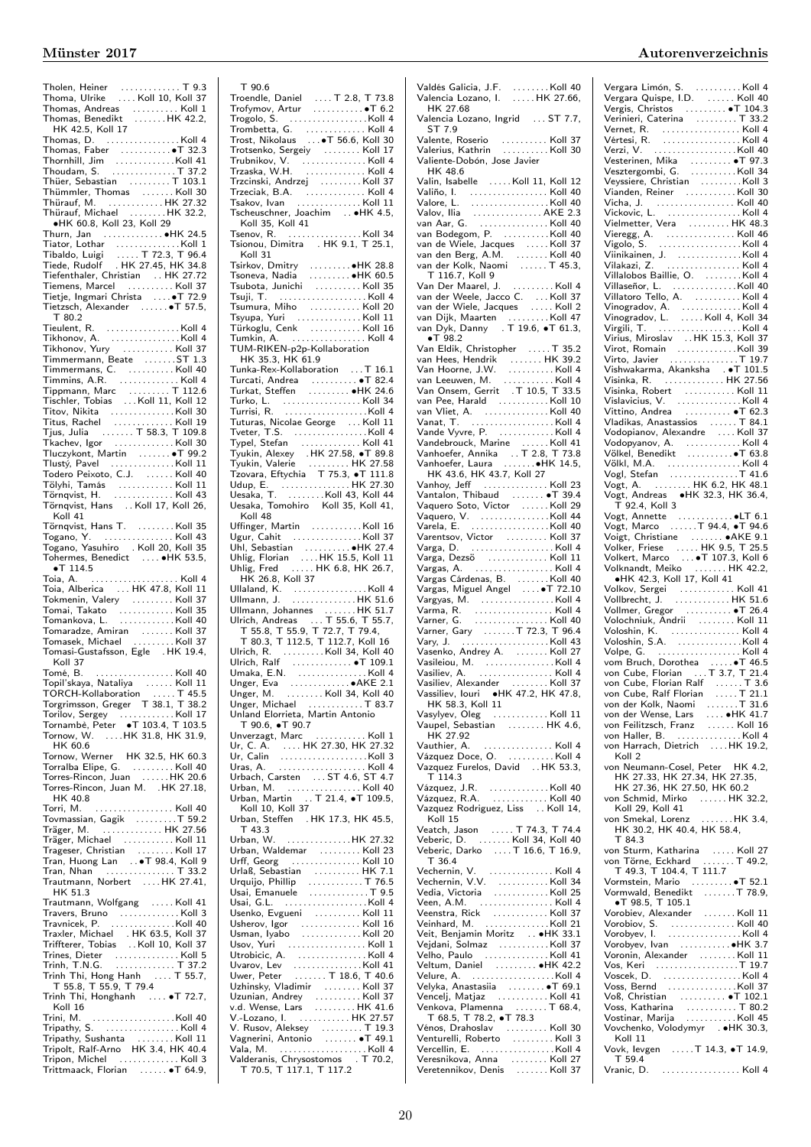| Tholen, Heiner<br>Thoma, Ulrike  Koll 10, Koll 37                                                                                   |
|-------------------------------------------------------------------------------------------------------------------------------------|
|                                                                                                                                     |
|                                                                                                                                     |
| Thomas, Andreas   Koll 1<br>Thomas, Benedikt   HK 42.2,                                                                             |
| HK 42.5, Koll 17                                                                                                                    |
|                                                                                                                                     |
| Thomas, D. Koll 4                                                                                                                   |
|                                                                                                                                     |
|                                                                                                                                     |
| Thoudam, S.  T 37.2                                                                                                                 |
| Thüer, Sebastian T 103.1                                                                                                            |
| Thümmler, Thomas  Koll 30                                                                                                           |
| Thürauf, M. HK 27.32                                                                                                                |
| Thürauf, Michael HK 32.2,                                                                                                           |
| •HK 60.8, Koll 23, Koll 29                                                                                                          |
|                                                                                                                                     |
| Thurn, Jan ●HK 24.5                                                                                                                 |
|                                                                                                                                     |
|                                                                                                                                     |
|                                                                                                                                     |
| Tiefenthaler, Christian<br>Tiefenthaler, Christian  HK 27.72<br>Tiemens, Marcel  Koll 37                                            |
|                                                                                                                                     |
| Tietje, Ingmari Christa  T 72.9                                                                                                     |
| Tietzsch, Alexander  T 57.5,                                                                                                        |
| T 80.2                                                                                                                              |
|                                                                                                                                     |
|                                                                                                                                     |
|                                                                                                                                     |
| Tikhonov, Yury  Koll 37                                                                                                             |
|                                                                                                                                     |
|                                                                                                                                     |
|                                                                                                                                     |
|                                                                                                                                     |
|                                                                                                                                     |
|                                                                                                                                     |
|                                                                                                                                     |
|                                                                                                                                     |
|                                                                                                                                     |
|                                                                                                                                     |
| Tluczykont, Martin  T 99.2                                                                                                          |
| Tlustý, Pavel Koll 11                                                                                                               |
|                                                                                                                                     |
|                                                                                                                                     |
|                                                                                                                                     |
|                                                                                                                                     |
|                                                                                                                                     |
| Koll 41                                                                                                                             |
|                                                                                                                                     |
|                                                                                                                                     |
|                                                                                                                                     |
|                                                                                                                                     |
|                                                                                                                                     |
|                                                                                                                                     |
|                                                                                                                                     |
| $\bullet$ T 114.5<br>Toia, A.                                                                                                       |
|                                                                                                                                     |
|                                                                                                                                     |
|                                                                                                                                     |
|                                                                                                                                     |
|                                                                                                                                     |
|                                                                                                                                     |
|                                                                                                                                     |
| Koll 37                                                                                                                             |
|                                                                                                                                     |
|                                                                                                                                     |
|                                                                                                                                     |
|                                                                                                                                     |
|                                                                                                                                     |
|                                                                                                                                     |
|                                                                                                                                     |
|                                                                                                                                     |
| Tornow, W.  HK 31.8, HK 31.9,<br>HK 60.6                                                                                            |
|                                                                                                                                     |
| Tornow, Werner HK 32.5, HK 60.3                                                                                                     |
|                                                                                                                                     |
| Torralba Elipe, G. Koll 40<br>Torres-Rincon, Juan HK 20.6                                                                           |
| Torres-Rincon, Juan M. . HK 27.18,                                                                                                  |
| HK 40.8                                                                                                                             |
|                                                                                                                                     |
|                                                                                                                                     |
| Träger, M.  HK 27.56                                                                                                                |
| Träger, Michael Koll 11                                                                                                             |
|                                                                                                                                     |
|                                                                                                                                     |
|                                                                                                                                     |
|                                                                                                                                     |
| Trautmann, Norbert  HK 27.41,<br>HK 51.3                                                                                            |
|                                                                                                                                     |
| Trautmann, Wolfgang Koll 41                                                                                                         |
|                                                                                                                                     |
|                                                                                                                                     |
|                                                                                                                                     |
| Travers, Bruno<br>Travnicek, P.<br>Travnicek, P.<br>Traxler, Michael   . HK 63.5, Koll 37<br>Triffterer, Tobias    Koll 10, Koll 37 |
|                                                                                                                                     |
|                                                                                                                                     |
|                                                                                                                                     |
|                                                                                                                                     |
| T 55.8, T 55.9, T 79.4<br>Trinh Thi, Honghanh  • T 72.7,                                                                            |
| Koll 16                                                                                                                             |
|                                                                                                                                     |
|                                                                                                                                     |
|                                                                                                                                     |
|                                                                                                                                     |
| Tripathy, Sushanta<br>Tripolt, Ralf-Arno HK 3.4, HK 40.4<br>Tripon, Michel<br>Arno HK 3.4, HK 40.4                                  |

| T 90.6                                                                                                                                                                                                                                                           |  |
|------------------------------------------------------------------------------------------------------------------------------------------------------------------------------------------------------------------------------------------------------------------|--|
| Troendle, Daniel<br>Trofymov, Artur<br>Trogolo, S.<br>Trogolo, S.                                                                                                                                                                                                |  |
|                                                                                                                                                                                                                                                                  |  |
|                                                                                                                                                                                                                                                                  |  |
| Trombetta, G. Koll 4<br>Trost, Nikolaus T 56.6, Koll 30                                                                                                                                                                                                          |  |
|                                                                                                                                                                                                                                                                  |  |
|                                                                                                                                                                                                                                                                  |  |
|                                                                                                                                                                                                                                                                  |  |
|                                                                                                                                                                                                                                                                  |  |
|                                                                                                                                                                                                                                                                  |  |
|                                                                                                                                                                                                                                                                  |  |
|                                                                                                                                                                                                                                                                  |  |
|                                                                                                                                                                                                                                                                  |  |
|                                                                                                                                                                                                                                                                  |  |
|                                                                                                                                                                                                                                                                  |  |
| Koll 31                                                                                                                                                                                                                                                          |  |
|                                                                                                                                                                                                                                                                  |  |
|                                                                                                                                                                                                                                                                  |  |
|                                                                                                                                                                                                                                                                  |  |
|                                                                                                                                                                                                                                                                  |  |
|                                                                                                                                                                                                                                                                  |  |
|                                                                                                                                                                                                                                                                  |  |
|                                                                                                                                                                                                                                                                  |  |
| TUM-RIKEN-p2p-Kollaboration                                                                                                                                                                                                                                      |  |
| HK 35.3, HK 61.9                                                                                                                                                                                                                                                 |  |
| Tunka-Rex-Kollaboration  T 16.1                                                                                                                                                                                                                                  |  |
| Turcati, Andrea<br>Turkat, Steffen   ●HK 24.6                                                                                                                                                                                                                    |  |
|                                                                                                                                                                                                                                                                  |  |
|                                                                                                                                                                                                                                                                  |  |
|                                                                                                                                                                                                                                                                  |  |
| Turko, L.<br>Turko, L.<br>Turko, L.<br>Turturas, Nicolae George  Koll 11<br>Tveter, T.S.<br>Moll 4                                                                                                                                                               |  |
|                                                                                                                                                                                                                                                                  |  |
| Typel, Stefan<br>Typel, Stefan<br>Typel, Stefan<br>Typel, Stefan<br>Tynkin, Nalerie<br>Typel, Stefan<br>Tynkin, Valerie<br>The 27.58<br>Tynkin, Valerie<br>Udup, E.<br>Udup, E.<br>Udup, E.<br>Udup, E.<br>Udup, E.<br>Udup, E.<br>Udup, E.<br>Udup, K.<br>Udup, |  |
|                                                                                                                                                                                                                                                                  |  |
|                                                                                                                                                                                                                                                                  |  |
|                                                                                                                                                                                                                                                                  |  |
|                                                                                                                                                                                                                                                                  |  |
|                                                                                                                                                                                                                                                                  |  |
| Koll 48                                                                                                                                                                                                                                                          |  |
|                                                                                                                                                                                                                                                                  |  |
|                                                                                                                                                                                                                                                                  |  |
|                                                                                                                                                                                                                                                                  |  |
|                                                                                                                                                                                                                                                                  |  |
|                                                                                                                                                                                                                                                                  |  |
|                                                                                                                                                                                                                                                                  |  |
| HK 26.8, Koll 37                                                                                                                                                                                                                                                 |  |
|                                                                                                                                                                                                                                                                  |  |
|                                                                                                                                                                                                                                                                  |  |
|                                                                                                                                                                                                                                                                  |  |
|                                                                                                                                                                                                                                                                  |  |
|                                                                                                                                                                                                                                                                  |  |
| Ullmann, Johannes<br>Ullmann, Johannes<br>Urich, Andreas<br>T. 55.6, T. 55.6, T. 55.7, T. 55.8, T. 55.8, T. 55.9, T. 72.7, T. 79.4,<br>T. 80.3, T. 112.5, T. 112.7, Koll. 16                                                                                     |  |
|                                                                                                                                                                                                                                                                  |  |
|                                                                                                                                                                                                                                                                  |  |
|                                                                                                                                                                                                                                                                  |  |
| Ulrich, R. (1997)<br>Ulrich, Ralf (1997)<br>Umaka, E.N. (1997)<br>Umaka, E.N. (1998)<br>Ulrich, R. (1998)<br>Ullrer, E. (1998)<br>Coll 34 (1998)                                                                                                                 |  |
| Unger, M. Koll 34, Koll 40                                                                                                                                                                                                                                       |  |
| Unger, Michael T 83.7<br>Unland Elorrieta, Martin Antonio                                                                                                                                                                                                        |  |
| T 90.6, $\bullet$ T 90.7                                                                                                                                                                                                                                         |  |
|                                                                                                                                                                                                                                                                  |  |
|                                                                                                                                                                                                                                                                  |  |
|                                                                                                                                                                                                                                                                  |  |
|                                                                                                                                                                                                                                                                  |  |
|                                                                                                                                                                                                                                                                  |  |
|                                                                                                                                                                                                                                                                  |  |
|                                                                                                                                                                                                                                                                  |  |
| Urban, Steffen . HK 17.3, HK 45.5,                                                                                                                                                                                                                               |  |
| T 43.3                                                                                                                                                                                                                                                           |  |
|                                                                                                                                                                                                                                                                  |  |
|                                                                                                                                                                                                                                                                  |  |
|                                                                                                                                                                                                                                                                  |  |
|                                                                                                                                                                                                                                                                  |  |
|                                                                                                                                                                                                                                                                  |  |
|                                                                                                                                                                                                                                                                  |  |
| Urlaß, Sebastian<br>Urlaß, Sebastian<br>Urquijo, Phillip<br>Usai, Emanuele<br>Usai, G.L.<br>Usai, G.L.<br>Usai, G.L.<br>Usai, G.L.                                                                                                                               |  |
|                                                                                                                                                                                                                                                                  |  |
|                                                                                                                                                                                                                                                                  |  |
|                                                                                                                                                                                                                                                                  |  |
|                                                                                                                                                                                                                                                                  |  |
|                                                                                                                                                                                                                                                                  |  |
| Usov, Yuri<br>Utrobicic, A.<br>Utrobicic, A.<br>Uwer, Peter<br>Uwer, Peter<br>T. 18.6, T. 40.6                                                                                                                                                                   |  |
|                                                                                                                                                                                                                                                                  |  |
|                                                                                                                                                                                                                                                                  |  |
| Uzhinsky, Vladimir<br>Uzunian, Andrey<br>V.d. Wense, Lars<br>V.d. Wense, Lars<br>W.d. Wense, Lars                                                                                                                                                                |  |
| V.-Lozano, I.  HK 27.57                                                                                                                                                                                                                                          |  |
|                                                                                                                                                                                                                                                                  |  |
|                                                                                                                                                                                                                                                                  |  |
| V. Rusov, Aleksey<br>V. Rusov, Aleksey<br>Vagnerini, Antonio<br>Valla, M. Antonio<br>Valla, M. Alexandress (Chrysostomos TT 70.2,<br>TT0.5, T117.1, T117.2                                                                                                       |  |

| Valdés Galicia, J.F.   Koll 40<br>Valencia Lozano, I.   HK 27.66,<br>.                                                                                                                                                                             |  |
|----------------------------------------------------------------------------------------------------------------------------------------------------------------------------------------------------------------------------------------------------|--|
| HK 27.68                                                                                                                                                                                                                                           |  |
| Valencia Lozano, Ingrid  ST 7.7,                                                                                                                                                                                                                   |  |
| ST 7.9                                                                                                                                                                                                                                             |  |
|                                                                                                                                                                                                                                                    |  |
| Valiente-Dobón, Jose Javier                                                                                                                                                                                                                        |  |
| HK 48.6                                                                                                                                                                                                                                            |  |
| Valin, Isabelle Koll 11, Koll 12                                                                                                                                                                                                                   |  |
| Valiño, I.<br>Vi                                                                                                                                                                                                                                   |  |
|                                                                                                                                                                                                                                                    |  |
|                                                                                                                                                                                                                                                    |  |
|                                                                                                                                                                                                                                                    |  |
| van de Wiele, Jacques<br>van den Berg, A.M.   Koll 40<br>van der Kolk, Naomi   T 45.3,                                                                                                                                                             |  |
|                                                                                                                                                                                                                                                    |  |
| T 116.7, Koll 9                                                                                                                                                                                                                                    |  |
| Van Der Maarel, J.<br>van der Weele, Jacco C.<br>van der Weele, Jacco C.<br>van der Wiele, Jacques<br>van Dijk, Maarten<br>van Dyk, Danny   . T 19.6, $\bullet$ T 61.3,<br>van Dyk, Danny   . T 19.6, $\bullet$ T 61.3,<br>$\bullet$ T 98.2        |  |
|                                                                                                                                                                                                                                                    |  |
|                                                                                                                                                                                                                                                    |  |
|                                                                                                                                                                                                                                                    |  |
| $\bullet$ T 98.2                                                                                                                                                                                                                                   |  |
|                                                                                                                                                                                                                                                    |  |
|                                                                                                                                                                                                                                                    |  |
|                                                                                                                                                                                                                                                    |  |
|                                                                                                                                                                                                                                                    |  |
| van Pee, Harald Koll 10                                                                                                                                                                                                                            |  |
|                                                                                                                                                                                                                                                    |  |
| Vanad, I. (1997)<br>Vandebrouck, Marine (1998) 1994<br>Vandebrouck, Marine (1998) 1994<br>Vanhoefer, Laura (1998) 1995<br>Vanhoefer, Laura (1998) 1995<br>HK 43.6, HK 43.7, Koll 27                                                                |  |
|                                                                                                                                                                                                                                                    |  |
|                                                                                                                                                                                                                                                    |  |
|                                                                                                                                                                                                                                                    |  |
|                                                                                                                                                                                                                                                    |  |
|                                                                                                                                                                                                                                                    |  |
|                                                                                                                                                                                                                                                    |  |
|                                                                                                                                                                                                                                                    |  |
|                                                                                                                                                                                                                                                    |  |
|                                                                                                                                                                                                                                                    |  |
|                                                                                                                                                                                                                                                    |  |
|                                                                                                                                                                                                                                                    |  |
|                                                                                                                                                                                                                                                    |  |
| Vargas, A. (1993)<br>Vargas, Cárdenas, B. (1994)<br>Vargas, Miguel Angel (1994)<br>Vargas, M. (1994)<br>Varma, R. (1994)<br>Varmer, Gary (1995)<br>Varner, Gary (1995)<br>Vasileiou M. (1997)<br>Vasileiou M. (1997)<br>Vasileiou M. (1998)<br>Vas |  |
|                                                                                                                                                                                                                                                    |  |
|                                                                                                                                                                                                                                                    |  |
|                                                                                                                                                                                                                                                    |  |
|                                                                                                                                                                                                                                                    |  |
|                                                                                                                                                                                                                                                    |  |
|                                                                                                                                                                                                                                                    |  |
|                                                                                                                                                                                                                                                    |  |
| Vasileiou, M.<br>Vasileiou, M.<br>Vasiliev, A. (1998).<br>Vasiliev, Alexander (1998).<br>Vassiliev, Iouri (1998).<br>Vassiliev, Iouri (1998).                                                                                                      |  |
| HK 58.3, Koll 11                                                                                                                                                                                                                                   |  |
| Vasylyev, Oleg Koll 11                                                                                                                                                                                                                             |  |
| Vaupel, Sebastian  HK 4.6,<br>HK 27.92                                                                                                                                                                                                             |  |
| Vauthier, A.<br>. Koll 4                                                                                                                                                                                                                           |  |
| Vázquez Doce, O. Koll 4                                                                                                                                                                                                                            |  |
| Vazquez Furelos, David  HK 53.3,                                                                                                                                                                                                                   |  |
| T 114.3                                                                                                                                                                                                                                            |  |
|                                                                                                                                                                                                                                                    |  |
| Vazquez Rodriguez, Liss  Koll 14,                                                                                                                                                                                                                  |  |
| Koll 15                                                                                                                                                                                                                                            |  |
| Veatch, Jason  T 74.3, T 74.4                                                                                                                                                                                                                      |  |
| Veberic, D.  Koll 34, Koll 40<br>Veberic, Darko  T 16.6, T 16.9,                                                                                                                                                                                   |  |
| T 36.4                                                                                                                                                                                                                                             |  |
|                                                                                                                                                                                                                                                    |  |
|                                                                                                                                                                                                                                                    |  |
|                                                                                                                                                                                                                                                    |  |
|                                                                                                                                                                                                                                                    |  |
|                                                                                                                                                                                                                                                    |  |
|                                                                                                                                                                                                                                                    |  |
|                                                                                                                                                                                                                                                    |  |
|                                                                                                                                                                                                                                                    |  |
|                                                                                                                                                                                                                                                    |  |
|                                                                                                                                                                                                                                                    |  |
|                                                                                                                                                                                                                                                    |  |
|                                                                                                                                                                                                                                                    |  |
|                                                                                                                                                                                                                                                    |  |
|                                                                                                                                                                                                                                                    |  |
|                                                                                                                                                                                                                                                    |  |
|                                                                                                                                                                                                                                                    |  |
| Veľho, Paulo <b>pr. 1. 1. r. r. r. Koll</b> 41<br>Vencelj, Matjaz Koll 41<br>Venkova, Plamenna T 68.4,<br>T 68.5, T 78.2, •T 78.3<br>Vénos, Drahoslav     Koll 30<br>Venturelli, Roberto   Koll 3<br>Vercellin, E. Koll 4                          |  |
| Veresnikova, Anna   Koll 27<br>Veretennikov, Denis   Koll 37                                                                                                                                                                                       |  |

| Vergara Limón, S.<br>Vergara Quispe, I.D.<br>Vergis, Christos    T 104.3<br>Verinieri, Caterina    T 33.2<br>Verinieri, Caterina (1933)<br>Vertein, Caterina (1933)<br>Vertein, Caterina (1947)<br>Vertein, Nika (1947)<br>Verzi, V. (1947)<br>Vestergombi, G. (1973)<br>Vestergombi, G. (1973)<br>Vestergombi, G. (1973)<br>Vestergombi, G. (1978)<br>Viande |  |
|---------------------------------------------------------------------------------------------------------------------------------------------------------------------------------------------------------------------------------------------------------------------------------------------------------------------------------------------------------------|--|
|                                                                                                                                                                                                                                                                                                                                                               |  |
|                                                                                                                                                                                                                                                                                                                                                               |  |
|                                                                                                                                                                                                                                                                                                                                                               |  |
|                                                                                                                                                                                                                                                                                                                                                               |  |
|                                                                                                                                                                                                                                                                                                                                                               |  |
|                                                                                                                                                                                                                                                                                                                                                               |  |
|                                                                                                                                                                                                                                                                                                                                                               |  |
|                                                                                                                                                                                                                                                                                                                                                               |  |
|                                                                                                                                                                                                                                                                                                                                                               |  |
|                                                                                                                                                                                                                                                                                                                                                               |  |
|                                                                                                                                                                                                                                                                                                                                                               |  |
|                                                                                                                                                                                                                                                                                                                                                               |  |
|                                                                                                                                                                                                                                                                                                                                                               |  |
|                                                                                                                                                                                                                                                                                                                                                               |  |
|                                                                                                                                                                                                                                                                                                                                                               |  |
|                                                                                                                                                                                                                                                                                                                                                               |  |
|                                                                                                                                                                                                                                                                                                                                                               |  |
|                                                                                                                                                                                                                                                                                                                                                               |  |
|                                                                                                                                                                                                                                                                                                                                                               |  |
|                                                                                                                                                                                                                                                                                                                                                               |  |
|                                                                                                                                                                                                                                                                                                                                                               |  |
|                                                                                                                                                                                                                                                                                                                                                               |  |
|                                                                                                                                                                                                                                                                                                                                                               |  |
|                                                                                                                                                                                                                                                                                                                                                               |  |
|                                                                                                                                                                                                                                                                                                                                                               |  |
|                                                                                                                                                                                                                                                                                                                                                               |  |
|                                                                                                                                                                                                                                                                                                                                                               |  |
|                                                                                                                                                                                                                                                                                                                                                               |  |
|                                                                                                                                                                                                                                                                                                                                                               |  |
|                                                                                                                                                                                                                                                                                                                                                               |  |
|                                                                                                                                                                                                                                                                                                                                                               |  |
|                                                                                                                                                                                                                                                                                                                                                               |  |
|                                                                                                                                                                                                                                                                                                                                                               |  |
|                                                                                                                                                                                                                                                                                                                                                               |  |
|                                                                                                                                                                                                                                                                                                                                                               |  |
|                                                                                                                                                                                                                                                                                                                                                               |  |
|                                                                                                                                                                                                                                                                                                                                                               |  |
|                                                                                                                                                                                                                                                                                                                                                               |  |
|                                                                                                                                                                                                                                                                                                                                                               |  |
|                                                                                                                                                                                                                                                                                                                                                               |  |
|                                                                                                                                                                                                                                                                                                                                                               |  |
|                                                                                                                                                                                                                                                                                                                                                               |  |
|                                                                                                                                                                                                                                                                                                                                                               |  |
|                                                                                                                                                                                                                                                                                                                                                               |  |
|                                                                                                                                                                                                                                                                                                                                                               |  |
|                                                                                                                                                                                                                                                                                                                                                               |  |
|                                                                                                                                                                                                                                                                                                                                                               |  |
|                                                                                                                                                                                                                                                                                                                                                               |  |
|                                                                                                                                                                                                                                                                                                                                                               |  |
|                                                                                                                                                                                                                                                                                                                                                               |  |
|                                                                                                                                                                                                                                                                                                                                                               |  |
|                                                                                                                                                                                                                                                                                                                                                               |  |
|                                                                                                                                                                                                                                                                                                                                                               |  |
|                                                                                                                                                                                                                                                                                                                                                               |  |
|                                                                                                                                                                                                                                                                                                                                                               |  |
|                                                                                                                                                                                                                                                                                                                                                               |  |
|                                                                                                                                                                                                                                                                                                                                                               |  |
|                                                                                                                                                                                                                                                                                                                                                               |  |
|                                                                                                                                                                                                                                                                                                                                                               |  |
| von Harrach, Dietrich  HK 19.2,                                                                                                                                                                                                                                                                                                                               |  |
| Koll 2                                                                                                                                                                                                                                                                                                                                                        |  |
| von Neumann-Cosel, Peter HK 4.2,                                                                                                                                                                                                                                                                                                                              |  |
|                                                                                                                                                                                                                                                                                                                                                               |  |
| HK 27.33, HK 27.34, HK 27.35,<br>HK 27.36, HK 27.50, HK 60.2                                                                                                                                                                                                                                                                                                  |  |
| von Schmid, Mirko  HK 32.2,<br>Koll 29 Koll 41                                                                                                                                                                                                                                                                                                                |  |
| Koll 29, Koll 41                                                                                                                                                                                                                                                                                                                                              |  |
|                                                                                                                                                                                                                                                                                                                                                               |  |
| von 29, Roll 41<br>von Smekal, Lorenz HK 3.4,<br>HK 30.2, HK 40.4, HK 58.4,<br>T 84.3                                                                                                                                                                                                                                                                         |  |
|                                                                                                                                                                                                                                                                                                                                                               |  |
|                                                                                                                                                                                                                                                                                                                                                               |  |
|                                                                                                                                                                                                                                                                                                                                                               |  |
|                                                                                                                                                                                                                                                                                                                                                               |  |
| T 49.3, T 104.4, T 111.7<br>Vormstein, Mario                                                                                                                                                                                                                                                                                                                  |  |
| Vormwald, Benedikt T 78.9,<br>$\bullet$ T 98.5, T 105.1                                                                                                                                                                                                                                                                                                       |  |
|                                                                                                                                                                                                                                                                                                                                                               |  |
|                                                                                                                                                                                                                                                                                                                                                               |  |
|                                                                                                                                                                                                                                                                                                                                                               |  |
| Vorobiev, Alexander<br>Vorobiev, Alexander<br>Vorobyev, I. (1998).<br>Vorobyev, I. (1998).<br>Moll 4                                                                                                                                                                                                                                                          |  |
|                                                                                                                                                                                                                                                                                                                                                               |  |
|                                                                                                                                                                                                                                                                                                                                                               |  |
|                                                                                                                                                                                                                                                                                                                                                               |  |
|                                                                                                                                                                                                                                                                                                                                                               |  |
|                                                                                                                                                                                                                                                                                                                                                               |  |
|                                                                                                                                                                                                                                                                                                                                                               |  |
|                                                                                                                                                                                                                                                                                                                                                               |  |
|                                                                                                                                                                                                                                                                                                                                                               |  |
| Vovchenko, Volodymyr . HK 30.3,<br>Koll 11                                                                                                                                                                                                                                                                                                                    |  |
| Vovk, levgen  T 14.3, .T 14.9,<br>T 59.4<br>Vranic, D.  Koll 4                                                                                                                                                                                                                                                                                                |  |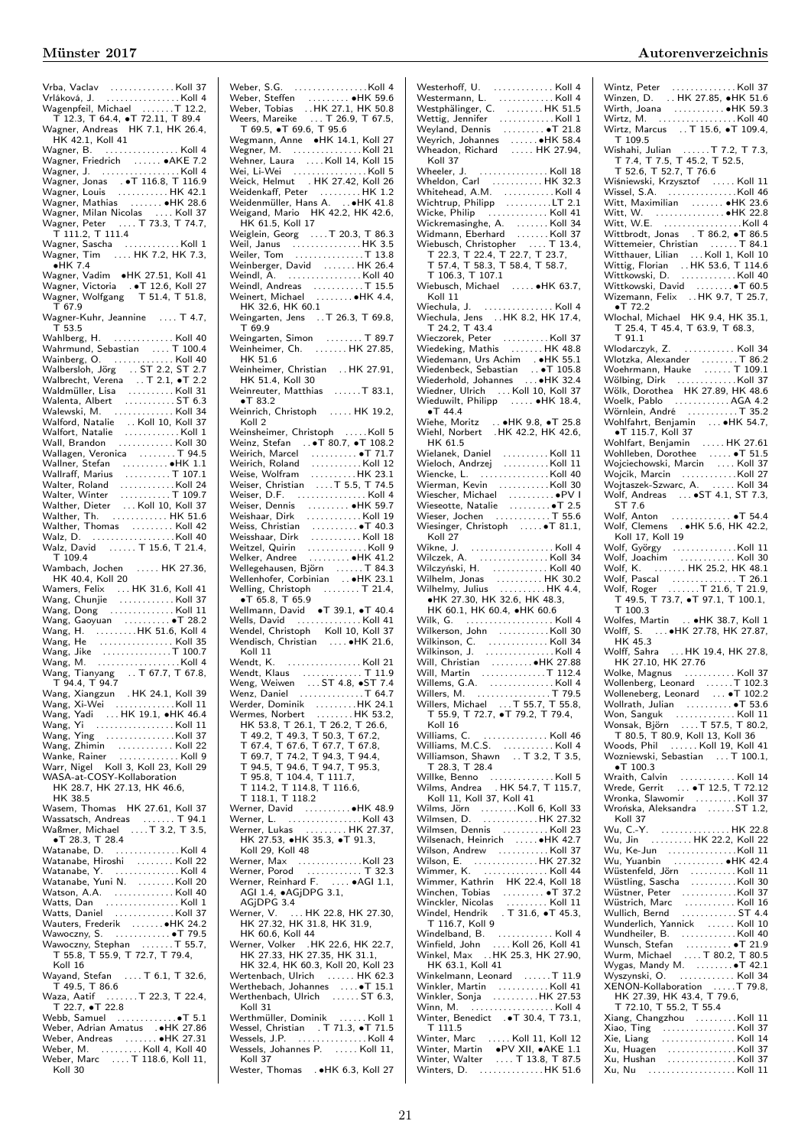| Vrba, Vaclav<br>Vrláková, J. (1999)<br>Vrláková, J. (1999)                                                                                                                                                                                     |
|------------------------------------------------------------------------------------------------------------------------------------------------------------------------------------------------------------------------------------------------|
| Wagenpfeil, Michael  T 12.2,<br>T 12.3, T 64.4, $\bullet$ T 72.11, T 89.4                                                                                                                                                                      |
|                                                                                                                                                                                                                                                |
| Wagner, Andreas HK 7.1, HK 26.4,                                                                                                                                                                                                               |
| HK 42.1, Koll 41                                                                                                                                                                                                                               |
| Wagner, B. Koll 4<br>Wagner, Friedrich 4KE 7.2                                                                                                                                                                                                 |
|                                                                                                                                                                                                                                                |
| Wagner, J. (1998)<br>Wagner, Jonas (1976)<br>Wagner, Louis (1988)<br>Wagner, Louis (1988)                                                                                                                                                      |
|                                                                                                                                                                                                                                                |
| Wagner, Mathias  HK 28.6                                                                                                                                                                                                                       |
|                                                                                                                                                                                                                                                |
| Wagner, Milan Nicolas  Koll 37<br>Wagner, Peter  T 73.3, T 74.7,                                                                                                                                                                               |
| T 111.2, T 111.4                                                                                                                                                                                                                               |
|                                                                                                                                                                                                                                                |
| Wagner, Sascha<br>Wagner, Tim  HK 7.2, HK 7.3,                                                                                                                                                                                                 |
| $\bullet$ HK 7.4                                                                                                                                                                                                                               |
| Vagner, Vadim → HK 27.51, Koll 41                                                                                                                                                                                                              |
| Wagner, Victoria    . •T 12.6, Koll 27<br>Wagner, Wolfgang     T 51.4, T 51.8,                                                                                                                                                                 |
|                                                                                                                                                                                                                                                |
| T 67.9                                                                                                                                                                                                                                         |
| Wagner-Kuhr, Jeannine  T 4.7,<br>T <sub>53.5</sub>                                                                                                                                                                                             |
|                                                                                                                                                                                                                                                |
|                                                                                                                                                                                                                                                |
|                                                                                                                                                                                                                                                |
|                                                                                                                                                                                                                                                |
| Vahlberg, H. (193.5)<br>Wahlberg, H. (190.4)<br>Wahrmund, Sebastian (190.4)<br>Wainberg, O. (190.4)<br>Walbersloh, Jörg (191.5)<br>C. S. S. S. T. 2.2, S. T. 2.2<br>Waldmüller, Lisa (191.6)<br>Waldmüller, Lisa (191.6)<br>Walanta, Albert (1 |
|                                                                                                                                                                                                                                                |
|                                                                                                                                                                                                                                                |
| Walewski, M. Koll 34                                                                                                                                                                                                                           |
| Valford, Natalie Moll 10, Koll 37<br>Walfort, Natalie Moll 10, Koll 37<br>Walfort, Natalie Moll 10, Koll 30                                                                                                                                    |
|                                                                                                                                                                                                                                                |
|                                                                                                                                                                                                                                                |
| Wallagen, Veronica T 94.5                                                                                                                                                                                                                      |
|                                                                                                                                                                                                                                                |
|                                                                                                                                                                                                                                                |
|                                                                                                                                                                                                                                                |
|                                                                                                                                                                                                                                                |
|                                                                                                                                                                                                                                                |
| Walther, Thomas  Koll 42                                                                                                                                                                                                                       |
|                                                                                                                                                                                                                                                |
|                                                                                                                                                                                                                                                |
| T 109.4                                                                                                                                                                                                                                        |
|                                                                                                                                                                                                                                                |
| Wambach, Jochen  HK 27.36,                                                                                                                                                                                                                     |
| HK 40.4, Koll 20                                                                                                                                                                                                                               |
|                                                                                                                                                                                                                                                |
| Wamers, Felix  HK 31.6, Koll 41<br>Wang, Chunjie  Koll 37                                                                                                                                                                                      |
| Wang, Dong Koll 11                                                                                                                                                                                                                             |
|                                                                                                                                                                                                                                                |
|                                                                                                                                                                                                                                                |
|                                                                                                                                                                                                                                                |
|                                                                                                                                                                                                                                                |
|                                                                                                                                                                                                                                                |
|                                                                                                                                                                                                                                                |
| T 94.4, T 94.7<br>39                                                                                                                                                                                                                           |
|                                                                                                                                                                                                                                                |
|                                                                                                                                                                                                                                                |
|                                                                                                                                                                                                                                                |
|                                                                                                                                                                                                                                                |
|                                                                                                                                                                                                                                                |
| Wang, Zhimin<br>Wanke, Rainer<br>Wanke, Rainer                                                                                                                                                                                                 |
| Warr, Nigel Koll 3, Koll 23, Koll 29                                                                                                                                                                                                           |
| WASA-at-COSY-Kollaboration                                                                                                                                                                                                                     |
| HK 28.7, HK 27.13, HK 46.6,<br>HK 38.5                                                                                                                                                                                                         |
|                                                                                                                                                                                                                                                |
| Wasem, Thomas HK 27.61, Koll 37                                                                                                                                                                                                                |
| Wassatsch, Andreas  T 94.1<br>Waßmer, Michael  T 3.2, T 3.5,                                                                                                                                                                                   |
| $\bullet$ T 28.3, T 28.4                                                                                                                                                                                                                       |
| Watanabe, D.<br>. Koll 4                                                                                                                                                                                                                       |
| Watanabe, Hiroshi  Koll 22                                                                                                                                                                                                                     |
|                                                                                                                                                                                                                                                |
|                                                                                                                                                                                                                                                |
|                                                                                                                                                                                                                                                |
| Watanabe, Y.<br>Watanabe, Yuni N.<br>Watanabe, Yuni N.<br>Watson, A.A.<br>Wats, Dan (Koll 1994).<br>Wats, Dan (Koll 1994).                                                                                                                     |
| Watts, Daniel Koll 37                                                                                                                                                                                                                          |
|                                                                                                                                                                                                                                                |
| Wauters, Frederik  HK 24.2<br>Wawoczny, S.  T 79.5                                                                                                                                                                                             |
| Wawoczny, Stephan T 55.7,<br>T 55.8, T 55.9, T 72.7, T 79.4,                                                                                                                                                                                   |
| Koll 16                                                                                                                                                                                                                                        |
| Wayand, Stefan  T 6.1, T 32.6,                                                                                                                                                                                                                 |
| T 49.5, T 86.6                                                                                                                                                                                                                                 |
| Waza, Aatif T 22.3, T 22.4,                                                                                                                                                                                                                    |
| $T$ 22.7, $\bullet$ T 22.8                                                                                                                                                                                                                     |
|                                                                                                                                                                                                                                                |
|                                                                                                                                                                                                                                                |
|                                                                                                                                                                                                                                                |
| Weber, M. Koll 4, Koll 40<br>Weber, Marc T 118.6, Koll 11,                                                                                                                                                                                     |

Weber, S.G. . . . . . . . . . . . . . . . .Koll 4 Weber, Steffen . . . . . . . . ●HK 59.6<br>Weber, Tobias . .HK 27.1, HK 50.8<br>Weers, Mareike . . . T 26.9, T 67.5,<br>T 69.5, ●T 69.6, T 95.6 Wegmann, Anne ∙HK 14.1, Koll 27 Wegner, M. . . . . . . . . . . . . . . . Koll 21 Wehner, Laura . . . . Koll 14, Koll 15 Wei, Li-Wei . . . . . . . . . . . . . . . . Koll 5 Weick, Helmut . HK 27.42, Koll 26 Weidenkaff, Peter . . . . . . . . . HK 1.2 Weidenmüller, Hans A. . .∙HK 41.8 Weigand, Mario HK 42.2, HK 42.6, HK 61.5, Koll 17 Weiglein, Georg . . . .T 20.3, T 86.3 Weil, Janus . . . . . . . . . . . . . . . HK 3.5 Weiler, Tom . . . . . . . . . . . . . . . T 13.8 Weinberger, David . . . . . . . HK 26.4 Weindl, A. . . . . . . . . . . . . . . . . Koll 40 Weindl, Andreas . . . . . . . . . . . T 15.5 Weinert, Michael . . . . . . . . ∙HK 4.4, HK 32.6, HK 60.1 Weingarten, Jens . . T 26.3, T 69.8,  $T$  69.9 Weingarten, Simon ........ T 89.7 Weinheimer, Ch. . . . . . . . HK 27.85, HK 51.6 Weinheimer, Christian . . HK 27.91, HK 51.4, Koll 30 Weinreuter, Matthias ......T 83.1, ∙T 83.2 Weinrich, Christoph ..... HK 19.2, Koll 2 Weinsheimer, Christoph .....Koll 5 Weinz, Stefan . . ∙T 80.7, ∙T 108.2 Weirich, Marcel . . . . . . . . . . ∙T 71.7 Weirich, Roland . . . . . . . . . . . Koll 12 Weise, Wolfram . . . . . . . . . . HK 23.1 Weiser, Christian . . . .T 5.5, T 74.5 Weiser, D.F. . . . . . . . . . . . . . . . Koll 4 Weiser, Dennis . . . . . . . . . ∙HK 59.7 Weishaar, Dirk . . . . . . . . . . . . Koll 19 Weiss, Christian . . . . . . . . . . ∙T 40.3 Weisshaar, Dirk . . . . . . . . . . . Koll 18 Weitzel, Quirin . . . . . . . . . . . . . Koll 9 Welker, Andree . . . . . . . . . ∙HK 41.2 Wellegehausen, Björn . . . . . . T 84.3<br>Wellenhofer, Corbinian . . •HK 23.1<br>Welling, Christoph . . . . . . . . . T 21.4,<br>•T 65.8, T 65.9 Wellmann, David ∙T 39.1, ∙T 40.4 Wells, David . . . . . . . . . . . . . . Koll 41 Wendel, Christoph Koll 10, Koll 37 Wendisch, Christian ..... • HK 21.6, Koll 11<br>Wendt. K. Wendt, K. (1918)<br>
Wendt, Klaus (1921)<br>
Weng, Weiwen (1921)<br>
2021 - T1.9, Neiwen (1947)<br>
2021 - T1.9, Neiwen (1947)<br>
2021 - T1.9, New HK 53.2, T26.2, T26.2, T26.2, T26.2, T26.2, T26.2, T26.2, T26.2, T26.2, T26.2, T26.2, T26 T 114.2, T 114.8, T 116.6, T 118.1, T 118.2 Werner, David ............●HK 48.9 Werner, L. . . . . . . . . . . . . . . . . Koll 43 Werner, Lukas . . . . . . . . . HK 27.37, HK 27.53, ●HK 35.3, ●T 91.3, Koll 29, Koll 48 Werner, Max . . . . . . . . . . . . . .Koll 23 Werner, Porod . . . . . . . . . . . . T 32.3 Werner, Reinhard F. . . . . ∙AGI 1.1, AGI 1.4, ∙AGjDPG 3.1, AGjDPG 3.4 Werner, V. . . . HK 22.8, HK 27.30, HK 27.32, HK 31.8, HK 31.9, HK 60.6, Koll 44 Werner, Volker .HK 22.6, HK 22.7, HK 27.33, HK 27.35, HK 31.1, HK 32.4, HK 60.3, Koll 20, Koll 23 Wertenbach, Ulrich . . . . . . HK 62.3 Werthebach, Johannes . . . . ∙T 15.1 Werthenbach, Ulrich ...... ST 6.3, Koll 31 Werthmüller, Dominik ...... Koll 1 Wessel, Christian . T 71.3, ∙T 71.5 Wessels, J.P. . . . . . . . . . . . . . . . Koll 4 Wessels, Johannes P. . . . . . Koll 11,

Koll 37 Wester, Thomas . ●HK 6.3, Koll 27

| Westerhoff, U. (1998)<br>Westermann, L. (1998)<br>Westphällinger, C. (1998)<br>Westphällinger, C. (1998)<br>Westlig, Jennifer (1998)<br>Weyland, Dennis (1998)<br>Weyrich, Johannes (1998)<br>Wheadon, Richard (1999)<br>Mall 37 (1999)<br>Koll |  |
|-------------------------------------------------------------------------------------------------------------------------------------------------------------------------------------------------------------------------------------------------|--|
|                                                                                                                                                                                                                                                 |  |
|                                                                                                                                                                                                                                                 |  |
|                                                                                                                                                                                                                                                 |  |
|                                                                                                                                                                                                                                                 |  |
| Koll 37                                                                                                                                                                                                                                         |  |
|                                                                                                                                                                                                                                                 |  |
|                                                                                                                                                                                                                                                 |  |
|                                                                                                                                                                                                                                                 |  |
|                                                                                                                                                                                                                                                 |  |
|                                                                                                                                                                                                                                                 |  |
| Wiebusch, Christopher  T 13.4,<br>T 22.3, T 22.4, T 22.7, T 23.7,<br>T 57.4, T 58.3, T 58.4, T 58.7,<br>T 106.3, T 107.1                                                                                                                        |  |
|                                                                                                                                                                                                                                                 |  |
| Wiebusch, Michael  HK 63.7,                                                                                                                                                                                                                     |  |
| Koll 11                                                                                                                                                                                                                                         |  |
|                                                                                                                                                                                                                                                 |  |
| T 24.2, T 43.4                                                                                                                                                                                                                                  |  |
| Wiedeking, Mathis HK 48.8                                                                                                                                                                                                                       |  |
| Wiedemann, Urs Achim<br>Wiedemann, Urs Achim<br>Wiedenbeck, Sebastian  • T 105.8<br>Wiederhold, Johannes  • HK 32.4                                                                                                                             |  |
|                                                                                                                                                                                                                                                 |  |
| Wiedner, Ulrich  Koll 10, Koll 37                                                                                                                                                                                                               |  |
| Wieduwilt, Philipp  . HK 18.4,<br>$\bullet$ T 44.4                                                                                                                                                                                              |  |
|                                                                                                                                                                                                                                                 |  |
| Wiehe, Moritz  ●HK 9.8, ●T 25.8<br>Wiehl, Norbert HK 42.2, HK 42.6,                                                                                                                                                                             |  |
| HK 61.5                                                                                                                                                                                                                                         |  |
| Vielanek, Daniel (1999)<br>19 Wieloch, Andrzej (1999)<br>19 Wiencke, L. (1999)<br>19 Wiencke, L. (1999)                                                                                                                                         |  |
|                                                                                                                                                                                                                                                 |  |
| Wierman, Kevin Koll 30                                                                                                                                                                                                                          |  |
|                                                                                                                                                                                                                                                 |  |
| Wiesinger, Christoph  T 81.1,                                                                                                                                                                                                                   |  |
| Koll 27                                                                                                                                                                                                                                         |  |
| . Koll 4<br>Wikne, J.<br>Wilczek, A.  Koll 34                                                                                                                                                                                                   |  |
| Wilczyński, H.  Koll 40                                                                                                                                                                                                                         |  |
|                                                                                                                                                                                                                                                 |  |
|                                                                                                                                                                                                                                                 |  |
|                                                                                                                                                                                                                                                 |  |
| Wilhelm, Jonas  HK 30.2<br>Wilhelmy, Julius HK 4.4,<br>•HK 27.30, HK 32.6, HK 48.3,<br>HK 60.1, HK 60.4, HK 60.6                                                                                                                                |  |
| Wilk, G.                                                                                                                                                                                                                                        |  |
| Wilkerson, John Koll 30                                                                                                                                                                                                                         |  |
| Wilkinson, C. Koll 34<br>Wilkinson, J. Koll 4                                                                                                                                                                                                   |  |
|                                                                                                                                                                                                                                                 |  |
|                                                                                                                                                                                                                                                 |  |
|                                                                                                                                                                                                                                                 |  |
|                                                                                                                                                                                                                                                 |  |
| Koll 16                                                                                                                                                                                                                                         |  |
|                                                                                                                                                                                                                                                 |  |
|                                                                                                                                                                                                                                                 |  |
| T 28.3, T 28.4                                                                                                                                                                                                                                  |  |
| Willke, Benno Koll 5<br>Wilms, Andrea . HK 54.7, T 115.7,                                                                                                                                                                                       |  |
| Koll 11, Koll 37, Koll 41                                                                                                                                                                                                                       |  |
| Wilms, Jörn Koll 6, Koll 33<br>Wilmsen, D. HK 27.32                                                                                                                                                                                             |  |
| Wilmsen, Dennis Koll 23                                                                                                                                                                                                                         |  |
| Wilsenach, Heinrich  HK 42.7                                                                                                                                                                                                                    |  |
| Wilson, Andrew Koll 37<br>Wilson, E. HK 27.32                                                                                                                                                                                                   |  |
| Wimmer, K.  Koll 44                                                                                                                                                                                                                             |  |
|                                                                                                                                                                                                                                                 |  |
|                                                                                                                                                                                                                                                 |  |
| Wimmer, Kathrin HK 22.4, Koll 18<br>Winchen, Tobias  T 37.2<br>Winckler, Nicolas  Koll 11<br>Windel, Hendrik . T 31.6, T 45.3,<br>T 116.7, Koll 9                                                                                               |  |
|                                                                                                                                                                                                                                                 |  |
|                                                                                                                                                                                                                                                 |  |
| Windelband, B. Koll 4<br>Winfield, John Koll 26, Koll 41<br>Winkel, Max HK 25.3, HK 27.90,<br>HK 63.1, Koll 41                                                                                                                                  |  |
| Winkelmann, Leonard T 11.9                                                                                                                                                                                                                      |  |
|                                                                                                                                                                                                                                                 |  |
|                                                                                                                                                                                                                                                 |  |
| T 111.5                                                                                                                                                                                                                                         |  |
|                                                                                                                                                                                                                                                 |  |
| Winter, Marc  Koll 11, Koll 12<br>Winter, Martin •PV XII, •AKE 1.1<br>Winter, Walter  T 13.8, T 87.5<br>Winters, D. HK 51.6                                                                                                                     |  |

| Wintz, Peter Koll 37<br>Winzen, D.  HK 27.85, •HK 51.6                                                                                                                                                                                                                          |  |
|---------------------------------------------------------------------------------------------------------------------------------------------------------------------------------------------------------------------------------------------------------------------------------|--|
|                                                                                                                                                                                                                                                                                 |  |
| Wirth, Joana  HK 59.3                                                                                                                                                                                                                                                           |  |
|                                                                                                                                                                                                                                                                                 |  |
| T 109.5                                                                                                                                                                                                                                                                         |  |
|                                                                                                                                                                                                                                                                                 |  |
| Wishahi, Julian<br>T 7.4, T 7.5, T 45.2, T 52.5,                                                                                                                                                                                                                                |  |
| T 52.6, T 52.7, T 76.6                                                                                                                                                                                                                                                          |  |
| Wiśniewski, Krzysztof  Koll 11                                                                                                                                                                                                                                                  |  |
| Wissel, S.A. Koll 46                                                                                                                                                                                                                                                            |  |
|                                                                                                                                                                                                                                                                                 |  |
|                                                                                                                                                                                                                                                                                 |  |
|                                                                                                                                                                                                                                                                                 |  |
|                                                                                                                                                                                                                                                                                 |  |
|                                                                                                                                                                                                                                                                                 |  |
|                                                                                                                                                                                                                                                                                 |  |
|                                                                                                                                                                                                                                                                                 |  |
|                                                                                                                                                                                                                                                                                 |  |
|                                                                                                                                                                                                                                                                                 |  |
| $\bullet$ T 72.2                                                                                                                                                                                                                                                                |  |
| Wlochal, Michael HK 9.4, HK 35.1,<br>T 25.4, T 45.4, T 63.9, T 68.3,                                                                                                                                                                                                            |  |
|                                                                                                                                                                                                                                                                                 |  |
| $T$ 91.1                                                                                                                                                                                                                                                                        |  |
| Wlodarczyk, Z.  Koll 34                                                                                                                                                                                                                                                         |  |
|                                                                                                                                                                                                                                                                                 |  |
|                                                                                                                                                                                                                                                                                 |  |
|                                                                                                                                                                                                                                                                                 |  |
|                                                                                                                                                                                                                                                                                 |  |
| Woelk, Pablo  AGA 4.2                                                                                                                                                                                                                                                           |  |
| Wörnlein, André<br>Wohlfahrt, Benjamin  • HK 54.7,                                                                                                                                                                                                                              |  |
| $\begin{array}{ll}\n\text{V} & \text{O} & \text{O} \\ \text{F} & 115.7, \text{Kol} & 37 \\ \text{Wohlfart, Benjamin} & \text{O} & \text{F} & 51.5 \\ \text{Wohlleben, Dorothee} & \text{F} & \text{F} \\ \text{V} & \text{V} & \text{V} \\ \end{array}$                         |  |
|                                                                                                                                                                                                                                                                                 |  |
|                                                                                                                                                                                                                                                                                 |  |
| Wojciechowski, Marcin<br>Wojcik, Marcin<br>Wojcik, Marcin                                                                                                                                                                                                                       |  |
|                                                                                                                                                                                                                                                                                 |  |
|                                                                                                                                                                                                                                                                                 |  |
| Wojtaszek-Szwarc, A. Koll 34<br>Wolf, Andreas ST 4.1, ST 7.3,                                                                                                                                                                                                                   |  |
| ST 7.6                                                                                                                                                                                                                                                                          |  |
| Wolf, Anton  •T 54.4<br>Wolf, Clemens  •HK 5.6, HK 42.2,                                                                                                                                                                                                                        |  |
|                                                                                                                                                                                                                                                                                 |  |
| Koll 17, Koll 19                                                                                                                                                                                                                                                                |  |
|                                                                                                                                                                                                                                                                                 |  |
|                                                                                                                                                                                                                                                                                 |  |
|                                                                                                                                                                                                                                                                                 |  |
|                                                                                                                                                                                                                                                                                 |  |
| Wolf, György<br>Wolf, György<br>Wolf, György<br>Wolf, K.<br>Charles Control (1997)<br>Wolf, Pascal<br>Wolf, Pascal<br>Wolf, Roger<br>Wolf, Roger<br>T. 21.6, T. 21.9,<br>T. 49.5, T. 73.7, $\bullet$ T. 97.1, T. 100.1,<br>T. 49.5, T. 73.7, $\bullet$ T. 97.1,                 |  |
| $T$ 100.3                                                                                                                                                                                                                                                                       |  |
|                                                                                                                                                                                                                                                                                 |  |
|                                                                                                                                                                                                                                                                                 |  |
|                                                                                                                                                                                                                                                                                 |  |
| Wolfes, Martin  ●HK 38.7, Koll 1<br>Wolff, S.  ●HK 27.78, HK 27.87,                                                                                                                                                                                                             |  |
|                                                                                                                                                                                                                                                                                 |  |
|                                                                                                                                                                                                                                                                                 |  |
| "HK 45.3<br>Wolff, Sahra  HK 19.4, HK 27.8,<br>HK 27.10, HK 27.76                                                                                                                                                                                                               |  |
| Wolke, Magnus<br>Wollenberg, Leonard T 102.3                                                                                                                                                                                                                                    |  |
|                                                                                                                                                                                                                                                                                 |  |
|                                                                                                                                                                                                                                                                                 |  |
|                                                                                                                                                                                                                                                                                 |  |
|                                                                                                                                                                                                                                                                                 |  |
|                                                                                                                                                                                                                                                                                 |  |
|                                                                                                                                                                                                                                                                                 |  |
| T 80.5, T 80.9, Koll 13, Koll 36<br>Woods, Phil  Koll 19, Koll 41<br>Wozniewski, Sebastian  T 100.1,<br>$\bullet$ T 100.3                                                                                                                                                       |  |
|                                                                                                                                                                                                                                                                                 |  |
|                                                                                                                                                                                                                                                                                 |  |
| Wraith, Calvin Koll 14<br>Wrede, Gerrit  • T 12.5, T 72.12<br>Wronka, Slawomir Koll 37                                                                                                                                                                                          |  |
| Wrońska, Aleksandra ST 1.2,                                                                                                                                                                                                                                                     |  |
| Koll 37                                                                                                                                                                                                                                                                         |  |
|                                                                                                                                                                                                                                                                                 |  |
| Wu, C.-Y. HK 22.8<br>Wu, Jin HK 22.2, Koll 22                                                                                                                                                                                                                                   |  |
|                                                                                                                                                                                                                                                                                 |  |
|                                                                                                                                                                                                                                                                                 |  |
|                                                                                                                                                                                                                                                                                 |  |
|                                                                                                                                                                                                                                                                                 |  |
|                                                                                                                                                                                                                                                                                 |  |
|                                                                                                                                                                                                                                                                                 |  |
| Wu, In The Matter Case, Note 11<br>Wu, Ke-Jun<br>Wu, Yuanbin The HK 42.4<br>Wustenfeld, Jörn<br>Wüstling, Saschand Muster (Note 13<br>Wüster, Peter<br>Wüster, Peter<br>Wuster Matter (Note 14, 10<br>Wunderlich Nappiele Kall 10<br>Wunderlich<br>Wunderlich, Yannick  Koll 10 |  |
|                                                                                                                                                                                                                                                                                 |  |
|                                                                                                                                                                                                                                                                                 |  |
|                                                                                                                                                                                                                                                                                 |  |
|                                                                                                                                                                                                                                                                                 |  |
|                                                                                                                                                                                                                                                                                 |  |
|                                                                                                                                                                                                                                                                                 |  |
|                                                                                                                                                                                                                                                                                 |  |
|                                                                                                                                                                                                                                                                                 |  |
|                                                                                                                                                                                                                                                                                 |  |
|                                                                                                                                                                                                                                                                                 |  |
|                                                                                                                                                                                                                                                                                 |  |
| Xu, Nu  Koll 11                                                                                                                                                                                                                                                                 |  |